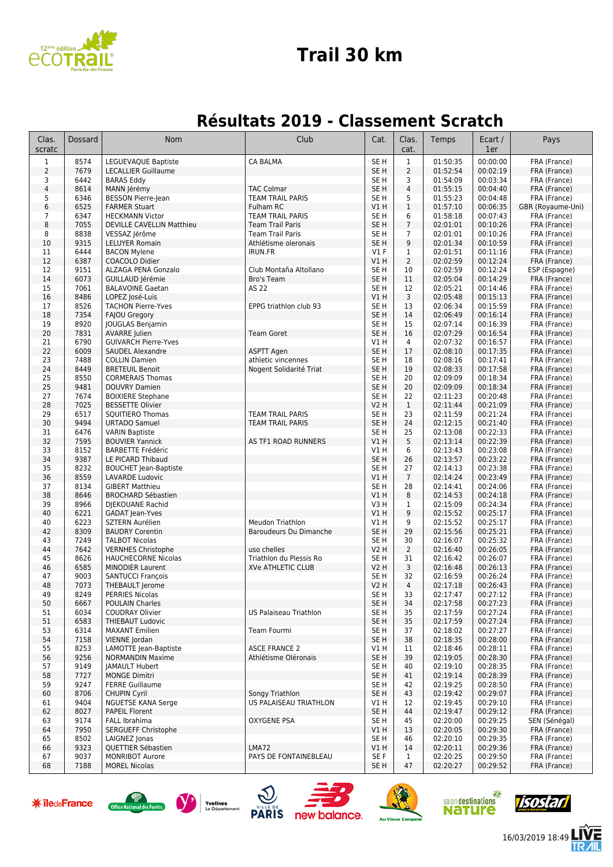

#### **Trail 30 km**

#### **Résultats 2019 - Classement Scratch**

| Clas.<br>scratc              | Dossard      | Nom                                                | Club                                          | Cat.                               | Clas.<br>cat.       | Temps                | Ecart /<br>1er       | Pays                              |
|------------------------------|--------------|----------------------------------------------------|-----------------------------------------------|------------------------------------|---------------------|----------------------|----------------------|-----------------------------------|
| $\mathbf 1$                  | 8574         | LEGUEVAQUE Baptiste                                | <b>CA BALMA</b>                               | SE <sub>H</sub>                    | $\mathbf 1$         | 01:50:35             | 00:00:00             | FRA (France)                      |
| $\overline{2}$               | 7679         | <b>LECALLIER Guillaume</b>                         |                                               | SE <sub>H</sub>                    | $\overline{2}$      | 01:52:54             | 00:02:19             | FRA (France)                      |
| 3                            | 6442         | <b>BARAS Eddy</b>                                  |                                               | SE <sub>H</sub>                    | 3                   | 01:54:09             | 00:03:34             | FRA (France)                      |
| $\overline{\mathbf{4}}$<br>5 | 8614<br>6346 | MANN Jérémy<br><b>BESSON Pierre-lean</b>           | <b>TAC Colmar</b><br><b>TEAM TRAIL PARIS</b>  | SE <sub>H</sub>                    | $\overline{4}$<br>5 | 01:55:15<br>01:55:23 | 00:04:40             | FRA (France)                      |
| 6                            | 6525         | <b>FARMER Stuart</b>                               | Fulham RC                                     | SE H<br>V1H                        | $\mathbf 1$         | 01:57:10             | 00:04:48<br>00:06:35 | FRA (France)<br>GBR (Royaume-Uni) |
| $\overline{7}$               | 6347         | <b>HECKMANN Victor</b>                             | <b>TEAM TRAIL PARIS</b>                       | SE <sub>H</sub>                    | 6                   | 01:58:18             | 00:07:43             | FRA (France)                      |
| 8                            | 7055         | DEVILLE CAVELLIN Matthieu                          | <b>Team Trail Paris</b>                       | SE <sub>H</sub>                    | $\overline{7}$      | 02:01:01             | 00:10:26             | FRA (France)                      |
| 8                            | 8838         | VESSAZ Jérôme                                      | <b>Team Trail Paris</b>                       | SE <sub>H</sub>                    | $\overline{7}$      | 02:01:01             | 00:10:26             | FRA (France)                      |
| 10                           | 9315         | <b>LELUYER Romain</b>                              | Athlétisme oleronais                          | SE <sub>H</sub>                    | 9                   | 02:01:34             | 00:10:59             | FRA (France)                      |
| 11                           | 6444         | <b>BACON Mylene</b>                                | <b>IRUN.FR</b>                                | $VI$ F                             | $\mathbf{1}$        | 02:01:51             | 00:11:16             | FRA (France)                      |
| 12                           | 6387         | COACOLO Didier                                     |                                               | V1H                                | $\overline{2}$      | 02:02:59             | 00:12:24             | FRA (France)                      |
| 12                           | 9151<br>6073 | ALZAGA PENA Gonzalo<br>GUILLAUD Jérémie            | Club Montaña Altollano                        | SE <sub>H</sub><br>SE <sub>H</sub> | 10<br>11            | 02:02:59<br>02:05:04 | 00:12:24<br>00:14:29 | ESP (Espagne)<br>FRA (France)     |
| 14<br>15                     | 7061         | <b>BALAVOINE Gaetan</b>                            | Bro's Team<br>AS 22                           | SE <sub>H</sub>                    | 12                  | 02:05:21             | 00:14:46             | FRA (France)                      |
| 16                           | 8486         | LOPEZ José-Luis                                    |                                               | V1H                                | 3                   | 02:05:48             | 00:15:13             | FRA (France)                      |
| 17                           | 8526         | <b>TACHON Pierre-Yves</b>                          | EPPG triathlon club 93                        | SE H                               | 13                  | 02:06:34             | 00:15:59             | FRA (France)                      |
| 18                           | 7354         | <b>FAJOU Gregory</b>                               |                                               | SE <sub>H</sub>                    | 14                  | 02:06:49             | 00:16:14             | FRA (France)                      |
| 19                           | 8920         | JOUGLAS Benjamin                                   |                                               | SE H                               | 15                  | 02:07:14             | 00:16:39             | FRA (France)                      |
| 20                           | 7831         | AVARRE Julien                                      | <b>Team Goret</b>                             | SE <sub>H</sub>                    | 16                  | 02:07:29             | 00:16:54             | FRA (France)                      |
| 21                           | 6790         | <b>GUIVARCH Pierre-Yves</b>                        |                                               | V1 H                               | 4                   | 02:07:32             | 00:16:57             | FRA (France)                      |
| 22                           | 6009         | SAUDEL Alexandre                                   | <b>ASPTT Agen</b>                             | SE <sub>H</sub>                    | 17                  | 02:08:10             | 00:17:35             | FRA (France)                      |
| 23<br>24                     | 7488<br>8449 | <b>COLLIN Damien</b><br><b>BRETEUIL Benoit</b>     | athletic vincennes<br>Nogent Solidarité Triat | SE H<br>SE <sub>H</sub>            | 18<br>19            | 02:08:16<br>02:08:33 | 00:17:41<br>00:17:58 | FRA (France)<br>FRA (France)      |
| 25                           | 8550         | <b>CORMERAIS Thomas</b>                            |                                               | SE <sub>H</sub>                    | 20                  | 02:09:09             | 00:18:34             | FRA (France)                      |
| 25                           | 9481         | <b>DOUVRY Damien</b>                               |                                               | SE <sub>H</sub>                    | 20                  | 02:09:09             | 00:18:34             | FRA (France)                      |
| 27                           | 7674         | <b>BOIXIERE Stephane</b>                           |                                               | SE <sub>H</sub>                    | 22                  | 02:11:23             | 00:20:48             | FRA (France)                      |
| 28                           | 7025         | <b>BESSETTE Olivier</b>                            |                                               | <b>V2 H</b>                        | $\mathbf{1}$        | 02:11:44             | 00:21:09             | FRA (France)                      |
| 29                           | 6517         | SOUITIERO Thomas                                   | <b>TEAM TRAIL PARIS</b>                       | SE H                               | 23                  | 02:11:59             | 00:21:24             | FRA (France)                      |
| 30                           | 9494         | <b>URTADO Samuel</b>                               | <b>TEAM TRAIL PARIS</b>                       | SE H                               | 24                  | 02:12:15             | 00:21:40             | FRA (France)                      |
| 31                           | 6476         | <b>VARIN Baptiste</b>                              |                                               | SE <sub>H</sub>                    | 25                  | 02:13:08             | 00:22:33             | FRA (France)                      |
| 32<br>33                     | 7595<br>8152 | <b>BOUVIER Yannick</b><br><b>BARBETTE Frédéric</b> | AS TF1 ROAD RUNNERS                           | V1H<br><b>V1 H</b>                 | 5<br>6              | 02:13:14<br>02:13:43 | 00:22:39<br>00:23:08 | FRA (France)<br>FRA (France)      |
| 34                           | 9387         | LE PICARD Thibaud                                  |                                               | SE <sub>H</sub>                    | 26                  | 02:13:57             | 00:23:22             | FRA (France)                      |
| 35                           | 8232         | <b>BOUCHET Jean-Baptiste</b>                       |                                               | SE <sub>H</sub>                    | 27                  | 02:14:13             | 00:23:38             | FRA (France)                      |
| 36                           | 8559         | LAVARDE Ludovic                                    |                                               | V1H                                | $\overline{7}$      | 02:14:24             | 00:23:49             | FRA (France)                      |
| 37                           | 8134         | <b>GIBERT Matthieu</b>                             |                                               | SE <sub>H</sub>                    | 28                  | 02:14:41             | 00:24:06             | FRA (France)                      |
| 38                           | 8646         | <b>BROCHARD Sébastien</b>                          |                                               | V1H                                | 8                   | 02:14:53             | 00:24:18             | FRA (France)                      |
| 39                           | 8966         | DJEKOUANE Rachid                                   |                                               | V3H                                | $\mathbf 1$         | 02:15:09             | 00:24:34             | FRA (France)                      |
| 40                           | 6221         | GADAT Jean-Yves                                    |                                               | VIH                                | 9                   | 02:15:52             | 00:25:17             | FRA (France)                      |
| 40<br>42                     | 6223<br>8309 | <b>SZTERN Aurélien</b><br><b>BAUDRY Corentin</b>   | Meudon Triathlon<br>Baroudeurs Du Dimanche    | V1 H<br>SE <sub>H</sub>            | 9<br>29             | 02:15:52<br>02:15:56 | 00:25:17<br>00:25:21 | FRA (France)<br>FRA (France)      |
| 43                           | 7249         | <b>TALBOT Nicolas</b>                              |                                               | SE H                               | 30                  | 02:16:07             | 00:25:32             | FRA (France)                      |
| 44                           | 7642         | <b>VERNHES Christophe</b>                          | uso chelles                                   | <b>V2 H</b>                        | $\overline{2}$      | 02:16:40             | 00:26:05             | FRA (France)                      |
| 45                           | 8626         | <b>HAUCHECORNE Nicolas</b>                         | Triathlon du Plessis Ro                       | SE H                               | 31                  | 02:16:42             | 00:26:07             | FRA (France)                      |
| 46                           | 6585         | <b>MINODIER Laurent</b>                            | <b>XVe ATHLETIC CLUB</b>                      | <b>V2 H</b>                        | 3                   | 02:16:48             | 00:26:13             | FRA (France)                      |
| 47                           | 9003         | <b>SANTUCCI François</b>                           |                                               | SE H                               | 32                  | 02:16:59             | 00:26:24             | FRA (France)                      |
| 48                           | 7073         | THEBAULT Jerome                                    |                                               | <b>V2 H</b>                        | $\overline{4}$      | 02:17:18             | 00:26:43             | FRA (France)                      |
| 49                           | 8249         | PERRIES Nicolas                                    |                                               | SE H                               | 33                  | 02:17:47             | 00:27:12             | FRA (France)                      |
| 50                           | 6667         | <b>POULAIN Charles</b>                             | US Palaiseau Triathlon                        | SE <sub>H</sub>                    | 34                  | 02:17:58             | 00:27:23             | FRA (France)                      |
| 51<br>51                     | 6034<br>6583 | <b>COUDRAY Olivier</b><br><b>THIEBAUT Ludovic</b>  |                                               | SE <sub>H</sub><br>SE H            | 35<br>35            | 02:17:59<br>02:17:59 | 00:27:24<br>00:27:24 | FRA (France)<br>FRA (France)      |
| 53                           | 6314         | <b>MAXANT Emilien</b>                              | Team Fourmi                                   | SE H                               | 37                  | 02:18:02             | 00:27:27             | FRA (France)                      |
| 54                           | 7158         | VIENNE Jordan                                      |                                               | SE H                               | 38                  | 02:18:35             | 00:28:00             | FRA (France)                      |
| 55                           | 8253         | LAMOTTE Jean-Baptiste                              | <b>ASCE FRANCE 2</b>                          | V1H                                | 11                  | 02:18:46             | 00:28:11             | FRA (France)                      |
| 56                           | 9256         | <b>NORMANDIN Maxime</b>                            | Athlétisme Oléronais                          | SE <sub>H</sub>                    | 39                  | 02:19:05             | 00:28:30             | FRA (France)                      |
| 57                           | 9149         | <b>IAMAULT Hubert</b>                              |                                               | SE <sub>H</sub>                    | 40                  | 02:19:10             | 00:28:35             | FRA (France)                      |
| 58                           | 7727         | <b>MONGE Dimitri</b>                               |                                               | SE <sub>H</sub>                    | 41                  | 02:19:14             | 00:28:39             | FRA (France)                      |
| 59                           | 9247         | <b>FERRE Guillaume</b>                             |                                               | SE H                               | 42                  | 02:19:25             | 00:28:50             | FRA (France)                      |
| 60                           | 8706         | <b>CHUPIN Cyril</b>                                | Songy Triathlon<br>US PALAISEAU TRIATHLON     | SE <sub>H</sub>                    | 43                  | 02:19:42<br>02:19:45 | 00:29:07             | FRA (France)                      |
| 61<br>62                     | 9404<br>8027 | NGUETSE KANA Serge<br><b>PAPEIL Florent</b>        |                                               | V1 H<br>SE <sub>H</sub>            | 12<br>44            | 02:19:47             | 00:29:10<br>00:29:12 | FRA (France)<br>FRA (France)      |
| 63                           | 9174         | FALL Ibrahima                                      | OXYGENE PSA                                   | SE <sub>H</sub>                    | 45                  | 02:20:00             | 00:29:25             | SEN (Sénégal)                     |
| 64                           | 7950         | SERGUEFF Christophe                                |                                               | VIH                                | 13                  | 02:20:05             | 00:29:30             | FRA (France)                      |
| 65                           | 8502         | LAIGNEZ Jonas                                      |                                               | SE H                               | 46                  | 02:20:10             | 00:29:35             | FRA (France)                      |
| 66                           | 9323         | QUETTIER Sébastien                                 | LMA72                                         | VIH                                | 14                  | 02:20:11             | 00:29:36             | FRA (France)                      |
| 67                           | 9037         | <b>MONRIBOT Aurore</b>                             | PAYS DE FONTAINEBLEAU                         | SE F                               | $\mathbf{1}$        | 02:20:25             | 00:29:50             | FRA (France)                      |
| 68                           | 7188         | <b>MOREL Nicolas</b>                               |                                               | SE H                               | 47                  | 02:20:27             | 00:29:52             | FRA (France)                      |













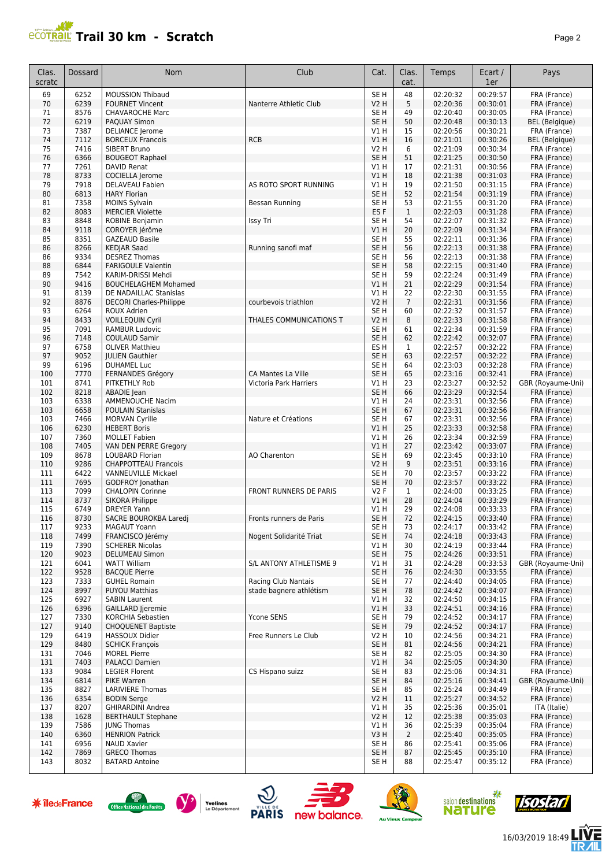## **PCOTRAIL Trail 30 km - Scratch Page 2**

| Pag |
|-----|
|     |
|     |
|     |

| Clas.<br>scratc      | Dossard      | Nom                                                             | Club                         | Cat.                    | Clas.<br>cat.          | Temps                        | Ecart /<br>1er       | Pays                                  |
|----------------------|--------------|-----------------------------------------------------------------|------------------------------|-------------------------|------------------------|------------------------------|----------------------|---------------------------------------|
| 69                   | 6252         | <b>MOUSSION Thibaud</b>                                         |                              | SE H                    | 48                     | 02:20:32                     | 00:29:57             | FRA (France)                          |
| 70                   | 6239         | <b>FOURNET Vincent</b>                                          | Nanterre Athletic Club       | <b>V2 H</b>             | 5                      | 02:20:36                     | 00:30:01             | FRA (France)                          |
| 71                   | 8576         | <b>CHAVAROCHE Marc</b>                                          |                              | SE <sub>H</sub>         | 49                     | 02:20:40                     | 00:30:05             | FRA (France)                          |
| 72                   | 6219         | <b>PAQUAY Simon</b>                                             |                              | SE <sub>H</sub>         | 50                     | 02:20:48                     | 00:30:13             | <b>BEL</b> (Belgique)                 |
| 73<br>74             | 7387<br>7112 | <b>DELIANCE</b> Jerome<br><b>BORCEUX Francois</b>               | <b>RCB</b>                   | V1 H<br>V1H             | 15<br>16               | 02:20:56<br>02:21:01         | 00:30:21<br>00:30:26 | FRA (France)<br><b>BEL</b> (Belgique) |
| 75                   | 7416         | SIBERT Bruno                                                    |                              | V2 H                    | 6                      | 02:21:09                     | 00:30:34             | FRA (France)                          |
| 76                   | 6366         | <b>BOUGEOT Raphael</b>                                          |                              | SE <sub>H</sub>         | 51                     | 02:21:25                     | 00:30:50             | FRA (France)                          |
| 77                   | 7261         | <b>DAVID Renat</b>                                              |                              | V1H                     | 17                     | 02:21:31                     | 00:30:56             | FRA (France)                          |
| 78                   | 8733         | COCIELLA Jerome                                                 |                              | V1H                     | 18                     | 02:21:38                     | 00:31:03             | FRA (France)                          |
| 79                   | 7918         | <b>DELAVEAU Fabien</b>                                          | AS ROTO SPORT RUNNING        | V1H                     | 19                     | 02:21:50                     | 00:31:15             | FRA (France)                          |
| 80                   | 6813         | <b>HARY Florian</b>                                             |                              | SE <sub>H</sub>         | 52                     | 02:21:54                     | 00:31:19             | FRA (France)                          |
| 81                   | 7358         | <b>MOINS Sylvain</b>                                            | Bessan Running               | SE <sub>H</sub>         | 53                     | 02:21:55                     | 00:31:20             | FRA (France)                          |
| 82                   | 8083         | <b>MERCIER Violette</b>                                         |                              | ES <sub>F</sub>         | $\mathbf{1}$           | 02:22:03                     | 00:31:28             | FRA (France)                          |
| 83                   | 8848<br>9118 | <b>ROBINE Benjamin</b>                                          | Issy Tri                     | SE <sub>H</sub>         | 54<br>20               | 02:22:07<br>02:22:09         | 00:31:32<br>00:31:34 | FRA (France)                          |
| 84<br>85             | 8351         | COROYER Jérôme<br><b>GAZEAUD Basile</b>                         |                              | V1 H<br>SE <sub>H</sub> | 55                     | 02:22:11                     | 00:31:36             | FRA (France)<br>FRA (France)          |
| 86                   | 8266         | <b>KEDJAR Saad</b>                                              | Running sanofi maf           | SE <sub>H</sub>         | 56                     | 02:22:13                     | 00:31:38             | FRA (France)                          |
| 86                   | 9334         | <b>DESREZ Thomas</b>                                            |                              | SE <sub>H</sub>         | 56                     | 02:22:13                     | 00:31:38             | FRA (France)                          |
| 88                   | 6844         | <b>FARIGOULE Valentin</b>                                       |                              | SE <sub>H</sub>         | 58                     | 02:22:15                     | 00:31:40             | FRA (France)                          |
| 89                   | 7542         | KARIM-DRISSI Mehdi                                              |                              | SE <sub>H</sub>         | 59                     | 02:22:24                     | 00:31:49             | FRA (France)                          |
| 90                   | 9416         | <b>BOUCHELAGHEM Mohamed</b>                                     |                              | V1H                     | 21                     | 02:22:29                     | 00:31:54             | FRA (France)                          |
| 91                   | 8139         | DE NADAILLAC Stanislas                                          |                              | V1 H                    | 22                     | 02:22:30                     | 00:31:55             | FRA (France)                          |
| 92                   | 8876         | <b>DECORI Charles-Philippe</b>                                  | courbevois triathlon         | <b>V2 H</b>             | $\overline{7}$         | 02:22:31                     | 00:31:56             | FRA (France)                          |
| 93                   | 6264         | ROUX Adrien                                                     |                              | SE H                    | 60                     | 02:22:32                     | 00:31:57             | FRA (France)                          |
| 94<br>95             | 8433<br>7091 | <b>VOILLEQUIN Cyril</b><br><b>RAMBUR Ludovic</b>                | THALES COMMUNICATIONS T      | V2 H<br>SE <sub>H</sub> | 8<br>61                | 02:22:33<br>02:22:34         | 00:31:58<br>00:31:59 | FRA (France)<br>FRA (France)          |
| 96                   | 7148         | <b>COULAUD Samir</b>                                            |                              | SE <sub>H</sub>         | 62                     | 02:22:42                     | 00:32:07             | FRA (France)                          |
| 97                   | 6758         | <b>OLIVER Matthieu</b>                                          |                              | ES <sub>H</sub>         | $\mathbf{1}$           | 02:22:57                     | 00:32:22             | FRA (France)                          |
| 97                   | 9052         | <b>JULIEN Gauthier</b>                                          |                              | SE <sub>H</sub>         | 63                     | 02:22:57                     | 00:32:22             | FRA (France)                          |
| 99                   | 6196         | <b>DUHAMEL Luc</b>                                              |                              | SE <sub>H</sub>         | 64                     | 02:23:03                     | 00:32:28             | FRA (France)                          |
| 100                  | 7770         | FERNANDES Grégory                                               | CA Mantes La Ville           | SE <sub>H</sub>         | 65                     | 02:23:16                     | 00:32:41             | FRA (France)                          |
| 101                  | 8741         | PITKETHLY Rob                                                   | Victoria Park Harriers       | V1 H                    | 23                     | 02:23:27                     | 00:32:52             | GBR (Royaume-Uni)                     |
| 102                  | 8218         | ABADIE Jean                                                     |                              | SE <sub>H</sub>         | 66                     | 02:23:29                     | 00:32:54             | FRA (France)                          |
| 103                  | 6338         | <b>AMMENOUCHE Nacim</b>                                         |                              | V1H                     | 24                     | 02:23:31                     | 00:32:56             | FRA (France)                          |
| 103                  | 6658         | <b>POULAIN Stanislas</b>                                        |                              | SE <sub>H</sub>         | 67                     | 02:23:31                     | 00:32:56             | FRA (France)                          |
| 103                  | 7466         | <b>MORVAN Cyrille</b>                                           | Nature et Créations          | SE H                    | 67<br>25               | 02:23:31                     | 00:32:56             | FRA (France)                          |
| 106<br>107           | 6230<br>7360 | <b>HEBERT Boris</b><br><b>MOLLET Fabien</b>                     |                              | VIH<br>V1 H             | 26                     | 02:23:33<br>02:23:34         | 00:32:58<br>00:32:59 | FRA (France)<br>FRA (France)          |
| 108                  | 7405         | VAN DEN PERRE Gregory                                           |                              | V1H                     | 27                     | 02:23:42                     | 00:33:07             | FRA (France)                          |
| 109                  | 8678         | LOUBARD Florian                                                 | AO Charenton                 | SE <sub>H</sub>         | 69                     | 02:23:45                     | 00:33:10             | FRA (France)                          |
| 110                  | 9286         | <b>CHAPPOTTEAU Francois</b>                                     |                              | <b>V2 H</b>             | 9                      | 02:23:51                     | 00:33:16             | FRA (France)                          |
| 111                  | 6422         | <b>VANNEUVILLE Mickael</b>                                      |                              | SE <sub>H</sub>         | 70                     | 02:23:57                     | 00:33:22             | FRA (France)                          |
| 111                  | 7695         | GODFROY Jonathan                                                |                              | SE <sub>H</sub>         | 70                     | 02:23:57                     | 00:33:22             | FRA (France)                          |
| 113                  | 7099         | <b>CHALOPIN Corinne</b>                                         | FRONT RUNNERS DE PARIS       | <b>V2F</b>              | 1                      | 02:24:00                     | 00:33:25             | FRA (France)                          |
| 114                  | 8737         | <b>SIKORA Philippe</b>                                          |                              | <b>V1 H</b>             | 28                     | 02:24:04                     | 00:33:29             | FRA (France)                          |
| 115                  | 6749         | <b>DREYER Yann</b>                                              |                              | V1 H                    | 29                     | 02:24:08                     | 00:33:33             | FRA (France)                          |
| 116<br>117           | 8730<br>9233 | SACRE BOUROKBA Laredj<br><b>MAGAUT Yoann</b>                    | Fronts runners de Paris      | SE <sub>H</sub><br>SE H | 72<br>73               | 02:24:15<br>02:24:17         | 00:33:40<br>00:33:42 | FRA (France)<br>FRA (France)          |
| 118                  | 7499         | FRANCISCO Jérémy                                                | Nogent Solidarité Triat      | SE <sub>H</sub>         | 74                     | 02:24:18                     | 00:33:43             | FRA (France)                          |
| 119                  | 7390         | <b>SCHERER Nicolas</b>                                          |                              | V1 H                    | 30                     | 02:24:19                     | 00:33:44             | FRA (France)                          |
| 120                  | 9023         | <b>DELUMEAU Simon</b>                                           |                              | SE <sub>H</sub>         | 75                     | 02:24:26                     | 00:33:51             | FRA (France)                          |
| 121                  | 6041         | <b>WATT William</b>                                             | S/L ANTONY ATHLETISME 9      | V1 H                    | 31                     | 02:24:28                     | 00:33:53             | GBR (Royaume-Uni)                     |
| 122                  | 9528         | <b>BACQUE Pierre</b>                                            |                              | SE <sub>H</sub>         | 76                     | 02:24:30                     | 00:33:55             | FRA (France)                          |
| 123                  | 7333         | <b>GUHEL Romain</b>                                             | Racing Club Nantais          | SE H                    | 77                     | 02:24:40                     | 00:34:05             | FRA (France)                          |
| 124                  | 8997         | <b>PUYOU Matthias</b>                                           | stade bagnere athlétism      | SE <sub>H</sub>         | 78                     | 02:24:42                     | 00:34:07             | FRA (France)                          |
| 125                  | 6927         | <b>SABIN Laurent</b>                                            |                              | V1 H                    | 32                     | 02:24:50                     | 00:34:15             | FRA (France)                          |
| 126<br>127           | 6396<br>7330 | <b>GAILLARD Jjeremie</b><br>KORCHIA Sebastien                   | Ycone SENS                   | V1H<br>SE <sub>H</sub>  | 33<br>79               | 02:24:51<br>02:24:52         | 00:34:16<br>00:34:17 | FRA (France)<br>FRA (France)          |
| 127                  | 9140         | <b>CHOQUENET Baptiste</b>                                       |                              | SE <sub>H</sub>         | 79                     | 02:24:52                     | 00:34:17             | FRA (France)                          |
| 129                  | 6419         | <b>HASSOUX Didier</b>                                           | Free Runners Le Club         | V2 H                    | 10                     | 02:24:56                     | 00:34:21             | FRA (France)                          |
| 129                  | 8480         | <b>SCHICK Francois</b>                                          |                              | SE <sub>H</sub>         | 81                     | 02:24:56                     | 00:34:21             | FRA (France)                          |
| 131                  | 7046         | <b>MOREL Pierre</b>                                             |                              | SE H                    | 82                     | 02:25:05                     | 00:34:30             | FRA (France)                          |
| 131                  | 7403         | <b>PALACCI Damien</b>                                           |                              | V1 H                    | 34                     | 02:25:05                     | 00:34:30             | FRA (France)                          |
| 133                  | 9084         | <b>LEGIER Florent</b>                                           | CS Hispano suizz             | SE H                    | 83                     | 02:25:06                     | 00:34:31             | FRA (France)                          |
| 134                  | 6814         | PIKE Warren                                                     |                              | SE <sub>H</sub>         | 84                     | 02:25:16                     | 00:34:41             | GBR (Royaume-Uni)                     |
| 135                  | 8827         | <b>LARIVIERE Thomas</b>                                         |                              | SE H                    | 85                     | 02:25:24                     | 00:34:49             | FRA (France)                          |
| 136                  | 6354         | <b>BODIN Serge</b>                                              |                              | <b>V2 H</b>             | 11                     | 02:25:27<br>02:25:36         | 00:34:52<br>00:35:01 | FRA (France)                          |
| 137<br>138           | 8207<br>1628 | <b>GHIRARDINI Andrea</b><br><b>BERTHAULT Stephane</b>           |                              | V1 H<br><b>V2 H</b>     | 35<br>12               | 02:25:38                     | 00:35:03             | ITA (Italie)<br>FRA (France)          |
| 139                  | 7586         | <b>IUNG Thomas</b>                                              |                              | V1 H                    | 36                     | 02:25:39                     | 00:35:04             | FRA (France)                          |
| 140                  | 6360         | <b>HENRION Patrick</b>                                          |                              | V3H                     | $\overline{2}$         | 02:25:40                     | 00:35:05             | FRA (France)                          |
| 141                  | 6956         | <b>NAUD Xavier</b>                                              |                              | SE H                    | 86                     | 02:25:41                     | 00:35:06             | FRA (France)                          |
| 142                  | 7869         | <b>GRECO Thomas</b>                                             |                              | SE H                    | 87                     | 02:25:45                     | 00:35:10             | FRA (France)                          |
| 143                  | 8032         | <b>BATARD Antoine</b>                                           |                              | SE H                    | 88                     | 02:25:47                     | 00:35:12             | FRA (France)                          |
| <b>* îledeFrance</b> |              | Yvelines<br><b>Office National des Forêts</b><br>Le Département | <b>PARIS</b><br>new balance. |                         | <b>Au Vieux Campeu</b> | salon destinations<br>nature |                      |                                       |















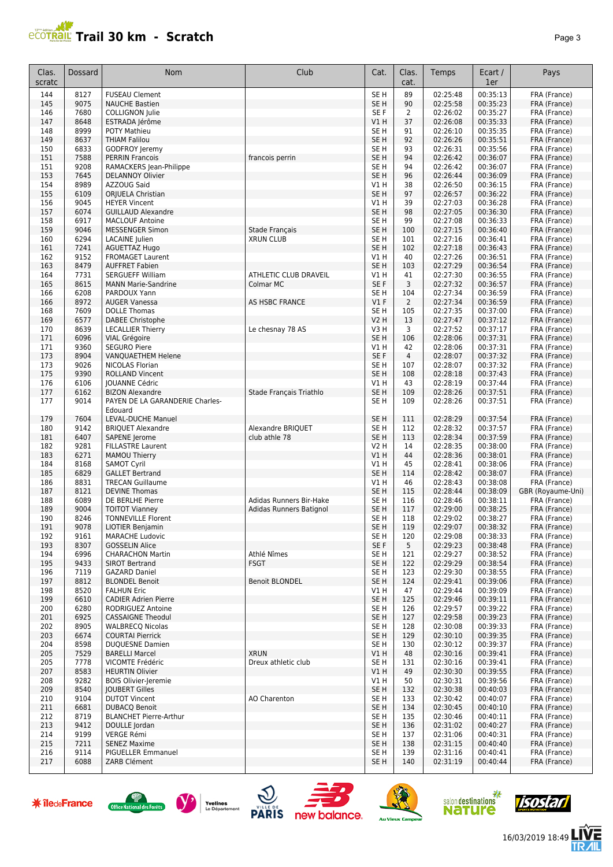

| Clas.<br>scratc | Dossard      | Nom                                               | Club                               | Cat.                    | Clas.<br>cat.  | Temps                | Ecart /<br>1er       | Pays                              |
|-----------------|--------------|---------------------------------------------------|------------------------------------|-------------------------|----------------|----------------------|----------------------|-----------------------------------|
| 144             | 8127         | <b>FUSEAU Clement</b>                             |                                    | SE <sub>H</sub>         | 89             | 02:25:48             | 00:35:13             | FRA (France)                      |
| 145             | 9075         | <b>NAUCHE Bastien</b>                             |                                    | SE H                    | 90             | 02:25:58             | 00:35:23             | FRA (France)                      |
| 146             | 7680         | <b>COLLIGNON Julie</b>                            |                                    | SE F                    | 2              | 02:26:02             | 00:35:27             | FRA (France)                      |
| 147             | 8648         | ESTRADA Jérôme                                    |                                    | V1 H                    | 37             | 02:26:08             | 00:35:33             | FRA (France)                      |
| 148             | 8999         | <b>POTY Mathieu</b>                               |                                    | SE H                    | 91             | 02:26:10             | 00:35:35             | FRA (France)                      |
| 149             | 8637         | <b>THIAM Falilou</b>                              |                                    | SE <sub>H</sub>         | 92             | 02:26:26             | 00:35:51             | FRA (France)                      |
| 150             | 6833         | GODFROY Jeremy                                    |                                    | SE H                    | 93             | 02:26:31             | 00:35:56             | FRA (France)                      |
| 151<br>151      | 7588<br>9208 | <b>PERRIN Francois</b><br>RAMACKERS Jean-Philippe | francois perrin                    | SE <sub>H</sub><br>SE H | 94<br>94       | 02:26:42<br>02:26:42 | 00:36:07<br>00:36:07 | FRA (France)<br>FRA (France)      |
| 153             | 7645         | <b>DELANNOY Olivier</b>                           |                                    | SE <sub>H</sub>         | 96             | 02:26:44             | 00:36:09             | FRA (France)                      |
| 154             | 8989         | AZZOUG Said                                       |                                    | V1 H                    | 38             | 02:26:50             | 00:36:15             | FRA (France)                      |
| 155             | 6109         | ORJUELA Christian                                 |                                    | SE H                    | 97             | 02:26:57             | 00:36:22             | FRA (France)                      |
| 156             | 9045         | <b>HEYER Vincent</b>                              |                                    | V1 H                    | 39             | 02:27:03             | 00:36:28             | FRA (France)                      |
| 157             | 6074         | <b>GUILLAUD Alexandre</b>                         |                                    | SE H                    | 98             | 02:27:05             | 00:36:30             | FRA (France)                      |
| 158             | 6917         | <b>MACLOUF Antoine</b>                            |                                    | SE H                    | 99             | 02:27:08             | 00:36:33             | FRA (France)                      |
| 159             | 9046         | <b>MESSENGER Simon</b>                            | Stade Français                     | SE H                    | 100            | 02:27:15             | 00:36:40             | FRA (France)                      |
| 160<br>161      | 6294<br>7241 | LACAINE Julien<br><b>AGUETTAZ Hugo</b>            | <b>XRUN CLUB</b>                   | SE H<br>SE <sub>H</sub> | 101<br>102     | 02:27:16<br>02:27:18 | 00:36:41<br>00:36:43 | FRA (France)<br>FRA (France)      |
| 162             | 9152         | <b>FROMAGET Laurent</b>                           |                                    | V1 H                    | 40             | 02:27:26             | 00:36:51             | FRA (France)                      |
| 163             | 8479         | <b>AUFFRET Fabien</b>                             |                                    | SE <sub>H</sub>         | 103            | 02:27:29             | 00:36:54             | FRA (France)                      |
| 164             | 7731         | <b>SERGUEFF William</b>                           | ATHLETIC CLUB DRAVEIL              | V1 H                    | 41             | 02:27:30             | 00:36:55             | FRA (France)                      |
| 165             | 8615         | <b>MANN Marie-Sandrine</b>                        | Colmar MC                          | SE F                    | 3              | 02:27:32             | 00:36:57             | FRA (France)                      |
| 166             | 6208         | PARDOUX Yann                                      |                                    | SE H                    | 104            | 02:27:34             | 00:36:59             | FRA (France)                      |
| 166             | 8972         | <b>AUGER Vanessa</b>                              | AS HSBC FRANCE                     | $VI$ F                  | $\overline{2}$ | 02:27:34             | 00:36:59             | FRA (France)                      |
| 168             | 7609         | <b>DOLLE Thomas</b>                               |                                    | SE <sub>H</sub>         | 105            | 02:27:35             | 00:37:00             | FRA (France)                      |
| 169             | 6577         | DABEE Christophe                                  |                                    | V2 H                    | 13             | 02:27:47             | 00:37:12             | FRA (France)                      |
| 170<br>171      | 8639<br>6096 | <b>LECALLIER Thierry</b><br>VIAL Grégoire         | Le chesnay 78 AS                   | V3 H<br>SE H            | 3<br>106       | 02:27:52<br>02:28:06 | 00:37:17<br>00:37:31 | FRA (France)<br>FRA (France)      |
| 171             | 9360         | <b>SEGURO Piere</b>                               |                                    | V1 H                    | 42             | 02:28:06             | 00:37:31             | FRA (France)                      |
| 173             | 8904         | VANQUAETHEM Helene                                |                                    | SE F                    | $\overline{4}$ | 02:28:07             | 00:37:32             | FRA (France)                      |
| 173             | 9026         | NICOLAS Florian                                   |                                    | SE H                    | 107            | 02:28:07             | 00:37:32             | FRA (France)                      |
| 175             | 9390         | <b>ROLLAND Vincent</b>                            |                                    | SE <sub>H</sub>         | 108            | 02:28:18             | 00:37:43             | FRA (France)                      |
| 176             | 6106         | <b>JOUANNE Cédric</b>                             |                                    | V1 H                    | 43             | 02:28:19             | 00:37:44             | FRA (France)                      |
| 177             | 6162         | <b>BIZON Alexandre</b>                            | Stade Français Triathlo            | SE H                    | 109            | 02:28:26             | 00:37:51             | FRA (France)                      |
| 177             | 9014         | PAYEN DE LA GARANDERIE Charles-                   |                                    | SE H                    | 109            | 02:28:26             | 00:37:51             | FRA (France)                      |
| 179             | 7604         | Edouard<br>LEVAL-DUCHE Manuel                     |                                    | SE <sub>H</sub>         | 111            | 02:28:29             | 00:37:54             | FRA (France)                      |
| 180             | 9142         | <b>BRIQUET Alexandre</b>                          | Alexandre BRIQUET                  | SE H                    | 112            | 02:28:32             | 00:37:57             | FRA (France)                      |
| 181             | 6407         | SAPENE Jerome                                     | club athle 78                      | SE H                    | 113            | 02:28:34             | 00:37:59             | FRA (France)                      |
| 182             | 9281         | <b>FILLASTRE Laurent</b>                          |                                    | V2 H                    | 14             | 02:28:35             | 00:38:00             | FRA (France)                      |
| 183             | 6271         | MAMOU Thierry                                     |                                    | V1H                     | 44             | 02:28:36             | 00:38:01             | FRA (France)                      |
| 184             | 8168         | <b>SAMOT Cyril</b>                                |                                    | V1H                     | 45             | 02:28:41             | 00:38:06             | FRA (France)                      |
| 185             | 6829         | <b>GALLET Bertrand</b>                            |                                    | SE <sub>H</sub>         | 114            | 02:28:42             | 00:38:07             | FRA (France)                      |
| 186             | 8831         | <b>TRECAN Guillaume</b>                           |                                    | V1 H                    | 46             | 02:28:43             | 00:38:08             | FRA (France)                      |
| 187<br>188      | 8121<br>6089 | <b>DEVINE Thomas</b><br>DE BERLHE Pierre          | Adidas Runners Bir-Hake            | SE H<br>SE H            | 115<br>116     | 02:28:44<br>02:28:46 | 00:38:09<br>00:38:11 | GBR (Royaume-Uni)<br>FRA (France) |
| 189             | 9004         | <b>TOITOT Vianney</b>                             | Adidas Runners Batignol            | SE H                    | 117            | 02:29:00             | 00:38:25             | FRA (France)                      |
| 190             | 8246         | <b>TONNEVILLE Florent</b>                         |                                    | SE H                    | 118            | 02:29:02             | 00:38:27             | FRA (France)                      |
| 191             | 9078         | LIOTIER Benjamin                                  |                                    | SE H                    | 119            | 02:29:07             | 00:38:32             | FRA (France)                      |
| 192             | 9161         | <b>MARACHE Ludovic</b>                            |                                    | SE H                    | 120            | 02:29:08             | 00:38:33             | FRA (France)                      |
| 193             | 8307         | <b>GOSSELIN Alice</b>                             |                                    | SE F                    | 5              | 02:29:23             | 00:38:48             | FRA (France)                      |
| 194             | 6996         | <b>CHARACHON Martin</b>                           | Athlé Nîmes                        | SE H                    | 121            | 02:29:27             | 00:38:52             | FRA (France)                      |
| 195             | 9433         | <b>SIROT Bertrand</b>                             | <b>FSGT</b>                        | SE H                    | 122            | 02:29:29             | 00:38:54             | FRA (France)                      |
| 196<br>197      | 7119<br>8812 | <b>GAZARD Daniel</b><br><b>BLONDEL Benoit</b>     | <b>Benoit BLONDEL</b>              | SE H<br>SE H            | 123<br>124     | 02:29:30<br>02:29:41 | 00:38:55<br>00:39:06 | FRA (France)<br>FRA (France)      |
| 198             | 8520         | <b>FALHUN Eric</b>                                |                                    | V1 H                    | 47             | 02:29:44             | 00:39:09             | FRA (France)                      |
| 199             | 6610         | <b>CADIER Adrien Pierre</b>                       |                                    | SE H                    | 125            | 02:29:46             | 00:39:11             | FRA (France)                      |
| 200             | 6280         | RODRIGUEZ Antoine                                 |                                    | SE H                    | 126            | 02:29:57             | 00:39:22             | FRA (France)                      |
| 201             | 6925         | <b>CASSAIGNE Theodul</b>                          |                                    | SE H                    | 127            | 02:29:58             | 00:39:23             | FRA (France)                      |
| 202             | 8905         | <b>WALBRECQ Nicolas</b>                           |                                    | SE H                    | 128            | 02:30:08             | 00:39:33             | FRA (France)                      |
| 203             | 6674         | <b>COURTAI Pierrick</b>                           |                                    | SE H                    | 129            | 02:30:10             | 00:39:35             | FRA (France)                      |
| 204             | 8598         | <b>DUQUESNE Damien</b>                            |                                    | SE H                    | 130            | 02:30:12             | 00:39:37             | FRA (France)                      |
| 205             | 7529<br>7778 | <b>BARELLI Marcel</b><br>VICOMTE Frédéric         | <b>XRUN</b><br>Dreux athletic club | V1 H                    | 48             | 02:30:16<br>02:30:16 | 00:39:41<br>00:39:41 | FRA (France)                      |
| 205<br>207      | 8583         | <b>HEURTIN Olivier</b>                            |                                    | SE H<br>V1H             | 131<br>49      | 02:30:30             | 00:39:55             | FRA (France)<br>FRA (France)      |
| 208             | 9282         | <b>BOIS Olivier-Jeremie</b>                       |                                    | V1 H                    | 50             | 02:30:31             | 00:39:56             | FRA (France)                      |
| 209             | 8540         | JOUBERT Gilles                                    |                                    | SE <sub>H</sub>         | 132            | 02:30:38             | 00:40:03             | FRA (France)                      |
| 210             | 9104         | <b>DUTOT Vincent</b>                              | AO Charenton                       | SE H                    | 133            | 02:30:42             | 00:40:07             | FRA (France)                      |
| 211             | 6681         | <b>DUBACQ Benoit</b>                              |                                    | SE H                    | 134            | 02:30:45             | 00:40:10             | FRA (France)                      |
| 212             | 8719         | <b>BLANCHET Pierre-Arthur</b>                     |                                    | SE H                    | 135            | 02:30:46             | 00:40:11             | FRA (France)                      |
| 213             | 9412         | DOULLE Jordan                                     |                                    | SE H                    | 136            | 02:31:02             | 00:40:27             | FRA (France)                      |
| 214             | 9199         | VERGE Rémi                                        |                                    | SE H                    | 137            | 02:31:06             | 00:40:31             | FRA (France)                      |
| 215<br>216      | 7211<br>9114 | <b>SENEZ Maxime</b><br>PIGUELLER Emmanuel         |                                    | SE H<br>SE H            | 138<br>139     | 02:31:15<br>02:31:16 | 00:40:40<br>00:40:41 | FRA (France)<br>FRA (France)      |
| 217             | 6088         | ZARB Clément                                      |                                    | SE H                    | 140            | 02:31:19             | 00:40:44             | FRA (France)                      |
|                 |              |                                                   |                                    |                         |                |                      |                      |                                   |













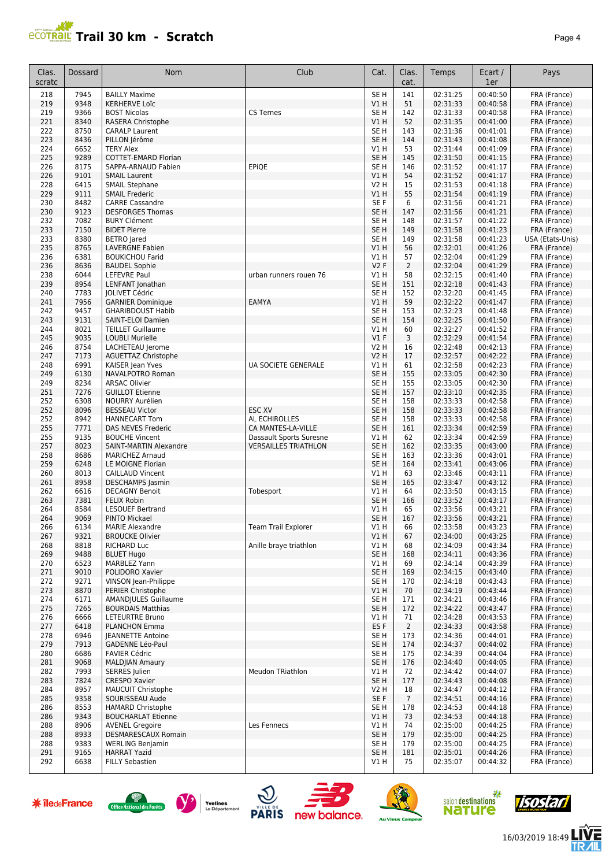

| Clas.      | Dossard      | Nom                                           | Club                        | Cat.                               | Clas.          | Temps                | Ecart /              | Pays                             |
|------------|--------------|-----------------------------------------------|-----------------------------|------------------------------------|----------------|----------------------|----------------------|----------------------------------|
| scratc     |              |                                               |                             |                                    | cat.           |                      | 1er                  |                                  |
| 218        | 7945         | <b>BAILLY Maxime</b>                          |                             | SE <sub>H</sub>                    | 141            | 02:31:25             | 00:40:50             | FRA (France)                     |
| 219        | 9348         | <b>KERHERVE Loïc</b>                          |                             | V1 H                               | 51             | 02:31:33             | 00:40:58             | FRA (France)                     |
| 219        | 9366         | <b>BOST Nicolas</b>                           | <b>CS Ternes</b>            | SE <sub>H</sub>                    | 142            | 02:31:33             | 00:40:58             | FRA (France)                     |
| 221        | 8340         | RASERA Christophe                             |                             | VIH                                | 52             | 02:31:35             | 00:41:00             | FRA (France)                     |
| 222<br>223 | 8750<br>8436 | <b>CARALP Laurent</b><br>PILLON Jérôme        |                             | SE <sub>H</sub><br>SE <sub>H</sub> | 143<br>144     | 02:31:36<br>02:31:43 | 00:41:01<br>00:41:08 | FRA (France)<br>FRA (France)     |
| 224        | 6652         | <b>TERY Alex</b>                              |                             | V1 H                               | 53             | 02:31:44             | 00:41:09             | FRA (France)                     |
| 225        | 9289         | COTTET-EMARD Florian                          |                             | SE <sub>H</sub>                    | 145            | 02:31:50             | 00:41:15             | FRA (France)                     |
| 226        | 8175         | SAPPA-ARNAUD Fabien                           | EPiQE                       | SE H                               | 146            | 02:31:52             | 00:41:17             | FRA (France)                     |
| 226        | 9101         | <b>SMAIL Laurent</b>                          |                             | V1 H                               | 54             | 02:31:52             | 00:41:17             | FRA (France)                     |
| 228        | 6415         | <b>SMAIL Stephane</b>                         |                             | V2 H                               | 15             | 02:31:53             | 00:41:18             | FRA (France)                     |
| 229        | 9111         | <b>SMAIL Frederic</b>                         |                             | V1 H                               | 55             | 02:31:54             | 00:41:19             | FRA (France)                     |
| 230        | 8482         | <b>CARRE Cassandre</b>                        |                             | SE F                               | 6              | 02:31:56             | 00:41:21             | FRA (France)                     |
| 230        | 9123         | <b>DESFORGES Thomas</b>                       |                             | SE <sub>H</sub>                    | 147            | 02:31:56             | 00:41:21             | FRA (France)                     |
| 232        | 7082         | <b>BURY Clément</b>                           |                             | SE <sub>H</sub>                    | 148            | 02:31:57             | 00:41:22             | FRA (France)                     |
| 233<br>233 | 7150<br>8380 | <b>BIDET Pierre</b><br><b>BETRO</b> Jared     |                             | SE <sub>H</sub><br>SE <sub>H</sub> | 149<br>149     | 02:31:58<br>02:31:58 | 00:41:23<br>00:41:23 | FRA (France)<br>USA (Etats-Unis) |
| 235        | 8765         | <b>LAVERGNE Fabien</b>                        |                             | V1 H                               | 56             | 02:32:01             | 00:41:26             | FRA (France)                     |
| 236        | 6381         | <b>BOUKICHOU Farid</b>                        |                             | V1 H                               | 57             | 02:32:04             | 00:41:29             | FRA (France)                     |
| 236        | 8636         | <b>BAUDEL Sophie</b>                          |                             | V2F                                | 2              | 02:32:04             | 00:41:29             | FRA (France)                     |
| 238        | 6044         | <b>LEFEVRE Paul</b>                           | urban runners rouen 76      | V1 H                               | 58             | 02:32:15             | 00:41:40             | FRA (France)                     |
| 239        | 8954         | LENFANT Jonathan                              |                             | SE <sub>H</sub>                    | 151            | 02:32:18             | 00:41:43             | FRA (France)                     |
| 240        | 7783         | JOLIVET Cédric                                |                             | SE <sub>H</sub>                    | 152            | 02:32:20             | 00:41:45             | FRA (France)                     |
| 241        | 7956         | <b>GARNIER Dominique</b>                      | <b>EAMYA</b>                | V1H                                | 59             | 02:32:22             | 00:41:47             | FRA (France)                     |
| 242        | 9457         | <b>GHARIBDOUST Habib</b><br>SAINT-ELOI Damien |                             | SE <sub>H</sub>                    | 153            | 02:32:23             | 00:41:48             | FRA (France)                     |
| 243<br>244 | 9131<br>8021 | <b>TEILLET Guillaume</b>                      |                             | SE <sub>H</sub><br>V1 H            | 154<br>60      | 02:32:25<br>02:32:27 | 00:41:50<br>00:41:52 | FRA (France)<br>FRA (France)     |
| 245        | 9035         | <b>LOUBLI Murielle</b>                        |                             | $VI$ F                             | 3              | 02:32:29             | 00:41:54             | FRA (France)                     |
| 246        | 8754         | LACHETEAU Jerome                              |                             | V2 H                               | 16             | 02:32:48             | 00:42:13             | FRA (France)                     |
| 247        | 7173         | <b>AGUETTAZ Christophe</b>                    |                             | <b>V2 H</b>                        | 17             | 02:32:57             | 00:42:22             | FRA (France)                     |
| 248        | 6991         | KAISER Jean Yves                              | UA SOCIETE GENERALE         | V1 H                               | 61             | 02:32:58             | 00:42:23             | FRA (France)                     |
| 249        | 6130         | NAVALPOTRO Roman                              |                             | SE <sub>H</sub>                    | 155            | 02:33:05             | 00:42:30             | FRA (France)                     |
| 249        | 8234         | <b>ARSAC Olivier</b>                          |                             | SE H                               | 155            | 02:33:05             | 00:42:30             | FRA (France)                     |
| 251        | 7276         | <b>GUILLOT Etienne</b>                        |                             | SE H                               | 157            | 02:33:10             | 00:42:35             | FRA (France)                     |
| 252        | 6308         | <b>NOURRY Aurélien</b>                        |                             | SE H                               | 158            | 02:33:33             | 00:42:58             | FRA (France)                     |
| 252<br>252 | 8096<br>8942 | <b>BESSEAU Victor</b><br><b>HANNECART Tom</b> | ESC XV<br>AL ECHIROLLES     | SE <sub>H</sub><br>SE <sub>H</sub> | 158<br>158     | 02:33:33<br>02:33:33 | 00:42:58<br>00:42:58 | FRA (France)<br>FRA (France)     |
| 255        | 7771         | DAS NEVES Frederic                            | CA MANTES-LA-VILLE          | SE <sub>H</sub>                    | 161            | 02:33:34             | 00:42:59             | FRA (France)                     |
| 255        | 9135         | <b>BOUCHE Vincent</b>                         | Dassault Sports Suresne     | V1 H                               | 62             | 02:33:34             | 00:42:59             | FRA (France)                     |
| 257        | 8023         | SAINT-MARTIN Alexandre                        | <b>VERSAILLES TRIATHLON</b> | SE <sub>H</sub>                    | 162            | 02:33:35             | 00:43:00             | FRA (France)                     |
| 258        | 8686         | <b>MARICHEZ Arnaud</b>                        |                             | SE <sub>H</sub>                    | 163            | 02:33:36             | 00:43:01             | FRA (France)                     |
| 259        | 6248         | LE MOIGNE Florian                             |                             | SE <sub>H</sub>                    | 164            | 02:33:41             | 00:43:06             | FRA (France)                     |
| 260        | 8013         | <b>CAILLAUD Vincent</b>                       |                             | V1 H                               | 63             | 02:33:46             | 00:43:11             | FRA (France)                     |
| 261        | 8958         | <b>DESCHAMPS Jasmin</b>                       |                             | SE <sub>H</sub>                    | 165            | 02:33:47             | 00:43:12             | FRA (France)                     |
| 262<br>263 | 6616         | <b>DECAGNY Benoit</b><br><b>FELIX Robin</b>   | Tobesport                   | V1 H                               | 64             | 02:33:50             | 00:43:15             | FRA (France)                     |
| 264        | 7381<br>8584 | <b>LESOUEF Bertrand</b>                       |                             | SE H<br>V1 H                       | 166<br>65      | 02:33:52<br>02:33:56 | 00:43:17<br>00:43:21 | FRA (France)<br>FRA (France)     |
| 264        | 9069         | <b>PINTO Mickael</b>                          |                             | SE <sub>H</sub>                    | 167            | 02:33:56             | 00:43:21             | FRA (France)                     |
| 266        | 6134         | <b>MARIE Alexandre</b>                        | Team Trail Explorer         | V1 H                               | 66             | 02:33:58             | 00:43:23             | FRA (France)                     |
| 267        | 9321         | <b>BROUCKE Olivier</b>                        |                             | VIH                                | 67             | 02:34:00             | 00:43:25             | FRA (France)                     |
| 268        | 8818         | <b>RICHARD Luc</b>                            | Anille braye triathlon      | V1 H                               | 68             | 02:34:09             | 00:43:34             | FRA (France)                     |
| 269        | 9488         | <b>BLUET Hugo</b>                             |                             | SE H                               | 168            | 02:34:11             | 00:43:36             | FRA (France)                     |
| 270        | 6523         | MARBLEZ Yann                                  |                             | V1 H                               | 69             | 02:34:14             | 00:43:39             | FRA (France)                     |
| 271        | 9010         | POLIDORO Xavier                               |                             | SE H                               | 169            | 02:34:15             | 00:43:40             | FRA (France)                     |
| 272<br>273 | 9271<br>8870 | VINSON Jean-Philippe<br>PERIER Christophe     |                             | SE H<br>V1 H                       | 170<br>70      | 02:34:18<br>02:34:19 | 00:43:43<br>00:43:44 | FRA (France)<br>FRA (France)     |
| 274        | 6171         | AMANDJULES Guillaume                          |                             | SE H                               | 171            | 02:34:21             | 00:43:46             | FRA (France)                     |
| 275        | 7265         | <b>BOURDAIS Matthias</b>                      |                             | SE H                               | 172            | 02:34:22             | 00:43:47             | FRA (France)                     |
| 276        | 6666         | LETEURTRE Bruno                               |                             | V1 H                               | 71             | 02:34:28             | 00:43:53             | FRA (France)                     |
| 277        | 6418         | PLANCHON Emma                                 |                             | ES <sub>F</sub>                    | $\overline{2}$ | 02:34:33             | 00:43:58             | FRA (France)                     |
| 278        | 6946         | <b>JEANNETTE Antoine</b>                      |                             | SE H                               | 173            | 02:34:36             | 00:44:01             | FRA (France)                     |
| 279        | 7913         | <b>GADENNE Léo-Paul</b>                       |                             | SE <sub>H</sub>                    | 174            | 02:34:37             | 00:44:02             | FRA (France)                     |
| 280        | 6686         | <b>FAVIER Cédric</b>                          |                             | SE H                               | 175            | 02:34:39             | 00:44:04             | FRA (France)                     |
| 281        | 9068         | <b>MALDJIAN Amaury</b>                        |                             | SE <sub>H</sub>                    | 176            | 02:34:40             | 00:44:05             | FRA (France)                     |
| 282<br>283 | 7993<br>7824 | <b>SERRES</b> Julien<br><b>CRESPO Xavier</b>  | Meudon TRiathlon            | V1 H<br>SE <sub>H</sub>            | 72<br>177      | 02:34:42<br>02:34:43 | 00:44:07<br>00:44:08 | FRA (France)<br>FRA (France)     |
| 284        | 8957         | MAUCUIT Christophe                            |                             | V2 H                               | 18             | 02:34:47             | 00:44:12             | FRA (France)                     |
| 285        | 9358         | SOURISSEAU Aude                               |                             | SE F                               | $\overline{7}$ | 02:34:51             | 00:44:16             | FRA (France)                     |
| 286        | 8553         | <b>HAMARD Christophe</b>                      |                             | SE H                               | 178            | 02:34:53             | 00:44:18             | FRA (France)                     |
| 286        | 9343         | <b>BOUCHARLAT Etienne</b>                     |                             | V1 H                               | 73             | 02:34:53             | 00:44:18             | FRA (France)                     |
| 288        | 8906         | <b>AVENEL Gregoire</b>                        | Les Fennecs                 | V1 H                               | 74             | 02:35:00             | 00:44:25             | FRA (France)                     |
| 288        | 8933         | DESMARESCAUX Romain                           |                             | SE H                               | 179            | 02:35:00             | 00:44:25             | FRA (France)                     |
| 288        | 9383         | <b>WERLING Benjamin</b>                       |                             | SE H                               | 179            | 02:35:00             | 00:44:25             | FRA (France)                     |
| 291<br>292 | 9165<br>6638 | <b>HARRAT Yazid</b><br><b>FILLY Sebastien</b> |                             | SE <sub>H</sub><br>V1 H            | 181<br>75      | 02:35:01<br>02:35:07 | 00:44:26<br>00:44:32 | FRA (France)<br>FRA (France)     |
|            |              |                                               |                             |                                    |                |                      |                      |                                  |















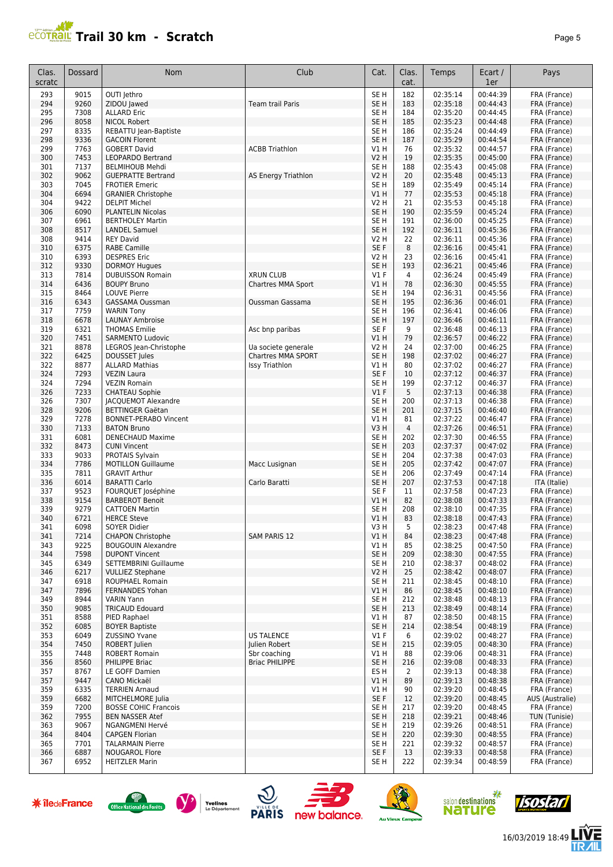

| Clas.<br>scratc | Dossard      | Nom                                                 | Club                                               | Cat.                           | Clas.<br>cat.        | Temps                | Ecart /<br>1er       | Pays                         |
|-----------------|--------------|-----------------------------------------------------|----------------------------------------------------|--------------------------------|----------------------|----------------------|----------------------|------------------------------|
| 293             | 9015         | OUTI Jethro                                         |                                                    | SE <sub>H</sub>                | 182                  | 02:35:14             | 00:44:39             | FRA (France)                 |
| 294             | 9260         | ZIDOU Jawed                                         | Team trail Paris                                   | SE <sub>H</sub>                | 183                  | 02:35:18             | 00:44:43             | FRA (France)                 |
| 295             | 7308         | <b>ALLARD Eric</b>                                  |                                                    | SE H                           | 184                  | 02:35:20             | 00:44:45             | FRA (France)                 |
| 296             | 8058         | <b>NICOL Robert</b>                                 |                                                    | SE <sub>H</sub>                | 185                  | 02:35:23             | 00:44:48             | FRA (France)                 |
| 297             | 8335         | REBATTU Jean-Baptiste                               |                                                    | SE <sub>H</sub>                | 186                  | 02:35:24             | 00:44:49             | FRA (France)                 |
| 298             | 9336         | <b>GACOIN Florent</b>                               |                                                    | SE <sub>H</sub>                | 187                  | 02:35:29             | 00:44:54             | FRA (France)                 |
| 299             | 7763         | <b>GOBERT David</b>                                 | <b>ACBB Triathlon</b>                              | V1 H                           | 76                   | 02:35:32             | 00:44:57             | FRA (France)                 |
| 300             | 7453         | <b>LEOPARDO Bertrand</b>                            |                                                    | <b>V2 H</b>                    | 19                   | 02:35:35             | 00:45:00             | FRA (France)                 |
| 301<br>302      | 7137<br>9062 | <b>BELMIHOUB Mehdi</b><br><b>GUEPRATTE Bertrand</b> |                                                    | SE <sub>H</sub><br><b>V2 H</b> | 188<br>20            | 02:35:43<br>02:35:48 | 00:45:08<br>00:45:13 | FRA (France)<br>FRA (France) |
| 303             | 7045         | <b>FROTIER Emeric</b>                               | AS Energy Triathlon                                | SE <sub>H</sub>                | 189                  | 02:35:49             | 00:45:14             | FRA (France)                 |
| 304             | 6694         | <b>GRANIER Christophe</b>                           |                                                    | V1H                            | 77                   | 02:35:53             | 00:45:18             | FRA (France)                 |
| 304             | 9422         | <b>DELPIT Michel</b>                                |                                                    | <b>V2 H</b>                    | 21                   | 02:35:53             | 00:45:18             | FRA (France)                 |
| 306             | 6090         | <b>PLANTELIN Nicolas</b>                            |                                                    | SE <sub>H</sub>                | 190                  | 02:35:59             | 00:45:24             | FRA (France)                 |
| 307             | 6961         | <b>BERTHOLEY Martin</b>                             |                                                    | SE <sub>H</sub>                | 191                  | 02:36:00             | 00:45:25             | FRA (France)                 |
| 308             | 8517         | <b>LANDEL Samuel</b>                                |                                                    | SE <sub>H</sub>                | 192                  | 02:36:11             | 00:45:36             | FRA (France)                 |
| 308             | 9414         | <b>REY David</b>                                    |                                                    | <b>V2 H</b>                    | 22                   | 02:36:11             | 00:45:36             | FRA (France)                 |
| 310             | 6375         | <b>RABE Camille</b>                                 |                                                    | SE <sub>F</sub>                | 8                    | 02:36:16             | 00:45:41             | FRA (France)                 |
| 310             | 6393         | <b>DESPRES Eric</b>                                 |                                                    | V2 H                           | 23                   | 02:36:16             | 00:45:41             | FRA (France)                 |
| 312             | 9330         | <b>DORMOY Hugues</b>                                |                                                    | SE <sub>H</sub>                | 193                  | 02:36:21             | 00:45:46             | FRA (France)                 |
| 313             | 7814         | <b>DUBUISSON Romain</b>                             | <b>XRUN CLUB</b>                                   | $VI$ F                         | 4                    | 02:36:24             | 00:45:49             | FRA (France)                 |
| 314             | 6436         | <b>BOUPY Bruno</b>                                  | Chartres MMA Sport                                 | V1 H                           | 78                   | 02:36:30             | 00:45:55             | FRA (France)                 |
| 315             | 8464         | <b>LOUVE Pierre</b>                                 |                                                    | SE <sub>H</sub>                | 194                  | 02:36:31             | 00:45:56             | FRA (France)                 |
| 316             | 6343         | GASSAMA Oussman                                     | <b>Oussman Gassama</b>                             | SE <sub>H</sub>                | 195                  | 02:36:36             | 00:46:01             | FRA (France)                 |
| 317             | 7759         | <b>WARIN Tony</b>                                   |                                                    | SE <sub>H</sub>                | 196                  | 02:36:41             | 00:46:06             | FRA (France)                 |
| 318             | 6678         | <b>LAUNAY Ambroise</b>                              |                                                    | SE <sub>H</sub>                | 197                  | 02:36:46             | 00:46:11             | FRA (France)                 |
| 319             | 6321         | <b>THOMAS Emilie</b>                                | Asc bnp paribas                                    | SE <sub>F</sub>                | 9                    | 02:36:48             | 00:46:13             | FRA (France)                 |
| 320             | 7451         | <b>SARMENTO Ludovic</b>                             |                                                    | VIH                            | 79                   | 02:36:57             | 00:46:22<br>00:46:25 | FRA (France)                 |
| 321             | 8878         | LEGROS Jean-Christophe<br><b>DOUSSET Jules</b>      | Ua societe generale                                | <b>V2 H</b><br>SE <sub>H</sub> | 24                   | 02:37:00             |                      | FRA (France)                 |
| 322<br>322      | 6425<br>8877 | <b>ALLARD Mathias</b>                               | <b>Chartres MMA SPORT</b><br><b>Issy Triathlon</b> | V1 H                           | 198<br>80            | 02:37:02<br>02:37:02 | 00:46:27<br>00:46:27 | FRA (France)<br>FRA (France) |
| 324             | 7293         | <b>VEZIN Laura</b>                                  |                                                    | SE F                           | 10                   | 02:37:12             | 00:46:37             | FRA (France)                 |
| 324             | 7294         | <b>VEZIN Romain</b>                                 |                                                    | SE <sub>H</sub>                | 199                  | 02:37:12             | 00:46:37             | FRA (France)                 |
| 326             | 7233         | <b>CHATEAU Sophie</b>                               |                                                    | V1F                            | 5                    | 02:37:13             | 00:46:38             | FRA (France)                 |
| 326             | 7307         | JACQUEMOT Alexandre                                 |                                                    | SE <sub>H</sub>                | 200                  | 02:37:13             | 00:46:38             | FRA (France)                 |
| 328             | 9206         | <b>BETTINGER Gaëtan</b>                             |                                                    | SE <sub>H</sub>                | 201                  | 02:37:15             | 00:46:40             | FRA (France)                 |
| 329             | 7278         | <b>BONNET-PERABO Vincent</b>                        |                                                    | V1H                            | 81                   | 02:37:22             | 00:46:47             | FRA (France)                 |
| 330             | 7133         | <b>BATON Bruno</b>                                  |                                                    | V3H                            | $\overline{4}$       | 02:37:26             | 00:46:51             | FRA (France)                 |
| 331             | 6081         | <b>DENECHAUD Maxime</b>                             |                                                    | SE <sub>H</sub>                | 202                  | 02:37:30             | 00:46:55             | FRA (France)                 |
| 332             | 8473         | <b>CUNI Vincent</b>                                 |                                                    | SE <sub>H</sub>                | 203                  | 02:37:37             | 00:47:02             | FRA (France)                 |
| 333             | 9033         | PROTAIS Sylvain                                     |                                                    | SE <sub>H</sub>                | 204                  | 02:37:38             | 00:47:03             | FRA (France)                 |
| 334             | 7786         | <b>MOTILLON Guillaume</b>                           | Macc Lusignan                                      | SE <sub>H</sub>                | 205                  | 02:37:42             | 00:47:07             | FRA (France)                 |
| 335             | 7811         | <b>GRAVIT Arthur</b>                                |                                                    | SE H                           | 206                  | 02:37:49             | 00:47:14             | FRA (France)                 |
| 336             | 6014         | <b>BARATTI Carlo</b>                                | Carlo Baratti                                      | SE <sub>H</sub>                | 207                  | 02:37:53             | 00:47:18             | ITA (Italie)                 |
| 337             | 9523         | FOURQUET Joséphine                                  |                                                    | SE <sub>F</sub><br>V1H         | 11                   | 02:37:58             | 00:47:23             | FRA (France)                 |
| 338<br>339      | 9154<br>9279 | <b>BARBEROT Benoit</b><br><b>CATTOEN Martin</b>     |                                                    | SE <sub>H</sub>                | 82<br>208            | 02:38:08<br>02:38:10 | 00:47:33<br>00:47:35 | FRA (France)<br>FRA (France) |
| 340             | 6721         | <b>HERCE Steve</b>                                  |                                                    | V1H                            | 83                   | 02:38:18             | 00:47:43             |                              |
| 341             | 6098         | SOYER Didier                                        |                                                    | V3H                            | 5                    | 02:38:23             | 00:47:48             | FRA (France)<br>FRA (France) |
| 341             | 7214         | <b>CHAPON Christophe</b>                            | <b>SAM PARIS 12</b>                                | VIH                            | 84                   | 02:38:23             | 00:47:48             | FRA (France)                 |
| 343             | 9225         | <b>BOUGOUIN Alexandre</b>                           |                                                    | V1H                            | 85                   | 02:38:25             | 00:47:50             | FRA (France)                 |
| 344             | 7598         | <b>DUPONT Vincent</b>                               |                                                    | SE <sub>H</sub>                | 209                  | 02:38:30             | 00:47:55             | FRA (France)                 |
| 345             | 6349         | SETTEMBRINI Guillaume                               |                                                    | SE H                           | 210                  | 02:38:37             | 00:48:02             | FRA (France)                 |
| 346             | 6217         | <b>VULLIEZ Stephane</b>                             |                                                    | V2 H                           | 25                   | 02:38:42             | 00:48:07             | FRA (France)                 |
| 347             | 6918         | ROUPHAEL Romain                                     |                                                    | SE H                           | 211                  | 02:38:45             | 00:48:10             | FRA (France)                 |
| 347             | 7896         | <b>FERNANDES Yohan</b>                              |                                                    | VIH                            | 86                   | 02:38:45             | 00:48:10             | FRA (France)                 |
| 349             | 8944         | <b>VARIN Yann</b>                                   |                                                    | SE <sub>H</sub>                | 212                  | 02:38:48             | 00:48:13             | FRA (France)                 |
| 350             | 9085         | <b>TRICAUD Edouard</b>                              |                                                    | SE <sub>H</sub>                | 213                  | 02:38:49             | 00:48:14             | FRA (France)                 |
| 351             | 8588         | PIED Raphael                                        |                                                    | V1 H                           | 87                   | 02:38:50             | 00:48:15             | FRA (France)                 |
| 352             | 6085         | <b>BOYER Baptiste</b>                               |                                                    | SE <sub>H</sub>                | 214                  | 02:38:54             | 00:48:19             | FRA (France)                 |
| 353             | 6049         | ZUSSINO Yvane                                       | <b>US TALENCE</b>                                  | $VI$ F                         | 6                    | 02:39:02             | 00:48:27             | FRA (France)                 |
| 354             | 7450         | ROBERT Julien                                       | Julien Robert                                      | SE <sub>H</sub>                | 215                  | 02:39:05             | 00:48:30             | FRA (France)                 |
| 355             | 7448         | <b>ROBERT Romain</b>                                | Sbr coaching<br><b>Briac PHILIPPE</b>              | V1 H                           | 88                   | 02:39:06             | 00:48:31<br>00:48:33 | FRA (France)<br>FRA (France) |
| 356             | 8560         | PHILIPPE Briac                                      |                                                    | SE <sub>H</sub>                | 216                  | 02:39:08             |                      |                              |
| 357<br>357      | 8767<br>9447 | LE GOFF Damien<br>CANO Mickaël                      |                                                    | ES H<br>V1H                    | $\overline{2}$<br>89 | 02:39:13<br>02:39:13 | 00:48:38<br>00:48:38 | FRA (France)<br>FRA (France) |
| 359             | 6335         | <b>TERRIEN Arnaud</b>                               |                                                    | V1 H                           | 90                   | 02:39:20             | 00:48:45             | FRA (France)                 |
| 359             | 6682         | MITCHELMORE Julia                                   |                                                    | SE F                           | 12                   | 02:39:20             | 00:48:45             | AUS (Australie)              |
| 359             | 7200         | <b>BOSSE COHIC Francois</b>                         |                                                    | SE <sub>H</sub>                | 217                  | 02:39:20             | 00:48:45             | FRA (France)                 |
| 362             | 7955         | <b>BEN NASSER Atef</b>                              |                                                    | SE <sub>H</sub>                | 218                  | 02:39:21             | 00:48:46             | TUN (Tunisie)                |
| 363             | 9067         | NGANGMENI Hervé                                     |                                                    | SE <sub>H</sub>                | 219                  | 02:39:26             | 00:48:51             | FRA (France)                 |
| 364             | 8404         | <b>CAPGEN Florian</b>                               |                                                    | SE <sub>H</sub>                | 220                  | 02:39:30             | 00:48:55             | FRA (France)                 |
| 365             | 7701         | <b>TALARMAIN Pierre</b>                             |                                                    | SE <sub>H</sub>                | 221                  | 02:39:32             | 00:48:57             | FRA (France)                 |
| 366             | 6887         | <b>NOUGAROL Flore</b>                               |                                                    | SE F                           | 13                   | 02:39:33             | 00:48:58             | FRA (France)                 |
| 367             | 6952         | <b>HEITZLER Marin</b>                               |                                                    | SE H                           | 222                  | 02:39:34             | 00:48:59             | FRA (France)                 |















16/03/2019 18:49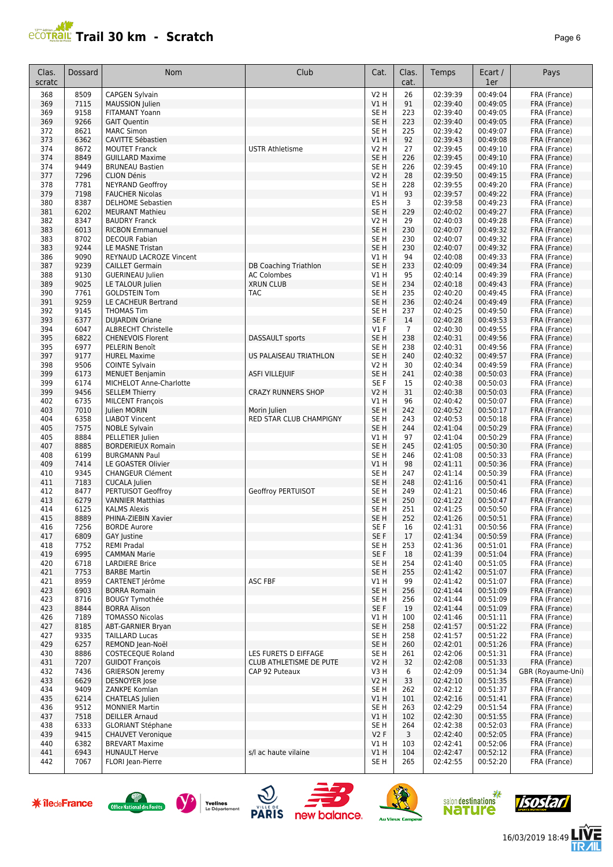

16/03/2019 18:49

怎

visostarl

**x**<br>salon destinations<br>**NATUITE** 

**Au Vieux Ca** 

| Clas.<br>scratc | Dossard      | Nom                                                  | Club                         | Cat.                      | Clas.<br>cat.        | Temps                | Ecart /<br>1er       | Pays                         |
|-----------------|--------------|------------------------------------------------------|------------------------------|---------------------------|----------------------|----------------------|----------------------|------------------------------|
| 368             | 8509         | <b>CAPGEN Sylvain</b>                                |                              | <b>V2 H</b>               | 26                   | 02:39:39             | 00:49:04             | FRA (France)                 |
| 369             | 7115         | MAUSSION Julien                                      |                              | V1 H                      | 91                   | 02:39:40             | 00:49:05             | FRA (France)                 |
| 369             | 9158         | FITAMANT Yoann                                       |                              | SE H                      | 223                  | 02:39:40             | 00:49:05             | FRA (France)                 |
| 369             | 9266         | <b>GAIT Quentin</b>                                  |                              | SE <sub>H</sub>           | 223                  | 02:39:40             | 00:49:05             | FRA (France)                 |
| 372             | 8621         | <b>MARC Simon</b>                                    |                              | SE H                      | 225                  | 02:39:42             | 00:49:07             | FRA (France)                 |
| 373             | 6362         | <b>CAVITTE Sébastien</b>                             |                              | V1H                       | 92                   | 02:39:43             | 00:49:08             | FRA (France)                 |
| 374             | 8672         | <b>MOUTET Franck</b>                                 | <b>USTR Athletisme</b>       | V2 H                      | 27                   | 02:39:45             | 00:49:10             | FRA (France)                 |
| 374             | 8849         | <b>GUILLARD Maxime</b>                               |                              | SE <sub>H</sub>           | 226                  | 02:39:45             | 00:49:10             | FRA (France)                 |
| 374<br>377      | 9449<br>7296 | <b>BRUNEAU Bastien</b><br><b>CLION Dénis</b>         |                              | SE H<br><b>V2 H</b>       | 226<br>28            | 02:39:45<br>02:39:50 | 00:49:10<br>00:49:15 | FRA (France)<br>FRA (France) |
| 378             | 7781         | <b>NEYRAND Geoffroy</b>                              |                              | SE <sub>H</sub>           | 228                  | 02:39:55             | 00:49:20             | FRA (France)                 |
| 379             | 7198         | <b>FAUCHER Nicolas</b>                               |                              | V1 H                      | 93                   | 02:39:57             | 00:49:22             | FRA (France)                 |
| 380             | 8387         | <b>DELHOME Sebastien</b>                             |                              | ES H                      | 3                    | 02:39:58             | 00:49:23             | FRA (France)                 |
| 381             | 6202         | <b>MEURANT Mathieu</b>                               |                              | SE <sub>H</sub>           | 229                  | 02:40:02             | 00:49:27             | FRA (France)                 |
| 382             | 8347         | <b>BAUDRY Franck</b>                                 |                              | V2 H                      | 29                   | 02:40:03             | 00:49:28             | FRA (France)                 |
| 383             | 6013         | <b>RICBON Emmanuel</b>                               |                              | SE H                      | 230                  | 02:40:07             | 00:49:32             | FRA (France)                 |
| 383<br>383      | 8702<br>9244 | <b>DECOUR Fabian</b><br>LE MASNE Tristan             |                              | SE H<br>SE <sub>H</sub>   | 230<br>230           | 02:40:07<br>02:40:07 | 00:49:32<br>00:49:32 | FRA (France)<br>FRA (France) |
| 386             | 9090         | REYNAUD LACROZE Vincent                              |                              | V1 H                      | 94                   | 02:40:08             | 00:49:33             | FRA (France)                 |
| 387             | 9239         | <b>CAILLET Germain</b>                               | <b>DB Coaching Triathlon</b> | SE <sub>H</sub>           | 233                  | 02:40:09             | 00:49:34             | FRA (France)                 |
| 388             | 9130         | <b>GUERINEAU Julien</b>                              | <b>AC Colombes</b>           | V1 H                      | 95                   | 02:40:14             | 00:49:39             | FRA (France)                 |
| 389             | 9025         | LE TALOUR Julien                                     | <b>XRUN CLUB</b>             | SE <sub>H</sub>           | 234                  | 02:40:18             | 00:49:43             | FRA (France)                 |
| 390             | 7761         | <b>GOLDSTEIN Tom</b>                                 | TAC                          | SE <sub>H</sub>           | 235                  | 02:40:20             | 00:49:45             | FRA (France)                 |
| 391             | 9259         | LE CACHEUR Bertrand                                  |                              | SE <sub>H</sub>           | 236                  | 02:40:24             | 00:49:49             | FRA (France)                 |
| 392             | 9145         | <b>THOMAS Tim</b>                                    |                              | SE H                      | 237                  | 02:40:25<br>02:40:28 | 00:49:50<br>00:49:53 | FRA (France)                 |
| 393<br>394      | 6377<br>6047 | <b>DUJARDIN Oriane</b><br><b>ALBRECHT Christelle</b> |                              | SE <sub>F</sub><br>$VI$ F | 14<br>$\overline{7}$ | 02:40:30             | 00:49:55             | FRA (France)<br>FRA (France) |
| 395             | 6822         | <b>CHENEVOIS Florent</b>                             | <b>DASSAULT</b> sports       | SE <sub>H</sub>           | 238                  | 02:40:31             | 00:49:56             | FRA (France)                 |
| 395             | 6977         | PELERIN Benoît                                       |                              | SE H                      | 238                  | 02:40:31             | 00:49:56             | FRA (France)                 |
| 397             | 9177         | <b>HUREL Maxime</b>                                  | US PALAISEAU TRIATHLON       | SE <sub>H</sub>           | 240                  | 02:40:32             | 00:49:57             | FRA (France)                 |
| 398             | 9506         | <b>COINTE Sylvain</b>                                |                              | V2 H                      | 30                   | 02:40:34             | 00:49:59             | FRA (France)                 |
| 399             | 6173         | <b>MENUET Benjamin</b>                               | <b>ASFI VILLEJUIF</b>        | SE <sub>H</sub>           | 241                  | 02:40:38             | 00:50:03             | FRA (France)                 |
| 399             | 6174         | MICHELOT Anne-Charlotte                              |                              | SE F                      | 15                   | 02:40:38             | 00:50:03             | FRA (France)                 |
| 399<br>402      | 9456<br>6735 | <b>SELLEM Thierry</b><br><b>MILCENT François</b>     | <b>CRAZY RUNNERS SHOP</b>    | V2 H<br>V1 H              | 31<br>96             | 02:40:38<br>02:40:42 | 00:50:03<br>00:50:07 | FRA (France)<br>FRA (France) |
| 403             | 7010         | Julien MORIN                                         | Morin Julien                 | SE <sub>H</sub>           | 242                  | 02:40:52             | 00:50:17             | FRA (France)                 |
| 404             | 6358         | <b>LIABOT Vincent</b>                                | RED STAR CLUB CHAMPIGNY      | SE H                      | 243                  | 02:40:53             | 00:50:18             | FRA (France)                 |
| 405             | 7575         | <b>NOBLE Sylvain</b>                                 |                              | SE H                      | 244                  | 02:41:04             | 00:50:29             | FRA (France)                 |
| 405             | 8884         | PELLETIER Julien                                     |                              | V1 H                      | 97                   | 02:41:04             | 00:50:29             | FRA (France)                 |
| 407             | 8885         | <b>BORDERIEUX Romain</b>                             |                              | SE H                      | 245                  | 02:41:05             | 00:50:30             | FRA (France)                 |
| 408             | 6199         | <b>BURGMANN Paul</b>                                 |                              | SE H                      | 246                  | 02:41:08             | 00:50:33             | FRA (France)                 |
| 409<br>410      | 7414<br>9345 | LE GOASTER Olivier<br><b>CHANGEUR Clément</b>        |                              | V1 H<br>SE H              | 98<br>247            | 02:41:11<br>02:41:14 | 00:50:36<br>00:50:39 | FRA (France)<br>FRA (France) |
| 411             | 7183         | <b>CUCALA Julien</b>                                 |                              | SE <sub>H</sub>           | 248                  | 02:41:16             | 00:50:41             | FRA (France)                 |
| 412             | 8477         | PERTUISOT Geoffroy                                   | Geoffroy PERTUISOT           | SE H                      | 249                  | 02:41:21             | 00:50:46             | FRA (France)                 |
| 413             | 6279         | <b>VANNIER Matthias</b>                              |                              | SE <sub>H</sub>           | 250                  | 02:41:22             | 00:50:47             | FRA (France)                 |
| 414             | 6125         | <b>KALMS Alexis</b>                                  |                              | SE H                      | 251                  | 02:41:25             | 00:50:50             | FRA (France)                 |
| 415             | 8889         | PHINA-ZIEBIN Xavier                                  |                              | SE <sub>H</sub>           | 252                  | 02:41:26             | 00:50:51             | FRA (France)                 |
| 416             | 7256         | <b>BORDE Aurore</b>                                  |                              | SE F                      | 16                   | 02:41:31             | 00:50:56             | FRA (France)                 |
| 417<br>418      | 6809<br>7752 | GAY Justine<br><b>REMI Pradal</b>                    |                              | SE F<br>SE H              | 17<br>253            | 02:41:34<br>02:41:36 | 00:50:59<br>00:51:01 | FRA (France)<br>FRA (France) |
| 419             | 6995         | <b>CAMMAN Marie</b>                                  |                              | SE F                      | 18                   | 02:41:39             | 00:51:04             | FRA (France)                 |
| 420             | 6718         | <b>LARDIERE Brice</b>                                |                              | SE H                      | 254                  | 02:41:40             | 00:51:05             | FRA (France)                 |
| 421             | 7753         | <b>BARBE Martin</b>                                  |                              | SE H                      | 255                  | 02:41:42             | 00:51:07             | FRA (France)                 |
| 421             | 8959         | CARTENET Jérôme                                      | ASC FBF                      | V1 H                      | 99                   | 02:41:42             | 00:51:07             | FRA (France)                 |
| 423             | 6903         | <b>BORRA Romain</b>                                  |                              | SE H                      | 256                  | 02:41:44             | 00:51:09             | FRA (France)                 |
| 423             | 8716         | <b>BOUGY Tymothée</b>                                |                              | SE H                      | 256                  | 02:41:44             | 00:51:09             | FRA (France)                 |
| 423<br>426      | 8844<br>7189 | <b>BORRA Alison</b><br><b>TOMASSO Nicolas</b>        |                              | SE F<br>V1 H              | 19<br>100            | 02:41:44<br>02:41:46 | 00:51:09<br>00:51:11 | FRA (France)<br>FRA (France) |
| 427             | 8185         | ABT-GARNIER Bryan                                    |                              | SE <sub>H</sub>           | 258                  | 02:41:57             | 00:51:22             | FRA (France)                 |
| 427             | 9335         | <b>TAILLARD Lucas</b>                                |                              | SE H                      | 258                  | 02:41:57             | 00:51:22             | FRA (France)                 |
| 429             | 6257         | REMOND Jean-Noël                                     |                              | SE H                      | 260                  | 02:42:01             | 00:51:26             | FRA (France)                 |
| 430             | 8886         | <b>COSTECEOUE Roland</b>                             | LES FURETS D EIFFAGE         | SE H                      | 261                  | 02:42:06             | 00:51:31             | FRA (France)                 |
| 431             | 7207         | <b>GUIDOT François</b>                               | CLUB ATHLETISME DE PUTE      | V2 H                      | 32                   | 02:42:08             | 00:51:33             | FRA (France)                 |
| 432             | 7436         | <b>GRIERSON Jeremy</b>                               | CAP 92 Puteaux               | V3 H                      | 6                    | 02:42:09             | 00:51:34             | GBR (Royaume-Uni)            |
| 433<br>434      | 6629<br>9409 | <b>DESNOYER</b> Jose<br>ZANKPE Komlan                |                              | V2 H<br>SE H              | 33<br>262            | 02:42:10<br>02:42:12 | 00:51:35<br>00:51:37 | FRA (France)<br>FRA (France) |
| 435             | 6214         | <b>CHATELAS Julien</b>                               |                              | V1 H                      | 101                  | 02:42:16             | 00:51:41             | FRA (France)                 |
| 436             | 9512         | <b>MONNIER Martin</b>                                |                              | SE H                      | 263                  | 02:42:29             | 00:51:54             | FRA (France)                 |
| 437             | 7518         | <b>DEILLER Arnaud</b>                                |                              | V1 H                      | 102                  | 02:42:30             | 00:51:55             | FRA (France)                 |
| 438             | 6333         | <b>GLORIANT Stéphane</b>                             |                              | SE H                      | 264                  | 02:42:38             | 00:52:03             | FRA (France)                 |
| 439             | 9415         | <b>CHAUVET Veronique</b>                             |                              | V2F                       | 3                    | 02:42:40             | 00:52:05             | FRA (France)                 |
| 440             | 6382         | <b>BREVART Maxime</b>                                |                              | VIH                       | 103                  | 02:42:41             | 00:52:06             | FRA (France)                 |
| 441<br>442      | 6943<br>7067 | <b>HUNAULT Herve</b><br>FLORI Jean-Pierre            | s/l ac haute vilaine         | V1 H                      | 104<br>265           | 02:42:47<br>02:42:55 | 00:52:12<br>00:52:20 | FRA (France)<br>FRA (France) |
|                 |              |                                                      |                              | SE H                      |                      |                      |                      |                              |

 $\bigcirc$   $\bigcirc$   $\bigcirc$  PARIS new balance.





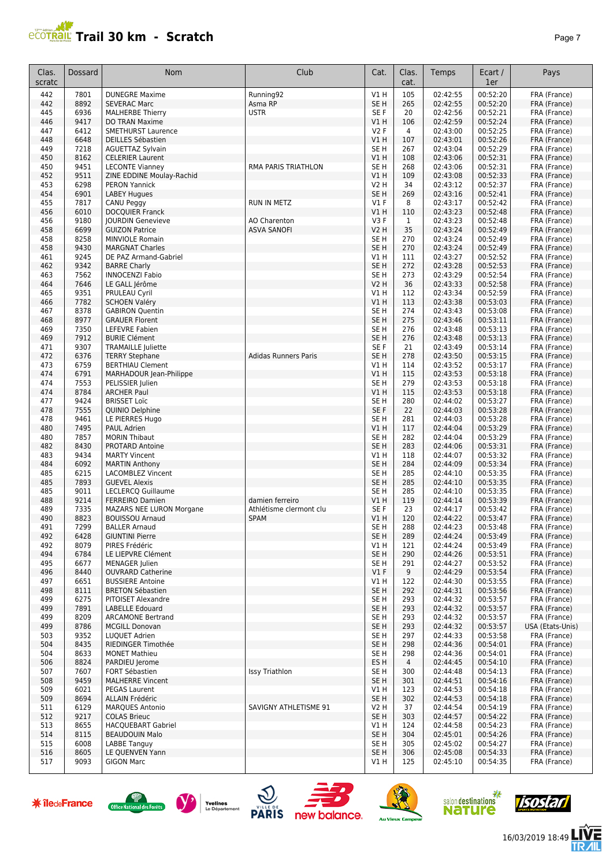

| Clas.<br>scratc | Dossard      | <b>Nom</b>                                         | Club                        | Cat.                    | Clas.<br>cat.         | Temps                | Ecart /<br>1er       | Pays                         |
|-----------------|--------------|----------------------------------------------------|-----------------------------|-------------------------|-----------------------|----------------------|----------------------|------------------------------|
| 442             | 7801         | <b>DUNEGRE Maxime</b>                              | Running92                   | V1H                     | 105                   | 02:42:55             | 00:52:20             | FRA (France)                 |
| 442             | 8892         | <b>SEVERAC Marc</b>                                | Asma RP                     | SE <sub>H</sub>         | 265                   | 02:42:55             | 00:52:20             | FRA (France)                 |
| 445             | 6936         | <b>MALHERBE Thierry</b>                            | <b>USTR</b>                 | SE F                    | 20                    | 02:42:56             | 00:52:21             | FRA (France)                 |
| 446             | 9417         | DO TRAN Maxime                                     |                             | V1 H                    | 106                   | 02:42:59             | 00:52:24             | FRA (France)                 |
| 447<br>448      | 6412<br>6648 | <b>SMETHURST Laurence</b>                          |                             | V2F<br>V1H              | $\overline{4}$<br>107 | 02:43:00<br>02:43:01 | 00:52:25<br>00:52:26 | FRA (France)<br>FRA (France) |
| 449             | 7218         | DEILLES Sébastien<br><b>AGUETTAZ Sylvain</b>       |                             | SE <sub>H</sub>         | 267                   | 02:43:04             | 00:52:29             | FRA (France)                 |
| 450             | 8162         | <b>CELERIER Laurent</b>                            |                             | V1H                     | 108                   | 02:43:06             | 00:52:31             | FRA (France)                 |
| 450             | 9451         | <b>LECONTE Vianney</b>                             | RMA PARIS TRIATHLON         | SE H                    | 268                   | 02:43:06             | 00:52:31             | FRA (France)                 |
| 452             | 9511         | ZINE EDDINE Moulay-Rachid                          |                             | V1H                     | 109                   | 02:43:08             | 00:52:33             | FRA (France)                 |
| 453             | 6298         | <b>PERON Yannick</b>                               |                             | <b>V2 H</b>             | 34                    | 02:43:12             | 00:52:37             | FRA (France)                 |
| 454             | 6901         | <b>LABEY Hugues</b>                                |                             | SE <sub>H</sub>         | 269                   | 02:43:16             | 00:52:41             | FRA (France)                 |
| 455             | 7817         | CANU Peggy                                         | <b>RUN IN METZ</b>          | $VI$ F                  | 8                     | 02:43:17             | 00:52:42             | FRA (France)                 |
| 456<br>456      | 6010<br>9180 | <b>DOCQUIER Franck</b><br><b>JOURDIN Genevieve</b> | AO Charenton                | <b>V1 H</b><br>V3F      | 110<br>$\mathbf{1}$   | 02:43:23<br>02:43:23 | 00:52:48<br>00:52:48 | FRA (France)<br>FRA (France) |
| 458             | 6699         | <b>GUIZON Patrice</b>                              | <b>ASVA SANOFI</b>          | V2 H                    | 35                    | 02:43:24             | 00:52:49             | FRA (France)                 |
| 458             | 8258         | <b>MINVIOLE Romain</b>                             |                             | SE <sub>H</sub>         | 270                   | 02:43:24             | 00:52:49             | FRA (France)                 |
| 458             | 9430         | <b>MARGNAT Charles</b>                             |                             | SE <sub>H</sub>         | 270                   | 02:43:24             | 00:52:49             | FRA (France)                 |
| 461             | 9245         | DE PAZ Armand-Gabriel                              |                             | V1H                     | 111                   | 02:43:27             | 00:52:52             | FRA (France)                 |
| 462             | 9342         | <b>BARRE Charly</b>                                |                             | SE <sub>H</sub>         | 272                   | 02:43:28             | 00:52:53             | FRA (France)                 |
| 463             | 7562         | <b>INNOCENZI Fabio</b>                             |                             | SE <sub>H</sub>         | 273                   | 02:43:29             | 00:52:54             | FRA (France)                 |
| 464<br>465      | 7646<br>9351 | LE GALL Jérôme<br>PRULEAU Cyril                    |                             | V2 H<br>V1H             | 36<br>112             | 02:43:33<br>02:43:34 | 00:52:58<br>00:52:59 | FRA (France)<br>FRA (France) |
| 466             | 7782         | <b>SCHOEN Valéry</b>                               |                             | V1H                     | 113                   | 02:43:38             | 00:53:03             | FRA (France)                 |
| 467             | 8378         | <b>GABIRON Quentin</b>                             |                             | SE <sub>H</sub>         | 274                   | 02:43:43             | 00:53:08             | FRA (France)                 |
| 468             | 8977         | <b>GRAUER Florent</b>                              |                             | SE <sub>H</sub>         | 275                   | 02:43:46             | 00:53:11             | FRA (France)                 |
| 469             | 7350         | LEFEVRE Fabien                                     |                             | SE H                    | 276                   | 02:43:48             | 00:53:13             | FRA (France)                 |
| 469             | 7912         | <b>BURIE Clément</b>                               |                             | SE <sub>H</sub>         | 276                   | 02:43:48             | 00:53:13             | FRA (France)                 |
| 471             | 9307         | <b>TRAMAILLE Juliette</b>                          |                             | SE F                    | 21                    | 02:43:49             | 00:53:14             | FRA (France)                 |
| 472             | 6376         | <b>TERRY Stephane</b>                              | <b>Adidas Runners Paris</b> | SE <sub>H</sub>         | 278                   | 02:43:50             | 00:53:15             | FRA (France)                 |
| 473<br>474      | 6759<br>6791 | <b>BERTHIAU Clement</b><br>MARHADOUR Jean-Philippe |                             | V1H<br>V1H              | 114<br>115            | 02:43:52<br>02:43:53 | 00:53:17<br>00:53:18 | FRA (France)<br>FRA (France) |
| 474             | 7553         | PELISSIER Julien                                   |                             | SE <sub>H</sub>         | 279                   | 02:43:53             | 00:53:18             | FRA (France)                 |
| 474             | 8784         | <b>ARCHER Paul</b>                                 |                             | V1H                     | 115                   | 02:43:53             | 00:53:18             | FRA (France)                 |
| 477             | 9424         | <b>BRISSET Loïc</b>                                |                             | SE <sub>H</sub>         | 280                   | 02:44:02             | 00:53:27             | FRA (France)                 |
| 478             | 7555         | QUINIO Delphine                                    |                             | SE F                    | 22                    | 02:44:03             | 00:53:28             | FRA (France)                 |
| 478             | 9461         | LE PIERRES Hugo                                    |                             | SE <sub>H</sub>         | 281                   | 02:44:03             | 00:53:28             | FRA (France)                 |
| 480             | 7495         | <b>PAUL Adrien</b>                                 |                             | <b>V1 H</b>             | 117                   | 02:44:04             | 00:53:29             | FRA (France)                 |
| 480             | 7857         | <b>MORIN Thibaut</b>                               |                             | SE <sub>H</sub>         | 282                   | 02:44:04             | 00:53:29             | FRA (France)                 |
| 482<br>483      | 8430<br>9434 | <b>PROTARD Antoine</b><br><b>MARTY Vincent</b>     |                             | SE <sub>H</sub><br>V1H  | 283<br>118            | 02:44:06<br>02:44:07 | 00:53:31<br>00:53:32 | FRA (France)<br>FRA (France) |
| 484             | 6092         | <b>MARTIN Anthony</b>                              |                             | SE <sub>H</sub>         | 284                   | 02:44:09             | 00:53:34             | FRA (France)                 |
| 485             | 6215         | LACOMBLEZ Vincent                                  |                             | SE <sub>H</sub>         | 285                   | 02:44:10             | 00:53:35             | FRA (France)                 |
| 485             | 7893         | <b>GUEVEL Alexis</b>                               |                             | SE <sub>H</sub>         | 285                   | 02:44:10             | 00:53:35             | FRA (France)                 |
| 485             | 9011         | LECLERCQ Guillaume                                 |                             | SE <sub>H</sub>         | 285                   | 02:44:10             | 00:53:35             | FRA (France)                 |
| 488             | 9214         | <b>FERREIRO Damien</b>                             | damien ferreiro             | V1H                     | 119                   | 02:44:14             | 00:53:39             | FRA (France)                 |
| 489             | 7335         | MAZARS NEE LURON Morgane                           | Athlétisme clermont clu     | SE <sub>F</sub>         | 23                    | 02:44:17             | 00:53:42             | FRA (France)                 |
| 490<br>491      | 8823<br>7299 | <b>BOUISSOU Arnaud</b><br><b>BALLER Arnaud</b>     | <b>SPAM</b>                 | V1H<br>SE <sub>H</sub>  | 120<br>288            | 02:44:22<br>02:44:23 | 00:53:47<br>00:53:48 | FRA (France)<br>FRA (France) |
| 492             | 6428         | <b>GIUNTINI Pierre</b>                             |                             | SE <sub>H</sub>         | 289                   | 02:44:24             | 00:53:49             | FRA (France)                 |
| 492             | 8079         | PIRES Frédéric                                     |                             | V1 H                    | 121                   | 02:44:24             | 00:53:49             | FRA (France)                 |
| 494             | 6784         | LE LIEPVRE Clément                                 |                             | SE H                    | 290                   | 02:44:26             | 00:53:51             | FRA (France)                 |
| 495             | 6677         | MENAGER Julien                                     |                             | SE H                    | 291                   | 02:44:27             | 00:53:52             | FRA (France)                 |
| 496             | 8440         | <b>OUVRARD Catherine</b>                           |                             | V1F                     | 9                     | 02:44:29             | 00:53:54             | FRA (France)                 |
| 497             | 6651         | <b>BUSSIERE Antoine</b>                            |                             | V1 H<br>SE <sub>H</sub> | 122                   | 02:44:30             | 00:53:55<br>00:53:56 | FRA (France)<br>FRA (France) |
| 498<br>499      | 8111<br>6275 | <b>BRETON Sébastien</b><br>PITOISET Alexandre      |                             | SE <sub>H</sub>         | 292<br>293            | 02:44:31<br>02:44:32 | 00:53:57             | FRA (France)                 |
| 499             | 7891         | LABELLE Edouard                                    |                             | SE <sub>H</sub>         | 293                   | 02:44:32             | 00:53:57             | FRA (France)                 |
| 499             | 8209         | <b>ARCAMONE Bertrand</b>                           |                             | SE <sub>H</sub>         | 293                   | 02:44:32             | 00:53:57             | FRA (France)                 |
| 499             | 8786         | <b>MCGILL Donovan</b>                              |                             | SE <sub>H</sub>         | 293                   | 02:44:32             | 00:53:57             | USA (Etats-Unis)             |
| 503             | 9352         | LUQUET Adrien                                      |                             | SE <sub>H</sub>         | 297                   | 02:44:33             | 00:53:58             | FRA (France)                 |
| 504             | 8435         | RIEDINGER Timothée                                 |                             | SE <sub>H</sub>         | 298                   | 02:44:36             | 00:54:01             | FRA (France)                 |
| 504             | 8633         | <b>MONET Mathieu</b>                               |                             | SE <sub>H</sub>         | 298                   | 02:44:36             | 00:54:01             | FRA (France)                 |
| 506<br>507      | 8824<br>7607 | PARDIEU Jerome<br>FORT Sébastien                   | <b>Issy Triathlon</b>       | ES H<br>SE H            | 4<br>300              | 02:44:45<br>02:44:48 | 00:54:10<br>00:54:13 | FRA (France)<br>FRA (France) |
| 508             | 9459         | <b>MALHERRE Vincent</b>                            |                             | SE <sub>H</sub>         | 301                   | 02:44:51             | 00:54:16             | FRA (France)                 |
| 509             | 6021         | <b>PEGAS Laurent</b>                               |                             | V1 H                    | 123                   | 02:44:53             | 00:54:18             | FRA (France)                 |
| 509             | 8694         | ALLAIN Frédéric                                    |                             | SE <sub>H</sub>         | 302                   | 02:44:53             | 00:54:18             | FRA (France)                 |
| 511             | 6129         | <b>MARQUES Antonio</b>                             | SAVIGNY ATHLETISME 91       | <b>V2 H</b>             | 37                    | 02:44:54             | 00:54:19             | FRA (France)                 |
| 512             | 9217         | <b>COLAS Brieuc</b>                                |                             | SE <sub>H</sub>         | 303                   | 02:44:57             | 00:54:22             | FRA (France)                 |
| 513             | 8655<br>8115 | <b>HACQUEBART Gabriel</b>                          |                             | V1H<br>SE <sub>H</sub>  | 124                   | 02:44:58             | 00:54:23             | FRA (France)                 |
| 514<br>515      | 6008         | <b>BEAUDOUIN Malo</b><br><b>LABBE Tanguy</b>       |                             | SE <sub>H</sub>         | 304<br>305            | 02:45:01<br>02:45:02 | 00:54:26<br>00:54:27 | FRA (France)<br>FRA (France) |
|                 |              |                                                    |                             |                         |                       |                      |                      |                              |









 8605 LE QUENVEN Yann SE H 306 02:45:08 00:54:33 FRA (France) 9093 GIGON Marc V1 H 125 02:45:10 00:54:35 FRA (France)







16/03/2019 18:49ΠR Ē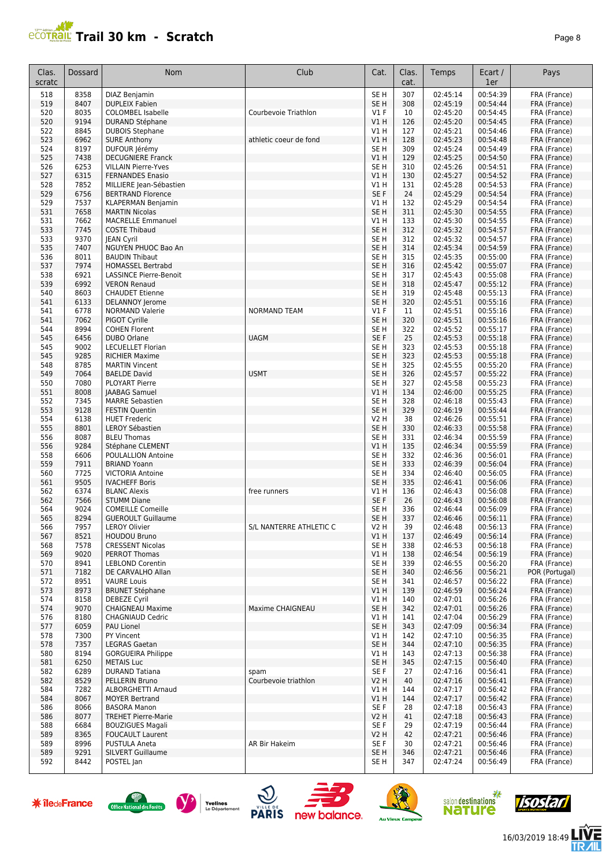|--|--|

| Clas.<br>scratc      | Dossard      | Nom                                                      | Club                    | Cat.            | Clas.<br>cat.           | Temps                | Ecart /<br>1er       | Pays           |
|----------------------|--------------|----------------------------------------------------------|-------------------------|-----------------|-------------------------|----------------------|----------------------|----------------|
| 518                  | 8358         | <b>DIAZ Benjamin</b>                                     |                         | SE <sub>H</sub> | 307                     | 02:45:14             | 00:54:39             | FRA (France)   |
| 519                  | 8407         | <b>DUPLEIX Fabien</b>                                    |                         | SE <sub>H</sub> | 308                     | 02:45:19             | 00:54:44             | FRA (France)   |
| 520                  | 8035         | <b>COLOMBEL Isabelle</b>                                 | Courbevoie Triathlon    | $VI$ F          | 10                      | 02:45:20             | 00:54:45             | FRA (France)   |
| 520                  | 9194         | <b>DURAND Stéphane</b>                                   |                         | VIH             | 126                     | 02:45:20             | 00:54:45             | FRA (France)   |
| 522                  | 8845         | <b>DUBOIS Stephane</b>                                   |                         | V1 H            | 127                     | 02:45:21             | 00:54:46             | FRA (France)   |
| 523                  | 6962         | <b>SURE Anthony</b>                                      | athletic coeur de fond  | V1H             | 128                     | 02:45:23             | 00:54:48             | FRA (France)   |
|                      | 8197         | DUFOUR Jérémy                                            |                         | SE <sub>H</sub> | 309                     |                      | 00:54:49             | FRA (France)   |
| 524<br>525           | 7438         | <b>DECUGNIERE Franck</b>                                 |                         | V1H             | 129                     | 02:45:24<br>02:45:25 | 00:54:50             |                |
| 526                  | 6253         | <b>VILLAIN Pierre-Yves</b>                               |                         | SE <sub>H</sub> | 310                     | 02:45:26             | 00:54:51             | FRA (France)   |
|                      |              |                                                          |                         |                 |                         |                      |                      | FRA (France)   |
| 527                  | 6315<br>7852 | <b>FERNANDES Enasio</b><br>MILLIERE Jean-Sébastien       |                         | V1H             | 130                     | 02:45:27<br>02:45:28 | 00:54:52<br>00:54:53 | FRA (France)   |
| 528                  | 6756         |                                                          |                         | V1 H<br>SE F    | 131<br>24               | 02:45:29             | 00:54:54             | FRA (France)   |
| 529                  |              | <b>BERTRAND Florence</b>                                 |                         |                 |                         |                      |                      | FRA (France)   |
| 529                  | 7537         | <b>KLAPERMAN Benjamin</b>                                |                         | V1H             | 132                     | 02:45:29             | 00:54:54             | FRA (France)   |
| 531                  | 7658         | <b>MARTIN Nicolas</b>                                    |                         | SE <sub>H</sub> | 311                     | 02:45:30             | 00:54:55             | FRA (France)   |
| 531                  | 7662         | <b>MACRELLE Emmanuel</b>                                 |                         | V1 H            | 133                     | 02:45:30             | 00:54:55             | FRA (France)   |
| 533                  | 7745         | <b>COSTE Thibaud</b>                                     |                         | SE <sub>H</sub> | 312                     | 02:45:32             | 00:54:57             | FRA (France)   |
| 533                  | 9370         | <b>JEAN Cyril</b>                                        |                         | SE H            | 312                     | 02:45:32             | 00:54:57             | FRA (France)   |
| 535                  | 7407         | NGUYEN PHUOC Bao An                                      |                         | SE <sub>H</sub> | 314                     | 02:45:34             | 00:54:59             | FRA (France)   |
| 536                  | 8011         | <b>BAUDIN Thibaut</b>                                    |                         | SE <sub>H</sub> | 315                     | 02:45:35             | 00:55:00             | FRA (France)   |
| 537                  | 7974         | <b>HOMASSEL Bertrabd</b>                                 |                         | SE <sub>H</sub> | 316                     | 02:45:42             | 00:55:07             | FRA (France)   |
| 538                  | 6921         | <b>LASSINCE Pierre-Benoit</b>                            |                         | SE <sub>H</sub> | 317                     | 02:45:43             | 00:55:08             | FRA (France)   |
| 539                  | 6992         | <b>VERON Renaud</b>                                      |                         | SE <sub>H</sub> | 318                     | 02:45:47             | 00:55:12             | FRA (France)   |
| 540                  | 8603         | <b>CHAUDET Etienne</b>                                   |                         | SE <sub>H</sub> | 319                     | 02:45:48             | 00:55:13             | FRA (France)   |
| 541                  | 6133         | <b>DELANNOY Jerome</b>                                   |                         | SE <sub>H</sub> | 320                     | 02:45:51             | 00:55:16             | FRA (France)   |
| 541                  | 6778         | <b>NORMAND Valerie</b>                                   | <b>NORMAND TEAM</b>     | $VI$ F          | 11                      | 02:45:51             | 00:55:16             | FRA (France)   |
| 541                  | 7062         | PIGOT Cyrille                                            |                         | SE <sub>H</sub> | 320                     | 02:45:51             | 00:55:16             | FRA (France)   |
| 544                  | 8994         | <b>COHEN Florent</b>                                     |                         | SE <sub>H</sub> | 322                     | 02:45:52             | 00:55:17             | FRA (France)   |
| 545                  | 6456         | <b>DUBO Orlane</b>                                       | <b>UAGM</b>             | SE F            | 25                      | 02:45:53             | 00:55:18             | FRA (France)   |
| 545                  | 9002         | <b>LECUELLET Florian</b>                                 |                         | SE H            | 323                     | 02:45:53             | 00:55:18             | FRA (France)   |
| 545                  | 9285         | <b>RICHIER Maxime</b>                                    |                         | SE <sub>H</sub> | 323                     | 02:45:53             | 00:55:18             | FRA (France)   |
| 548                  | 8785         | <b>MARTIN Vincent</b>                                    |                         | SE <sub>H</sub> | 325                     | 02:45:55             | 00:55:20             | FRA (France)   |
| 549                  | 7064         | <b>BAELDE David</b>                                      | <b>USMT</b>             | SE <sub>H</sub> | 326                     | 02:45:57             | 00:55:22             | FRA (France)   |
| 550                  | 7080         | <b>PLOYART Pierre</b>                                    |                         | SE <sub>H</sub> | 327                     | 02:45:58             | 00:55:23             | FRA (France)   |
| 551                  | 8008         | <b>JAABAG Samuel</b>                                     |                         | V1H             | 134                     | 02:46:00             | 00:55:25             | FRA (France)   |
| 552                  | 7345         | <b>MARRE Sebastien</b>                                   |                         | SE <sub>H</sub> | 328                     | 02:46:18             | 00:55:43             | FRA (France)   |
| 553                  | 9128         | <b>FESTIN Quentin</b>                                    |                         | SE <sub>H</sub> | 329                     | 02:46:19             | 00:55:44             | FRA (France)   |
| 554                  | 6138         | <b>HUET Frederic</b>                                     |                         | V2 H            | 38                      | 02:46:26             | 00:55:51             | FRA (France)   |
| 555                  | 8801         | <b>LEROY Sébastien</b>                                   |                         | SE <sub>H</sub> | 330                     | 02:46:33             | 00:55:58             | FRA (France)   |
| 556                  | 8087         | <b>BLEU Thomas</b>                                       |                         | SE <sub>H</sub> | 331                     | 02:46:34             | 00:55:59             | FRA (France)   |
| 556                  | 9284         | Stéphane CLEMENT                                         |                         | VIH             | 135                     | 02:46:34             | 00:55:59             | FRA (France)   |
| 558                  | 6606         | POULALLION Antoine                                       |                         | SE <sub>H</sub> | 332                     | 02:46:36             | 00:56:01             | FRA (France)   |
| 559                  | 7911         | <b>BRIAND Yoann</b>                                      |                         | SE <sub>H</sub> | 333                     | 02:46:39             | 00:56:04             | FRA (France)   |
| 560                  | 7725         | <b>VICTORIA Antoine</b>                                  |                         | SE <sub>H</sub> | 334                     | 02:46:40             | 00:56:05             | FRA (France)   |
| 561                  | 9505         | <b>IVACHEFF Boris</b>                                    |                         | SE <sub>H</sub> | 335                     | 02:46:41             | 00:56:06             | FRA (France)   |
| 562                  | 6374         | <b>BLANC Alexis</b>                                      | free runners            | V1 H            | 136                     | 02:46:43             | 00:56:08             | FRA (France)   |
| 562                  | 7566         | <b>STUMM Diane</b>                                       |                         | SE F            | 26                      | 02:46:43             | 00:56:08             | FRA (France)   |
| 564                  | 9024         | <b>COMEILLE Comeille</b>                                 |                         | SE <sub>H</sub> | 336                     | 02:46:44             | 00:56:09             | FRA (France)   |
| 565                  | 8294         | <b>GUEROULT Guillaume</b>                                |                         | SE <sub>H</sub> | 337                     | 02:46:46             | 00:56:11             |                |
|                      | 7957         | <b>LEROY Olivier</b>                                     | S/L NANTERRE ATHLETIC C | <b>V2 H</b>     | 39                      | 02:46:48             | 00:56:13             | FRA (France)   |
| 566                  |              | <b>HOUDOU Bruno</b>                                      |                         |                 |                         |                      | 00:56:14             | FRA (France)   |
| 567                  | 8521         |                                                          |                         | V1H             | 137                     | 02:46:49             |                      | FRA (France)   |
| 568                  | 7578         | <b>CRESSENT Nicolas</b>                                  |                         | SE <sub>H</sub> | 338                     | 02:46:53             | 00:56:18             | FRA (France)   |
| 569                  | 9020         | PERROT Thomas                                            |                         | V1H             | 138                     | 02:46:54             | 00:56:19             | FRA (France)   |
| 570                  | 8941         | <b>LEBLOND Corentin</b>                                  |                         | SE H            | 339                     | 02:46:55             | 00:56:20             | FRA (France)   |
| 571                  | 7182         | DE CARVALHO Allan                                        |                         | SE <sub>H</sub> | 340                     | 02:46:56             | 00:56:21             | POR (Portugal) |
| 572                  | 8951         | <b>VAURE Louis</b>                                       |                         | SE H            | 341                     | 02:46:57             | 00:56:22             | FRA (France)   |
| 573                  | 8973         | <b>BRUNET Stéphane</b>                                   |                         | V1H             | 139                     | 02:46:59             | 00:56:24             | FRA (France)   |
| 574                  | 8158         | <b>DEBEZE Cyril</b>                                      |                         | V1 H            | 140                     | 02:47:01             | 00:56:26             | FRA (France)   |
| 574                  | 9070         | <b>CHAIGNEAU Maxime</b>                                  | Maxime CHAIGNEAU        | SE <sub>H</sub> | 342                     | 02:47:01             | 00:56:26             | FRA (France)   |
| 576                  | 8180         | <b>CHAGNIAUD Cedric</b>                                  |                         | V1 H            | 141                     | 02:47:04             | 00:56:29             | FRA (France)   |
| 577                  | 6059         | PAU Lionel                                               |                         | SE <sub>H</sub> | 343                     | 02:47:09             | 00:56:34             | FRA (France)   |
| 578                  | 7300         | PY Vincent                                               |                         | V1 H            | 142                     | 02:47:10             | 00:56:35             | FRA (France)   |
| 578                  | 7357         | <b>LEGRAS Gaetan</b>                                     |                         | SE <sub>H</sub> | 344                     | 02:47:10             | 00:56:35             | FRA (France)   |
| 580                  | 8194         | <b>GORGUEIRA Philippe</b>                                |                         | V1 H            | 143                     | 02:47:13             | 00:56:38             | FRA (France)   |
| 581                  | 6250         | <b>METAIS Luc</b>                                        |                         | SE <sub>H</sub> | 345                     | 02:47:15             | 00:56:40             | FRA (France)   |
| 582                  | 6289         | <b>DURAND Tatiana</b>                                    | spam                    | SE F            | 27                      | 02:47:16             | 00:56:41             | FRA (France)   |
| 582                  | 8529         | PELLERIN Bruno                                           | Courbevoie triathlon    | V2 H            | 40                      | 02:47:16             | 00:56:41             | FRA (France)   |
| 584                  | 7282         | ALBORGHETTI Arnaud                                       |                         | V1 H            | 144                     | 02:47:17             | 00:56:42             | FRA (France)   |
| 584                  | 8067         | <b>MOYER Bertrand</b>                                    |                         | V1 H            | 144                     | 02:47:17             | 00:56:42             | FRA (France)   |
| 586                  | 8066         | <b>BASORA Manon</b>                                      |                         | SE F            | 28                      | 02:47:18             | 00:56:43             | FRA (France)   |
| 586                  | 8077         | <b>TREHET Pierre-Marie</b>                               |                         | V2 H            | 41                      | 02:47:18             | 00:56:43             | FRA (France)   |
| 588                  | 6684         | <b>BOUZIGUES Magali</b>                                  |                         | SE F            | 29                      | 02:47:19             | 00:56:44             | FRA (France)   |
| 589                  | 8365         | <b>FOUCAULT Laurent</b>                                  |                         | V2 H            | 42                      | 02:47:21             | 00:56:46             | FRA (France)   |
| 589                  | 8996         | <b>PUSTULA Aneta</b>                                     | AR Bir Hakeim           | SE F            | 30                      | 02:47:21             | 00:56:46             | FRA (France)   |
| 589                  | 9291         | SILVERT Guillaume                                        |                         | SE <sub>H</sub> | 346                     | 02:47:21             | 00:56:46             | FRA (France)   |
| 592                  | 8442         | POSTEL Jan                                               |                         | SE H            | 347                     | 02:47:24             | 00:56:49             | FRA (France)   |
|                      |              |                                                          |                         |                 |                         |                      |                      |                |
| <b>*</b> îledeFrance |              | Yvelines<br>Office National des Forêts<br>Le Département | <b>PARIS</b>            |                 |                         | nature               | salon destinations   | <i>Tsostan</i> |
|                      |              |                                                          | new balance.            |                 | <b>Au Vieux Campeur</b> |                      |                      |                |















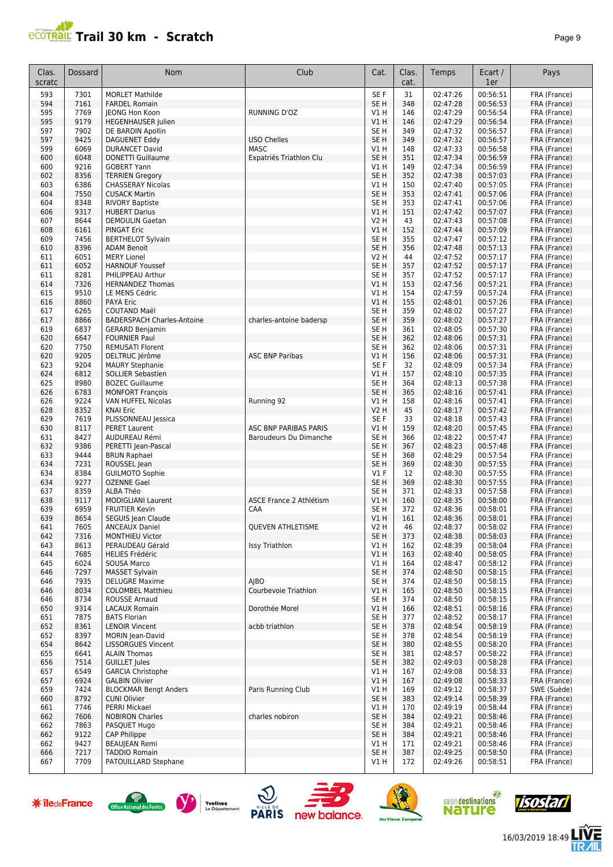

|--|--|

| Clas.<br>scratc | Dossard      | Nom                                                | Club                    | Cat.                    | Clas.<br>cat. | Temps                | Ecart /<br>1er       | Pays                         |
|-----------------|--------------|----------------------------------------------------|-------------------------|-------------------------|---------------|----------------------|----------------------|------------------------------|
| 593             | 7301         | <b>MORLET Mathilde</b>                             |                         | SE F                    | 31            | 02:47:26             | 00:56:51             | FRA (France)                 |
| 594             | 7161         | <b>FARDEL Romain</b>                               |                         | SE <sub>H</sub>         | 348           | 02:47:28             | 00:56:53             | FRA (France)                 |
| 595             | 7769         | JEONG Hon Koon                                     | RUNNING D'OZ            | V1 H                    | 146           | 02:47:29             | 00:56:54             | FRA (France)                 |
| 595             | 9179         | <b>HEGENHAUSER Julien</b>                          |                         | V1H                     | 146           | 02:47:29             | 00:56:54             | FRA (France)                 |
| 597             | 7902         | DE BARDIN Apollin                                  |                         | SE <sub>H</sub>         | 349           | 02:47:32             | 00:56:57             | FRA (France)                 |
| 597             | 9425         | <b>DAGUENET Eddy</b>                               | <b>USO Chelles</b>      | SE <sub>H</sub>         | 349           | 02:47:32             | 00:56:57             | FRA (France)                 |
| 599             | 6069         | <b>DURANCET David</b>                              | <b>MASC</b>             | V1 H                    | 148           | 02:47:33             | 00:56:58             | FRA (France)                 |
| 600             | 6048         | <b>DONETTI Guillaume</b>                           | Expatriés Triathlon Clu | SE <sub>H</sub>         | 351           | 02:47:34             | 00:56:59             | FRA (France)                 |
| 600             | 9216         | <b>GOBERT Yann</b>                                 |                         | V1H                     | 149           | 02:47:34             | 00:56:59             | FRA (France)                 |
| 602<br>603      | 8356<br>6386 | <b>TERRIEN Gregory</b><br><b>CHASSERAY Nicolas</b> |                         | SE <sub>H</sub><br>V1H  | 352<br>150    | 02:47:38<br>02:47:40 | 00:57:03<br>00:57:05 | FRA (France)<br>FRA (France) |
| 604             | 7550         | <b>CUSACK Martin</b>                               |                         | SE <sub>H</sub>         | 353           | 02:47:41             | 00:57:06             | FRA (France)                 |
| 604             | 8348         | <b>RIVORY Baptiste</b>                             |                         | SE <sub>H</sub>         | 353           | 02:47:41             | 00:57:06             | FRA (France)                 |
| 606             | 9317         | <b>HUBERT Darius</b>                               |                         | V1H                     | 151           | 02:47:42             | 00:57:07             | FRA (France)                 |
| 607             | 8644         | <b>DEMOULIN Gaetan</b>                             |                         | V <sub>2</sub> H        | 43            | 02:47:43             | 00:57:08             | FRA (France)                 |
| 608             | 6161         | <b>PINGAT Eric</b>                                 |                         | VIH                     | 152           | 02:47:44             | 00:57:09             | FRA (France)                 |
| 609             | 7456         | <b>BERTHELOT Sylvain</b>                           |                         | SE <sub>H</sub>         | 355           | 02:47:47             | 00:57:12             | FRA (France)                 |
| 610             | 8396         | <b>ADAM Benoit</b>                                 |                         | SE <sub>H</sub>         | 356           | 02:47:48             | 00:57:13             | FRA (France)                 |
| 611             | 6051         | <b>MERY Lionel</b>                                 |                         | <b>V2 H</b>             | 44            | 02:47:52             | 00:57:17             | FRA (France)                 |
| 611             | 6052         | <b>HARNOUF Youssef</b>                             |                         | SE <sub>H</sub>         | 357           | 02:47:52             | 00:57:17             | FRA (France)                 |
| 611             | 8281         | PHILIPPEAU Arthur                                  |                         | SE <sub>H</sub>         | 357           | 02:47:52             | 00:57:17             | FRA (France)                 |
| 614             | 7326         | <b>HERNANDEZ Thomas</b>                            |                         | V1H                     | 153           | 02:47:56             | 00:57:21             | FRA (France)                 |
| 615             | 9510         | LE MENS Cédric                                     |                         | V1H                     | 154           | 02:47:59             | 00:57:24             | FRA (France)                 |
| 616             | 8860         | <b>PAYA Eric</b>                                   |                         | V1H                     | 155           | 02:48:01             | 00:57:26             | FRA (France)                 |
| 617             | 6265         | <b>COUTAND Maël</b>                                |                         | SE <sub>H</sub>         | 359           | 02:48:02             | 00:57:27             | FRA (France)                 |
| 617             | 8866         | <b>BADERSPACH Charles-Antoine</b>                  | charles-antoine badersp | SE <sub>H</sub>         | 359           | 02:48:02             | 00:57:27             | FRA (France)                 |
| 619             | 6837         | <b>GERARD Benjamin</b>                             |                         | SE <sub>H</sub>         | 361           | 02:48:05             | 00:57:30             | FRA (France)                 |
| 620<br>620      | 6647<br>7750 | <b>FOURNIER Paul</b><br><b>REMUSATI Florent</b>    |                         | SE <sub>H</sub><br>SE H | 362<br>362    | 02:48:06<br>02:48:06 | 00:57:31<br>00:57:31 | FRA (France)                 |
| 620             | 9205         | DELTRUC Jérôme                                     | <b>ASC BNP Paribas</b>  | VIH                     | 156           | 02:48:06             | 00:57:31             | FRA (France)<br>FRA (France) |
| 623             | 9204         | <b>MAURY Stephanie</b>                             |                         | SE F                    | 32            | 02:48:09             | 00:57:34             | FRA (France)                 |
| 624             | 6812         | <b>SOLLIER Sebastien</b>                           |                         | V1H                     | 157           | 02:48:10             | 00:57:35             | FRA (France)                 |
| 625             | 8980         | <b>BOZEC Guillaume</b>                             |                         | SE <sub>H</sub>         | 364           | 02:48:13             | 00:57:38             | FRA (France)                 |
| 626             | 6783         | <b>MONFORT François</b>                            |                         | SE <sub>H</sub>         | 365           | 02:48:16             | 00:57:41             | FRA (France)                 |
| 626             | 9224         | VAN HUFFEL Nicolas                                 | Running 92              | V1H                     | 158           | 02:48:16             | 00:57:41             | FRA (France)                 |
| 628             | 8352         | <b>KNAI Eric</b>                                   |                         | <b>V2 H</b>             | 45            | 02:48:17             | 00:57:42             | FRA (France)                 |
| 629             | 7619         | PLISSONNEAU Jessica                                |                         | SE F                    | 33            | 02:48:18             | 00:57:43             | FRA (France)                 |
| 630             | 8117         | <b>PERET Laurent</b>                               | ASC BNP PARIBAS PARIS   | V1H                     | 159           | 02:48:20             | 00:57:45             | FRA (France)                 |
| 631             | 8427         | AUDUREAU Rémi                                      | Baroudeurs Du Dimanche  | SE <sub>H</sub>         | 366           | 02:48:22             | 00:57:47             | FRA (France)                 |
| 632             | 9386         | PERETTI Jean-Pascal                                |                         | SE <sub>H</sub>         | 367           | 02:48:23             | 00:57:48             | FRA (France)                 |
| 633             | 9444         | <b>BRUN Raphael</b>                                |                         | SE <sub>H</sub>         | 368           | 02:48:29             | 00:57:54             | FRA (France)                 |
| 634             | 7231         | ROUSSEL Jean                                       |                         | SE <sub>H</sub>         | 369           | 02:48:30             | 00:57:55             | FRA (France)                 |
| 634             | 8384<br>9277 | <b>GUILMOTO Sophie</b><br><b>OZENNE Gael</b>       |                         | V1 F<br>SE H            | 12<br>369     | 02:48:30<br>02:48:30 | 00:57:55<br>00:57:55 | FRA (France)                 |
| 634<br>637      | 8359         | ALBA Théo                                          |                         | SE <sub>H</sub>         | 371           | 02:48:33             | 00:57:58             | FRA (France)<br>FRA (France) |
| 638             | 9117         | <b>MODIGLIANI Laurent</b>                          | ASCE France 2 Athlétism | V1H                     | 160           | 02:48:35             | 00:58:00             | FRA (France)                 |
| 639             | 6959         | <b>FRUITIER Kevin</b>                              | CAA                     | SE <sub>H</sub>         | 372           | 02:48:36             | 00:58:01             | FRA (France)                 |
| 639             | 8654         | SEGUIS Jean Claude                                 |                         | V1H                     | 161           | 02:48:36             | 00:58:01             | FRA (France)                 |
| 641             | 7605         | <b>ANCEAUX Daniel</b>                              | QUEVEN ATHLETISME       | V2 H                    | 46            | 02:48:37             | 00:58:02             | FRA (France)                 |
| 642             | 7316         | <b>MONTHIEU Victor</b>                             |                         | SE <sub>H</sub>         | 373           | 02:48:38             | 00:58:03             | FRA (France)                 |
| 643             | 8613         | PERAUDEAU Gérald                                   | <b>Issy Triathlon</b>   | V1H                     | 162           | 02:48:39             | 00:58:04             | FRA (France)                 |
| 644             | 7685         | <b>HELIES Frédéric</b>                             |                         | V1 H                    | 163           | 02:48:40             | 00:58:05             | FRA (France)                 |
| 645             | 6024         | SOUSA Marco                                        |                         | V1 H                    | 164           | 02:48:47             | 00:58:12             | FRA (France)                 |
| 646             | 7297         | <b>MASSET Sylvain</b>                              |                         | SE <sub>H</sub>         | 374           | 02:48:50             | 00:58:15             | FRA (France)                 |
| 646             | 7935         | <b>DELUGRE Maxime</b>                              | AIBO                    | SE H                    | 374           | 02:48:50             | 00:58:15             | FRA (France)                 |
| 646             | 8034         | <b>COLOMBEL Matthieu</b>                           | Courbevoie Triathlon    | V1H                     | 165           | 02:48:50             | 00:58:15             | FRA (France)                 |
| 646<br>650      | 8734<br>9314 | <b>ROUSSE Arnaud</b>                               | Dorothée Morel          | SE H<br>V1H             | 374<br>166    | 02:48:50<br>02:48:51 | 00:58:15<br>00:58:16 | FRA (France)<br>FRA (France) |
| 651             | 7875         | LACAUX Romain<br><b>BATS Florian</b>               |                         | SE H                    | 377           | 02:48:52             | 00:58:17             | FRA (France)                 |
| 652             | 8361         | <b>LENOIR Vincent</b>                              | acbb triathlon          | SE <sub>H</sub>         | 378           | 02:48:54             | 00:58:19             | FRA (France)                 |
| 652             | 8397         | MORIN Jean-David                                   |                         | SE H                    | 378           | 02:48:54             | 00:58:19             | FRA (France)                 |
| 654             | 8642         | <b>LISSORGUES Vincent</b>                          |                         | SE <sub>H</sub>         | 380           | 02:48:55             | 00:58:20             | FRA (France)                 |
| 655             | 6641         | <b>ALAIN Thomas</b>                                |                         | SE H                    | 381           | 02:48:57             | 00:58:22             | FRA (France)                 |
| 656             | 7514         | <b>GUILLET Jules</b>                               |                         | SE <sub>H</sub>         | 382           | 02:49:03             | 00:58:28             | FRA (France)                 |
| 657             | 6549         | <b>GARCIA Christophe</b>                           |                         | V1 H                    | 167           | 02:49:08             | 00:58:33             | FRA (France)                 |
| 657             | 6924         | <b>GALBIN Olivier</b>                              |                         | VIH                     | 167           | 02:49:08             | 00:58:33             | FRA (France)                 |
| 659             | 7424         | <b>BLOCKMAR Bengt Anders</b>                       | Paris Running Club      | V1 H                    | 169           | 02:49:12             | 00:58:37             | SWE (Suède)                  |
| 660             | 8792         | <b>CUNI Olivier</b>                                |                         | SE <sub>H</sub>         | 383           | 02:49:14             | 00:58:39             | FRA (France)                 |
| 661             | 7746         | <b>PERRI Mickael</b>                               |                         | V1 H                    | 170           | 02:49:19             | 00:58:44             | FRA (France)                 |
| 662             | 7606         | <b>NOBIRON Charles</b>                             | charles nobiron         | SE H                    | 384           | 02:49:21             | 00:58:46             | FRA (France)                 |
| 662             | 7863         | PASQUET Hugo                                       |                         | SE H                    | 384           | 02:49:21             | 00:58:46             | FRA (France)                 |
| 662             | 9122         | CAP Philippe                                       |                         | SE <sub>H</sub>         | 384           | 02:49:21             | 00:58:46             | FRA (France)                 |
| 662             | 9427<br>7217 | <b>BEAUJEAN Remi</b><br><b>TADDIO Romain</b>       |                         | V1 H<br>SE <sub>H</sub> | 171           | 02:49:21<br>02:49:25 | 00:58:46<br>00:58:50 | FRA (France)<br>FRA (France) |
| 666<br>667      | 7709         | PATOUILLARD Stephane                               |                         | V1 H                    | 387<br>172    | 02:49:26             | 00:58:51             | FRA (France)                 |
|                 |              |                                                    |                         |                         |               |                      |                      |                              |

















/后<br>⁄IIL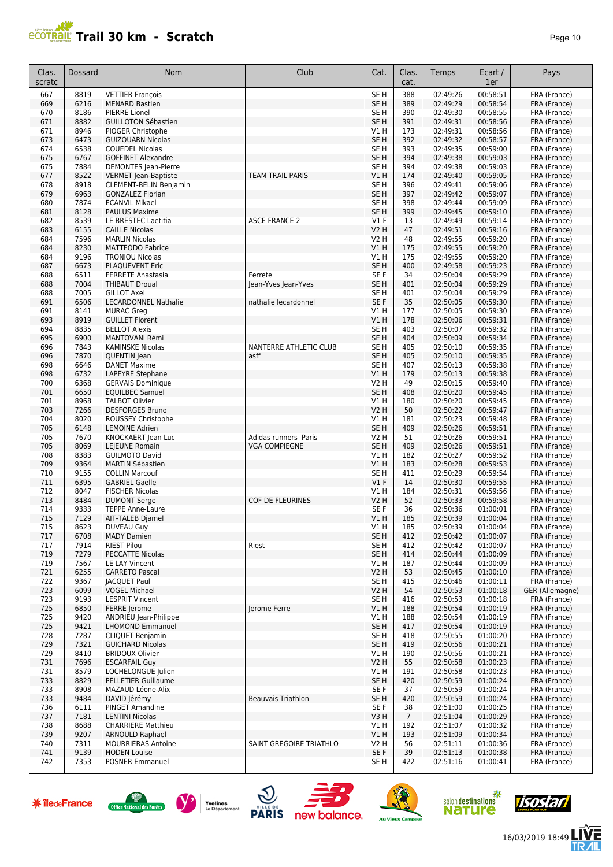

| Clas.      | Dossard      | Nom                                                | Club                    | Cat.                               | Clas.           | Temps                | Ecart /              | Pays                         |
|------------|--------------|----------------------------------------------------|-------------------------|------------------------------------|-----------------|----------------------|----------------------|------------------------------|
| scratc     |              |                                                    |                         |                                    | cat.            |                      | 1er                  |                              |
| 667        | 8819         | <b>VETTIER François</b>                            |                         | SE <sub>H</sub>                    | 388             | 02:49:26             | 00:58:51             | FRA (France)                 |
| 669        | 6216         | <b>MENARD Bastien</b>                              |                         | SE <sub>H</sub>                    | 389             | 02:49:29             | 00:58:54             | FRA (France)                 |
| 670<br>671 | 8186<br>8882 | <b>PIERRE Lionel</b><br><b>GUILLOTON Sébastien</b> |                         | SE H<br>SE <sub>H</sub>            | 390<br>391      | 02:49:30<br>02:49:31 | 00:58:55<br>00:58:56 | FRA (France)<br>FRA (France) |
| 671        | 8946         | PIOGER Christophe                                  |                         | V1 H                               | 173             | 02:49:31             | 00:58:56             | FRA (France)                 |
| 673        | 6473         | <b>GUIZOUARN Nicolas</b>                           |                         | SE <sub>H</sub>                    | 392             | 02:49:32             | 00:58:57             | FRA (France)                 |
| 674        | 6538         | <b>COUEDEL Nicolas</b>                             |                         | SE <sub>H</sub>                    | 393             | 02:49:35             | 00:59:00             | FRA (France)                 |
| 675        | 6767         | <b>GOFFINET Alexandre</b>                          |                         | SE <sub>H</sub>                    | 394             | 02:49:38             | 00:59:03             | FRA (France)                 |
| 675        | 7884         | <b>DEMONTES</b> Jean-Pierre                        |                         | SE <sub>H</sub>                    | 394             | 02:49:38             | 00:59:03             | FRA (France)                 |
| 677        | 8522         | <b>VERMET Jean-Baptiste</b>                        | <b>TEAM TRAIL PARIS</b> | VIH                                | 174             | 02:49:40             | 00:59:05             | FRA (France)                 |
| 678        | 8918         | <b>CLEMENT-BELIN Benjamin</b>                      |                         | SE <sub>H</sub>                    | 396             | 02:49:41             | 00:59:06             | FRA (France)                 |
| 679        | 6963         | <b>GONZALEZ Florian</b>                            |                         | SE <sub>H</sub>                    | 397             | 02:49:42             | 00:59:07             | FRA (France)                 |
| 680<br>681 | 7874<br>8128 | <b>ECANVIL Mikael</b><br><b>PAULUS Maxime</b>      |                         | SE <sub>H</sub><br>SE <sub>H</sub> | 398<br>399      | 02:49:44<br>02:49:45 | 00:59:09<br>00:59:10 | FRA (France)<br>FRA (France) |
| 682        | 8539         | LE BRESTEC Laetitia                                | <b>ASCE FRANCE 2</b>    | $VI$ F                             | 13              | 02:49:49             | 00:59:14             | FRA (France)                 |
| 683        | 6155         | <b>CAILLE Nicolas</b>                              |                         | V2 H                               | 47              | 02:49:51             | 00:59:16             | FRA (France)                 |
| 684        | 7596         | <b>MARLIN Nicolas</b>                              |                         | V2 H                               | 48              | 02:49:55             | 00:59:20             | FRA (France)                 |
| 684        | 8230         | MATTEODO Fabrice                                   |                         | V1 H                               | 175             | 02:49:55             | 00:59:20             | FRA (France)                 |
| 684        | 9196         | <b>TRONIOU Nicolas</b>                             |                         | V1 H                               | 175             | 02:49:55             | 00:59:20             | FRA (France)                 |
| 687        | 6673         | <b>PLAQUEVENT Eric</b>                             |                         | SE <sub>H</sub>                    | 400             | 02:49:58             | 00:59:23             | FRA (France)                 |
| 688        | 6511         | <b>FERRETE Anastasia</b>                           | Ferrete                 | SE F                               | 34              | 02:50:04             | 00:59:29             | FRA (France)                 |
| 688<br>688 | 7004<br>7005 | <b>THIBAUT Droual</b><br><b>GILLOT Axel</b>        | Jean-Yves Jean-Yves     | SE <sub>H</sub><br>SE <sub>H</sub> | 401<br>401      | 02:50:04<br>02:50:04 | 00:59:29<br>00:59:29 | FRA (France)<br>FRA (France) |
| 691        | 6506         | <b>LECARDONNEL Nathalie</b>                        | nathalie lecardonnel    | SE F                               | 35              | 02:50:05             | 00:59:30             | FRA (France)                 |
| 691        | 8141         | <b>MURAC Greg</b>                                  |                         | V1H                                | 177             | 02:50:05             | 00:59:30             | FRA (France)                 |
| 693        | 8919         | <b>GUILLET Florent</b>                             |                         | VIH                                | 178             | 02:50:06             | 00:59:31             | FRA (France)                 |
| 694        | 8835         | <b>BELLOT Alexis</b>                               |                         | SE H                               | 403             | 02:50:07             | 00:59:32             | FRA (France)                 |
| 695        | 6900         | MANTOVANI Rémi                                     |                         | SE <sub>H</sub>                    | 404             | 02:50:09             | 00:59:34             | FRA (France)                 |
| 696        | 7843         | <b>KAMINSKE Nicolas</b>                            | NANTERRE ATHLETIC CLUB  | SE H                               | 405             | 02:50:10             | 00:59:35             | FRA (France)                 |
| 696        | 7870         | <b>QUENTIN Jean</b>                                | asff                    | SE <sub>H</sub>                    | 405             | 02:50:10             | 00:59:35             | FRA (France)                 |
| 698        | 6646         | <b>DANET Maxime</b>                                |                         | SE H                               | 407             | 02:50:13             | 00:59:38             | FRA (France)                 |
| 698<br>700 | 6732<br>6368 | LAPEYRE Stephane<br><b>GERVAIS Dominique</b>       |                         | VIH<br><b>V2 H</b>                 | 179<br>49       | 02:50:13<br>02:50:15 | 00:59:38<br>00:59:40 | FRA (France)<br>FRA (France) |
| 701        | 6650         | <b>EQUILBEC Samuel</b>                             |                         | SE <sub>H</sub>                    | 408             | 02:50:20             | 00:59:45             | FRA (France)                 |
| 701        | 8968         | <b>TALBOT Olivier</b>                              |                         | V1 H                               | 180             | 02:50:20             | 00:59:45             | FRA (France)                 |
| 703        | 7266         | <b>DESFORGES Bruno</b>                             |                         | <b>V2 H</b>                        | 50              | 02:50:22             | 00:59:47             | FRA (France)                 |
| 704        | 8020         | ROUSSEY Christophe                                 |                         | V1 H                               | 181             | 02:50:23             | 00:59:48             | FRA (France)                 |
| 705        | 6148         | <b>LEMOINE Adrien</b>                              |                         | SE <sub>H</sub>                    | 409             | 02:50:26             | 00:59:51             | FRA (France)                 |
| 705        | 7670         | KNOCKAERT Jean Luc                                 | Adidas runners Paris    | <b>V2 H</b>                        | 51              | 02:50:26             | 00:59:51             | FRA (France)                 |
| 705        | 8069         | LEIEUNE Romain                                     | <b>VGA COMPIEGNE</b>    | SE <sub>H</sub>                    | 409             | 02:50:26             | 00:59:51             | FRA (France)                 |
| 708<br>709 | 8383<br>9364 | <b>GUILMOTO David</b><br><b>MARTIN Sébastien</b>   |                         | V1 H<br>V1 H                       | 182<br>183      | 02:50:27<br>02:50:28 | 00:59:52<br>00:59:53 | FRA (France)<br>FRA (France) |
| 710        | 9155         | <b>COLLIN Marcouf</b>                              |                         | SE H                               | 411             | 02:50:29             | 00:59:54             | FRA (France)                 |
| 711        | 6395         | <b>GABRIEL Gaelle</b>                              |                         | $VI$ F                             | 14              | 02:50:30             | 00:59:55             | FRA (France)                 |
| 712        | 8047         | <b>FISCHER Nicolas</b>                             |                         | V1 H                               | 184             | 02:50:31             | 00:59:56             | FRA (France)                 |
| 713        | 8484         | <b>DUMONT Serge</b>                                | <b>COF DE FLEURINES</b> | V2 H                               | 52              | 02:50:33             | 00:59:58             | FRA (France)                 |
| 714        | 9333         | <b>TEPPE Anne-Laure</b>                            |                         | SE F                               | 36              | 02:50:36             | 01:00:01             | FRA (France)                 |
| 715        | 7129         | AIT-TALEB Djamel                                   |                         | VIH                                | 185             | 02:50:39             | 01:00:04             | FRA (France)                 |
| 715        | 8623         | DUVEAU Guy                                         |                         | VIH                                | 185             | 02:50:39             | 01:00:04             | FRA (France)<br>FRA (France) |
| 717<br>717 | 6708<br>7914 | <b>MADY Damien</b><br><b>RIEST Pilou</b>           | Riest                   | SE H<br>SE <sub>H</sub>            | 412<br>412      | 02:50:42<br>02:50:42 | 01:00:07<br>01:00:07 | FRA (France)                 |
| 719        | 7279         | <b>PECCATTE Nicolas</b>                            |                         | SE H                               | 414             | 02:50:44             | 01:00:09             | FRA (France)                 |
| 719        | 7567         | LE LAY Vincent                                     |                         | V1 H                               | 187             | 02:50:44             | 01:00:09             | FRA (France)                 |
| 721        | 6255         | <b>CARRETO Pascal</b>                              |                         | V2 H                               | 53              | 02:50:45             | 01:00:10             | FRA (France)                 |
| 722        | 9367         | <b>JACQUET Paul</b>                                |                         | SE H                               | 415             | 02:50:46             | 01:00:11             | FRA (France)                 |
| 723        | 6099         | <b>VOGEL Michael</b>                               |                         | <b>V2 H</b>                        | 54              | 02:50:53             | 01:00:18             | GER (Allemagne)              |
| 723        | 9193         | <b>LESPRIT Vincent</b>                             |                         | SE H                               | 416             | 02:50:53             | 01:00:18             | FRA (France)                 |
| 725<br>725 | 6850<br>9420 | FERRE Jerome<br>ANDRIEU Jean-Philippe              | Jerome Ferre            | V1H<br>V1 H                        | 188<br>188      | 02:50:54<br>02:50:54 | 01:00:19<br>01:00:19 | FRA (France)<br>FRA (France) |
| 725        | 9421         | <b>LHOMOND Emmanuel</b>                            |                         | SE <sub>H</sub>                    | 417             | 02:50:54             | 01:00:19             | FRA (France)                 |
| 728        | 7287         | <b>CLIQUET Benjamin</b>                            |                         | SE H                               | 418             | 02:50:55             | 01:00:20             | FRA (France)                 |
| 729        | 7321         | <b>GUICHARD Nicolas</b>                            |                         | SE <sub>H</sub>                    | 419             | 02:50:56             | 01:00:21             | FRA (France)                 |
| 729        | 8410         | <b>BRIDOUX Olivier</b>                             |                         | V1 H                               | 190             | 02:50:56             | 01:00:21             | FRA (France)                 |
| 731        | 7696         | <b>ESCARFAIL Guy</b>                               |                         | V2 H                               | 55              | 02:50:58             | 01:00:23             | FRA (France)                 |
| 731        | 8579         | LOCHELONGUE Julien                                 |                         | V1 H                               | 191             | 02:50:58             | 01:00:23             | FRA (France)                 |
| 733        | 8829         | PELLETIER Guillaume                                |                         | SE H                               | 420             | 02:50:59             | 01:00:24             | FRA (France)                 |
| 733        | 8908         | MAZAUD Léone-Alix                                  |                         | SE F                               | 37              | 02:50:59             | 01:00:24             | FRA (France)                 |
| 733<br>736 | 9484<br>6111 | DAVID Jérémy<br><b>PINGET Amandine</b>             | Beauvais Triathlon      | SE <sub>H</sub><br>SE F            | 420<br>38       | 02:50:59<br>02:51:00 | 01:00:24<br>01:00:25 | FRA (France)<br>FRA (France) |
| 737        | 7181         | <b>LENTINI Nicolas</b>                             |                         | V3H                                | $7\phantom{.0}$ | 02:51:04             | 01:00:29             | FRA (France)                 |
| 738        | 8688         | <b>CHARRIERE Matthieu</b>                          |                         | V1 H                               | 192             | 02:51:07             | 01:00:32             | FRA (France)                 |
| 739        | 9207         | <b>ARNOULD Raphael</b>                             |                         | V1 H                               | 193             | 02:51:09             | 01:00:34             | FRA (France)                 |
| 740        | 7311         | <b>MOURRIERAS Antoine</b>                          | SAINT GREGOIRE TRIATHLO | V2 H                               | 56              | 02:51:11             | 01:00:36             | FRA (France)                 |
| 741        | 9139         | <b>HODEN Louise</b>                                |                         | SE F                               | 39              | 02:51:13             | 01:00:38             | FRA (France)                 |
| 742        | 7353         | POSNER Emmanuel                                    |                         | SE H                               | 422             | 02:51:16             | 01:00:41             | FRA (France)                 |

















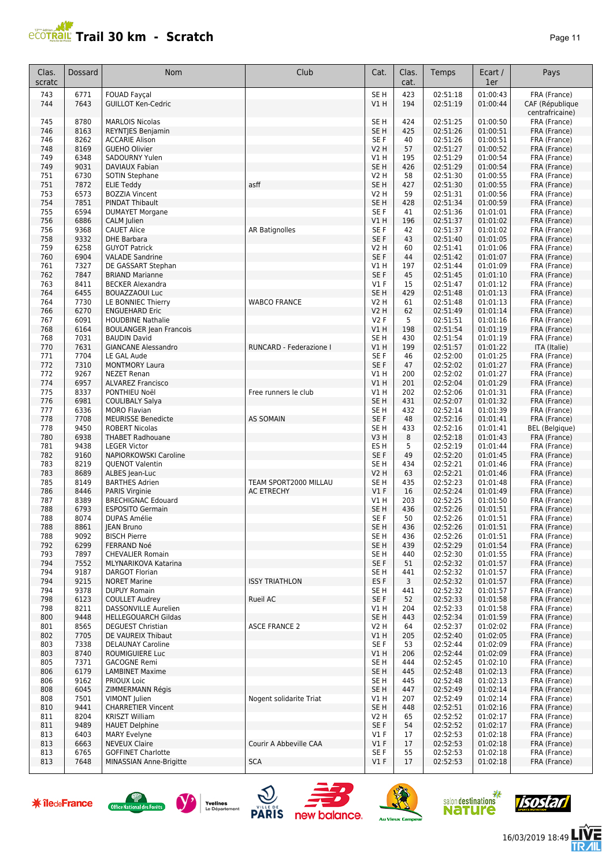

| Clas.<br>scratc | Dossard      | <b>Nom</b>                                        | Club                    | Cat.                    | Clas.<br>cat. | Temps                | Ecart /<br>1er       | Pays                         |
|-----------------|--------------|---------------------------------------------------|-------------------------|-------------------------|---------------|----------------------|----------------------|------------------------------|
| 743             | 6771         | FOUAD Fayçal                                      |                         | SE <sub>H</sub>         | 423           | 02:51:18             | 01:00:43             | FRA (France)                 |
| 744             | 7643         | <b>GUILLOT Ken-Cedric</b>                         |                         | VIH                     | 194           | 02:51:19             | 01:00:44             | CAF (République              |
|                 |              |                                                   |                         |                         |               |                      |                      | centrafricaine)              |
| 745             | 8780         | <b>MARLOIS Nicolas</b>                            |                         | SE <sub>H</sub>         | 424           | 02:51:25             | 01:00:50             | FRA (France)                 |
| 746             | 8163         | REYNTJES Benjamin                                 |                         | SE <sub>H</sub>         | 425           | 02:51:26             | 01:00:51             | FRA (France)                 |
| 746             | 8262         | <b>ACCARIE Alison</b>                             |                         | SE F                    | 40            | 02:51:26             | 01:00:51             | FRA (France)                 |
| 748             | 8169         | <b>GUEHO Olivier</b>                              |                         | <b>V2 H</b>             | 57            | 02:51:27             | 01:00:52             | FRA (France)                 |
| 749             | 6348         | SADOURNY Yulen                                    |                         | V1 H                    | 195           | 02:51:29             | 01:00:54             | FRA (France)                 |
| 749             | 9031         | <b>DAVIAUX Fabian</b>                             |                         | SE <sub>H</sub>         | 426           | 02:51:29             | 01:00:54             | FRA (France)                 |
| 751             | 6730<br>7872 | SOTIN Stephane                                    | asff                    | <b>V2 H</b>             | 58            | 02:51:30<br>02:51:30 | 01:00:55<br>01:00:55 | FRA (France)                 |
| 751<br>753      | 6573         | <b>ELIE Teddy</b><br><b>BOZZIA Vincent</b>        |                         | SE <sub>H</sub><br>V2 H | 427<br>59     | 02:51:31             | 01:00:56             | FRA (France)<br>FRA (France) |
| 754             | 7851         | <b>PINDAT Thibault</b>                            |                         | SE <sub>H</sub>         | 428           |                      | 01:00:59             |                              |
| 755             | 6594         | <b>DUMAYET Morgane</b>                            |                         | SE F                    | 41            | 02:51:34<br>02:51:36 | 01:01:01             | FRA (France)<br>FRA (France) |
| 756             | 6886         | CALM Julien                                       |                         | V1H                     | 196           | 02:51:37             | 01:01:02             | FRA (France)                 |
| 756             | 9368         | <b>CAUET Alice</b>                                | <b>AR Batignolles</b>   | SE <sub>F</sub>         | 42            | 02:51:37             | 01:01:02             | FRA (France)                 |
| 758             | 9332         | <b>DHE Barbara</b>                                |                         | SE F                    | 43            | 02:51:40             | 01:01:05             | FRA (France)                 |
| 759             | 6258         | <b>GUYOT Patrick</b>                              |                         | <b>V2 H</b>             | 60            | 02:51:41             | 01:01:06             | FRA (France)                 |
| 760             | 6904         | <b>VALADE Sandrine</b>                            |                         | SE F                    | 44            | 02:51:42             | 01:01:07             | FRA (France)                 |
| 761             | 7327         | DE GASSART Stephan                                |                         | V1 H                    | 197           | 02:51:44             | 01:01:09             | FRA (France)                 |
| 762             | 7847         | <b>BRIAND Marianne</b>                            |                         | SE F                    | 45            | 02:51:45             | 01:01:10             | FRA (France)                 |
| 763             | 8411         | <b>BECKER Alexandra</b>                           |                         | $VI$ F                  | 15            | 02:51:47             | 01:01:12             | FRA (France)                 |
| 764             | 6455         | <b>BOUAZZAOUI Luc</b>                             |                         | SE <sub>H</sub>         | 429           | 02:51:48             | 01:01:13             | FRA (France)                 |
| 764             | 7730         | LE BONNIEC Thierry                                | <b>WABCO FRANCE</b>     | <b>V2 H</b>             | 61            | 02:51:48             | 01:01:13             | FRA (France)                 |
| 766             | 6270         | <b>ENGUEHARD Eric</b>                             |                         | <b>V2 H</b>             | 62            | 02:51:49             | 01:01:14             | FRA (France)                 |
| 767             | 6091         | <b>HOUDBINE Nathalie</b>                          |                         | V2F                     | 5             | 02:51:51             | 01:01:16             | FRA (France)                 |
| 768             | 6164         | <b>BOULANGER Jean Francois</b>                    |                         | VIH                     | 198           | 02:51:54             | 01:01:19             | FRA (France)                 |
| 768             | 7031         | <b>BAUDIN David</b>                               |                         | SE <sub>H</sub>         | 430           | 02:51:54             | 01:01:19             | FRA (France)                 |
| 770             | 7631         | <b>GIANCANE Alessandro</b>                        | RUNCARD - Federazione I | V1H                     | 199           | 02:51:57             | 01:01:22             | ITA (Italie)                 |
| 771             | 7704         | LE GAL Aude                                       |                         | SE <sub>F</sub>         | 46            | 02:52:00             | 01:01:25             | FRA (France)                 |
| 772             | 7310         | <b>MONTMORY Laura</b>                             |                         | SE F                    | 47            | 02:52:02             | 01:01:27             | FRA (France)                 |
| 772             | 9267         | <b>NEZET Renan</b>                                |                         | V1 H                    | 200           | 02:52:02             | 01:01:27             | FRA (France)                 |
| 774             | 6957         | <b>ALVAREZ Francisco</b>                          |                         | V1H                     | 201           | 02:52:04             | 01:01:29             | FRA (France)                 |
| 775             | 8337         | PONTHIEU Noël                                     | Free runners le club    | V1 H                    | 202           | 02:52:06             | 01:01:31             | FRA (France)                 |
| 776             | 6981         | <b>COULIBALY Salya</b>                            |                         | SE <sub>H</sub>         | 431           | 02:52:07             | 01:01:32             | FRA (France)                 |
| 777             | 6336         | <b>MORO Flavian</b>                               |                         | SE <sub>H</sub>         | 432           | 02:52:14             | 01:01:39             | FRA (France)                 |
| 778             | 7708         | <b>MEURISSE Benedicte</b>                         | <b>AS SOMAIN</b>        | SE F                    | 48            | 02:52:16             | 01:01:41             | FRA (France)                 |
| 778             | 9450         | <b>ROBERT Nicolas</b>                             |                         | SE <sub>H</sub>         | 433           | 02:52:16             | 01:01:41             | BEL (Belgique)               |
| 780             | 6938         | <b>THABET Radhouane</b>                           |                         | V3H                     | 8             | 02:52:18             | 01:01:43             | FRA (France)                 |
| 781             | 9438         | <b>LEGER Victor</b>                               |                         | ES <sub>H</sub>         | 5             | 02:52:19             | 01:01:44             | FRA (France)                 |
| 782             | 9160         | NAPIORKOWSKI Caroline                             |                         | SE F                    | 49            | 02:52:20             | 01:01:45             | FRA (France)                 |
| 783             | 8219         | <b>QUENOT Valentin</b>                            |                         | SE <sub>H</sub>         | 434           | 02:52:21             | 01:01:46             | FRA (France)                 |
| 783             | 8689         | ALBES Jean-Luc                                    |                         | <b>V2 H</b>             | 63            | 02:52:21             | 01:01:46             | FRA (France)                 |
| 785             | 8149         | <b>BARTHES Adrien</b>                             | TEAM SPORT2000 MILLAU   | SE <sub>H</sub>         | 435           | 02:52:23             | 01:01:48             | FRA (France)                 |
| 786             | 8446         | PARIS Virginie                                    | <b>AC ETRECHY</b>       | $VI$ F                  | 16            | 02:52:24             | 01:01:49             | FRA (France)                 |
| 787             | 8389         | <b>BRECHIGNAC Edouard</b>                         |                         | V1 H                    | 203           | 02:52:25             | 01:01:50             | FRA (France)                 |
| 788             | 6793         | <b>ESPOSITO Germain</b>                           |                         | SE H                    | 436           | 02:52:26             | 01:01:51             | FRA (France)                 |
| 788             | 8074         | <b>DUPAS Amélie</b>                               |                         | SE F                    | 50            | 02:52:26             | 01:01:51             | FRA (France)                 |
| 788             | 8861         | JEAN Bruno                                        |                         | SE H                    | 436           | 02:52:26             | 01:01:51             | FRA (France)                 |
| 788             | 9092         | <b>BISCH Pierre</b>                               |                         | SE H                    | 436           | 02:52:26             | 01:01:51             | FRA (France)                 |
| 792             | 6299         | FERRAND Noé                                       |                         | SE <sub>H</sub>         | 439           | 02:52:29             | 01:01:54             | FRA (France)                 |
| 793             | 7897         | <b>CHEVALIER Romain</b>                           |                         | SE H                    | 440           | 02:52:30             | 01:01:55             | FRA (France)                 |
| 794             | 7552         | MLYNARIKOVA Katarina                              |                         | SE F                    | 51            | 02:52:32             | 01:01:57             | FRA (France)                 |
| 794             | 9187         | <b>DARGOT Florian</b>                             |                         | SE <sub>H</sub>         | 441           | 02:52:32             | 01:01:57             | FRA (France)                 |
| 794             | 9215         | <b>NORET Marine</b>                               | <b>ISSY TRIATHLON</b>   | ES F                    | 3             | 02:52:32             | 01:01:57             | FRA (France)                 |
| 794             | 9378         | <b>DUPUY Romain</b>                               |                         | SE H                    | 441           | 02:52:32             | 01:01:57             | FRA (France)                 |
| 798             | 6123         | <b>COULLET Audrey</b>                             | Rueil AC                | SE F                    | 52            | 02:52:33             | 01:01:58             | FRA (France)                 |
| 798             | 8211         | DASSONVILLE Aurelien                              |                         | V1 H                    | 204           | 02:52:33             | 01:01:58             | FRA (France)                 |
| 800             | 9448         | <b>HELLEGOUARCH Gildas</b>                        |                         | SE <sub>H</sub>         | 443           | 02:52:34             | 01:01:59             | FRA (France)                 |
| 801             | 8565         | <b>DEGUEST Christian</b>                          | <b>ASCE FRANCE 2</b>    | V2 H                    | 64            | 02:52:37             | 01:02:02             | FRA (France)                 |
| 802             | 7705         | DE VAUREIX Thibaut                                |                         | V1H                     | 205           | 02:52:40             | 01:02:05             | FRA (France)                 |
| 803             | 7338         | <b>DELAUNAY Caroline</b>                          |                         | SE F                    | 53            | 02:52:44             | 01:02:09             | FRA (France)                 |
| 803             | 8740         | ROUMIGUIERE Luc                                   |                         | V1H                     | 206           | 02:52:44             | 01:02:09             | FRA (France)                 |
| 805             | 7371         | <b>GACOGNE Remi</b>                               |                         | SE H                    | 444           | 02:52:45             | 01:02:10             | FRA (France)                 |
| 806             | 6179         | <b>LAMBINET Maxime</b>                            |                         | SE <sub>H</sub>         | 445           | 02:52:48             | 01:02:13             | FRA (France)                 |
| 806             | 9162         | <b>PRIOUX Loic</b>                                |                         | SE H                    | 445           | 02:52:48             | 01:02:13             | FRA (France)                 |
| 808             | 6045         | ZIMMERMANN Régis                                  |                         | SE <sub>H</sub>         | 447           | 02:52:49             | 01:02:14             | FRA (France)                 |
| 808             | 7501         | VIMONT Julien                                     | Nogent solidarite Triat | V1 H                    | 207           | 02:52:49             | 01:02:14             | FRA (France)                 |
| 810             | 9441         | <b>CHARRETIER Vincent</b>                         |                         | SE <sub>H</sub>         | 448           | 02:52:51             | 01:02:16             | FRA (France)                 |
| 811             | 8204         | <b>KRISZT William</b>                             |                         | V <sub>2</sub> H        | 65            | 02:52:52             | 01:02:17             | FRA (France)                 |
| 811             | 9489         | <b>HAUET Delphine</b>                             |                         | SE F                    | 54            | 02:52:52             | 01:02:17             | FRA (France)                 |
| 813             | 6403         | <b>MARY Evelyne</b>                               | Courir A Abbeville CAA  | $VI$ F                  | 17            | 02:52:53             | 01:02:18             | FRA (France)                 |
| 813             | 6663         | <b>NEVEUX Claire</b><br><b>GOFFINET Charlotte</b> |                         | $VI$ F                  | 17            | 02:52:53             | 01:02:18             | FRA (France)<br>FRA (France) |
| 813             | 6765         |                                                   |                         | SE F                    | 55<br>17      | 02:52:53             | 01:02:18             |                              |
| 813             | 7648         | MINASSIAN Anne-Brigitte                           | <b>SCA</b>              | $VI$ F                  |               | 02:52:53             | 01:02:18             | FRA (France)                 |

















Ē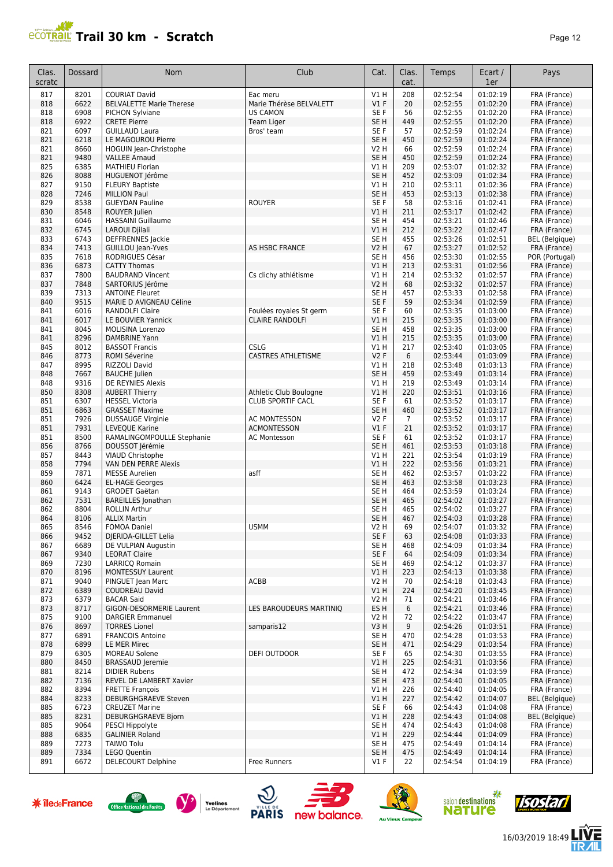## **PCOTRAIL Trail 30 km - Scratch Page 12**

| Clas.<br>scratc | Dossard      | Nom                                               | Club                      | Cat.                    | Clas.<br>cat.         | Temps                | Ecart /<br>1er       | Pays                                  |
|-----------------|--------------|---------------------------------------------------|---------------------------|-------------------------|-----------------------|----------------------|----------------------|---------------------------------------|
| 817             | 8201         | <b>COURIAT David</b>                              | Eac meru                  | V1H                     | 208                   | 02:52:54             | 01:02:19             | FRA (France)                          |
| 818             | 6622         | <b>BELVALETTE Marie Therese</b>                   | Marie Thérèse BELVALETT   | $VI$ F                  | 20                    | 02:52:55             | 01:02:20             | FRA (France)                          |
| 818             | 6908         | PICHON Sylviane                                   | <b>US CAMON</b>           | SE F                    | 56                    | 02:52:55             | 01:02:20             | FRA (France)                          |
| 818             | 6922         | <b>CRETE Pierre</b>                               | Team Liger                | SE <sub>H</sub>         | 449                   | 02:52:55             | 01:02:20             | FRA (France)                          |
| 821<br>821      | 6097<br>6218 | <b>GUILLAUD Laura</b><br>LE MAGOUROU Pierre       | Bros' team                | SE F<br>SE <sub>H</sub> | 57<br>450             | 02:52:59<br>02:52:59 | 01:02:24<br>01:02:24 | FRA (France)<br>FRA (France)          |
| 821             | 8660         | HOGUIN Jean-Christophe                            |                           | V2 H                    | 66                    | 02:52:59             | 01:02:24             | FRA (France)                          |
| 821             | 9480         | <b>VALLEE Arnaud</b>                              |                           | SE <sub>H</sub>         | 450                   | 02:52:59             | 01:02:24             | FRA (France)                          |
| 825             | 6385         | <b>MATHIEU Florian</b>                            |                           | V1 H                    | 209                   | 02:53:07             | 01:02:32             | FRA (France)                          |
| 826             | 8088         | HUGUENOT Jérôme                                   |                           | SE <sub>H</sub>         | 452                   | 02:53:09             | 01:02:34             | FRA (France)                          |
| 827             | 9150         | <b>FLEURY Baptiste</b>                            |                           | V1 H                    | 210                   | 02:53:11             | 01:02:36             | FRA (France)                          |
| 828             | 7246         | <b>MILLION Paul</b>                               |                           | SE <sub>H</sub>         | 453                   | 02:53:13             | 01:02:38             | FRA (France)                          |
| 829             | 8538         | <b>GUEYDAN Pauline</b>                            | <b>ROUYER</b>             | SE F                    | 58                    | 02:53:16             | 01:02:41             | FRA (France)                          |
| 830             | 8548         | ROUYER Julien                                     |                           | V1H                     | 211                   | 02:53:17             | 01:02:42             | FRA (France)                          |
| 831             | 6046         | <b>HASSAINI Guillaume</b>                         |                           | SE <sub>H</sub>         | 454                   | 02:53:21             | 01:02:46             | FRA (France)                          |
| 832<br>833      | 6745<br>6743 | LAROUI Djilali<br><b>DEFFRENNES</b> Jackie        |                           | V1H<br>SE <sub>H</sub>  | 212<br>455            | 02:53:22<br>02:53:26 | 01:02:47<br>01:02:51 | FRA (France)<br><b>BEL</b> (Belgique) |
| 834             | 7413         | <b>GUILLOU Jean-Yves</b>                          | <b>AS HSBC FRANCE</b>     | <b>V2 H</b>             | 67                    | 02:53:27             | 01:02:52             | FRA (France)                          |
| 835             | 7618         | RODRIGUES César                                   |                           | SE <sub>H</sub>         | 456                   | 02:53:30             | 01:02:55             | POR (Portugal)                        |
| 836             | 6873         | <b>CATTY Thomas</b>                               |                           | VIH                     | 213                   | 02:53:31             | 01:02:56             | FRA (France)                          |
| 837             | 7800         | <b>BAUDRAND Vincent</b>                           | Cs clichy athlétisme      | V1 H                    | 214                   | 02:53:32             | 01:02:57             | FRA (France)                          |
| 837             | 7848         | SARTORIUS Jérôme                                  |                           | V2 H                    | 68                    | 02:53:32             | 01:02:57             | FRA (France)                          |
| 839             | 7313         | <b>ANTOINE Fleuret</b>                            |                           | SE <sub>H</sub>         | 457                   | 02:53:33             | 01:02:58             | FRA (France)                          |
| 840             | 9515         | MARIE D AVIGNEAU Céline                           |                           | SE F                    | 59                    | 02:53:34             | 01:02:59             | FRA (France)                          |
| 841             | 6016         | <b>RANDOLFI Claire</b>                            | Foulées royales St germ   | SE F                    | 60                    | 02:53:35             | 01:03:00             | FRA (France)                          |
| 841<br>841      | 6017<br>8045 | LE BOUVIER Yannick<br><b>MOLISINA Lorenzo</b>     | <b>CLAIRE RANDOLFI</b>    | V1H<br>SE H             | 215<br>458            | 02:53:35<br>02:53:35 | 01:03:00<br>01:03:00 | FRA (France)                          |
| 841             | 8296         | <b>DAMBRINE Yann</b>                              |                           | V1H                     | 215                   | 02:53:35             | 01:03:00             | FRA (France)<br>FRA (France)          |
| 845             | 8012         | <b>BASSOT Francis</b>                             | <b>CSLG</b>               | V1 H                    | 217                   | 02:53:40             | 01:03:05             | FRA (France)                          |
| 846             | 8773         | ROMI Séverine                                     | <b>CASTRES ATHLETISME</b> | V2F                     | 6                     | 02:53:44             | 01:03:09             | FRA (France)                          |
| 847             | 8995         | RIZZOLI David                                     |                           | V1H                     | 218                   | 02:53:48             | 01:03:13             | FRA (France)                          |
| 848             | 7667         | <b>BAUCHE</b> Julien                              |                           | SE <sub>H</sub>         | 459                   | 02:53:49             | 01:03:14             | FRA (France)                          |
| 848             | 9316         | DE REYNIES Alexis                                 |                           | V1H                     | 219                   | 02:53:49             | 01:03:14             | FRA (France)                          |
| 850             | 8308         | <b>AUBERT Thierry</b>                             | Athletic Club Boulogne    | VIH                     | 220                   | 02:53:51             | 01:03:16             | FRA (France)                          |
| 851             | 6307         | <b>HESSEL Victoria</b>                            | <b>CLUB SPORTIF CACL</b>  | SE F                    | 61                    | 02:53:52             | 01:03:17             | FRA (France)                          |
| 851<br>851      | 6863<br>7926 | <b>GRASSET Maxime</b>                             | <b>AC MONTESSON</b>       | SE <sub>H</sub><br>V2F  | 460<br>$\overline{7}$ | 02:53:52<br>02:53:52 | 01:03:17<br>01:03:17 | FRA (France)                          |
| 851             | 7931         | <b>DUSSAUGE Virginie</b><br>LEVEQUE Karine        | <b>ACMONTESSON</b>        | V1F                     | 21                    | 02:53:52             | 01:03:17             | FRA (France)<br>FRA (France)          |
| 851             | 8500         | RAMALINGOMPOULLE Stephanie                        | <b>AC Montesson</b>       | SE F                    | 61                    | 02:53:52             | 01:03:17             | FRA (France)                          |
| 856             | 8766         | DOUSSOT Jérémie                                   |                           | SE <sub>H</sub>         | 461                   | 02:53:53             | 01:03:18             | FRA (France)                          |
| 857             | 8443         | VIAUD Christophe                                  |                           | V1 H                    | 221                   | 02:53:54             | 01:03:19             | FRA (France)                          |
| 858             | 7794         | VAN DEN PERRE Alexis                              |                           | VIH                     | 222                   | 02:53:56             | 01:03:21             | FRA (France)                          |
| 859             | 7871         | <b>MESSE Aurelien</b>                             | asff                      | SE <sub>H</sub>         | 462                   | 02:53:57             | 01:03:22             | FRA (France)                          |
| 860             | 6424         | <b>EL-HAGE Georges</b>                            |                           | SE <sub>H</sub>         | 463                   | 02:53:58             | 01:03:23             | FRA (France)                          |
| 861<br>862      | 9143         | <b>GRODET Gaëtan</b>                              |                           | SE H<br>SE <sub>H</sub> | 464<br>465            | 02:53:59<br>02:54:02 | 01:03:24             | FRA (France)<br>FRA (France)          |
| 862             | 7531<br>8804 | <b>BAREILLES</b> Jonathan<br><b>ROLLIN Arthur</b> |                           | SE H                    | 465                   | 02:54:02             | 01:03:27<br>01:03:27 | FRA (France)                          |
| 864             | 8106         | <b>ALLIX Martin</b>                               |                           | SE H                    | 467                   | 02:54:03             | 01:03:28             | FRA (France)                          |
| 865             | 8546         | <b>FOMOA Daniel</b>                               | <b>USMM</b>               | V2 H                    | 69                    | 02:54:07             | 01:03:32             | FRA (France)                          |
| 866             | 9452         | DJERIDA-GILLET Lelia                              |                           | SE F                    | 63                    | 02:54:08             | 01:03:33             | FRA (France)                          |
| 867             | 6689         | DE VULPIAN Augustin                               |                           | SE <sub>H</sub>         | 468                   | 02:54:09             | 01:03:34             | FRA (France)                          |
| 867             | 9340         | <b>LEORAT Claire</b>                              |                           | SE F                    | 64                    | 02:54:09             | 01:03:34             | FRA (France)                          |
| 869             | 7230         | LARRICO Romain                                    |                           | SE H                    | 469                   | 02:54:12             | 01:03:37             | FRA (France)                          |
| 870<br>871      | 8196<br>9040 | <b>MONTESSUY Laurent</b><br>PINGUET Jean Marc     | ACBB                      | V1 H<br>V2 H            | 223<br>70             | 02:54:13<br>02:54:18 | 01:03:38<br>01:03:43 | FRA (France)<br>FRA (France)          |
| 872             | 6389         | <b>COUDREAU David</b>                             |                           | V1H                     | 224                   | 02:54:20             | 01:03:45             | FRA (France)                          |
| 873             | 6379         | <b>BACAR Said</b>                                 |                           | V2 H                    | 71                    | 02:54:21             | 01:03:46             | FRA (France)                          |
| 873             | 8717         | GIGON-DESORMERIE Laurent                          | LES BAROUDEURS MARTINIQ   | ES H                    | 6                     | 02:54:21             | 01:03:46             | FRA (France)                          |
| 875             | 9100         | <b>DARGIER Emmanuel</b>                           |                           | V2 H                    | 72                    | 02:54:22             | 01:03:47             | FRA (France)                          |
| 876             | 8697         | <b>TORRES Lionel</b>                              | samparis12                | V3H                     | 9                     | 02:54:26             | 01:03:51             | FRA (France)                          |
| 877             | 6891         | <b>FRANCOIS Antoine</b>                           |                           | SE H                    | 470                   | 02:54:28             | 01:03:53             | FRA (France)                          |
| 878             | 6899         | LE MER Mirec                                      |                           | SE <sub>H</sub>         | 471                   | 02:54:29             | 01:03:54             | FRA (France)                          |
| 879             | 6305         | <b>MOREAU Solene</b>                              | DEFI OUTDOOR              | SE F                    | 65                    | 02:54:30             | 01:03:55             | FRA (France)                          |
| 880<br>881      | 8450<br>8214 | <b>BRASSAUD Jeremie</b><br><b>DIDIER Rubens</b>   |                           | V1 H<br>SE H            | 225<br>472            | 02:54:31<br>02:54:34 | 01:03:56<br>01:03:59 | FRA (France)<br>FRA (France)          |
| 882             | 7136         | REVEL DE LAMBERT Xavier                           |                           | SE <sub>H</sub>         | 473                   | 02:54:40             | 01:04:05             | FRA (France)                          |
| 882             | 8394         | <b>FRETTE François</b>                            |                           | V1 H                    | 226                   | 02:54:40             | 01:04:05             | FRA (France)                          |
| 884             | 8233         | <b>DEBURGHGRAEVE Steven</b>                       |                           | V1 H                    | 227                   | 02:54:42             | 01:04:07             | BEL (Belgique)                        |
| 885             | 6723         | <b>CREUZET Marine</b>                             |                           | SE F                    | 66                    | 02:54:43             | 01:04:08             | FRA (France)                          |
| 885             | 8231         | DEBURGHGRAEVE Bjorn                               |                           | V1 H                    | 228                   | 02:54:43             | 01:04:08             | <b>BEL</b> (Belgique)                 |
| 885             | 9064         | PESCI Hippolyte                                   |                           | SE H                    | 474                   | 02:54:43             | 01:04:08             | FRA (France)                          |
| 888             | 6835         | <b>GALINIER Roland</b>                            |                           | V1 H                    | 229                   | 02:54:44             | 01:04:09             | FRA (France)                          |
| 889<br>889      | 7273<br>7334 | <b>TAIWO Tolu</b><br><b>LEGO Quentin</b>          |                           | SE H<br>SE H            | 475<br>475            | 02:54:49<br>02:54:49 | 01:04:14<br>01:04:14 | FRA (France)<br>FRA (France)          |
| 891             | 6672         | <b>DELECOURT Delphine</b>                         | Free Runners              | $VI$ F                  | 22                    | 02:54:54             | 01:04:19             | FRA (France)                          |
|                 |              |                                                   |                           |                         |                       |                      |                      |                                       |













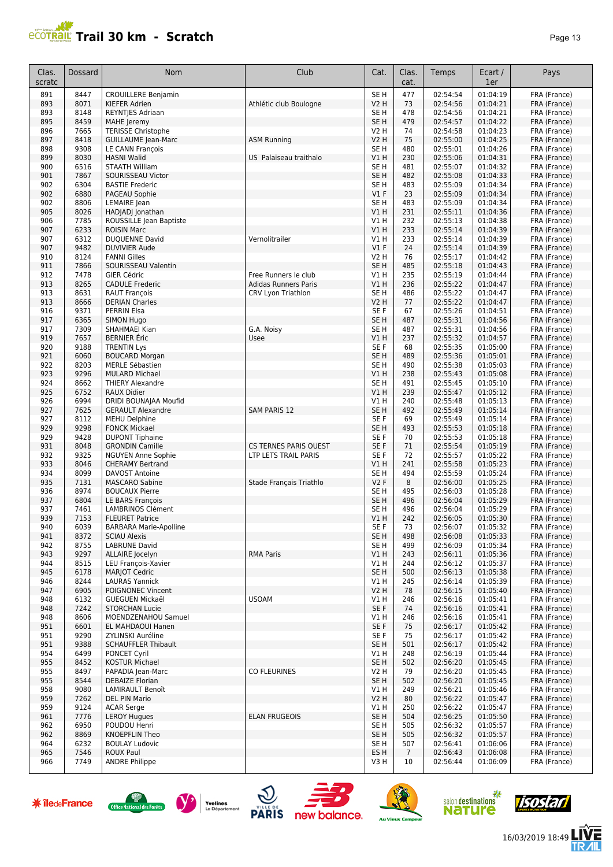| аае |  |  |
|-----|--|--|
|-----|--|--|

| Clas.<br>scratc | <b>Dossard</b> | Nom                                          | Club                                                 | Cat.                    | Clas.<br>cat.  | Temps                | Ecart /<br>1er       | Pays                         |
|-----------------|----------------|----------------------------------------------|------------------------------------------------------|-------------------------|----------------|----------------------|----------------------|------------------------------|
| 891             | 8447           | <b>CROUILLERE Benjamin</b>                   |                                                      | SE <sub>H</sub>         | 477            | 02:54:54             | 01:04:19             | FRA (France)                 |
| 893             | 8071           | KIEFER Adrien                                | Athlétic club Boulogne                               | <b>V2 H</b>             | 73             | 02:54:56             | 01:04:21             | FRA (France)                 |
| 893             | 8148           | REYNTJES Adriaan                             |                                                      | SE <sub>H</sub>         | 478            | 02:54:56             | 01:04:21             | FRA (France)                 |
| 895             | 8459           | <b>MAHE</b> Jeremy                           |                                                      | SE <sub>H</sub>         | 479            | 02:54:57             | 01:04:22             | FRA (France)                 |
| 896             | 7665           | <b>TERISSE Christophe</b>                    |                                                      | <b>V2 H</b>             | 74             | 02:54:58             | 01:04:23             | FRA (France)                 |
| 897             | 8418           | <b>GUILLAUME Jean-Marc</b>                   | <b>ASM Running</b>                                   | V2 H                    | 75             | 02:55:00             | 01:04:25             | FRA (France)                 |
| 898             | 9308           | LE CANN François                             |                                                      | SE <sub>H</sub>         | 480            | 02:55:01             | 01:04:26             | FRA (France)                 |
| 899             | 8030           | <b>HASNI Walid</b>                           | US Palaiseau traithalo                               | V1 H                    | 230            | 02:55:06             | 01:04:31             | FRA (France)                 |
| 900             | 6516           | <b>STAATH William</b>                        |                                                      | SE <sub>H</sub>         | 481            | 02:55:07             | 01:04:32             | FRA (France)                 |
| 901             | 7867           | SOURISSEAU Victor                            |                                                      | SE <sub>H</sub>         | 482            | 02:55:08             | 01:04:33             | FRA (France)                 |
| 902<br>902      | 6304<br>6880   | <b>BASTIE Frederic</b><br>PAGEAU Sophie      |                                                      | SE <sub>H</sub><br>V1F  | 483<br>23      | 02:55:09<br>02:55:09 | 01:04:34<br>01:04:34 | FRA (France)<br>FRA (France) |
| 902             | 8806           | LEMAIRE Jean                                 |                                                      | SE <sub>H</sub>         | 483            | 02:55:09             | 01:04:34             | FRA (France)                 |
| 905             | 8026           | HADJADJ Jonathan                             |                                                      | <b>V1 H</b>             | 231            | 02:55:11             | 01:04:36             | FRA (France)                 |
| 906             | 7785           | ROUSSILLE Jean Baptiste                      |                                                      | V1 H                    | 232            | 02:55:13             | 01:04:38             | FRA (France)                 |
| 907             | 6233           | <b>ROISIN Marc</b>                           |                                                      | V1H                     | 233            | 02:55:14             | 01:04:39             | FRA (France)                 |
| 907             | 6312           | DUQUENNE David                               | Vernolitrailer                                       | <b>V1 H</b>             | 233            | 02:55:14             | 01:04:39             | FRA (France)                 |
| 907             | 9482           | <b>DUVIVIER Aude</b>                         |                                                      | V1F                     | 24             | 02:55:14             | 01:04:39             | FRA (France)                 |
| 910             | 8124           | <b>FANNI Gilles</b>                          |                                                      | <b>V2 H</b>             | 76             | 02:55:17             | 01:04:42             | FRA (France)                 |
| 911             | 7866           | SOURISSEAU Valentin                          |                                                      | SE <sub>H</sub>         | 485            | 02:55:18             | 01:04:43             | FRA (France)                 |
| 912             | 7478           | <b>GIER Cédric</b>                           | Free Runners le club                                 | V1H                     | 235            | 02:55:19             | 01:04:44             | FRA (France)                 |
| 913             | 8265           | <b>CADULE Frederic</b>                       | <b>Adidas Runners Paris</b>                          | V1 H                    | 236            | 02:55:22             | 01:04:47             | FRA (France)                 |
| 913             | 8631           | <b>RAUT François</b>                         | CRV Lyon Triathlon                                   | SE <sub>H</sub>         | 486            | 02:55:22             | 01:04:47             | FRA (France)                 |
| 913             | 8666           | <b>DERIAN Charles</b>                        |                                                      | V2 H                    | 77             | 02:55:22             | 01:04:47             | FRA (France)                 |
| 916             | 9371           | <b>PERRIN Elsa</b>                           |                                                      | SE F                    | 67             | 02:55:26             | 01:04:51             | FRA (France)                 |
| 917             | 6365           | <b>SIMON Hugo</b>                            |                                                      | SE <sub>H</sub>         | 487            | 02:55:31             | 01:04:56             | FRA (France)                 |
| 917             | 7309           | SHAHMAEI Kian                                | G.A. Noisy                                           | SE H                    | 487            | 02:55:31             | 01:04:56             | FRA (France)                 |
| 919<br>920      | 7657<br>9188   | <b>BERNIER</b> Éric<br><b>TRENTIN Lys</b>    | Usee                                                 | V1H<br>SE F             | 237<br>68      | 02:55:32<br>02:55:35 | 01:04:57<br>01:05:00 | FRA (France)<br>FRA (France) |
| 921             | 6060           | <b>BOUCARD Morgan</b>                        |                                                      | SE <sub>H</sub>         | 489            | 02:55:36             | 01:05:01             | FRA (France)                 |
| 922             | 8203           | <b>MERLE Sébastien</b>                       |                                                      | SE <sub>H</sub>         | 490            | 02:55:38             | 01:05:03             | FRA (France)                 |
| 923             | 9296           | <b>MULARD Michael</b>                        |                                                      | V1 H                    | 238            | 02:55:43             | 01:05:08             | FRA (France)                 |
| 924             | 8662           | <b>THIERY Alexandre</b>                      |                                                      | SE <sub>H</sub>         | 491            | 02:55:45             | 01:05:10             | FRA (France)                 |
| 925             | 6752           | RAUX Didier                                  |                                                      | V1H                     | 239            | 02:55:47             | 01:05:12             | FRA (France)                 |
| 926             | 6994           | DRIDI BOUNAJAA Moufid                        |                                                      | V1H                     | 240            | 02:55:48             | 01:05:13             | FRA (France)                 |
| 927             | 7625           | <b>GERAULT Alexandre</b>                     | <b>SAM PARIS 12</b>                                  | SE <sub>H</sub>         | 492            | 02:55:49             | 01:05:14             | FRA (France)                 |
| 927             | 8112           | <b>MEHU Delphine</b>                         |                                                      | SE F                    | 69             | 02:55:49             | 01:05:14             | FRA (France)                 |
| 929             | 9298           | <b>FONCK Mickael</b>                         |                                                      | SE <sub>H</sub>         | 493            | 02:55:53             | 01:05:18             | FRA (France)                 |
| 929             | 9428           | <b>DUPONT Tiphaine</b>                       |                                                      | SE <sub>F</sub>         | 70             | 02:55:53             | 01:05:18             | FRA (France)                 |
| 931<br>932      | 8048<br>9325   | <b>GRONDIN Camille</b><br>NGUYEN Anne Sophie | <b>CS TERNES PARIS OUEST</b><br>LTP LETS TRAIL PARIS | SE F<br>SE <sub>F</sub> | 71<br>72       | 02:55:54<br>02:55:57 | 01:05:19<br>01:05:22 | FRA (France)<br>FRA (France) |
| 933             | 8046           | <b>CHERAMY Bertrand</b>                      |                                                      | V1H                     | 241            | 02:55:58             | 01:05:23             | FRA (France)                 |
| 934             | 8099           | <b>DAVOST Antoine</b>                        |                                                      | SE <sub>H</sub>         | 494            | 02:55:59             | 01:05:24             | FRA (France)                 |
| 935             | 7131           | <b>MASCARO Sabine</b>                        | Stade Français Triathlo                              | V2F                     | 8              | 02:56:00             | 01:05:25             | FRA (France)                 |
| 936             | 8974           | <b>BOUCAUX Pierre</b>                        |                                                      | SE <sub>H</sub>         | 495            | 02:56:03             | 01:05:28             | FRA (France)                 |
| 937             | 6804           | LE BARS François                             |                                                      | SE <sub>H</sub>         | 496            | 02:56:04             | 01:05:29             | FRA (France)                 |
| 937             | 7461           | <b>LAMBRINOS Clément</b>                     |                                                      | SE <sub>H</sub>         | 496            | 02:56:04             | 01:05:29             | FRA (France)                 |
| 939             | 7153           | <b>FLEURET Patrice</b>                       |                                                      | <b>V1 H</b>             | 242            | 02:56:05             | 01:05:30             | FRA (France)                 |
| 940             | 6039           | <b>BARBARA Marie-Apolline</b>                |                                                      | SE F                    | 73             | 02:56:07             | 01:05:32             | FRA (France)                 |
| 941             | 8372           | <b>SCIAU Alexis</b>                          |                                                      | SE <sub>H</sub>         | 498            | 02:56:08             | 01:05:33             | FRA (France)                 |
| 942             | 8755           | <b>LABRUNE David</b>                         |                                                      | SE H                    | 499            | 02:56:09             | 01:05:34             | FRA (France)                 |
| 943             | 9297           | ALLAIRE Jocelyn<br>LEU François-Xavier       | <b>RMA Paris</b>                                     | V1H                     | 243            | 02:56:11             | 01:05:36             | FRA (France)                 |
| 944<br>945      | 8515<br>6178   | <b>MARJOT Cedric</b>                         |                                                      | V1 H<br>SE <sub>H</sub> | 244<br>500     | 02:56:12<br>02:56:13 | 01:05:37<br>01:05:38 | FRA (France)<br>FRA (France) |
| 946             | 8244           | <b>LAURAS Yannick</b>                        |                                                      | V1H                     | 245            | 02:56:14             | 01:05:39             | FRA (France)                 |
| 947             | 6905           | POIGNONEC Vincent                            |                                                      | <b>V2 H</b>             | 78             | 02:56:15             | 01:05:40             | FRA (France)                 |
| 948             | 6132           | <b>GUEGUEN Mickaël</b>                       | <b>USOAM</b>                                         | V1 H                    | 246            | 02:56:16             | 01:05:41             | FRA (France)                 |
| 948             | 7242           | <b>STORCHAN Lucie</b>                        |                                                      | SE F                    | 74             | 02:56:16             | 01:05:41             | FRA (France)                 |
| 948             | 8606           | MOENDZENAHOU Samuel                          |                                                      | V1 H                    | 246            | 02:56:16             | 01:05:41             | FRA (France)                 |
| 951             | 6601           | <b>EL MAHDAOUI Hanen</b>                     |                                                      | SE F                    | 75             | 02:56:17             | 01:05:42             | FRA (France)                 |
| 951             | 9290           | ZYLINSKI Auréline                            |                                                      | SE F                    | 75             | 02:56:17             | 01:05:42             | FRA (France)                 |
| 951             | 9388           | <b>SCHAUFFLER Thibault</b>                   |                                                      | SE H                    | 501            | 02:56:17             | 01:05:42             | FRA (France)                 |
| 954             | 6499           | PONCET Cyril                                 |                                                      | V1 H                    | 248            | 02:56:19             | 01:05:44             | FRA (France)                 |
| 955             | 8452           | <b>KOSTUR Michael</b>                        |                                                      | SE H                    | 502            | 02:56:20             | 01:05:45             | FRA (France)                 |
| 955             | 8497           | PAPADIA Jean-Marc                            | <b>CO FLEURINES</b>                                  | V2 H                    | 79             | 02:56:20             | 01:05:45             | FRA (France)                 |
| 955<br>958      | 8544<br>9080   | <b>DEBAIZE Florian</b><br>LAMIRAULT Benoît   |                                                      | SE <sub>H</sub><br>VIH  | 502<br>249     | 02:56:20             | 01:05:45<br>01:05:46 | FRA (France)                 |
| 959             | 7262           | <b>DEL PIN Mario</b>                         |                                                      | <b>V2 H</b>             | 80             | 02:56:21<br>02:56:22 | 01:05:47             | FRA (France)<br>FRA (France) |
| 959             | 9124           | <b>ACAR Serge</b>                            |                                                      | V1 H                    | 250            | 02:56:22             | 01:05:47             | FRA (France)                 |
| 961             | 7776           | <b>LEROY Hugues</b>                          | <b>ELAN FRUGEOIS</b>                                 | SE H                    | 504            | 02:56:25             | 01:05:50             | FRA (France)                 |
| 962             | 6950           | POUDOU Henri                                 |                                                      | SE H                    | 505            | 02:56:32             | 01:05:57             | FRA (France)                 |
| 962             | 8869           | KNOEPFLIN Theo                               |                                                      | SE <sub>H</sub>         | 505            | 02:56:32             | 01:05:57             | FRA (France)                 |
| 964             | 6232           | <b>BOULAY Ludovic</b>                        |                                                      | SE H                    | 507            | 02:56:41             | 01:06:06             | FRA (France)                 |
| 965             | 7546           | <b>ROUX Paul</b>                             |                                                      | ES <sub>H</sub>         | $\overline{7}$ | 02:56:43             | 01:06:08             | FRA (France)                 |
| 966             | 7749           | <b>ANDRE Philippe</b>                        |                                                      | V3 H                    | 10             | 02:56:44             | 01:06:09             | FRA (France)                 |













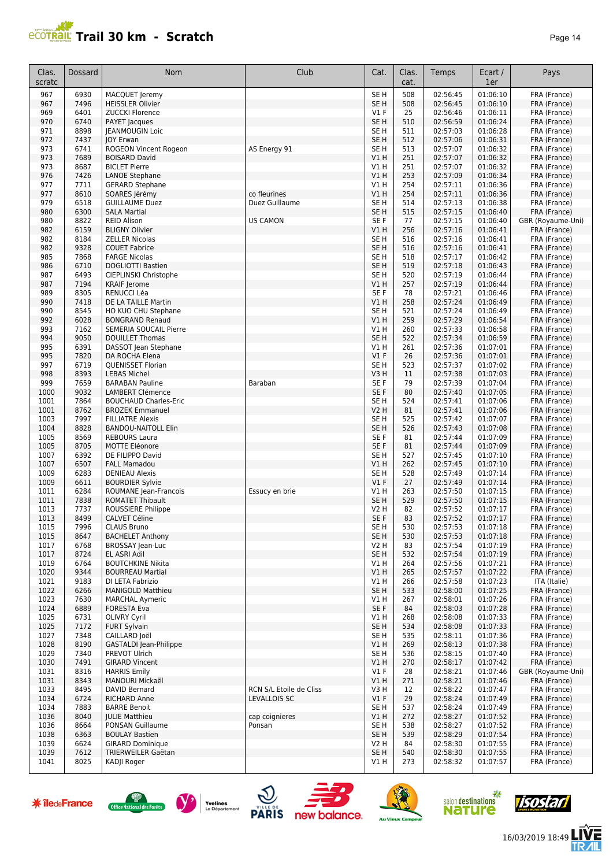

| Clas.<br>scratc | Dossard      | Nom                                               | Club                                    | Cat.                               | Clas.<br>cat. | Temps                | Ecart /<br>1er       | Pays                         |
|-----------------|--------------|---------------------------------------------------|-----------------------------------------|------------------------------------|---------------|----------------------|----------------------|------------------------------|
| 967             | 6930         | MACQUET Jeremy                                    |                                         | SE <sub>H</sub>                    | 508           | 02:56:45             | 01:06:10             | FRA (France)                 |
| 967             | 7496         | <b>HEISSLER Olivier</b>                           |                                         | SE <sub>H</sub>                    | 508           | 02:56:45             | 01:06:10             | FRA (France)                 |
| 969             | 6401         | <b>ZUCCKI Florence</b>                            |                                         | $VI$ F                             | 25            | 02:56:46             | 01:06:11             | FRA (France)                 |
| 970             | 6740         | PAYET Jacques                                     |                                         | SE <sub>H</sub>                    | 510           | 02:56:59             | 01:06:24             | FRA (France)                 |
| 971             | 8898         | JEANMOUGIN Loic                                   |                                         | SE <sub>H</sub>                    | 511           | 02:57:03             | 01:06:28             | FRA (France)                 |
| 972<br>973      | 7437<br>6741 | <b>JOY Erwan</b><br>ROGEON Vincent Rogeon         | AS Energy 91                            | SE <sub>H</sub><br>SE <sub>H</sub> | 512<br>513    | 02:57:06<br>02:57:07 | 01:06:31<br>01:06:32 | FRA (France)                 |
| 973             | 7689         | <b>BOISARD David</b>                              |                                         | VIH                                | 251           | 02:57:07             | 01:06:32             | FRA (France)<br>FRA (France) |
| 973             | 8687         | <b>BICLET Pierre</b>                              |                                         | V1 H                               | 251           | 02:57:07             | 01:06:32             | FRA (France)                 |
| 976             | 7426         | <b>LANOE Stephane</b>                             |                                         | V1H                                | 253           | 02:57:09             | 01:06:34             | FRA (France)                 |
| 977             | 7711         | <b>GERARD Stephane</b>                            |                                         | <b>V1 H</b>                        | 254           | 02:57:11             | 01:06:36             | FRA (France)                 |
| 977             | 8610         | SOARES Jérémy                                     | co fleurines                            | V1H                                | 254           | 02:57:11             | 01:06:36             | FRA (France)                 |
| 979             | 6518         | <b>GUILLAUME Duez</b>                             | Duez Guillaume                          | SE <sub>H</sub>                    | 514           | 02:57:13             | 01:06:38             | FRA (France)                 |
| 980             | 6300         | <b>SALA Martial</b>                               |                                         | SE <sub>H</sub>                    | 515           | 02:57:15             | 01:06:40             | FRA (France)                 |
| 980             | 8822         | <b>REID Alison</b>                                | <b>US CAMON</b>                         | SE <sub>F</sub>                    | 77            | 02:57:15             | 01:06:40             | GBR (Royaume-Uni)            |
| 982             | 6159         | <b>BLIGNY Olivier</b>                             |                                         | V1 H                               | 256           | 02:57:16             | 01:06:41             | FRA (France)                 |
| 982             | 8184         | <b>ZELLER Nicolas</b>                             |                                         | SE <sub>H</sub>                    | 516           | 02:57:16             | 01:06:41             | FRA (France)                 |
| 982             | 9328         | <b>COUET Fabrice</b>                              |                                         | SE H                               | 516           | 02:57:16             | 01:06:41             | FRA (France)                 |
| 985             | 7868         | <b>FARGE Nicolas</b>                              |                                         | SE <sub>H</sub>                    | 518           | 02:57:17             | 01:06:42             | FRA (France)                 |
| 986<br>987      | 6710<br>6493 | <b>DOGLIOTTI Bastien</b><br>CIEPLINSKI Christophe |                                         | SE H<br>SE H                       | 519<br>520    | 02:57:18<br>02:57:19 | 01:06:43<br>01:06:44 | FRA (France)                 |
| 987             | 7194         | <b>KRAIF Jerome</b>                               |                                         | V1 H                               | 257           | 02:57:19             | 01:06:44             | FRA (France)<br>FRA (France) |
| 989             | 8305         | RENUCCI Léa                                       |                                         | SE F                               | 78            | 02:57:21             | 01:06:46             | FRA (France)                 |
| 990             | 7418         | DE LA TAILLE Martin                               |                                         | V1 H                               | 258           | 02:57:24             | 01:06:49             | FRA (France)                 |
| 990             | 8545         | HO KUO CHU Stephane                               |                                         | SE <sub>H</sub>                    | 521           | 02:57:24             | 01:06:49             | FRA (France)                 |
| 992             | 6028         | <b>BONGRAND Renaud</b>                            |                                         | V1 H                               | 259           | 02:57:29             | 01:06:54             | FRA (France)                 |
| 993             | 7162         | SEMERIA SOUCAIL Pierre                            |                                         | V1H                                | 260           | 02:57:33             | 01:06:58             | FRA (France)                 |
| 994             | 9050         | <b>DOUILLET Thomas</b>                            |                                         | SE <sub>H</sub>                    | 522           | 02:57:34             | 01:06:59             | FRA (France)                 |
| 995             | 6391         | DASSOT Jean Stephane                              |                                         | V1H                                | 261           | 02:57:36             | 01:07:01             | FRA (France)                 |
| 995             | 7820         | DA ROCHA Elena                                    |                                         | V1F                                | 26            | 02:57:36             | 01:07:01             | FRA (France)                 |
| 997             | 6719         | <b>QUENISSET Florian</b>                          |                                         | SE <sub>H</sub>                    | 523           | 02:57:37             | 01:07:02             | FRA (France)                 |
| 998             | 8393         | <b>LEBAS Michel</b>                               |                                         | V3 H                               | 11            | 02:57:38             | 01:07:03             | FRA (France)                 |
| 999             | 7659         | <b>BARABAN Pauline</b>                            | Baraban                                 | SE F                               | 79            | 02:57:39             | 01:07:04             | FRA (France)                 |
| 1000            | 9032         | <b>LAMBERT Clémence</b>                           |                                         | SE F                               | 80            | 02:57:40             | 01:07:05             | FRA (France)                 |
| 1001            | 7864         | <b>BOUCHAUD Charles-Eric</b>                      |                                         | SE <sub>H</sub>                    | 524           | 02:57:41             | 01:07:06             | FRA (France)                 |
| 1001<br>1003    | 8762<br>7997 | <b>BROZEK Emmanuel</b><br><b>FILLIATRE Alexis</b> |                                         | <b>V2 H</b><br>SE H                | 81<br>525     | 02:57:41<br>02:57:42 | 01:07:06<br>01:07:07 | FRA (France)<br>FRA (France) |
| 1004            | 8828         | <b>BANDOU-NAITOLL Elin</b>                        |                                         | SE <sub>H</sub>                    | 526           | 02:57:43             | 01:07:08             | FRA (France)                 |
| 1005            | 8569         | <b>REBOURS Laura</b>                              |                                         | SE <sub>F</sub>                    | 81            | 02:57:44             | 01:07:09             | FRA (France)                 |
| 1005            | 8705         | <b>MOTTE Eléonore</b>                             |                                         | SE F                               | 81            | 02:57:44             | 01:07:09             | FRA (France)                 |
| 1007            | 6392         | DE FILIPPO David                                  |                                         | SE <sub>H</sub>                    | 527           | 02:57:45             | 01:07:10             | FRA (France)                 |
| 1007            | 6507         | <b>FALL Mamadou</b>                               |                                         | V1H                                | 262           | 02:57:45             | 01:07:10             | FRA (France)                 |
| 1009            | 6283         | <b>DENIEAU Alexis</b>                             |                                         | SE <sub>H</sub>                    | 528           | 02:57:49             | 01:07:14             | FRA (France)                 |
| 1009            | 6611         | <b>BOURDIER Sylvie</b>                            |                                         | $VI$ F                             | 27            | 02:57:49             | 01:07:14             | FRA (France)                 |
| 1011            | 6284         | ROUMANE Jean-Francois                             | Essucy en brie                          | V1 H                               | 263           | 02:57:50             | 01:07:15             | FRA (France)                 |
| 1011            | 7838         | <b>ROMATET Thibault</b>                           |                                         | SE H                               | 529           | 02:57:50             | 01:07:15             | FRA (France)                 |
| 1013            | 7737         | ROUSSIERE Philippe                                |                                         | V2 H                               | 82            | 02:57:52             | 01:07:17             | FRA (France)                 |
| 1013            | 8499         | <b>CALVET Céline</b>                              |                                         | SE F                               | 83            | 02:57:52             | 01:07:17             | FRA (France)                 |
| 1015            | 7996         | CLAUS Bruno                                       |                                         | SE H                               | 530           | 02:57:53             | 01:07:18             | FRA (France)                 |
| 1015            | 8647         | <b>BACHELET Anthony</b>                           |                                         | SE H                               | 530           | 02:57:53             | 01:07:18             | FRA (France)                 |
| 1017<br>1017    | 6768<br>8724 | <b>BROSSAY Jean-Luc</b><br>EL ASRI Adil           |                                         | V2 H<br>SE H                       | 83<br>532     | 02:57:54<br>02:57:54 | 01:07:19<br>01:07:19 | FRA (France)<br>FRA (France) |
| 1019            | 6764         | <b>BOUTCHKINE Nikita</b>                          |                                         | V1 H                               | 264           | 02:57:56             | 01:07:21             | FRA (France)                 |
| 1020            | 9344         | <b>BOURREAU Martial</b>                           |                                         | V1H                                | 265           | 02:57:57             | 01:07:22             | FRA (France)                 |
| 1021            | 9183         | DI LETA Fabrizio                                  |                                         | V1H                                | 266           | 02:57:58             | 01:07:23             | ITA (Italie)                 |
| 1022            | 6266         | <b>MANIGOLD Matthieu</b>                          |                                         | SE H                               | 533           | 02:58:00             | 01:07:25             | FRA (France)                 |
| 1023            | 7630         | <b>MARCHAL Aymeric</b>                            |                                         | V1H                                | 267           | 02:58:01             | 01:07:26             | FRA (France)                 |
| 1024            | 6889         | <b>FORESTA Eva</b>                                |                                         | SE F                               | 84            | 02:58:03             | 01:07:28             | FRA (France)                 |
| 1025            | 6731         | <b>OLIVRY Cyril</b>                               |                                         | V1 H                               | 268           | 02:58:08             | 01:07:33             | FRA (France)                 |
| 1025            | 7172         | <b>FURT Sylvain</b>                               |                                         | SE <sub>H</sub>                    | 534           | 02:58:08             | 01:07:33             | FRA (France)                 |
| 1027            | 7348         | CAILLARD Joël                                     |                                         | SE H                               | 535           | 02:58:11             | 01:07:36             | FRA (France)                 |
| 1028            | 8190         | <b>GASTALDI</b> Jean-Philippe                     |                                         | V1 H                               | 269           | 02:58:13             | 01:07:38             | FRA (France)                 |
| 1029            | 7340         | PREVOT Ulrich                                     |                                         | SE H                               | 536           | 02:58:15             | 01:07:40             | FRA (France)                 |
| 1030            | 7491         | <b>GIRARD Vincent</b>                             |                                         | V1H                                | 270           | 02:58:17             | 01:07:42             | FRA (France)                 |
| 1031            | 8316         | <b>HARRIS Emily</b>                               |                                         | $VI$ F                             | 28            | 02:58:21             | 01:07:46             | GBR (Royaume-Uni)            |
| 1031            | 8343         | MANOURI Mickaël                                   |                                         | VIH                                | 271           | 02:58:21             | 01:07:46             | FRA (France)                 |
| 1033<br>1034    | 8495<br>6724 | DAVID Bernard<br><b>RICHARD Anne</b>              | RCN S/L Etoile de Cliss<br>LEVALLOIS SC | V3H<br>V1F                         | 12<br>29      | 02:58:22<br>02:58:24 | 01:07:47<br>01:07:49 | FRA (France)<br>FRA (France) |
| 1034            | 7883         | <b>BARRE Benoit</b>                               |                                         | SE H                               | 537           | 02:58:24             | 01:07:49             | FRA (France)                 |
| 1036            | 8040         | <b>JULIE Matthieu</b>                             | cap coignieres                          | V1H                                | 272           | 02:58:27             | 01:07:52             | FRA (France)                 |
| 1036            | 8664         | PONSAN Guillaume                                  | Ponsan                                  | SE H                               | 538           | 02:58:27             | 01:07:52             | FRA (France)                 |
| 1038            | 6363         | <b>BOULAY Bastien</b>                             |                                         | SE H                               | 539           | 02:58:29             | 01:07:54             | FRA (France)                 |
| 1039            | 6624         | <b>GIRARD Dominique</b>                           |                                         | <b>V2 H</b>                        | 84            | 02:58:30             | 01:07:55             | FRA (France)                 |
| 1039            | 7612         | TRIERWEILER Gaëtan                                |                                         | SE <sub>H</sub>                    | 540           | 02:58:30             | 01:07:55             | FRA (France)                 |
| 1041            | 8025         | KADJI Roger                                       |                                         | V1 H                               | 273           | 02:58:32             | 01:07:57             | FRA (France)                 |













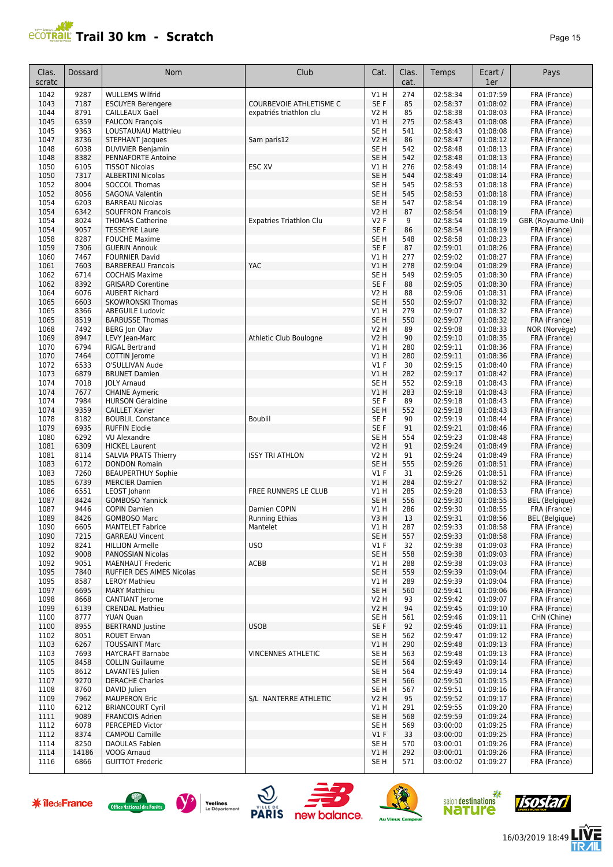| ade |  |
|-----|--|
|-----|--|

| Clas.<br>scratc      | Dossard      | Nom                                                             | Club                              | Cat.                               | Clas.<br>cat.           | Temps                        | Ecart /<br>1er       | Pays                                  |
|----------------------|--------------|-----------------------------------------------------------------|-----------------------------------|------------------------------------|-------------------------|------------------------------|----------------------|---------------------------------------|
| 1042                 | 9287         | <b>WULLEMS Wilfrid</b>                                          |                                   | <b>V1 H</b>                        | 274                     | 02:58:34                     | 01:07:59             | FRA (France)                          |
| 1043                 | 7187         | <b>ESCUYER Berengere</b>                                        | <b>COURBEVOIE ATHLETISME C</b>    | SE F                               | 85                      | 02:58:37                     | 01:08:02             | FRA (France)                          |
| 1044                 | 8791         | CAILLEAUX Gaël                                                  | expatriés triathlon clu           | V2 H                               | 85                      | 02:58:38                     | 01:08:03             | FRA (France)                          |
| 1045                 | 6359         | <b>FAUCON François</b>                                          |                                   | <b>V1 H</b>                        | 275                     | 02:58:43                     | 01:08:08             | FRA (France)                          |
| 1045<br>1047         | 9363<br>8736 | LOUSTAUNAU Matthieu<br><b>STEPHANT Jacques</b>                  | Sam paris12                       | SE <sub>H</sub><br><b>V2 H</b>     | 541<br>86               | 02:58:43<br>02:58:47         | 01:08:08<br>01:08:12 | FRA (France)<br>FRA (France)          |
| 1048                 | 6038         | <b>DUVIVIER Benjamin</b>                                        |                                   | SE <sub>H</sub>                    | 542                     | 02:58:48                     | 01:08:13             | FRA (France)                          |
| 1048                 | 8382         | PENNAFORTE Antoine                                              |                                   | SE <sub>H</sub>                    | 542                     | 02:58:48                     | 01:08:13             | FRA (France)                          |
| 1050                 | 6105         | <b>TISSOT Nicolas</b>                                           | ESC XV                            | V1 H                               | 276                     | 02:58:49                     | 01:08:14             | FRA (France)                          |
| 1050                 | 7317         | <b>ALBERTINI Nicolas</b>                                        |                                   | SE <sub>H</sub>                    | 544                     | 02:58:49                     | 01:08:14             | FRA (France)                          |
| 1052<br>1052         | 8004<br>8056 | <b>SOCCOL Thomas</b><br><b>SAGONA Valentin</b>                  |                                   | SE <sub>H</sub><br>SE <sub>H</sub> | 545<br>545              | 02:58:53<br>02:58:53         | 01:08:18<br>01:08:18 | FRA (France)<br>FRA (France)          |
| 1054                 | 6203         | <b>BARREAU Nicolas</b>                                          |                                   | SE <sub>H</sub>                    | 547                     | 02:58:54                     | 01:08:19             | FRA (France)                          |
| 1054                 | 6342         | <b>SOUFFRON Francois</b>                                        |                                   | V2 H                               | 87                      | 02:58:54                     | 01:08:19             | FRA (France)                          |
| 1054                 | 8024         | <b>THOMAS Catherine</b>                                         | <b>Expatries Triathlon Clu</b>    | V2 F                               | 9                       | 02:58:54                     | 01:08:19             | GBR (Royaume-Uni)                     |
| 1054                 | 9057         | <b>TESSEYRE Laure</b>                                           |                                   | SE F                               | 86                      | 02:58:54                     | 01:08:19             | FRA (France)                          |
| 1058                 | 8287         | <b>FOUCHE Maxime</b>                                            |                                   | SE <sub>H</sub>                    | 548                     | 02:58:58                     | 01:08:23             | FRA (France)                          |
| 1059                 | 7306<br>7467 | <b>GUERIN Annouk</b>                                            |                                   | SE F<br>V1H                        | 87                      | 02:59:01<br>02:59:02         | 01:08:26<br>01:08:27 | FRA (France)                          |
| 1060<br>1061         | 7603         | <b>FOURNIER David</b><br><b>BARBEREAU Francois</b>              | YAC                               | V1H                                | 277<br>278              | 02:59:04                     | 01:08:29             | FRA (France)<br>FRA (France)          |
| 1062                 | 6714         | <b>COCHAIS Maxime</b>                                           |                                   | SE <sub>H</sub>                    | 549                     | 02:59:05                     | 01:08:30             | FRA (France)                          |
| 1062                 | 8392         | <b>GRISARD Corentine</b>                                        |                                   | SE F                               | 88                      | 02:59:05                     | 01:08:30             | FRA (France)                          |
| 1064                 | 6076         | <b>AUBERT Richard</b>                                           |                                   | V2 H                               | 88                      | 02:59:06                     | 01:08:31             | FRA (France)                          |
| 1065                 | 6603         | <b>SKOWRONSKI Thomas</b>                                        |                                   | SE <sub>H</sub>                    | 550                     | 02:59:07                     | 01:08:32             | FRA (France)                          |
| 1065                 | 8366         | <b>ABEGUILE Ludovic</b>                                         |                                   | V1 H                               | 279                     | 02:59:07                     | 01:08:32             | FRA (France)                          |
| 1065<br>1068         | 8519<br>7492 | <b>BARBUSSE Thomas</b><br><b>BERG Jon Olav</b>                  |                                   | SE <sub>H</sub><br>V2 H            | 550<br>89               | 02:59:07<br>02:59:08         | 01:08:32<br>01:08:33 | FRA (France)<br>NOR (Norvège)         |
| 1069                 | 8947         | LEVY Jean-Marc                                                  | Athletic Club Boulogne            | V2 H                               | 90                      | 02:59:10                     | 01:08:35             | FRA (France)                          |
| 1070                 | 6794         | <b>RIGAL Bertrand</b>                                           |                                   | V1 H                               | 280                     | 02:59:11                     | 01:08:36             | FRA (France)                          |
| 1070                 | 7464         | <b>COTTIN</b> Jerome                                            |                                   | V1H                                | 280                     | 02:59:11                     | 01:08:36             | FRA (France)                          |
| 1072                 | 6533         | O'SULLIVAN Aude                                                 |                                   | $VI$ F                             | 30                      | 02:59:15                     | 01:08:40             | FRA (France)                          |
| 1073                 | 6879         | <b>BRUNET Damien</b>                                            |                                   | V1H                                | 282                     | 02:59:17                     | 01:08:42             | FRA (France)                          |
| 1074<br>1074         | 7018<br>7677 | <b>JOLY Arnaud</b><br><b>CHAINE Aymeric</b>                     |                                   | SE <sub>H</sub><br>V1H             | 552<br>283              | 02:59:18<br>02:59:18         | 01:08:43<br>01:08:43 | FRA (France)<br>FRA (France)          |
| 1074                 | 7984         | <b>HURSON Géraldine</b>                                         |                                   | SE F                               | 89                      | 02:59:18                     | 01:08:43             | FRA (France)                          |
| 1074                 | 9359         | <b>CAILLET Xavier</b>                                           |                                   | SE <sub>H</sub>                    | 552                     | 02:59:18                     | 01:08:43             | FRA (France)                          |
| 1078                 | 8182         | <b>BOUBLIL Constance</b>                                        | <b>Boublil</b>                    | SE F                               | 90                      | 02:59:19                     | 01:08:44             | FRA (France)                          |
| 1079                 | 6935         | <b>RUFFIN Elodie</b>                                            |                                   | SE F                               | 91                      | 02:59:21                     | 01:08:46             | FRA (France)                          |
| 1080                 | 6292         | <b>VU Alexandre</b>                                             |                                   | SE <sub>H</sub>                    | 554                     | 02:59:23                     | 01:08:48             | FRA (France)                          |
| 1081<br>1081         | 6309<br>8114 | <b>HICKEL Laurent</b>                                           | <b>ISSY TRI ATHLON</b>            | V2 H<br><b>V2 H</b>                | 91<br>91                | 02:59:24                     | 01:08:49<br>01:08:49 | FRA (France)                          |
| 1083                 | 6172         | <b>SALVIA PRATS Thierry</b><br><b>DONDON Romain</b>             |                                   | SE <sub>H</sub>                    | 555                     | 02:59:24<br>02:59:26         | 01:08:51             | FRA (France)<br>FRA (France)          |
| 1083                 | 7260         | <b>BEAUPERTHUY Sophie</b>                                       |                                   | $VI$ F                             | 31                      | 02:59:26                     | 01:08:51             | FRA (France)                          |
| 1085                 | 6739         | <b>MERCIER Damien</b>                                           |                                   | <b>V1 H</b>                        | 284                     | 02:59:27                     | 01:08:52             | FRA (France)                          |
| 1086                 | 6551         | LEOST Johann                                                    | FREE RUNNERS LE CLUB              | V1 H                               | 285                     | 02:59:28                     | 01:08:53             | FRA (France)                          |
| 1087                 | 8424         | <b>GOMBOSO Yannick</b>                                          |                                   | SE <sub>H</sub>                    | 556                     | 02:59:30                     | 01:08:55             | <b>BEL</b> (Belgique)                 |
| 1087<br>1089         | 9446<br>8426 | <b>COPIN Damien</b>                                             | Damien COPIN                      | V1 H                               | 286                     | 02:59:30                     | 01:08:55             | FRA (France)                          |
| 1090                 | 6605         | <b>GOMBOSO Marc</b><br><b>MANTELET Fabrice</b>                  | <b>Running Ethias</b><br>Mantelet | V3H<br>V1 H                        | 13<br>287               | 02:59:31<br>02:59:33         | 01:08:56<br>01:08:58 | <b>BEL</b> (Belgique)<br>FRA (France) |
| 1090                 | 7215         | <b>GARREAU Vincent</b>                                          |                                   | SE <sub>H</sub>                    | 557                     | 02:59:33                     | 01:08:58             | FRA (France)                          |
| 1092                 | 8241         | <b>HILLION Armelle</b>                                          | <b>USO</b>                        | $VI$ F                             | 32                      | 02:59:38                     | 01:09:03             | FRA (France)                          |
| 1092                 | 9008         | PANOSSIAN Nicolas                                               |                                   | SE <sub>H</sub>                    | 558                     | 02:59:38                     | 01:09:03             | FRA (France)                          |
| 1092                 | 9051         | <b>MAENHAUT Frederic</b>                                        | ACBB                              | V1 H                               | 288                     | 02:59:38                     | 01:09:03             | FRA (France)                          |
| 1095                 | 7840         | <b>RUFFIER DES AIMES Nicolas</b>                                |                                   | SE <sub>H</sub>                    | 559                     | 02:59:39                     | 01:09:04             | FRA (France)                          |
| 1095<br>1097         | 8587<br>6695 | <b>LEROY Mathieu</b><br><b>MARY Matthieu</b>                    |                                   | V1H<br>SE <sub>H</sub>             | 289<br>560              | 02:59:39<br>02:59:41         | 01:09:04<br>01:09:06 | FRA (France)<br>FRA (France)          |
| 1098                 | 8668         | CANTIANT Jerome                                                 |                                   | <b>V2 H</b>                        | 93                      | 02:59:42                     | 01:09:07             | FRA (France)                          |
| 1099                 | 6139         | <b>CRENDAL Mathieu</b>                                          |                                   | <b>V2 H</b>                        | 94                      | 02:59:45                     | 01:09:10             | FRA (France)                          |
| 1100                 | 8777         | <b>YUAN Quan</b>                                                |                                   | SE <sub>H</sub>                    | 561                     | 02:59:46                     | 01:09:11             | CHN (Chine)                           |
| 1100                 | 8955         | <b>BERTRAND Justine</b>                                         | <b>USOB</b>                       | SE F                               | 92                      | 02:59:46                     | 01:09:11             | FRA (France)                          |
| 1102                 | 8051         | <b>ROUET Erwan</b><br><b>TOUSSAINT Marc</b>                     |                                   | SE H                               | 562<br>290              | 02:59:47                     | 01:09:12<br>01:09:13 | FRA (France)                          |
| 1103<br>1103         | 6267<br>7693 | <b>HAYCRAFT Barnabe</b>                                         | <b>VINCENNES ATHLETIC</b>         | VIH<br>SE H                        | 563                     | 02:59:48<br>02:59:48         | 01:09:13             | FRA (France)<br>FRA (France)          |
| 1105                 | 8458         | <b>COLLIN Guillaume</b>                                         |                                   | SE <sub>H</sub>                    | 564                     | 02:59:49                     | 01:09:14             | FRA (France)                          |
| 1105                 | 8612         | <b>LAVANTES</b> Julien                                          |                                   | SE H                               | 564                     | 02:59:49                     | 01:09:14             | FRA (France)                          |
| 1107                 | 9270         | <b>DERACHE Charles</b>                                          |                                   | SE <sub>H</sub>                    | 566                     | 02:59:50                     | 01:09:15             | FRA (France)                          |
| 1108                 | 8760         | DAVID Julien                                                    |                                   | SE <sub>H</sub>                    | 567                     | 02:59:51                     | 01:09:16             | FRA (France)                          |
| 1109                 | 7962         | <b>MAUPERON Eric</b>                                            | S/L NANTERRE ATHLETIC             | <b>V2 H</b>                        | 95                      | 02:59:52                     | 01:09:17<br>01:09:20 | FRA (France)                          |
| 1110<br>1111         | 6212<br>9089 | <b>BRIANCOURT Cyril</b><br><b>FRANCOIS Adrien</b>               |                                   | V1 H<br>SE <sub>H</sub>            | 291<br>568              | 02:59:55<br>02:59:59         | 01:09:24             | FRA (France)<br>FRA (France)          |
| 1112                 | 6078         | PERCEPIED Victor                                                |                                   | SE <sub>H</sub>                    | 569                     | 03:00:00                     | 01:09:25             | FRA (France)                          |
| 1112                 | 8374         | <b>CAMPOLI Camille</b>                                          |                                   | $VI$ F                             | 33                      | 03:00:00                     | 01:09:25             | FRA (France)                          |
| 1114                 | 8250         | <b>DAOULAS Fabien</b>                                           |                                   | SE <sub>H</sub>                    | 570                     | 03:00:01                     | 01:09:26             | FRA (France)                          |
| 1114                 | 14186        | VOOG Arnaud                                                     |                                   | VIH                                | 292                     | 03:00:01                     | 01:09:26             | FRA (France)                          |
| 1116                 | 6866         | <b>GUITTOT Frederic</b>                                         |                                   | SE H                               | 571                     | 03:00:02                     | 01:09:27             | FRA (France)                          |
| <b>* îledeFrance</b> |              | Yvelines<br><b>Office National des Forêts</b><br>Le Département | <b>PARIS</b><br>new balance.      |                                    | <b>Au Vieux Campeur</b> | salon destinations<br>nature |                      | <b>Tisostar</b>                       |













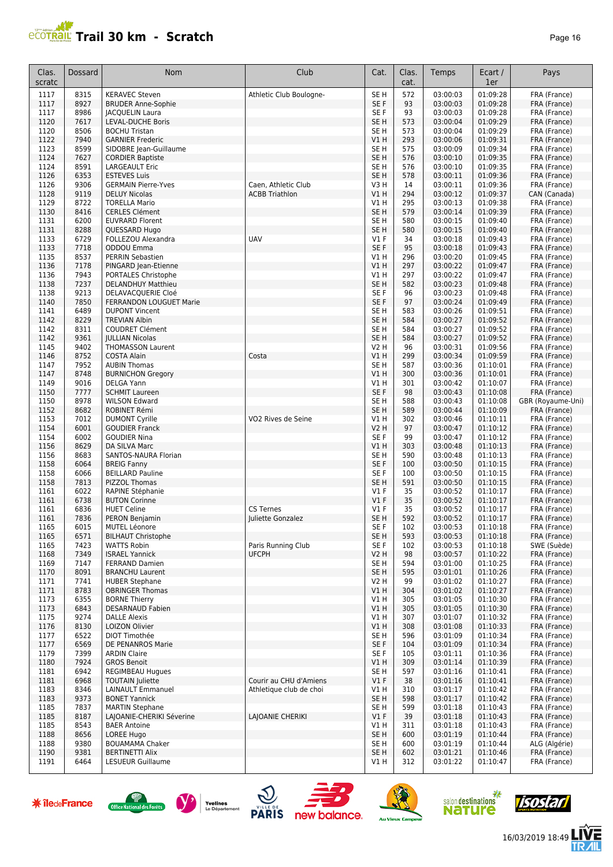| Clas.<br>scratc | Dossard      | <b>Nom</b>                                          | Club                                         | Cat.                               | Clas.<br>cat. | Temps                | Ecart /<br>1er       | Pays                         |
|-----------------|--------------|-----------------------------------------------------|----------------------------------------------|------------------------------------|---------------|----------------------|----------------------|------------------------------|
| 1117            | 8315         | <b>KERAVEC Steven</b>                               | Athletic Club Boulogne-                      | SE <sub>H</sub>                    | 572           | 03:00:03             | 01:09:28             | FRA (France)                 |
| 1117            | 8927         | <b>BRUDER Anne-Sophie</b>                           |                                              | SE F                               | 93            | 03:00:03             | 01:09:28             | FRA (France)                 |
| 1117            | 8986         | <b>JACQUELIN Laura</b>                              |                                              | SE F                               | 93            | 03:00:03             | 01:09:28             | FRA (France)                 |
| 1120            | 7617         | <b>LEVAL-DUCHE Boris</b>                            |                                              | SE <sub>H</sub>                    | 573           | 03:00:04             | 01:09:29<br>01:09:29 | FRA (France)                 |
| 1120<br>1122    | 8506<br>7940 | <b>BOCHU Tristan</b><br><b>GARNIER Frederic</b>     |                                              | SE <sub>H</sub><br>VIH             | 573<br>293    | 03:00:04<br>03:00:06 | 01:09:31             | FRA (France)<br>FRA (France) |
| 1123            | 8599         | SIDOBRE Jean-Guillaume                              |                                              | SE <sub>H</sub>                    | 575           | 03:00:09             | 01:09:34             | FRA (France)                 |
| 1124            | 7627         | <b>CORDIER Baptiste</b>                             |                                              | SE <sub>H</sub>                    | 576           | 03:00:10             | 01:09:35             | FRA (France)                 |
| 1124            | 8591         | <b>LARGEAULT Eric</b>                               |                                              | SE <sub>H</sub>                    | 576           | 03:00:10             | 01:09:35             | FRA (France)                 |
| 1126            | 6353         | <b>ESTEVES Luis</b>                                 |                                              | SE <sub>H</sub>                    | 578           | 03:00:11             | 01:09:36             | FRA (France)                 |
| 1126            | 9306<br>9119 | <b>GERMAIN Pierre-Yves</b>                          | Caen, Athletic Club<br><b>ACBB Triathlon</b> | V3H<br>V1H                         | 14<br>294     | 03:00:11<br>03:00:12 | 01:09:36<br>01:09:37 | FRA (France)<br>CAN (Canada) |
| 1128<br>1129    | 8722         | <b>DELUY Nicolas</b><br><b>TORELLA Mario</b>        |                                              | V1H                                | 295           | 03:00:13             | 01:09:38             | FRA (France)                 |
| 1130            | 8416         | <b>CERLES Clément</b>                               |                                              | SE <sub>H</sub>                    | 579           | 03:00:14             | 01:09:39             | FRA (France)                 |
| 1131            | 6200         | <b>EUVRARD Florent</b>                              |                                              | SE <sub>H</sub>                    | 580           | 03:00:15             | 01:09:40             | FRA (France)                 |
| 1131            | 8288         | QUESSARD Hugo                                       |                                              | SE <sub>H</sub>                    | 580           | 03:00:15             | 01:09:40             | FRA (France)                 |
| 1133            | 6729         | FOLLEZOU Alexandra                                  | <b>UAV</b>                                   | <b>V1 F</b>                        | 34            | 03:00:18             | 01:09:43             | FRA (France)                 |
| 1133            | 7718<br>8537 | ODDOU Emma<br>PERRIN Sebastien                      |                                              | SE F<br>V1H                        | 95<br>296     | 03:00:18<br>03:00:20 | 01:09:43<br>01:09:45 | FRA (France)                 |
| 1135<br>1136    | 7178         | PINGARD Jean-Etienne                                |                                              | V1H                                | 297           | 03:00:22             | 01:09:47             | FRA (France)<br>FRA (France) |
| 1136            | 7943         | PORTALES Christophe                                 |                                              | V1H                                | 297           | 03:00:22             | 01:09:47             | FRA (France)                 |
| 1138            | 7237         | <b>DELANDHUY Matthieu</b>                           |                                              | SE <sub>H</sub>                    | 582           | 03:00:23             | 01:09:48             | FRA (France)                 |
| 1138            | 9213         | DELAVACQUERIE Cloé                                  |                                              | SE <sub>F</sub>                    | 96            | 03:00:23             | 01:09:48             | FRA (France)                 |
| 1140            | 7850         | FERRANDON LOUGUET Marie                             |                                              | SE F                               | 97            | 03:00:24             | 01:09:49             | FRA (France)                 |
| 1141<br>1142    | 6489<br>8229 | <b>DUPONT Vincent</b>                               |                                              | SE <sub>H</sub><br>SE <sub>H</sub> | 583<br>584    | 03:00:26<br>03:00:27 | 01:09:51<br>01:09:52 | FRA (France)                 |
| 1142            | 8311         | <b>TREVIAN Albin</b><br><b>COUDRET Clément</b>      |                                              | SE <sub>H</sub>                    | 584           | 03:00:27             | 01:09:52             | FRA (France)<br>FRA (France) |
| 1142            | 9361         | <b>JULLIAN Nicolas</b>                              |                                              | SE <sub>H</sub>                    | 584           | 03:00:27             | 01:09:52             | FRA (France)                 |
| 1145            | 9402         | <b>THOMASSON Laurent</b>                            |                                              | V2 H                               | 96            | 03:00:31             | 01:09:56             | FRA (France)                 |
| 1146            | 8752         | <b>COSTA Alain</b>                                  | Costa                                        | VIH                                | 299           | 03:00:34             | 01:09:59             | FRA (France)                 |
| 1147            | 7952         | <b>AUBIN Thomas</b>                                 |                                              | SE <sub>H</sub>                    | 587           | 03:00:36             | 01:10:01             | FRA (France)                 |
| 1147            | 8748         | <b>BURNICHON Gregory</b>                            |                                              | V1H                                | 300           | 03:00:36             | 01:10:01             | FRA (France)                 |
| 1149<br>1150    | 9016<br>7777 | <b>DELGA Yann</b><br><b>SCHMIT Laureen</b>          |                                              | V1H<br>SE F                        | 301<br>98     | 03:00:42<br>03:00:43 | 01:10:07<br>01:10:08 | FRA (France)<br>FRA (France) |
| 1150            | 8978         | <b>WILSON Edward</b>                                |                                              | SE <sub>H</sub>                    | 588           | 03:00:43             | 01:10:08             | GBR (Royaume-Uni)            |
| 1152            | 8682         | ROBINET Rémi                                        |                                              | SE <sub>H</sub>                    | 589           | 03:00:44             | 01:10:09             | FRA (France)                 |
| 1153            | 7012         | <b>DUMONT Cyrille</b>                               | VO2 Rives de Seine                           | V1 H                               | 302           | 03:00:46             | 01:10:11             | FRA (France)                 |
| 1154            | 6001         | <b>GOUDIER Franck</b>                               |                                              | <b>V2 H</b>                        | 97            | 03:00:47             | 01:10:12             | FRA (France)                 |
| 1154            | 6002         | <b>GOUDIER Nina</b>                                 |                                              | SE F                               | 99            | 03:00:47             | 01:10:12             | FRA (France)                 |
| 1156<br>1156    | 8629<br>8683 | DA SILVA Marc<br>SANTOS-NAURA Florian               |                                              | VIH<br>SE <sub>H</sub>             | 303<br>590    | 03:00:48<br>03:00:48 | 01:10:13<br>01:10:13 | FRA (France)<br>FRA (France) |
| 1158            | 6064         | <b>BREIG Fanny</b>                                  |                                              | SE F                               | 100           | 03:00:50             | 01:10:15             | FRA (France)                 |
| 1158            | 6066         | <b>BEILLARD Pauline</b>                             |                                              | SE F                               | 100           | 03:00:50             | 01:10:15             | FRA (France)                 |
| 1158            | 7813         | PIZZOL Thomas                                       |                                              | SE <sub>H</sub>                    | 591           | 03:00:50             | 01:10:15             | FRA (France)                 |
| 1161            | 6022         | RAPINE Stéphanie                                    |                                              | $VI$ F                             | 35            | 03:00:52             | 01:10:17             | FRA (France)                 |
| 1161            | 6738         | <b>BUTON Corinne</b>                                |                                              | $VI$ F                             | 35            | 03:00:52             | 01:10:17             | FRA (France)                 |
| 1161<br>1161    | 6836<br>7836 | <b>HUET Celine</b><br><b>PERON Benjamin</b>         | <b>CS Ternes</b><br>Juliette Gonzalez        | <b>V1 F</b><br>SE H                | 35<br>592     | 03:00:52<br>03:00:52 | 01:10:17<br>01:10:17 | FRA (France)<br>FRA (France) |
| 1165            | 6015         | MUTEL Léonore                                       |                                              | SE F                               | 102           | 03:00:53             | 01:10:18             | FRA (France)                 |
| 1165            | 6571         | <b>BILHAUT Christophe</b>                           |                                              | SE <sub>H</sub>                    | 593           | 03:00:53             | 01:10:18             | FRA (France)                 |
| 1165            | 7423         | <b>WATTS Robin</b>                                  | Paris Running Club                           | SE F                               | 102           | 03:00:53             | 01:10:18             | SWE (Suède)                  |
| 1168            | 7349         | <b>ISRAEL Yannick</b>                               | <b>UFCPH</b>                                 | <b>V2 H</b>                        | 98            | 03:00:57             | 01:10:22             | FRA (France)                 |
| 1169            | 7147         | <b>FERRAND Damien</b>                               |                                              | SE H                               | 594           | 03:01:00             | 01:10:25             | FRA (France)                 |
| 1170<br>1171    | 8091<br>7741 | <b>BRANCHU Laurent</b><br><b>HUBER Stephane</b>     |                                              | SE <sub>H</sub><br>V2 H            | 595<br>99     | 03:01:01<br>03:01:02 | 01:10:26<br>01:10:27 | FRA (France)<br>FRA (France) |
| 1171            | 8783         | <b>OBRINGER Thomas</b>                              |                                              | V1 H                               | 304           | 03:01:02             | 01:10:27             | FRA (France)                 |
| 1173            | 6355         | <b>BORNE Thierry</b>                                |                                              | V1 H                               | 305           | 03:01:05             | 01:10:30             | FRA (France)                 |
| 1173            | 6843         | DESARNAUD Fabien                                    |                                              | VIH                                | 305           | 03:01:05             | 01:10:30             | FRA (France)                 |
| 1175            | 9274         | <b>DALLE Alexis</b>                                 |                                              | V1 H                               | 307           | 03:01:07             | 01:10:32             | FRA (France)                 |
| 1176            | 8130         | LOIZON Olivier                                      |                                              | V1H                                | 308           | 03:01:08             | 01:10:33             | FRA (France)                 |
| 1177            | 6522         | DIOT Timothée                                       |                                              | SE <sub>H</sub>                    | 596           | 03:01:09             | 01:10:34<br>01:10:34 | FRA (France)                 |
| 1177<br>1179    | 6569<br>7399 | DE PENANROS Marie<br><b>ARDIN Claire</b>            |                                              | SE F<br>SE F                       | 104<br>105    | 03:01:09<br>03:01:11 | 01:10:36             | FRA (France)<br>FRA (France) |
| 1180            | 7924         | <b>GROS Benoit</b>                                  |                                              | V1 H                               | 309           | 03:01:14             | 01:10:39             | FRA (France)                 |
| 1181            | 6942         | <b>REGIMBEAU Hugues</b>                             |                                              | SE <sub>H</sub>                    | 597           | 03:01:16             | 01:10:41             | FRA (France)                 |
| 1181            | 6968         | <b>TOUTAIN Juliette</b>                             | Courir au CHU d'Amiens                       | $VI$ F                             | 38            | 03:01:16             | 01:10:41             | FRA (France)                 |
| 1183            | 8346         | <b>LAINAULT Emmanuel</b>                            | Athletique club de choi                      | V1 H                               | 310           | 03:01:17             | 01:10:42             | FRA (France)                 |
| 1183            | 9373         | <b>BONET Yannick</b>                                |                                              | SE <sub>H</sub>                    | 598           | 03:01:17             | 01:10:42             | FRA (France)                 |
| 1185<br>1185    | 7837<br>8187 | <b>MARTIN Stephane</b><br>LAJOANIE-CHERIKI Séverine | LAJOANIE CHERIKI                             | SE <sub>H</sub><br>$VI$ F          | 599<br>39     | 03:01:18<br>03:01:18 | 01:10:43<br>01:10:43 | FRA (France)<br>FRA (France) |
| 1185            | 8543         | <b>BAER Antoine</b>                                 |                                              | V1 H                               | 311           | 03:01:18             | 01:10:43             | FRA (France)                 |
| 1188            | 8656         | LOREE Hugo                                          |                                              | SE <sub>H</sub>                    | 600           | 03:01:19             | 01:10:44             | FRA (France)                 |
| 1188            | 9380         | <b>BOUAMAMA Chaker</b>                              |                                              | SE <sub>H</sub>                    | 600           | 03:01:19             | 01:10:44             | ALG (Algérie)                |
| 1190            | 9381         | <b>BERTINETTI Alix</b>                              |                                              | SE <sub>H</sub>                    | 602           | 03:01:21             | 01:10:46             | FRA (France)                 |
| 1191            | 6464         | LESUEUR Guillaume                                   |                                              | V1 H                               | 312           | 03:01:22             | 01:10:47             | FRA (France)                 |















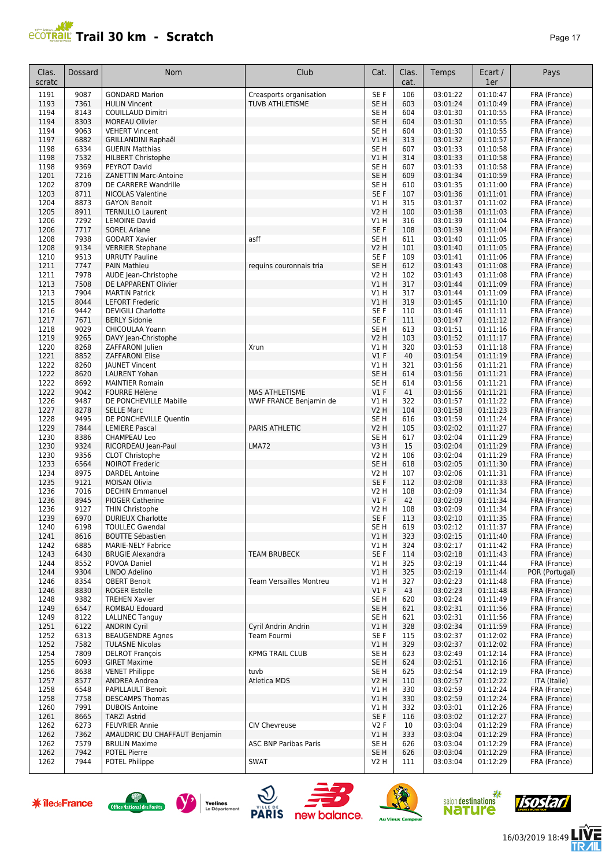| r<br>н |  |
|--------|--|
|--------|--|

| Clas.<br>scratc      | Dossard      | Nom                                                      | Club                         | Cat.                   | Clas.<br>cat.          | Temps                        | Ecart /<br>1er       | Pays                         |
|----------------------|--------------|----------------------------------------------------------|------------------------------|------------------------|------------------------|------------------------------|----------------------|------------------------------|
| 1191                 | 9087         | <b>GONDARD Marion</b>                                    | Creasports organisation      | SE F                   | 106                    | 03:01:22                     | 01:10:47             | FRA (France)                 |
| 1193                 | 7361         | <b>HULIN Vincent</b>                                     | TUVB ATHLETISME              | SE <sub>H</sub>        | 603                    | 03:01:24                     | 01:10:49             | FRA (France)                 |
| 1194                 | 8143         | COUILLAUD Dimitri                                        |                              | SE H                   | 604                    | 03:01:30                     | 01:10:55             | FRA (France)                 |
| 1194                 | 8303         | <b>MOREAU Olivier</b>                                    |                              | SE <sub>H</sub>        | 604                    | 03:01:30                     | 01:10:55             | FRA (France)                 |
| 1194<br>1197         | 9063<br>6882 | <b>VEHERT Vincent</b>                                    |                              | SE <sub>H</sub><br>VIH | 604<br>313             | 03:01:30<br>03:01:32         | 01:10:55<br>01:10:57 | FRA (France)<br>FRA (France) |
| 1198                 | 6334         | <b>GRILLANDINI Raphaël</b><br><b>GUERIN Matthias</b>     |                              | SE <sub>H</sub>        | 607                    | 03:01:33                     | 01:10:58             | FRA (France)                 |
| 1198                 | 7532         | <b>HILBERT Christophe</b>                                |                              | V1 H                   | 314                    | 03:01:33                     | 01:10:58             | FRA (France)                 |
| 1198                 | 9369         | <b>PEYROT David</b>                                      |                              | SE H                   | 607                    | 03:01:33                     | 01:10:58             | FRA (France)                 |
| 1201                 | 7216         | <b>ZANETTIN Marc-Antoine</b>                             |                              | SE <sub>H</sub>        | 609                    | 03:01:34                     | 01:10:59             | FRA (France)                 |
| 1202                 | 8709         | DE CARRERE Wandrille                                     |                              | SE H                   | 610                    | 03:01:35                     | 01:11:00             | FRA (France)                 |
| 1203                 | 8711         | <b>NICOLAS Valentine</b>                                 |                              | SE F                   | 107                    | 03:01:36                     | 01:11:01             | FRA (France)                 |
| 1204                 | 8873         | <b>GAYON Benoit</b>                                      |                              | V1H                    | 315                    | 03:01:37                     | 01:11:02             | FRA (France)                 |
| 1205                 | 8911         | <b>TERNULLO Laurent</b>                                  |                              | <b>V2 H</b>            | 100                    | 03:01:38                     | 01:11:03             | FRA (France)                 |
| 1206                 | 7292         | <b>LEMOINE David</b>                                     |                              | V1 H<br>SE F           | 316                    | 03:01:39                     | 01:11:04             | FRA (France)                 |
| 1206<br>1208         | 7717<br>7938 | <b>SOREL Ariane</b><br><b>GODART Xavier</b>              | asff                         | SE <sub>H</sub>        | 108<br>611             | 03:01:39<br>03:01:40         | 01:11:04<br>01:11:05 | FRA (France)<br>FRA (France) |
| 1208                 | 9134         | <b>VERRIER Stephane</b>                                  |                              | <b>V2 H</b>            | 101                    | 03:01:40                     | 01:11:05             | FRA (France)                 |
| 1210                 | 9513         | <b>URRUTY Pauline</b>                                    |                              | SE F                   | 109                    | 03:01:41                     | 01:11:06             | FRA (France)                 |
| 1211                 | 7747         | <b>PAIN Mathieu</b>                                      | reguins couronnais tria      | SE <sub>H</sub>        | 612                    | 03:01:43                     | 01:11:08             | FRA (France)                 |
| 1211                 | 7978         | AUDE Jean-Christophe                                     |                              | V2 H                   | 102                    | 03:01:43                     | 01:11:08             | FRA (France)                 |
| 1213                 | 7508         | DE LAPPARENT Olivier                                     |                              | V1 H                   | 317                    | 03:01:44                     | 01:11:09             | FRA (France)                 |
| 1213                 | 7904         | <b>MARTIN Patrick</b>                                    |                              | V1 H                   | 317                    | 03:01:44                     | 01:11:09             | FRA (France)                 |
| 1215                 | 8044         | <b>LEFORT Frederic</b>                                   |                              | V1 H                   | 319                    | 03:01:45                     | 01:11:10             | FRA (France)                 |
| 1216                 | 9442         | <b>DEVIGILI Charlotte</b>                                |                              | SE F                   | 110                    | 03:01:46                     | 01:11:11             | FRA (France)                 |
| 1217                 | 7671<br>9029 | <b>BERLY Sidonie</b>                                     |                              | SE F<br>SE H           | 111<br>613             | 03:01:47<br>03:01:51         | 01:11:12<br>01:11:16 | FRA (France)                 |
| 1218<br>1219         | 9265         | CHICOULAA Yoann<br>DAVY Jean-Christophe                  |                              | <b>V2 H</b>            | 103                    | 03:01:52                     | 01:11:17             | FRA (France)<br>FRA (France) |
| 1220                 | 8268         | ZAFFARONI Julien                                         | Xrun                         | V1 H                   | 320                    | 03:01:53                     | 01:11:18             | FRA (France)                 |
| 1221                 | 8852         | <b>ZAFFARONI Elise</b>                                   |                              | V1F                    | 40                     | 03:01:54                     | 01:11:19             | FRA (France)                 |
| 1222                 | 8260         | <b>JAUNET Vincent</b>                                    |                              | V1 H                   | 321                    | 03:01:56                     | 01:11:21             | FRA (France)                 |
| 1222                 | 8620         | <b>LAURENT Yohan</b>                                     |                              | SE <sub>H</sub>        | 614                    | 03:01:56                     | 01:11:21             | FRA (France)                 |
| 1222                 | 8692         | <b>MAINTIER Romain</b>                                   |                              | SE H                   | 614                    | 03:01:56                     | 01:11:21             | FRA (France)                 |
| 1222                 | 9042         | <b>FOURRE Hélène</b>                                     | MAS ATHLETISME               | $VI$ F                 | 41                     | 03:01:56                     | 01:11:21             | FRA (France)                 |
| 1226                 | 9487         | DE PONCHEVILLE Mabille                                   | WWF FRANCE Benjamin de       | V1 H                   | 322                    | 03:01:57                     | 01:11:22             | FRA (France)                 |
| 1227                 | 8278         | <b>SELLE Marc</b>                                        |                              | V2 H                   | 104                    | 03:01:58                     | 01:11:23             | FRA (France)                 |
| 1228<br>1229         | 9495<br>7844 | DE PONCHEVILLE Quentin<br><b>LEMIERE Pascal</b>          | PARIS ATHLETIC               | SE H<br><b>V2 H</b>    | 616<br>105             | 03:01:59<br>03:02:02         | 01:11:24<br>01:11:27 | FRA (France)                 |
| 1230                 | 8386         | CHAMPEAU Leo                                             |                              | SE <sub>H</sub>        | 617                    | 03:02:04                     | 01:11:29             | FRA (France)<br>FRA (France) |
| 1230                 | 9324         | RICORDEAU Jean-Paul                                      | LMA72                        | V3H                    | 15                     | 03:02:04                     | 01:11:29             | FRA (France)                 |
| 1230                 | 9356         | <b>CLOT Christophe</b>                                   |                              | V2 H                   | 106                    | 03:02:04                     | 01:11:29             | FRA (France)                 |
| 1233                 | 6564         | <b>NOIROT Frederic</b>                                   |                              | SE <sub>H</sub>        | 618                    | 03:02:05                     | 01:11:30             | FRA (France)                 |
| 1234                 | 8975         | <b>DARDEL Antoine</b>                                    |                              | V2 H                   | 107                    | 03:02:06                     | 01:11:31             | FRA (France)                 |
| 1235                 | 9121         | <b>MOISAN Olivia</b>                                     |                              | SE F                   | 112                    | 03:02:08                     | 01:11:33             | FRA (France)                 |
| 1236                 | 7016         | <b>DECHIN Emmanuel</b>                                   |                              | V2 H                   | 108                    | 03:02:09                     | 01:11:34             | FRA (France)                 |
| 1236                 | 8945         | <b>PIOGER Catherine</b>                                  |                              | $VI$ F                 | 42                     | 03:02:09                     | 01:11:34             | FRA (France)                 |
| 1236                 | 9127         | THIN Christophe                                          |                              | V2 H                   | 108                    | 03:02:09                     | 01:11:34             | FRA (France)                 |
| 1239                 | 6970         | <b>DURIEUX Charlotte</b>                                 |                              | SE F                   | 113                    | 03:02:10                     | 01:11:35             | FRA (France)                 |
| 1240<br>1241         | 6198<br>8616 | <b>TOULLEC Gwendal</b><br><b>BOUTTE Sébastien</b>        |                              | SE H<br>VIH            | 619<br>323             | 03:02:12<br>03:02:15         | 01:11:37<br>01:11:40 | FRA (France)<br>FRA (France) |
| 1242                 | 6885         | <b>MARIE-NELY Fabrice</b>                                |                              | V1 H                   | 324                    | 03:02:17                     | 01:11:42             | FRA (France)                 |
| 1243                 | 6430         | <b>BRUGIE Alexandra</b>                                  | <b>TEAM BRUBECK</b>          | SE F                   | 114                    | 03:02:18                     | 01:11:43             | FRA (France)                 |
| 1244                 | 8552         | POVOA Daniel                                             |                              | V1H                    | 325                    | 03:02:19                     | 01:11:44             | FRA (France)                 |
| 1244                 | 9304         | LINDO Adelino                                            |                              | V1H                    | 325                    | 03:02:19                     | 01:11:44             | POR (Portugal)               |
| 1246                 | 8354         | <b>OBERT Benoit</b>                                      | Team Versailles Montreu      | V1H                    | 327                    | 03:02:23                     | 01:11:48             | FRA (France)                 |
| 1246                 | 8830         | <b>ROGER Estelle</b>                                     |                              | $VI$ F                 | 43                     | 03:02:23                     | 01:11:48             | FRA (France)                 |
| 1248                 | 9382         | <b>TREHEN Xavier</b><br><b>ROMBAU Edouard</b>            |                              | SE <sub>H</sub>        | 620                    | 03:02:24                     | 01:11:49             | FRA (France)                 |
| 1249<br>1249         | 6547<br>8122 | <b>LALLINEC Tanguy</b>                                   |                              | SE H<br>SE H           | 621<br>621             | 03:02:31<br>03:02:31         | 01:11:56<br>01:11:56 | FRA (France)<br>FRA (France) |
| 1251                 | 6122         | <b>ANDRIN Cyril</b>                                      | Cyril Andrin Andrin          | V1 H                   | 328                    | 03:02:34                     | 01:11:59             | FRA (France)                 |
| 1252                 | 6313         | <b>BEAUGENDRE Agnes</b>                                  | Team Fourmi                  | SE F                   | 115                    | 03:02:37                     | 01:12:02             | FRA (France)                 |
| 1252                 | 7582         | <b>TULASNE Nicolas</b>                                   |                              | V1 H                   | 329                    | 03:02:37                     | 01:12:02             | FRA (France)                 |
| 1254                 | 7809         | <b>DELROT François</b>                                   | <b>KPMG TRAIL CLUB</b>       | SE H                   | 623                    | 03:02:49                     | 01:12:14             | FRA (France)                 |
| 1255                 | 6093         | <b>GIRET Maxime</b>                                      |                              | SE <sub>H</sub>        | 624                    | 03:02:51                     | 01:12:16             | FRA (France)                 |
| 1256                 | 8638         | <b>VENET Philippe</b>                                    | tuvb                         | SE H                   | 625                    | 03:02:54                     | 01:12:19             | FRA (France)                 |
| 1257                 | 8577         | <b>ANDREA Andrea</b>                                     | Atletica MDS                 | V2 H                   | 110                    | 03:02:57                     | 01:12:22             | ITA (Italie)                 |
| 1258                 | 6548         | PAPILLAULT Benoit                                        |                              | V1 H                   | 330                    | 03:02:59                     | 01:12:24             | FRA (France)                 |
| 1258                 | 7758         | <b>DESCAMPS Thomas</b><br><b>DUBOIS Antoine</b>          |                              | VIH<br>V1 H            | 330<br>332             | 03:02:59                     | 01:12:24<br>01:12:26 | FRA (France)                 |
| 1260<br>1261         | 7991<br>8665 | <b>TARZI Astrid</b>                                      |                              | SE F                   | 116                    | 03:03:01<br>03:03:02         | 01:12:27             | FRA (France)<br>FRA (France) |
| 1262                 | 6273         | <b>FEUVRIER Annie</b>                                    | <b>CIV Chevreuse</b>         | V2F                    | 10                     | 03:03:04                     | 01:12:29             | FRA (France)                 |
| 1262                 | 7362         | AMAUDRIC DU CHAFFAUT Benjamin                            |                              | V1 H                   | 333                    | 03:03:04                     | 01:12:29             | FRA (France)                 |
| 1262                 | 7579         | <b>BRULIN Maxime</b>                                     | <b>ASC BNP Paribas Paris</b> | SE H                   | 626                    | 03:03:04                     | 01:12:29             | FRA (France)                 |
| 1262                 | 7942         | <b>POTEL Pierre</b>                                      |                              | SE <sub>H</sub>        | 626                    | 03:03:04                     | 01:12:29             | FRA (France)                 |
| 1262                 | 7944         | POTEL Philippe                                           | <b>SWAT</b>                  | V2 H                   | 111                    | 03:03:04                     | 01:12:29             | FRA (France)                 |
| <b>* îledeFrance</b> |              | Yvelines<br>Office National des Forêts<br>Le Département | <b>PARIS</b><br>new balance. |                        | <b>Au Vieux Campeu</b> | salon destinations<br>nature | 器                    | iisostan                     |
|                      |              |                                                          |                              |                        |                        |                              |                      |                              |















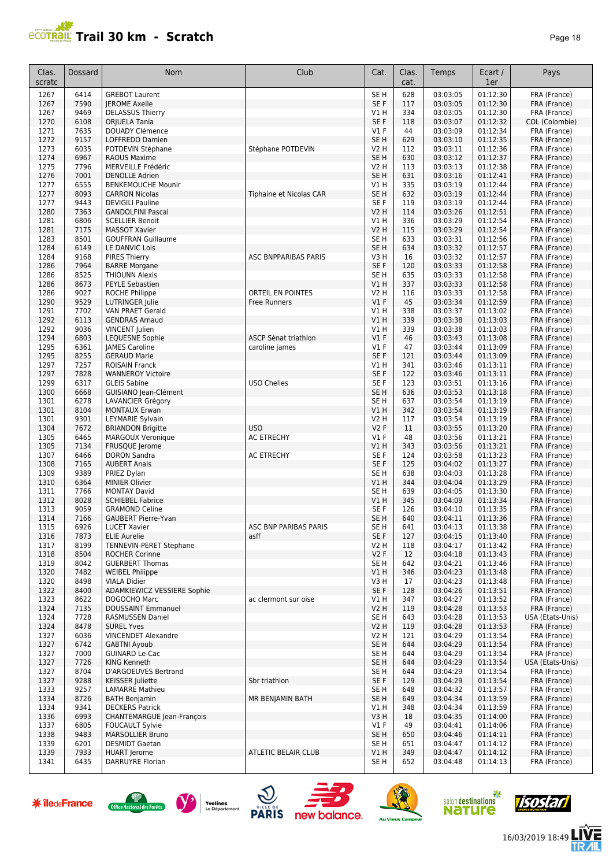#### **PCOTRAIL Trail 30 km - Scratch Page 18**

| Clas.<br>scratc | Dossard      | Nom                                                       | Club                           | Cat.                               | Clas.<br>cat. | Temps                | Ecart /<br>1er       | Pays                             |
|-----------------|--------------|-----------------------------------------------------------|--------------------------------|------------------------------------|---------------|----------------------|----------------------|----------------------------------|
| 1267            | 6414         | <b>GREBOT Laurent</b>                                     |                                | SE <sub>H</sub>                    | 628           | 03:03:05             | 01:12:30             | FRA (France)                     |
| 1267            | 7590         | <b>IEROME Axelle</b>                                      |                                | SE F                               | 117           | 03:03:05             | 01:12:30             | FRA (France)                     |
| 1267            | 9469         | <b>DELASSUS Thierry</b>                                   |                                | V1 H                               | 334           | 03:03:05             | 01:12:30             | FRA (France)                     |
| 1270<br>1271    | 6108<br>7635 | <b>ORIUELA Tania</b><br><b>DOUADY Clémence</b>            |                                | SE F<br>$VI$ F                     | 118<br>44     | 03:03:07<br>03:03:09 | 01:12:32<br>01:12:34 | COL (Colombie)<br>FRA (France)   |
| 1272            | 9157         | LOFFREDO Damien                                           |                                | SE <sub>H</sub>                    | 629           | 03:03:10             | 01:12:35             | FRA (France)                     |
| 1273            | 6035         | POTDEVIN Stéphane                                         | Stéphane POTDEVIN              | V2 H                               | 112           | 03:03:11             | 01:12:36             | FRA (France)                     |
| 1274            | 6967         | <b>RAOUS Maxime</b>                                       |                                | SE <sub>H</sub>                    | 630           | 03:03:12             | 01:12:37             | FRA (France)                     |
| 1275            | 7796         | MERVEILLE Frédéric                                        |                                | V2 H                               | 113           | 03:03:13             | 01:12:38             | FRA (France)                     |
| 1276            | 7001         | <b>DENOLLE Adrien</b>                                     |                                | SE <sub>H</sub>                    | 631           | 03:03:16             | 01:12:41             | FRA (France)                     |
| 1277<br>1277    | 6555<br>8093 | <b>BENKEMOUCHE Mounir</b><br><b>CARRON Nicolas</b>        | <b>Tiphaine et Nicolas CAR</b> | V1 H<br>SE <sub>H</sub>            | 335<br>632    | 03:03:19<br>03:03:19 | 01:12:44<br>01:12:44 | FRA (France)<br>FRA (France)     |
| 1277            | 9443         | <b>DEVIGILI Pauline</b>                                   |                                | SE <sub>F</sub>                    | 119           | 03:03:19             | 01:12:44             | FRA (France)                     |
| 1280            | 7363         | <b>GANDOLFINI Pascal</b>                                  |                                | V2 H                               | 114           | 03:03:26             | 01:12:51             | FRA (France)                     |
| 1281            | 6806         | <b>SCELLIER Benoit</b>                                    |                                | V1 H                               | 336           | 03:03:29             | 01:12:54             | FRA (France)                     |
| 1281            | 7175         | <b>MASSOT Xavier</b>                                      |                                | V <sub>2</sub> H                   | 115           | 03:03:29             | 01:12:54             | FRA (France)                     |
| 1283            | 8501         | <b>GOUFFRAN Guillaume</b>                                 |                                | SE H                               | 633           | 03:03:31             | 01:12:56             | FRA (France)                     |
| 1284<br>1284    | 6149<br>9168 | LE DANVIC Lois<br><b>PIRES Thierry</b>                    | <b>ASC BNPPARIBAS PARIS</b>    | SE <sub>H</sub><br>V3 H            | 634<br>16     | 03:03:32<br>03:03:32 | 01:12:57<br>01:12:57 | FRA (France)<br>FRA (France)     |
| 1286            | 7964         | <b>BARRE Morgane</b>                                      |                                | SE F                               | 120           | 03:03:33             | 01:12:58             | FRA (France)                     |
| 1286            | 8525         | <b>THIOUNN Alexis</b>                                     |                                | SE <sub>H</sub>                    | 635           | 03:03:33             | 01:12:58             | FRA (France)                     |
| 1286            | 8673         | <b>PEYLE Sebastien</b>                                    |                                | V1H                                | 337           | 03:03:33             | 01:12:58             | FRA (France)                     |
| 1286            | 9027         | ROCHE Philippe                                            | ORTEIL EN POINTES              | V2 H                               | 116           | 03:03:33             | 01:12:58             | FRA (France)                     |
| 1290            | 9529         | <b>LUTRINGER Julie</b>                                    | <b>Free Runners</b>            | $VI$ F                             | 45            | 03:03:34             | 01:12:59             | FRA (France)                     |
| 1291            | 7702         | VAN PRAET Gerald                                          |                                | V1 H                               | 338           | 03:03:37             | 01:13:02             | FRA (France)                     |
| 1292<br>1292    | 6113<br>9036 | <b>GENDRAS Arnaud</b><br><b>VINCENT</b> Julien            |                                | V1 H<br>V1 H                       | 339<br>339    | 03:03:38<br>03:03:38 | 01:13:03<br>01:13:03 | FRA (France)<br>FRA (France)     |
| 1294            | 6803         | <b>LEQUESNE Sophie</b>                                    | ASCP Senat triathlon           | V1F                                | 46            | 03:03:43             | 01:13:08             | FRA (France)                     |
| 1295            | 6361         | <b>JAMES Caroline</b>                                     | caroline james                 | $VI$ F                             | 47            | 03:03:44             | 01:13:09             | FRA (France)                     |
| 1295            | 8255         | <b>GERAUD Marie</b>                                       |                                | SE F                               | 121           | 03:03:44             | 01:13:09             | FRA (France)                     |
| 1297            | 7257         | <b>ROISAIN Franck</b>                                     |                                | V1 H                               | 341           | 03:03:46             | 01:13:11             | FRA (France)                     |
| 1297            | 7828         | <b>WANNEROY Victoire</b>                                  |                                | SE F                               | 122           | 03:03:46             | 01:13:11             | FRA (France)                     |
| 1299<br>1300    | 6317<br>6668 | <b>GLEIS Sabine</b><br>GUISIANO Jean-Clément              | <b>USO Chelles</b>             | SE <sub>F</sub><br>SE <sub>H</sub> | 123<br>636    | 03:03:51<br>03:03:53 | 01:13:16<br>01:13:18 | FRA (France)<br>FRA (France)     |
| 1301            | 6278         | LAVANCIER Grégory                                         |                                | SE H                               | 637           | 03:03:54             | 01:13:19             | FRA (France)                     |
| 1301            | 8104         | <b>MONTAUX Erwan</b>                                      |                                | V1 H                               | 342           | 03:03:54             | 01:13:19             | FRA (France)                     |
| 1301            | 9301         | LEYMARIE Sylvain                                          |                                | V2 H                               | 117           | 03:03:54             | 01:13:19             | FRA (France)                     |
| 1304            | 7672         | <b>BRIANDON Brigitte</b>                                  | <b>USO</b>                     | <b>V2F</b>                         | 11            | 03:03:55             | 01:13:20             | FRA (France)                     |
| 1305            | 6465         | <b>MARGOUX Veronique</b>                                  | <b>AC ETRECHY</b>              | $VI$ F                             | 48            | 03:03:56             | 01:13:21             | FRA (France)                     |
| 1305<br>1307    | 7134<br>6466 | FRUSQUE Jerome<br><b>DORON Sandra</b>                     | <b>AC ETRECHY</b>              | V1 H<br>SE F                       | 343<br>124    | 03:03:56<br>03:03:58 | 01:13:21<br>01:13:23 | FRA (France)                     |
| 1308            | 7165         | <b>AUBERT Anais</b>                                       |                                | SE F                               | 125           | 03:04:02             | 01:13:27             | FRA (France)<br>FRA (France)     |
| 1309            | 9389         | PRIEZ Dylan                                               |                                | SE H                               | 638           | 03:04:03             | 01:13:28             | FRA (France)                     |
| 1310            | 6364         | <b>MINIER Olivier</b>                                     |                                | V1H                                | 344           | 03:04:04             | 01:13:29             | FRA (France)                     |
| 1311            | 7766         | <b>MONTAY David</b>                                       |                                | SE <sub>H</sub>                    | 639           | 03:04:05             | 01:13:30             | FRA (France)                     |
| 1312            | 8028         | <b>SCHIEBEL Fabrice</b>                                   |                                | V1 H                               | 345           | 03:04:09             | 01:13:34             | FRA (France)                     |
| 1313            | 9059         | <b>GRAMOND Celine</b>                                     |                                | SE F                               | 126           | 03:04:10             | 01:13:35             | FRA (France)                     |
| 1314<br>1315    | 7166<br>6926 | <b>GAUBERT Pierre-Yvan</b><br><b>LUCET Xavier</b>         | ASC BNP PARIBAS PARIS          | SE <sub>H</sub><br>SE H            | 640<br>641    | 03:04:11<br>03:04:13 | 01:13:36<br>01:13:38 | FRA (France)<br>FRA (France)     |
| 1316            | 7873         | <b>ELIE Aurelie</b>                                       | asff                           | SE F                               | 127           | 03:04:15             | 01:13:40             | FRA (France)                     |
| 1317            | 8199         | <b>TENNEVIN-PERET Stephane</b>                            |                                | V2 H                               | 118           | 03:04:17             | 01:13:42             | FRA (France)                     |
| 1318            | 8504         | <b>ROCHER Corinne</b>                                     |                                | V2F                                | 12            | 03:04:18             | 01:13:43             | FRA (France)                     |
| 1319            | 8042         | <b>GUERBERT Thomas</b>                                    |                                | SE H                               | 642           | 03:04:21             | 01:13:46             | FRA (France)                     |
| 1320            | 7482         | <b>WEIBEL Philippe</b>                                    |                                | V1 H                               | 346           | 03:04:23             | 01:13:48             | FRA (France)                     |
| 1320<br>1322    | 8498<br>8400 | <b>VIALA Didier</b><br><b>ADAMKIEWICZ VESSIERE Sophie</b> |                                | V3 H<br>SE F                       | 17<br>128     | 03:04:23<br>03:04:26 | 01:13:48<br>01:13:51 | FRA (France)<br>FRA (France)     |
| 1323            | 8622         | DOGOCHO Marc                                              | ac clermont sur oise           | V1 H                               | 347           | 03:04:27             | 01:13:52             | FRA (France)                     |
| 1324            | 7135         | <b>DOUSSAINT Emmanuel</b>                                 |                                | V2 H                               | 119           | 03:04:28             | 01:13:53             | FRA (France)                     |
| 1324            | 7728         | <b>RASMUSSEN Daniel</b>                                   |                                | SE H                               | 643           | 03:04:28             | 01:13:53             | USA (Etats-Unis)                 |
| 1324            | 8478         | <b>SUREL Yves</b>                                         |                                | V2 H                               | 119           | 03:04:28             | 01:13:53             | FRA (France)                     |
| 1327            | 6036         | <b>VINCENDET Alexandre</b>                                |                                | V2 H                               | 121           | 03:04:29             | 01:13:54             | FRA (France)                     |
| 1327<br>1327    | 6742<br>7000 | <b>GABTNI Avoub</b><br><b>GUINARD Le-Cac</b>              |                                | SE H<br>SE H                       | 644<br>644    | 03:04:29<br>03:04:29 | 01:13:54<br>01:13:54 | FRA (France)                     |
| 1327            | 7726         | KING Kenneth                                              |                                | SE H                               | 644           | 03:04:29             | 01:13:54             | FRA (France)<br>USA (Etats-Unis) |
| 1327            | 8704         | D'ARGOEUVES Bertrand                                      |                                | SE H                               | 644           | 03:04:29             | 01:13:54             | FRA (France)                     |
| 1327            | 9288         | <b>KEISSER Juliette</b>                                   | Sbr triathlon                  | SE F                               | 129           | 03:04:29             | 01:13:54             | FRA (France)                     |
| 1333            | 9257         | <b>LAMARRE Mathieu</b>                                    |                                | SE H                               | 648           | 03:04:32             | 01:13:57             | FRA (France)                     |
| 1334            | 8726         | <b>BATH Benjamin</b>                                      | MR BENJAMIN BATH               | SE H                               | 649           | 03:04:34             | 01:13:59             | FRA (France)                     |
| 1334            | 9341         | <b>DECKERS Patrick</b>                                    |                                | V1 H                               | 348           | 03:04:34             | 01:13:59             | FRA (France)                     |
| 1336<br>1337    | 6993<br>6805 | CHANTEMARGUE Jean-François                                |                                | V3H<br>$VI$ F                      | 18<br>49      | 03:04:35<br>03:04:41 | 01:14:00<br>01:14:06 | FRA (France)<br>FRA (France)     |
| 1338            | 9483         | <b>FOUCAULT Sylvie</b><br>MARSOLLIER Bruno                |                                | SE H                               | 650           | 03:04:46             | 01:14:11             | FRA (France)                     |
| 1339            | 6201         | <b>DESMIDT Gaetan</b>                                     |                                | SE H                               | 651           | 03:04:47             | 01:14:12             | FRA (France)                     |
| 1339            | 7933         | <b>HUART</b> Jerome                                       | ATLETIC BELAIR CLUB            | V1 H                               | 349           | 03:04:47             | 01:14:12             | FRA (France)                     |
| 1341            | 6435         | DARRUYRE Florian                                          |                                | SE H                               | 652           | 03:04:48             | 01:14:13             | FRA (France)                     |

















信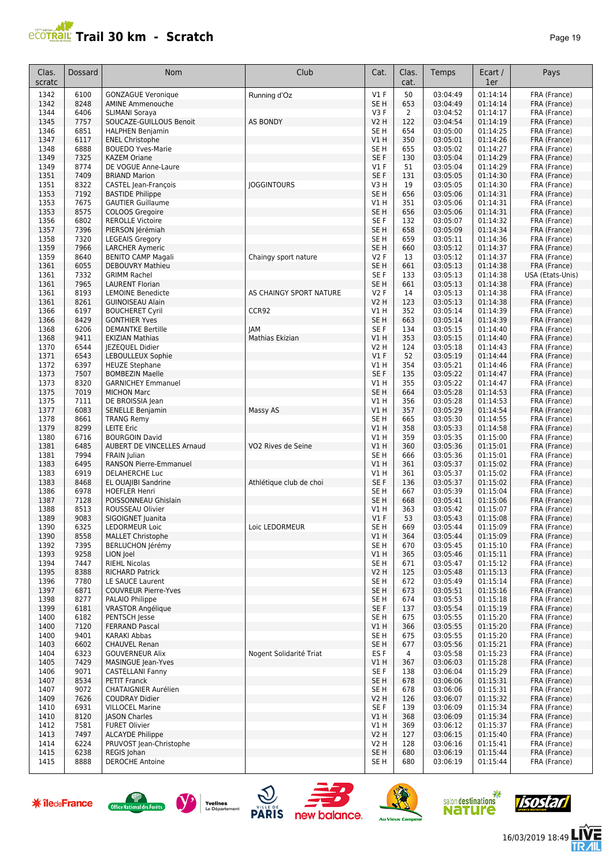## **Trail 30 km - Scratch Page 19** Page 19

| 50<br>6100<br>$VI$ F<br>03:04:49<br>01:14:14<br>FRA (France)<br>1342<br><b>GONZAGUE Veronique</b><br>Running d'Oz<br>8248<br>SE <sub>H</sub><br>653<br>03:04:49<br>01:14:14<br>FRA (France)<br>1342<br><b>AMINE Ammenouche</b><br>1344<br>6406<br>01:14:17<br>SLIMANI Soraya<br>V3F<br>2<br>03:04:52<br>FRA (France)<br>7757<br>V2 H<br>122<br>01:14:19<br>1345<br>SOUCAZE-GUILLOUS Benoit<br><b>AS BONDY</b><br>03:04:54<br>FRA (France)<br>1346<br>6851<br>654<br>03:05:00<br>01:14:25<br><b>HALPHEN Benjamin</b><br>SE H<br>FRA (France)<br>6117<br>V1H<br>350<br>01:14:26<br>1347<br>03:05:01<br>FRA (France)<br><b>ENEL Christophe</b><br>6888<br>SE <sub>H</sub><br>655<br>01:14:27<br>1348<br><b>BOUEDO Yves-Marie</b><br>03:05:02<br>FRA (France)<br>7325<br>130<br>01:14:29<br>1349<br><b>KAZEM Oriane</b><br>SE <sub>F</sub><br>03:05:04<br>FRA (France)<br>8774<br>51<br>1349<br>DE VOGUE Anne-Laure<br>$VI$ F<br>03:05:04<br>01:14:29<br>FRA (France)<br>7409<br>SE F<br>1351<br><b>BRIAND Marion</b><br>131<br>03:05:05<br>01:14:30<br>FRA (France)<br>8322<br><b>JOGGINTOURS</b><br>19<br>01:14:30<br>1351<br>CASTEL Jean-François<br>V3 H<br>03:05:05<br>FRA (France)<br>7192<br>SE <sub>H</sub><br>656<br>1353<br><b>BASTIDE Philippe</b><br>03:05:06<br>01:14:31<br>FRA (France)<br>7675<br>V1H<br>351<br>03:05:06<br>01:14:31<br>1353<br><b>GAUTIER Guillaume</b><br>FRA (France)<br>1353<br>8575<br>SE <sub>H</sub><br>656<br>01:14:31<br>COLOOS Gregoire<br>03:05:06<br>FRA (France)<br>6802<br>03:05:07<br>01:14:32<br>1356<br><b>REROLLE Victoire</b><br>SE F<br>132<br>FRA (France)<br>1357<br>7396<br>PIERSON Jérémiah<br>SE <sub>H</sub><br>658<br>03:05:09<br>01:14:34<br>FRA (France)<br>7320<br>03:05:11<br>01:14:36<br>1358<br><b>LEGEAIS Gregory</b><br>SE H<br>659<br>FRA (France)<br>1359<br>7966<br>SE <sub>H</sub><br>660<br>03:05:12<br>01:14:37<br><b>LARCHER Aymeric</b><br>FRA (France)<br>8640<br><b>V2F</b><br>13<br>01:14:37<br>1359<br><b>BENITO CAMP Magali</b><br>Chaingy sport nature<br>03:05:12<br>FRA (France)<br>6055<br>1361<br><b>DEBOUVRY Mathieu</b><br>SE <sub>H</sub><br>661<br>03:05:13<br>01:14:38<br>FRA (France)<br>1361<br>7332<br><b>GRIMM Rachel</b><br>SE F<br>133<br>03:05:13<br>01:14:38<br>USA (Etats-Unis)<br>7965<br>1361<br><b>LAURENT Florian</b><br>SE <sub>H</sub><br>661<br>03:05:13<br>01:14:38<br>FRA (France)<br>8193<br>14<br>1361<br><b>LEMOINE Benedicte</b><br>AS CHAINGY SPORT NATURE<br><b>V2F</b><br>03:05:13<br>01:14:38<br>FRA (France)<br>8261<br>123<br>01:14:38<br>1361<br><b>GUINOISEAU Alain</b><br>V2 H<br>03:05:13<br>FRA (France)<br>6197<br>CCR92<br>352<br>01:14:39<br>1366<br><b>BOUCHERET Cyril</b><br>V1 H<br>03:05:14<br>FRA (France)<br>8429<br>SE <sub>H</sub><br>03:05:14<br>01:14:39<br>1366<br><b>GONTHIER Yves</b><br>663<br>FRA (France)<br>1368<br>6206<br>SE F<br>03:05:15<br>01:14:40<br><b>DEMANTKE Bertille</b><br><b>JAM</b><br>134<br>FRA (France)<br>9411<br>V1 H<br>353<br>03:05:15<br>01:14:40<br>FRA (France)<br>1368<br><b>EKIZIAN Mathias</b><br>Mathias Ekizian<br>1370<br>6544<br>03:05:18<br>01:14:43<br>JEZEQUEL Didier<br>V2 H<br>124<br>FRA (France)<br>6543<br>V1F<br>52<br>03:05:19<br>01:14:44<br>1371<br>LEBOULLEUX Sophie<br>FRA (France)<br>1372<br>6397<br>V1 H<br>354<br>01:14:46<br>03:05:21<br>FRA (France)<br><b>HEUZE Stephane</b><br>SE F<br>1373<br>7507<br><b>BOMBEZIN Maelle</b><br>135<br>03:05:22<br>01:14:47<br>FRA (France)<br>8320<br>VIH<br>355<br>01:14:47<br>1373<br><b>GARNICHEY Emmanuel</b><br>03:05:22<br>FRA (France)<br>7019<br>1375<br><b>MICHON Marc</b><br>SE <sub>H</sub><br>664<br>03:05:28<br>01:14:53<br>FRA (France)<br>1375<br>7111<br>V1 H<br>356<br>03:05:28<br>01:14:53<br>DE BROISSIA Jean<br>FRA (France)<br>6083<br>357<br>1377<br><b>SENELLE Benjamin</b><br>Massy AS<br>V1 H<br>03:05:29<br>01:14:54<br>FRA (France)<br>8661<br>03:05:30<br>01:14:55<br>1378<br><b>TRANG Remy</b><br>SE H<br>665<br>FRA (France)<br>1379<br>8299<br>V1H<br>358<br>01:14:58<br><b>LEITE Eric</b><br>03:05:33<br>FRA (France)<br>1380<br>6716<br><b>BOURGOIN David</b><br>V1H<br>359<br>03:05:35<br>01:15:00<br>FRA (France)<br>6485<br>03:05:36<br>01:15:01<br>1381<br>AUBERT DE VINCELLES Arnaud<br>VO2 Rives de Seine<br>V1 H<br>360<br>FRA (France)<br>7994<br>03:05:36<br>01:15:01<br>1381<br>FRAIN Julian<br>SE H<br>666<br>FRA (France)<br>6495<br>V1H<br>01:15:02<br>1383<br><b>RANSON Pierre-Emmanuel</b><br>361<br>03:05:37<br>FRA (France)<br>6919<br>01:15:02<br>1383<br>DELAHERCHE Luc<br>V1 H<br>361<br>03:05:37<br>FRA (France)<br>8468<br>1383<br>EL OUAJIBI Sandrine<br>Athlétique club de choi<br>SE <sub>F</sub><br>136<br>03:05:37<br>01:15:02<br>FRA (France)<br>6978<br>01:15:04<br>1386<br><b>HOEFLER Henri</b><br>SE H<br>667<br>03:05:39<br>FRA (France)<br>1387<br>7128<br>POISSONNEAU Ghislain<br>SE <sub>H</sub><br>668<br>03:05:41<br>01:15:06<br>FRA (France)<br>8513<br>1388<br>V1 H<br>363<br>ROUSSEAU Olivier<br>03:05:42<br>01:15:07<br>FRA (France)<br>9083<br>53<br>1389<br>$VI$ F<br>03:05:43<br>01:15:08<br>SIGOIGNET Juanita<br>FRA (France)<br>1390<br>6325<br>LEDORMEUR Loic<br>Loic LEDORMEUR<br>SE H<br>669<br>03:05:44<br>01:15:09<br>FRA (France)<br>V1H<br>1390<br>8558<br><b>MALLET Christophe</b><br>364<br>03:05:44<br>01:15:09<br>FRA (France)<br>1392<br>7395<br><b>BERLUCHON Jérémy</b><br>SE <sub>H</sub><br>03:05:45<br>01:15:10<br>FRA (France)<br>670<br>9258<br>01:15:11<br>FRA (France)<br>1393<br>LION loel<br>V1 H<br>365<br>03:05:46<br>1394<br>01:15:12<br>7447<br><b>RIEHL Nicolas</b><br>SE H<br>671<br>03:05:47<br>FRA (France)<br>01:15:13<br>1395<br>8388<br><b>RICHARD Patrick</b><br>V2 H<br>125<br>03:05:48<br>FRA (France)<br>1396<br>LE SAUCE Laurent<br>SE <sub>H</sub><br>03:05:49<br>01:15:14<br>7780<br>672<br>FRA (France)<br>01:15:16<br>1397<br>6871<br><b>COUVREUR Pierre-Yves</b><br>SE H<br>673<br>03:05:51<br>FRA (France)<br>1398<br>03:05:53<br>01:15:18<br>8277<br>PALAIO Philippe<br>SE H<br>674<br>FRA (France)<br>1399<br>6181<br><b>VRASTOR Angélique</b><br>SE F<br>137<br>03:05:54<br>01:15:19<br>FRA (France)<br>1400<br>6182<br>PENTSCH Jesse<br>SE H<br>03:05:55<br>01:15:20<br>675<br>FRA (France)<br>1400<br>7120<br><b>FERRAND Pascal</b><br>V1 H<br>366<br>03:05:55<br>01:15:20<br>FRA (France)<br>9401<br>03:05:55<br>01:15:20<br>1400<br>KARAKI Abbas<br>SE H<br>675<br>FRA (France)<br>1403<br>6602<br>SE H<br>677<br>03:05:56<br>01:15:21<br>FRA (France)<br><b>CHAUVEL Renan</b><br>Nogent Solidarité Triat<br>03:05:58<br>01:15:23<br>1404<br>6323<br><b>GOUVERNEUR Alix</b><br>ES F<br>4<br>FRA (France)<br>7429<br>03:06:03<br>01:15:28<br>1405<br><b>MASINGUE Jean-Yves</b><br>V1 H<br>FRA (France)<br>367<br>01:15:29<br>1406<br>9071<br><b>CASTELLANI Fanny</b><br>SE F<br>138<br>03:06:04<br>FRA (France)<br>03:06:06<br>01:15:31<br>1407<br>8534<br>PETIT Franck<br>SE H<br>678<br>FRA (France)<br>01:15:31<br>1407<br>9072<br><b>CHATAIGNIER Aurélien</b><br>SE H<br>03:06:06<br>FRA (France)<br>678<br>1409<br>7626<br><b>V2 H</b><br>01:15:32<br><b>COUDRAY Didier</b><br>126<br>03:06:07<br>FRA (France)<br>01:15:34<br>1410<br>6931<br><b>VILLOCEL Marine</b><br>SE F<br>139<br>03:06:09<br>FRA (France)<br>1410<br>8120<br><b>JASON Charles</b><br>V1 H<br>368<br>03:06:09<br>01:15:34<br>FRA (France)<br>1412<br>7581<br><b>FURET Olivier</b><br>V1 H<br>369<br>03:06:12<br>01:15:37<br>FRA (France)<br>1413<br>7497<br><b>ALCAYDE Philippe</b><br>V2 H<br>03:06:15<br>01:15:40<br>127<br>FRA (France)<br>PRUVOST Jean-Christophe<br>1414<br>6224<br>V2 H<br>128<br>03:06:16<br>01:15:41<br>FRA (France)<br>1415<br>6238<br>REGIS Johan<br>680<br>03:06:19<br>01:15:44<br>FRA (France)<br>SE H<br>1415<br>8888<br><b>DEROCHE Antoine</b><br>SE H<br>680<br>03:06:19<br>01:15:44<br>FRA (France) | Clas.<br>scratc | Dossard | Nom | Club | Cat. | Clas.<br>cat. | Temps | Ecart /<br>1er | Pays |
|----------------------------------------------------------------------------------------------------------------------------------------------------------------------------------------------------------------------------------------------------------------------------------------------------------------------------------------------------------------------------------------------------------------------------------------------------------------------------------------------------------------------------------------------------------------------------------------------------------------------------------------------------------------------------------------------------------------------------------------------------------------------------------------------------------------------------------------------------------------------------------------------------------------------------------------------------------------------------------------------------------------------------------------------------------------------------------------------------------------------------------------------------------------------------------------------------------------------------------------------------------------------------------------------------------------------------------------------------------------------------------------------------------------------------------------------------------------------------------------------------------------------------------------------------------------------------------------------------------------------------------------------------------------------------------------------------------------------------------------------------------------------------------------------------------------------------------------------------------------------------------------------------------------------------------------------------------------------------------------------------------------------------------------------------------------------------------------------------------------------------------------------------------------------------------------------------------------------------------------------------------------------------------------------------------------------------------------------------------------------------------------------------------------------------------------------------------------------------------------------------------------------------------------------------------------------------------------------------------------------------------------------------------------------------------------------------------------------------------------------------------------------------------------------------------------------------------------------------------------------------------------------------------------------------------------------------------------------------------------------------------------------------------------------------------------------------------------------------------------------------------------------------------------------------------------------------------------------------------------------------------------------------------------------------------------------------------------------------------------------------------------------------------------------------------------------------------------------------------------------------------------------------------------------------------------------------------------------------------------------------------------------------------------------------------------------------------------------------------------------------------------------------------------------------------------------------------------------------------------------------------------------------------------------------------------------------------------------------------------------------------------------------------------------------------------------------------------------------------------------------------------------------------------------------------------------------------------------------------------------------------------------------------------------------------------------------------------------------------------------------------------------------------------------------------------------------------------------------------------------------------------------------------------------------------------------------------------------------------------------------------------------------------------------------------------------------------------------------------------------------------------------------------------------------------------------------------------------------------------------------------------------------------------------------------------------------------------------------------------------------------------------------------------------------------------------------------------------------------------------------------------------------------------------------------------------------------------------------------------------------------------------------------------------------------------------------------------------------------------------------------------------------------------------------------------------------------------------------------------------------------------------------------------------------------------------------------------------------------------------------------------------------------------------------------------------------------------------------------------------------------------------------------------------------------------------------------------------------------------------------------------------------------------------------------------------------------------------------------------------------------------------------------------------------------------------------------------------------------------------------------------------------------------------------------------------------------------------------------------------------------------------------------------------------------------------------------------------------------------------------------------------------------------------------------------------------------------------------------------------------------------------------------------------------------------------------------------------------------------------------------------------------------------------------------------------------------------------------------------------------------------------------------------------------------------------------------------------------------------------------------------------------------------------------------------------------------------------------------------------------------------------------------------------------------------------------------------------------------------------------------------------------------------------------------------------------------------------------------------------------------------------------------------------------------------------------------------------------------------------------------------------------------------------------------------------------------------------------------------------------------------------------------------------------------------------------------------------------------------------------------------------------------------------------------------------------------------------------------------------------------------------------------------------------------------------------------------------------------------------------------|-----------------|---------|-----|------|------|---------------|-------|----------------|------|
|                                                                                                                                                                                                                                                                                                                                                                                                                                                                                                                                                                                                                                                                                                                                                                                                                                                                                                                                                                                                                                                                                                                                                                                                                                                                                                                                                                                                                                                                                                                                                                                                                                                                                                                                                                                                                                                                                                                                                                                                                                                                                                                                                                                                                                                                                                                                                                                                                                                                                                                                                                                                                                                                                                                                                                                                                                                                                                                                                                                                                                                                                                                                                                                                                                                                                                                                                                                                                                                                                                                                                                                                                                                                                                                                                                                                                                                                                                                                                                                                                                                                                                                                                                                                                                                                                                                                                                                                                                                                                                                                                                                                                                                                                                                                                                                                                                                                                                                                                                                                                                                                                                                                                                                                                                                                                                                                                                                                                                                                                                                                                                                                                                                                                                                                                                                                                                                                                                                                                                                                                                                                                                                                                                                                                                                                                                                                                                                                                                                                                                                                                                                                                                                                                                                                                                                                                                                                                                                                                                                                                                                                                                                                                                                                                                                                                                                                                                                                                                                                                                                                                                                                                                                                                                                                                                                                                                                                                  |                 |         |     |      |      |               |       |                |      |
|                                                                                                                                                                                                                                                                                                                                                                                                                                                                                                                                                                                                                                                                                                                                                                                                                                                                                                                                                                                                                                                                                                                                                                                                                                                                                                                                                                                                                                                                                                                                                                                                                                                                                                                                                                                                                                                                                                                                                                                                                                                                                                                                                                                                                                                                                                                                                                                                                                                                                                                                                                                                                                                                                                                                                                                                                                                                                                                                                                                                                                                                                                                                                                                                                                                                                                                                                                                                                                                                                                                                                                                                                                                                                                                                                                                                                                                                                                                                                                                                                                                                                                                                                                                                                                                                                                                                                                                                                                                                                                                                                                                                                                                                                                                                                                                                                                                                                                                                                                                                                                                                                                                                                                                                                                                                                                                                                                                                                                                                                                                                                                                                                                                                                                                                                                                                                                                                                                                                                                                                                                                                                                                                                                                                                                                                                                                                                                                                                                                                                                                                                                                                                                                                                                                                                                                                                                                                                                                                                                                                                                                                                                                                                                                                                                                                                                                                                                                                                                                                                                                                                                                                                                                                                                                                                                                                                                                                                  |                 |         |     |      |      |               |       |                |      |
|                                                                                                                                                                                                                                                                                                                                                                                                                                                                                                                                                                                                                                                                                                                                                                                                                                                                                                                                                                                                                                                                                                                                                                                                                                                                                                                                                                                                                                                                                                                                                                                                                                                                                                                                                                                                                                                                                                                                                                                                                                                                                                                                                                                                                                                                                                                                                                                                                                                                                                                                                                                                                                                                                                                                                                                                                                                                                                                                                                                                                                                                                                                                                                                                                                                                                                                                                                                                                                                                                                                                                                                                                                                                                                                                                                                                                                                                                                                                                                                                                                                                                                                                                                                                                                                                                                                                                                                                                                                                                                                                                                                                                                                                                                                                                                                                                                                                                                                                                                                                                                                                                                                                                                                                                                                                                                                                                                                                                                                                                                                                                                                                                                                                                                                                                                                                                                                                                                                                                                                                                                                                                                                                                                                                                                                                                                                                                                                                                                                                                                                                                                                                                                                                                                                                                                                                                                                                                                                                                                                                                                                                                                                                                                                                                                                                                                                                                                                                                                                                                                                                                                                                                                                                                                                                                                                                                                                                                  |                 |         |     |      |      |               |       |                |      |
|                                                                                                                                                                                                                                                                                                                                                                                                                                                                                                                                                                                                                                                                                                                                                                                                                                                                                                                                                                                                                                                                                                                                                                                                                                                                                                                                                                                                                                                                                                                                                                                                                                                                                                                                                                                                                                                                                                                                                                                                                                                                                                                                                                                                                                                                                                                                                                                                                                                                                                                                                                                                                                                                                                                                                                                                                                                                                                                                                                                                                                                                                                                                                                                                                                                                                                                                                                                                                                                                                                                                                                                                                                                                                                                                                                                                                                                                                                                                                                                                                                                                                                                                                                                                                                                                                                                                                                                                                                                                                                                                                                                                                                                                                                                                                                                                                                                                                                                                                                                                                                                                                                                                                                                                                                                                                                                                                                                                                                                                                                                                                                                                                                                                                                                                                                                                                                                                                                                                                                                                                                                                                                                                                                                                                                                                                                                                                                                                                                                                                                                                                                                                                                                                                                                                                                                                                                                                                                                                                                                                                                                                                                                                                                                                                                                                                                                                                                                                                                                                                                                                                                                                                                                                                                                                                                                                                                                                                  |                 |         |     |      |      |               |       |                |      |
|                                                                                                                                                                                                                                                                                                                                                                                                                                                                                                                                                                                                                                                                                                                                                                                                                                                                                                                                                                                                                                                                                                                                                                                                                                                                                                                                                                                                                                                                                                                                                                                                                                                                                                                                                                                                                                                                                                                                                                                                                                                                                                                                                                                                                                                                                                                                                                                                                                                                                                                                                                                                                                                                                                                                                                                                                                                                                                                                                                                                                                                                                                                                                                                                                                                                                                                                                                                                                                                                                                                                                                                                                                                                                                                                                                                                                                                                                                                                                                                                                                                                                                                                                                                                                                                                                                                                                                                                                                                                                                                                                                                                                                                                                                                                                                                                                                                                                                                                                                                                                                                                                                                                                                                                                                                                                                                                                                                                                                                                                                                                                                                                                                                                                                                                                                                                                                                                                                                                                                                                                                                                                                                                                                                                                                                                                                                                                                                                                                                                                                                                                                                                                                                                                                                                                                                                                                                                                                                                                                                                                                                                                                                                                                                                                                                                                                                                                                                                                                                                                                                                                                                                                                                                                                                                                                                                                                                                                  |                 |         |     |      |      |               |       |                |      |
|                                                                                                                                                                                                                                                                                                                                                                                                                                                                                                                                                                                                                                                                                                                                                                                                                                                                                                                                                                                                                                                                                                                                                                                                                                                                                                                                                                                                                                                                                                                                                                                                                                                                                                                                                                                                                                                                                                                                                                                                                                                                                                                                                                                                                                                                                                                                                                                                                                                                                                                                                                                                                                                                                                                                                                                                                                                                                                                                                                                                                                                                                                                                                                                                                                                                                                                                                                                                                                                                                                                                                                                                                                                                                                                                                                                                                                                                                                                                                                                                                                                                                                                                                                                                                                                                                                                                                                                                                                                                                                                                                                                                                                                                                                                                                                                                                                                                                                                                                                                                                                                                                                                                                                                                                                                                                                                                                                                                                                                                                                                                                                                                                                                                                                                                                                                                                                                                                                                                                                                                                                                                                                                                                                                                                                                                                                                                                                                                                                                                                                                                                                                                                                                                                                                                                                                                                                                                                                                                                                                                                                                                                                                                                                                                                                                                                                                                                                                                                                                                                                                                                                                                                                                                                                                                                                                                                                                                                  |                 |         |     |      |      |               |       |                |      |
|                                                                                                                                                                                                                                                                                                                                                                                                                                                                                                                                                                                                                                                                                                                                                                                                                                                                                                                                                                                                                                                                                                                                                                                                                                                                                                                                                                                                                                                                                                                                                                                                                                                                                                                                                                                                                                                                                                                                                                                                                                                                                                                                                                                                                                                                                                                                                                                                                                                                                                                                                                                                                                                                                                                                                                                                                                                                                                                                                                                                                                                                                                                                                                                                                                                                                                                                                                                                                                                                                                                                                                                                                                                                                                                                                                                                                                                                                                                                                                                                                                                                                                                                                                                                                                                                                                                                                                                                                                                                                                                                                                                                                                                                                                                                                                                                                                                                                                                                                                                                                                                                                                                                                                                                                                                                                                                                                                                                                                                                                                                                                                                                                                                                                                                                                                                                                                                                                                                                                                                                                                                                                                                                                                                                                                                                                                                                                                                                                                                                                                                                                                                                                                                                                                                                                                                                                                                                                                                                                                                                                                                                                                                                                                                                                                                                                                                                                                                                                                                                                                                                                                                                                                                                                                                                                                                                                                                                                  |                 |         |     |      |      |               |       |                |      |
|                                                                                                                                                                                                                                                                                                                                                                                                                                                                                                                                                                                                                                                                                                                                                                                                                                                                                                                                                                                                                                                                                                                                                                                                                                                                                                                                                                                                                                                                                                                                                                                                                                                                                                                                                                                                                                                                                                                                                                                                                                                                                                                                                                                                                                                                                                                                                                                                                                                                                                                                                                                                                                                                                                                                                                                                                                                                                                                                                                                                                                                                                                                                                                                                                                                                                                                                                                                                                                                                                                                                                                                                                                                                                                                                                                                                                                                                                                                                                                                                                                                                                                                                                                                                                                                                                                                                                                                                                                                                                                                                                                                                                                                                                                                                                                                                                                                                                                                                                                                                                                                                                                                                                                                                                                                                                                                                                                                                                                                                                                                                                                                                                                                                                                                                                                                                                                                                                                                                                                                                                                                                                                                                                                                                                                                                                                                                                                                                                                                                                                                                                                                                                                                                                                                                                                                                                                                                                                                                                                                                                                                                                                                                                                                                                                                                                                                                                                                                                                                                                                                                                                                                                                                                                                                                                                                                                                                                                  |                 |         |     |      |      |               |       |                |      |
|                                                                                                                                                                                                                                                                                                                                                                                                                                                                                                                                                                                                                                                                                                                                                                                                                                                                                                                                                                                                                                                                                                                                                                                                                                                                                                                                                                                                                                                                                                                                                                                                                                                                                                                                                                                                                                                                                                                                                                                                                                                                                                                                                                                                                                                                                                                                                                                                                                                                                                                                                                                                                                                                                                                                                                                                                                                                                                                                                                                                                                                                                                                                                                                                                                                                                                                                                                                                                                                                                                                                                                                                                                                                                                                                                                                                                                                                                                                                                                                                                                                                                                                                                                                                                                                                                                                                                                                                                                                                                                                                                                                                                                                                                                                                                                                                                                                                                                                                                                                                                                                                                                                                                                                                                                                                                                                                                                                                                                                                                                                                                                                                                                                                                                                                                                                                                                                                                                                                                                                                                                                                                                                                                                                                                                                                                                                                                                                                                                                                                                                                                                                                                                                                                                                                                                                                                                                                                                                                                                                                                                                                                                                                                                                                                                                                                                                                                                                                                                                                                                                                                                                                                                                                                                                                                                                                                                                                                  |                 |         |     |      |      |               |       |                |      |
|                                                                                                                                                                                                                                                                                                                                                                                                                                                                                                                                                                                                                                                                                                                                                                                                                                                                                                                                                                                                                                                                                                                                                                                                                                                                                                                                                                                                                                                                                                                                                                                                                                                                                                                                                                                                                                                                                                                                                                                                                                                                                                                                                                                                                                                                                                                                                                                                                                                                                                                                                                                                                                                                                                                                                                                                                                                                                                                                                                                                                                                                                                                                                                                                                                                                                                                                                                                                                                                                                                                                                                                                                                                                                                                                                                                                                                                                                                                                                                                                                                                                                                                                                                                                                                                                                                                                                                                                                                                                                                                                                                                                                                                                                                                                                                                                                                                                                                                                                                                                                                                                                                                                                                                                                                                                                                                                                                                                                                                                                                                                                                                                                                                                                                                                                                                                                                                                                                                                                                                                                                                                                                                                                                                                                                                                                                                                                                                                                                                                                                                                                                                                                                                                                                                                                                                                                                                                                                                                                                                                                                                                                                                                                                                                                                                                                                                                                                                                                                                                                                                                                                                                                                                                                                                                                                                                                                                                                  |                 |         |     |      |      |               |       |                |      |
|                                                                                                                                                                                                                                                                                                                                                                                                                                                                                                                                                                                                                                                                                                                                                                                                                                                                                                                                                                                                                                                                                                                                                                                                                                                                                                                                                                                                                                                                                                                                                                                                                                                                                                                                                                                                                                                                                                                                                                                                                                                                                                                                                                                                                                                                                                                                                                                                                                                                                                                                                                                                                                                                                                                                                                                                                                                                                                                                                                                                                                                                                                                                                                                                                                                                                                                                                                                                                                                                                                                                                                                                                                                                                                                                                                                                                                                                                                                                                                                                                                                                                                                                                                                                                                                                                                                                                                                                                                                                                                                                                                                                                                                                                                                                                                                                                                                                                                                                                                                                                                                                                                                                                                                                                                                                                                                                                                                                                                                                                                                                                                                                                                                                                                                                                                                                                                                                                                                                                                                                                                                                                                                                                                                                                                                                                                                                                                                                                                                                                                                                                                                                                                                                                                                                                                                                                                                                                                                                                                                                                                                                                                                                                                                                                                                                                                                                                                                                                                                                                                                                                                                                                                                                                                                                                                                                                                                                                  |                 |         |     |      |      |               |       |                |      |
|                                                                                                                                                                                                                                                                                                                                                                                                                                                                                                                                                                                                                                                                                                                                                                                                                                                                                                                                                                                                                                                                                                                                                                                                                                                                                                                                                                                                                                                                                                                                                                                                                                                                                                                                                                                                                                                                                                                                                                                                                                                                                                                                                                                                                                                                                                                                                                                                                                                                                                                                                                                                                                                                                                                                                                                                                                                                                                                                                                                                                                                                                                                                                                                                                                                                                                                                                                                                                                                                                                                                                                                                                                                                                                                                                                                                                                                                                                                                                                                                                                                                                                                                                                                                                                                                                                                                                                                                                                                                                                                                                                                                                                                                                                                                                                                                                                                                                                                                                                                                                                                                                                                                                                                                                                                                                                                                                                                                                                                                                                                                                                                                                                                                                                                                                                                                                                                                                                                                                                                                                                                                                                                                                                                                                                                                                                                                                                                                                                                                                                                                                                                                                                                                                                                                                                                                                                                                                                                                                                                                                                                                                                                                                                                                                                                                                                                                                                                                                                                                                                                                                                                                                                                                                                                                                                                                                                                                                  |                 |         |     |      |      |               |       |                |      |
|                                                                                                                                                                                                                                                                                                                                                                                                                                                                                                                                                                                                                                                                                                                                                                                                                                                                                                                                                                                                                                                                                                                                                                                                                                                                                                                                                                                                                                                                                                                                                                                                                                                                                                                                                                                                                                                                                                                                                                                                                                                                                                                                                                                                                                                                                                                                                                                                                                                                                                                                                                                                                                                                                                                                                                                                                                                                                                                                                                                                                                                                                                                                                                                                                                                                                                                                                                                                                                                                                                                                                                                                                                                                                                                                                                                                                                                                                                                                                                                                                                                                                                                                                                                                                                                                                                                                                                                                                                                                                                                                                                                                                                                                                                                                                                                                                                                                                                                                                                                                                                                                                                                                                                                                                                                                                                                                                                                                                                                                                                                                                                                                                                                                                                                                                                                                                                                                                                                                                                                                                                                                                                                                                                                                                                                                                                                                                                                                                                                                                                                                                                                                                                                                                                                                                                                                                                                                                                                                                                                                                                                                                                                                                                                                                                                                                                                                                                                                                                                                                                                                                                                                                                                                                                                                                                                                                                                                                  |                 |         |     |      |      |               |       |                |      |
|                                                                                                                                                                                                                                                                                                                                                                                                                                                                                                                                                                                                                                                                                                                                                                                                                                                                                                                                                                                                                                                                                                                                                                                                                                                                                                                                                                                                                                                                                                                                                                                                                                                                                                                                                                                                                                                                                                                                                                                                                                                                                                                                                                                                                                                                                                                                                                                                                                                                                                                                                                                                                                                                                                                                                                                                                                                                                                                                                                                                                                                                                                                                                                                                                                                                                                                                                                                                                                                                                                                                                                                                                                                                                                                                                                                                                                                                                                                                                                                                                                                                                                                                                                                                                                                                                                                                                                                                                                                                                                                                                                                                                                                                                                                                                                                                                                                                                                                                                                                                                                                                                                                                                                                                                                                                                                                                                                                                                                                                                                                                                                                                                                                                                                                                                                                                                                                                                                                                                                                                                                                                                                                                                                                                                                                                                                                                                                                                                                                                                                                                                                                                                                                                                                                                                                                                                                                                                                                                                                                                                                                                                                                                                                                                                                                                                                                                                                                                                                                                                                                                                                                                                                                                                                                                                                                                                                                                                  |                 |         |     |      |      |               |       |                |      |
|                                                                                                                                                                                                                                                                                                                                                                                                                                                                                                                                                                                                                                                                                                                                                                                                                                                                                                                                                                                                                                                                                                                                                                                                                                                                                                                                                                                                                                                                                                                                                                                                                                                                                                                                                                                                                                                                                                                                                                                                                                                                                                                                                                                                                                                                                                                                                                                                                                                                                                                                                                                                                                                                                                                                                                                                                                                                                                                                                                                                                                                                                                                                                                                                                                                                                                                                                                                                                                                                                                                                                                                                                                                                                                                                                                                                                                                                                                                                                                                                                                                                                                                                                                                                                                                                                                                                                                                                                                                                                                                                                                                                                                                                                                                                                                                                                                                                                                                                                                                                                                                                                                                                                                                                                                                                                                                                                                                                                                                                                                                                                                                                                                                                                                                                                                                                                                                                                                                                                                                                                                                                                                                                                                                                                                                                                                                                                                                                                                                                                                                                                                                                                                                                                                                                                                                                                                                                                                                                                                                                                                                                                                                                                                                                                                                                                                                                                                                                                                                                                                                                                                                                                                                                                                                                                                                                                                                                                  |                 |         |     |      |      |               |       |                |      |
|                                                                                                                                                                                                                                                                                                                                                                                                                                                                                                                                                                                                                                                                                                                                                                                                                                                                                                                                                                                                                                                                                                                                                                                                                                                                                                                                                                                                                                                                                                                                                                                                                                                                                                                                                                                                                                                                                                                                                                                                                                                                                                                                                                                                                                                                                                                                                                                                                                                                                                                                                                                                                                                                                                                                                                                                                                                                                                                                                                                                                                                                                                                                                                                                                                                                                                                                                                                                                                                                                                                                                                                                                                                                                                                                                                                                                                                                                                                                                                                                                                                                                                                                                                                                                                                                                                                                                                                                                                                                                                                                                                                                                                                                                                                                                                                                                                                                                                                                                                                                                                                                                                                                                                                                                                                                                                                                                                                                                                                                                                                                                                                                                                                                                                                                                                                                                                                                                                                                                                                                                                                                                                                                                                                                                                                                                                                                                                                                                                                                                                                                                                                                                                                                                                                                                                                                                                                                                                                                                                                                                                                                                                                                                                                                                                                                                                                                                                                                                                                                                                                                                                                                                                                                                                                                                                                                                                                                                  |                 |         |     |      |      |               |       |                |      |
|                                                                                                                                                                                                                                                                                                                                                                                                                                                                                                                                                                                                                                                                                                                                                                                                                                                                                                                                                                                                                                                                                                                                                                                                                                                                                                                                                                                                                                                                                                                                                                                                                                                                                                                                                                                                                                                                                                                                                                                                                                                                                                                                                                                                                                                                                                                                                                                                                                                                                                                                                                                                                                                                                                                                                                                                                                                                                                                                                                                                                                                                                                                                                                                                                                                                                                                                                                                                                                                                                                                                                                                                                                                                                                                                                                                                                                                                                                                                                                                                                                                                                                                                                                                                                                                                                                                                                                                                                                                                                                                                                                                                                                                                                                                                                                                                                                                                                                                                                                                                                                                                                                                                                                                                                                                                                                                                                                                                                                                                                                                                                                                                                                                                                                                                                                                                                                                                                                                                                                                                                                                                                                                                                                                                                                                                                                                                                                                                                                                                                                                                                                                                                                                                                                                                                                                                                                                                                                                                                                                                                                                                                                                                                                                                                                                                                                                                                                                                                                                                                                                                                                                                                                                                                                                                                                                                                                                                                  |                 |         |     |      |      |               |       |                |      |
|                                                                                                                                                                                                                                                                                                                                                                                                                                                                                                                                                                                                                                                                                                                                                                                                                                                                                                                                                                                                                                                                                                                                                                                                                                                                                                                                                                                                                                                                                                                                                                                                                                                                                                                                                                                                                                                                                                                                                                                                                                                                                                                                                                                                                                                                                                                                                                                                                                                                                                                                                                                                                                                                                                                                                                                                                                                                                                                                                                                                                                                                                                                                                                                                                                                                                                                                                                                                                                                                                                                                                                                                                                                                                                                                                                                                                                                                                                                                                                                                                                                                                                                                                                                                                                                                                                                                                                                                                                                                                                                                                                                                                                                                                                                                                                                                                                                                                                                                                                                                                                                                                                                                                                                                                                                                                                                                                                                                                                                                                                                                                                                                                                                                                                                                                                                                                                                                                                                                                                                                                                                                                                                                                                                                                                                                                                                                                                                                                                                                                                                                                                                                                                                                                                                                                                                                                                                                                                                                                                                                                                                                                                                                                                                                                                                                                                                                                                                                                                                                                                                                                                                                                                                                                                                                                                                                                                                                                  |                 |         |     |      |      |               |       |                |      |
|                                                                                                                                                                                                                                                                                                                                                                                                                                                                                                                                                                                                                                                                                                                                                                                                                                                                                                                                                                                                                                                                                                                                                                                                                                                                                                                                                                                                                                                                                                                                                                                                                                                                                                                                                                                                                                                                                                                                                                                                                                                                                                                                                                                                                                                                                                                                                                                                                                                                                                                                                                                                                                                                                                                                                                                                                                                                                                                                                                                                                                                                                                                                                                                                                                                                                                                                                                                                                                                                                                                                                                                                                                                                                                                                                                                                                                                                                                                                                                                                                                                                                                                                                                                                                                                                                                                                                                                                                                                                                                                                                                                                                                                                                                                                                                                                                                                                                                                                                                                                                                                                                                                                                                                                                                                                                                                                                                                                                                                                                                                                                                                                                                                                                                                                                                                                                                                                                                                                                                                                                                                                                                                                                                                                                                                                                                                                                                                                                                                                                                                                                                                                                                                                                                                                                                                                                                                                                                                                                                                                                                                                                                                                                                                                                                                                                                                                                                                                                                                                                                                                                                                                                                                                                                                                                                                                                                                                                  |                 |         |     |      |      |               |       |                |      |
|                                                                                                                                                                                                                                                                                                                                                                                                                                                                                                                                                                                                                                                                                                                                                                                                                                                                                                                                                                                                                                                                                                                                                                                                                                                                                                                                                                                                                                                                                                                                                                                                                                                                                                                                                                                                                                                                                                                                                                                                                                                                                                                                                                                                                                                                                                                                                                                                                                                                                                                                                                                                                                                                                                                                                                                                                                                                                                                                                                                                                                                                                                                                                                                                                                                                                                                                                                                                                                                                                                                                                                                                                                                                                                                                                                                                                                                                                                                                                                                                                                                                                                                                                                                                                                                                                                                                                                                                                                                                                                                                                                                                                                                                                                                                                                                                                                                                                                                                                                                                                                                                                                                                                                                                                                                                                                                                                                                                                                                                                                                                                                                                                                                                                                                                                                                                                                                                                                                                                                                                                                                                                                                                                                                                                                                                                                                                                                                                                                                                                                                                                                                                                                                                                                                                                                                                                                                                                                                                                                                                                                                                                                                                                                                                                                                                                                                                                                                                                                                                                                                                                                                                                                                                                                                                                                                                                                                                                  |                 |         |     |      |      |               |       |                |      |
|                                                                                                                                                                                                                                                                                                                                                                                                                                                                                                                                                                                                                                                                                                                                                                                                                                                                                                                                                                                                                                                                                                                                                                                                                                                                                                                                                                                                                                                                                                                                                                                                                                                                                                                                                                                                                                                                                                                                                                                                                                                                                                                                                                                                                                                                                                                                                                                                                                                                                                                                                                                                                                                                                                                                                                                                                                                                                                                                                                                                                                                                                                                                                                                                                                                                                                                                                                                                                                                                                                                                                                                                                                                                                                                                                                                                                                                                                                                                                                                                                                                                                                                                                                                                                                                                                                                                                                                                                                                                                                                                                                                                                                                                                                                                                                                                                                                                                                                                                                                                                                                                                                                                                                                                                                                                                                                                                                                                                                                                                                                                                                                                                                                                                                                                                                                                                                                                                                                                                                                                                                                                                                                                                                                                                                                                                                                                                                                                                                                                                                                                                                                                                                                                                                                                                                                                                                                                                                                                                                                                                                                                                                                                                                                                                                                                                                                                                                                                                                                                                                                                                                                                                                                                                                                                                                                                                                                                                  |                 |         |     |      |      |               |       |                |      |
|                                                                                                                                                                                                                                                                                                                                                                                                                                                                                                                                                                                                                                                                                                                                                                                                                                                                                                                                                                                                                                                                                                                                                                                                                                                                                                                                                                                                                                                                                                                                                                                                                                                                                                                                                                                                                                                                                                                                                                                                                                                                                                                                                                                                                                                                                                                                                                                                                                                                                                                                                                                                                                                                                                                                                                                                                                                                                                                                                                                                                                                                                                                                                                                                                                                                                                                                                                                                                                                                                                                                                                                                                                                                                                                                                                                                                                                                                                                                                                                                                                                                                                                                                                                                                                                                                                                                                                                                                                                                                                                                                                                                                                                                                                                                                                                                                                                                                                                                                                                                                                                                                                                                                                                                                                                                                                                                                                                                                                                                                                                                                                                                                                                                                                                                                                                                                                                                                                                                                                                                                                                                                                                                                                                                                                                                                                                                                                                                                                                                                                                                                                                                                                                                                                                                                                                                                                                                                                                                                                                                                                                                                                                                                                                                                                                                                                                                                                                                                                                                                                                                                                                                                                                                                                                                                                                                                                                                                  |                 |         |     |      |      |               |       |                |      |
|                                                                                                                                                                                                                                                                                                                                                                                                                                                                                                                                                                                                                                                                                                                                                                                                                                                                                                                                                                                                                                                                                                                                                                                                                                                                                                                                                                                                                                                                                                                                                                                                                                                                                                                                                                                                                                                                                                                                                                                                                                                                                                                                                                                                                                                                                                                                                                                                                                                                                                                                                                                                                                                                                                                                                                                                                                                                                                                                                                                                                                                                                                                                                                                                                                                                                                                                                                                                                                                                                                                                                                                                                                                                                                                                                                                                                                                                                                                                                                                                                                                                                                                                                                                                                                                                                                                                                                                                                                                                                                                                                                                                                                                                                                                                                                                                                                                                                                                                                                                                                                                                                                                                                                                                                                                                                                                                                                                                                                                                                                                                                                                                                                                                                                                                                                                                                                                                                                                                                                                                                                                                                                                                                                                                                                                                                                                                                                                                                                                                                                                                                                                                                                                                                                                                                                                                                                                                                                                                                                                                                                                                                                                                                                                                                                                                                                                                                                                                                                                                                                                                                                                                                                                                                                                                                                                                                                                                                  |                 |         |     |      |      |               |       |                |      |
|                                                                                                                                                                                                                                                                                                                                                                                                                                                                                                                                                                                                                                                                                                                                                                                                                                                                                                                                                                                                                                                                                                                                                                                                                                                                                                                                                                                                                                                                                                                                                                                                                                                                                                                                                                                                                                                                                                                                                                                                                                                                                                                                                                                                                                                                                                                                                                                                                                                                                                                                                                                                                                                                                                                                                                                                                                                                                                                                                                                                                                                                                                                                                                                                                                                                                                                                                                                                                                                                                                                                                                                                                                                                                                                                                                                                                                                                                                                                                                                                                                                                                                                                                                                                                                                                                                                                                                                                                                                                                                                                                                                                                                                                                                                                                                                                                                                                                                                                                                                                                                                                                                                                                                                                                                                                                                                                                                                                                                                                                                                                                                                                                                                                                                                                                                                                                                                                                                                                                                                                                                                                                                                                                                                                                                                                                                                                                                                                                                                                                                                                                                                                                                                                                                                                                                                                                                                                                                                                                                                                                                                                                                                                                                                                                                                                                                                                                                                                                                                                                                                                                                                                                                                                                                                                                                                                                                                                                  |                 |         |     |      |      |               |       |                |      |
|                                                                                                                                                                                                                                                                                                                                                                                                                                                                                                                                                                                                                                                                                                                                                                                                                                                                                                                                                                                                                                                                                                                                                                                                                                                                                                                                                                                                                                                                                                                                                                                                                                                                                                                                                                                                                                                                                                                                                                                                                                                                                                                                                                                                                                                                                                                                                                                                                                                                                                                                                                                                                                                                                                                                                                                                                                                                                                                                                                                                                                                                                                                                                                                                                                                                                                                                                                                                                                                                                                                                                                                                                                                                                                                                                                                                                                                                                                                                                                                                                                                                                                                                                                                                                                                                                                                                                                                                                                                                                                                                                                                                                                                                                                                                                                                                                                                                                                                                                                                                                                                                                                                                                                                                                                                                                                                                                                                                                                                                                                                                                                                                                                                                                                                                                                                                                                                                                                                                                                                                                                                                                                                                                                                                                                                                                                                                                                                                                                                                                                                                                                                                                                                                                                                                                                                                                                                                                                                                                                                                                                                                                                                                                                                                                                                                                                                                                                                                                                                                                                                                                                                                                                                                                                                                                                                                                                                                                  |                 |         |     |      |      |               |       |                |      |
|                                                                                                                                                                                                                                                                                                                                                                                                                                                                                                                                                                                                                                                                                                                                                                                                                                                                                                                                                                                                                                                                                                                                                                                                                                                                                                                                                                                                                                                                                                                                                                                                                                                                                                                                                                                                                                                                                                                                                                                                                                                                                                                                                                                                                                                                                                                                                                                                                                                                                                                                                                                                                                                                                                                                                                                                                                                                                                                                                                                                                                                                                                                                                                                                                                                                                                                                                                                                                                                                                                                                                                                                                                                                                                                                                                                                                                                                                                                                                                                                                                                                                                                                                                                                                                                                                                                                                                                                                                                                                                                                                                                                                                                                                                                                                                                                                                                                                                                                                                                                                                                                                                                                                                                                                                                                                                                                                                                                                                                                                                                                                                                                                                                                                                                                                                                                                                                                                                                                                                                                                                                                                                                                                                                                                                                                                                                                                                                                                                                                                                                                                                                                                                                                                                                                                                                                                                                                                                                                                                                                                                                                                                                                                                                                                                                                                                                                                                                                                                                                                                                                                                                                                                                                                                                                                                                                                                                                                  |                 |         |     |      |      |               |       |                |      |
|                                                                                                                                                                                                                                                                                                                                                                                                                                                                                                                                                                                                                                                                                                                                                                                                                                                                                                                                                                                                                                                                                                                                                                                                                                                                                                                                                                                                                                                                                                                                                                                                                                                                                                                                                                                                                                                                                                                                                                                                                                                                                                                                                                                                                                                                                                                                                                                                                                                                                                                                                                                                                                                                                                                                                                                                                                                                                                                                                                                                                                                                                                                                                                                                                                                                                                                                                                                                                                                                                                                                                                                                                                                                                                                                                                                                                                                                                                                                                                                                                                                                                                                                                                                                                                                                                                                                                                                                                                                                                                                                                                                                                                                                                                                                                                                                                                                                                                                                                                                                                                                                                                                                                                                                                                                                                                                                                                                                                                                                                                                                                                                                                                                                                                                                                                                                                                                                                                                                                                                                                                                                                                                                                                                                                                                                                                                                                                                                                                                                                                                                                                                                                                                                                                                                                                                                                                                                                                                                                                                                                                                                                                                                                                                                                                                                                                                                                                                                                                                                                                                                                                                                                                                                                                                                                                                                                                                                                  |                 |         |     |      |      |               |       |                |      |
|                                                                                                                                                                                                                                                                                                                                                                                                                                                                                                                                                                                                                                                                                                                                                                                                                                                                                                                                                                                                                                                                                                                                                                                                                                                                                                                                                                                                                                                                                                                                                                                                                                                                                                                                                                                                                                                                                                                                                                                                                                                                                                                                                                                                                                                                                                                                                                                                                                                                                                                                                                                                                                                                                                                                                                                                                                                                                                                                                                                                                                                                                                                                                                                                                                                                                                                                                                                                                                                                                                                                                                                                                                                                                                                                                                                                                                                                                                                                                                                                                                                                                                                                                                                                                                                                                                                                                                                                                                                                                                                                                                                                                                                                                                                                                                                                                                                                                                                                                                                                                                                                                                                                                                                                                                                                                                                                                                                                                                                                                                                                                                                                                                                                                                                                                                                                                                                                                                                                                                                                                                                                                                                                                                                                                                                                                                                                                                                                                                                                                                                                                                                                                                                                                                                                                                                                                                                                                                                                                                                                                                                                                                                                                                                                                                                                                                                                                                                                                                                                                                                                                                                                                                                                                                                                                                                                                                                                                  |                 |         |     |      |      |               |       |                |      |
|                                                                                                                                                                                                                                                                                                                                                                                                                                                                                                                                                                                                                                                                                                                                                                                                                                                                                                                                                                                                                                                                                                                                                                                                                                                                                                                                                                                                                                                                                                                                                                                                                                                                                                                                                                                                                                                                                                                                                                                                                                                                                                                                                                                                                                                                                                                                                                                                                                                                                                                                                                                                                                                                                                                                                                                                                                                                                                                                                                                                                                                                                                                                                                                                                                                                                                                                                                                                                                                                                                                                                                                                                                                                                                                                                                                                                                                                                                                                                                                                                                                                                                                                                                                                                                                                                                                                                                                                                                                                                                                                                                                                                                                                                                                                                                                                                                                                                                                                                                                                                                                                                                                                                                                                                                                                                                                                                                                                                                                                                                                                                                                                                                                                                                                                                                                                                                                                                                                                                                                                                                                                                                                                                                                                                                                                                                                                                                                                                                                                                                                                                                                                                                                                                                                                                                                                                                                                                                                                                                                                                                                                                                                                                                                                                                                                                                                                                                                                                                                                                                                                                                                                                                                                                                                                                                                                                                                                                  |                 |         |     |      |      |               |       |                |      |
|                                                                                                                                                                                                                                                                                                                                                                                                                                                                                                                                                                                                                                                                                                                                                                                                                                                                                                                                                                                                                                                                                                                                                                                                                                                                                                                                                                                                                                                                                                                                                                                                                                                                                                                                                                                                                                                                                                                                                                                                                                                                                                                                                                                                                                                                                                                                                                                                                                                                                                                                                                                                                                                                                                                                                                                                                                                                                                                                                                                                                                                                                                                                                                                                                                                                                                                                                                                                                                                                                                                                                                                                                                                                                                                                                                                                                                                                                                                                                                                                                                                                                                                                                                                                                                                                                                                                                                                                                                                                                                                                                                                                                                                                                                                                                                                                                                                                                                                                                                                                                                                                                                                                                                                                                                                                                                                                                                                                                                                                                                                                                                                                                                                                                                                                                                                                                                                                                                                                                                                                                                                                                                                                                                                                                                                                                                                                                                                                                                                                                                                                                                                                                                                                                                                                                                                                                                                                                                                                                                                                                                                                                                                                                                                                                                                                                                                                                                                                                                                                                                                                                                                                                                                                                                                                                                                                                                                                                  |                 |         |     |      |      |               |       |                |      |
|                                                                                                                                                                                                                                                                                                                                                                                                                                                                                                                                                                                                                                                                                                                                                                                                                                                                                                                                                                                                                                                                                                                                                                                                                                                                                                                                                                                                                                                                                                                                                                                                                                                                                                                                                                                                                                                                                                                                                                                                                                                                                                                                                                                                                                                                                                                                                                                                                                                                                                                                                                                                                                                                                                                                                                                                                                                                                                                                                                                                                                                                                                                                                                                                                                                                                                                                                                                                                                                                                                                                                                                                                                                                                                                                                                                                                                                                                                                                                                                                                                                                                                                                                                                                                                                                                                                                                                                                                                                                                                                                                                                                                                                                                                                                                                                                                                                                                                                                                                                                                                                                                                                                                                                                                                                                                                                                                                                                                                                                                                                                                                                                                                                                                                                                                                                                                                                                                                                                                                                                                                                                                                                                                                                                                                                                                                                                                                                                                                                                                                                                                                                                                                                                                                                                                                                                                                                                                                                                                                                                                                                                                                                                                                                                                                                                                                                                                                                                                                                                                                                                                                                                                                                                                                                                                                                                                                                                                  |                 |         |     |      |      |               |       |                |      |
|                                                                                                                                                                                                                                                                                                                                                                                                                                                                                                                                                                                                                                                                                                                                                                                                                                                                                                                                                                                                                                                                                                                                                                                                                                                                                                                                                                                                                                                                                                                                                                                                                                                                                                                                                                                                                                                                                                                                                                                                                                                                                                                                                                                                                                                                                                                                                                                                                                                                                                                                                                                                                                                                                                                                                                                                                                                                                                                                                                                                                                                                                                                                                                                                                                                                                                                                                                                                                                                                                                                                                                                                                                                                                                                                                                                                                                                                                                                                                                                                                                                                                                                                                                                                                                                                                                                                                                                                                                                                                                                                                                                                                                                                                                                                                                                                                                                                                                                                                                                                                                                                                                                                                                                                                                                                                                                                                                                                                                                                                                                                                                                                                                                                                                                                                                                                                                                                                                                                                                                                                                                                                                                                                                                                                                                                                                                                                                                                                                                                                                                                                                                                                                                                                                                                                                                                                                                                                                                                                                                                                                                                                                                                                                                                                                                                                                                                                                                                                                                                                                                                                                                                                                                                                                                                                                                                                                                                                  |                 |         |     |      |      |               |       |                |      |
|                                                                                                                                                                                                                                                                                                                                                                                                                                                                                                                                                                                                                                                                                                                                                                                                                                                                                                                                                                                                                                                                                                                                                                                                                                                                                                                                                                                                                                                                                                                                                                                                                                                                                                                                                                                                                                                                                                                                                                                                                                                                                                                                                                                                                                                                                                                                                                                                                                                                                                                                                                                                                                                                                                                                                                                                                                                                                                                                                                                                                                                                                                                                                                                                                                                                                                                                                                                                                                                                                                                                                                                                                                                                                                                                                                                                                                                                                                                                                                                                                                                                                                                                                                                                                                                                                                                                                                                                                                                                                                                                                                                                                                                                                                                                                                                                                                                                                                                                                                                                                                                                                                                                                                                                                                                                                                                                                                                                                                                                                                                                                                                                                                                                                                                                                                                                                                                                                                                                                                                                                                                                                                                                                                                                                                                                                                                                                                                                                                                                                                                                                                                                                                                                                                                                                                                                                                                                                                                                                                                                                                                                                                                                                                                                                                                                                                                                                                                                                                                                                                                                                                                                                                                                                                                                                                                                                                                                                  |                 |         |     |      |      |               |       |                |      |
|                                                                                                                                                                                                                                                                                                                                                                                                                                                                                                                                                                                                                                                                                                                                                                                                                                                                                                                                                                                                                                                                                                                                                                                                                                                                                                                                                                                                                                                                                                                                                                                                                                                                                                                                                                                                                                                                                                                                                                                                                                                                                                                                                                                                                                                                                                                                                                                                                                                                                                                                                                                                                                                                                                                                                                                                                                                                                                                                                                                                                                                                                                                                                                                                                                                                                                                                                                                                                                                                                                                                                                                                                                                                                                                                                                                                                                                                                                                                                                                                                                                                                                                                                                                                                                                                                                                                                                                                                                                                                                                                                                                                                                                                                                                                                                                                                                                                                                                                                                                                                                                                                                                                                                                                                                                                                                                                                                                                                                                                                                                                                                                                                                                                                                                                                                                                                                                                                                                                                                                                                                                                                                                                                                                                                                                                                                                                                                                                                                                                                                                                                                                                                                                                                                                                                                                                                                                                                                                                                                                                                                                                                                                                                                                                                                                                                                                                                                                                                                                                                                                                                                                                                                                                                                                                                                                                                                                                                  |                 |         |     |      |      |               |       |                |      |
|                                                                                                                                                                                                                                                                                                                                                                                                                                                                                                                                                                                                                                                                                                                                                                                                                                                                                                                                                                                                                                                                                                                                                                                                                                                                                                                                                                                                                                                                                                                                                                                                                                                                                                                                                                                                                                                                                                                                                                                                                                                                                                                                                                                                                                                                                                                                                                                                                                                                                                                                                                                                                                                                                                                                                                                                                                                                                                                                                                                                                                                                                                                                                                                                                                                                                                                                                                                                                                                                                                                                                                                                                                                                                                                                                                                                                                                                                                                                                                                                                                                                                                                                                                                                                                                                                                                                                                                                                                                                                                                                                                                                                                                                                                                                                                                                                                                                                                                                                                                                                                                                                                                                                                                                                                                                                                                                                                                                                                                                                                                                                                                                                                                                                                                                                                                                                                                                                                                                                                                                                                                                                                                                                                                                                                                                                                                                                                                                                                                                                                                                                                                                                                                                                                                                                                                                                                                                                                                                                                                                                                                                                                                                                                                                                                                                                                                                                                                                                                                                                                                                                                                                                                                                                                                                                                                                                                                                                  |                 |         |     |      |      |               |       |                |      |
|                                                                                                                                                                                                                                                                                                                                                                                                                                                                                                                                                                                                                                                                                                                                                                                                                                                                                                                                                                                                                                                                                                                                                                                                                                                                                                                                                                                                                                                                                                                                                                                                                                                                                                                                                                                                                                                                                                                                                                                                                                                                                                                                                                                                                                                                                                                                                                                                                                                                                                                                                                                                                                                                                                                                                                                                                                                                                                                                                                                                                                                                                                                                                                                                                                                                                                                                                                                                                                                                                                                                                                                                                                                                                                                                                                                                                                                                                                                                                                                                                                                                                                                                                                                                                                                                                                                                                                                                                                                                                                                                                                                                                                                                                                                                                                                                                                                                                                                                                                                                                                                                                                                                                                                                                                                                                                                                                                                                                                                                                                                                                                                                                                                                                                                                                                                                                                                                                                                                                                                                                                                                                                                                                                                                                                                                                                                                                                                                                                                                                                                                                                                                                                                                                                                                                                                                                                                                                                                                                                                                                                                                                                                                                                                                                                                                                                                                                                                                                                                                                                                                                                                                                                                                                                                                                                                                                                                                                  |                 |         |     |      |      |               |       |                |      |
|                                                                                                                                                                                                                                                                                                                                                                                                                                                                                                                                                                                                                                                                                                                                                                                                                                                                                                                                                                                                                                                                                                                                                                                                                                                                                                                                                                                                                                                                                                                                                                                                                                                                                                                                                                                                                                                                                                                                                                                                                                                                                                                                                                                                                                                                                                                                                                                                                                                                                                                                                                                                                                                                                                                                                                                                                                                                                                                                                                                                                                                                                                                                                                                                                                                                                                                                                                                                                                                                                                                                                                                                                                                                                                                                                                                                                                                                                                                                                                                                                                                                                                                                                                                                                                                                                                                                                                                                                                                                                                                                                                                                                                                                                                                                                                                                                                                                                                                                                                                                                                                                                                                                                                                                                                                                                                                                                                                                                                                                                                                                                                                                                                                                                                                                                                                                                                                                                                                                                                                                                                                                                                                                                                                                                                                                                                                                                                                                                                                                                                                                                                                                                                                                                                                                                                                                                                                                                                                                                                                                                                                                                                                                                                                                                                                                                                                                                                                                                                                                                                                                                                                                                                                                                                                                                                                                                                                                                  |                 |         |     |      |      |               |       |                |      |
|                                                                                                                                                                                                                                                                                                                                                                                                                                                                                                                                                                                                                                                                                                                                                                                                                                                                                                                                                                                                                                                                                                                                                                                                                                                                                                                                                                                                                                                                                                                                                                                                                                                                                                                                                                                                                                                                                                                                                                                                                                                                                                                                                                                                                                                                                                                                                                                                                                                                                                                                                                                                                                                                                                                                                                                                                                                                                                                                                                                                                                                                                                                                                                                                                                                                                                                                                                                                                                                                                                                                                                                                                                                                                                                                                                                                                                                                                                                                                                                                                                                                                                                                                                                                                                                                                                                                                                                                                                                                                                                                                                                                                                                                                                                                                                                                                                                                                                                                                                                                                                                                                                                                                                                                                                                                                                                                                                                                                                                                                                                                                                                                                                                                                                                                                                                                                                                                                                                                                                                                                                                                                                                                                                                                                                                                                                                                                                                                                                                                                                                                                                                                                                                                                                                                                                                                                                                                                                                                                                                                                                                                                                                                                                                                                                                                                                                                                                                                                                                                                                                                                                                                                                                                                                                                                                                                                                                                                  |                 |         |     |      |      |               |       |                |      |
|                                                                                                                                                                                                                                                                                                                                                                                                                                                                                                                                                                                                                                                                                                                                                                                                                                                                                                                                                                                                                                                                                                                                                                                                                                                                                                                                                                                                                                                                                                                                                                                                                                                                                                                                                                                                                                                                                                                                                                                                                                                                                                                                                                                                                                                                                                                                                                                                                                                                                                                                                                                                                                                                                                                                                                                                                                                                                                                                                                                                                                                                                                                                                                                                                                                                                                                                                                                                                                                                                                                                                                                                                                                                                                                                                                                                                                                                                                                                                                                                                                                                                                                                                                                                                                                                                                                                                                                                                                                                                                                                                                                                                                                                                                                                                                                                                                                                                                                                                                                                                                                                                                                                                                                                                                                                                                                                                                                                                                                                                                                                                                                                                                                                                                                                                                                                                                                                                                                                                                                                                                                                                                                                                                                                                                                                                                                                                                                                                                                                                                                                                                                                                                                                                                                                                                                                                                                                                                                                                                                                                                                                                                                                                                                                                                                                                                                                                                                                                                                                                                                                                                                                                                                                                                                                                                                                                                                                                  |                 |         |     |      |      |               |       |                |      |
|                                                                                                                                                                                                                                                                                                                                                                                                                                                                                                                                                                                                                                                                                                                                                                                                                                                                                                                                                                                                                                                                                                                                                                                                                                                                                                                                                                                                                                                                                                                                                                                                                                                                                                                                                                                                                                                                                                                                                                                                                                                                                                                                                                                                                                                                                                                                                                                                                                                                                                                                                                                                                                                                                                                                                                                                                                                                                                                                                                                                                                                                                                                                                                                                                                                                                                                                                                                                                                                                                                                                                                                                                                                                                                                                                                                                                                                                                                                                                                                                                                                                                                                                                                                                                                                                                                                                                                                                                                                                                                                                                                                                                                                                                                                                                                                                                                                                                                                                                                                                                                                                                                                                                                                                                                                                                                                                                                                                                                                                                                                                                                                                                                                                                                                                                                                                                                                                                                                                                                                                                                                                                                                                                                                                                                                                                                                                                                                                                                                                                                                                                                                                                                                                                                                                                                                                                                                                                                                                                                                                                                                                                                                                                                                                                                                                                                                                                                                                                                                                                                                                                                                                                                                                                                                                                                                                                                                                                  |                 |         |     |      |      |               |       |                |      |
|                                                                                                                                                                                                                                                                                                                                                                                                                                                                                                                                                                                                                                                                                                                                                                                                                                                                                                                                                                                                                                                                                                                                                                                                                                                                                                                                                                                                                                                                                                                                                                                                                                                                                                                                                                                                                                                                                                                                                                                                                                                                                                                                                                                                                                                                                                                                                                                                                                                                                                                                                                                                                                                                                                                                                                                                                                                                                                                                                                                                                                                                                                                                                                                                                                                                                                                                                                                                                                                                                                                                                                                                                                                                                                                                                                                                                                                                                                                                                                                                                                                                                                                                                                                                                                                                                                                                                                                                                                                                                                                                                                                                                                                                                                                                                                                                                                                                                                                                                                                                                                                                                                                                                                                                                                                                                                                                                                                                                                                                                                                                                                                                                                                                                                                                                                                                                                                                                                                                                                                                                                                                                                                                                                                                                                                                                                                                                                                                                                                                                                                                                                                                                                                                                                                                                                                                                                                                                                                                                                                                                                                                                                                                                                                                                                                                                                                                                                                                                                                                                                                                                                                                                                                                                                                                                                                                                                                                                  |                 |         |     |      |      |               |       |                |      |
|                                                                                                                                                                                                                                                                                                                                                                                                                                                                                                                                                                                                                                                                                                                                                                                                                                                                                                                                                                                                                                                                                                                                                                                                                                                                                                                                                                                                                                                                                                                                                                                                                                                                                                                                                                                                                                                                                                                                                                                                                                                                                                                                                                                                                                                                                                                                                                                                                                                                                                                                                                                                                                                                                                                                                                                                                                                                                                                                                                                                                                                                                                                                                                                                                                                                                                                                                                                                                                                                                                                                                                                                                                                                                                                                                                                                                                                                                                                                                                                                                                                                                                                                                                                                                                                                                                                                                                                                                                                                                                                                                                                                                                                                                                                                                                                                                                                                                                                                                                                                                                                                                                                                                                                                                                                                                                                                                                                                                                                                                                                                                                                                                                                                                                                                                                                                                                                                                                                                                                                                                                                                                                                                                                                                                                                                                                                                                                                                                                                                                                                                                                                                                                                                                                                                                                                                                                                                                                                                                                                                                                                                                                                                                                                                                                                                                                                                                                                                                                                                                                                                                                                                                                                                                                                                                                                                                                                                                  |                 |         |     |      |      |               |       |                |      |
|                                                                                                                                                                                                                                                                                                                                                                                                                                                                                                                                                                                                                                                                                                                                                                                                                                                                                                                                                                                                                                                                                                                                                                                                                                                                                                                                                                                                                                                                                                                                                                                                                                                                                                                                                                                                                                                                                                                                                                                                                                                                                                                                                                                                                                                                                                                                                                                                                                                                                                                                                                                                                                                                                                                                                                                                                                                                                                                                                                                                                                                                                                                                                                                                                                                                                                                                                                                                                                                                                                                                                                                                                                                                                                                                                                                                                                                                                                                                                                                                                                                                                                                                                                                                                                                                                                                                                                                                                                                                                                                                                                                                                                                                                                                                                                                                                                                                                                                                                                                                                                                                                                                                                                                                                                                                                                                                                                                                                                                                                                                                                                                                                                                                                                                                                                                                                                                                                                                                                                                                                                                                                                                                                                                                                                                                                                                                                                                                                                                                                                                                                                                                                                                                                                                                                                                                                                                                                                                                                                                                                                                                                                                                                                                                                                                                                                                                                                                                                                                                                                                                                                                                                                                                                                                                                                                                                                                                                  |                 |         |     |      |      |               |       |                |      |
|                                                                                                                                                                                                                                                                                                                                                                                                                                                                                                                                                                                                                                                                                                                                                                                                                                                                                                                                                                                                                                                                                                                                                                                                                                                                                                                                                                                                                                                                                                                                                                                                                                                                                                                                                                                                                                                                                                                                                                                                                                                                                                                                                                                                                                                                                                                                                                                                                                                                                                                                                                                                                                                                                                                                                                                                                                                                                                                                                                                                                                                                                                                                                                                                                                                                                                                                                                                                                                                                                                                                                                                                                                                                                                                                                                                                                                                                                                                                                                                                                                                                                                                                                                                                                                                                                                                                                                                                                                                                                                                                                                                                                                                                                                                                                                                                                                                                                                                                                                                                                                                                                                                                                                                                                                                                                                                                                                                                                                                                                                                                                                                                                                                                                                                                                                                                                                                                                                                                                                                                                                                                                                                                                                                                                                                                                                                                                                                                                                                                                                                                                                                                                                                                                                                                                                                                                                                                                                                                                                                                                                                                                                                                                                                                                                                                                                                                                                                                                                                                                                                                                                                                                                                                                                                                                                                                                                                                                  |                 |         |     |      |      |               |       |                |      |
|                                                                                                                                                                                                                                                                                                                                                                                                                                                                                                                                                                                                                                                                                                                                                                                                                                                                                                                                                                                                                                                                                                                                                                                                                                                                                                                                                                                                                                                                                                                                                                                                                                                                                                                                                                                                                                                                                                                                                                                                                                                                                                                                                                                                                                                                                                                                                                                                                                                                                                                                                                                                                                                                                                                                                                                                                                                                                                                                                                                                                                                                                                                                                                                                                                                                                                                                                                                                                                                                                                                                                                                                                                                                                                                                                                                                                                                                                                                                                                                                                                                                                                                                                                                                                                                                                                                                                                                                                                                                                                                                                                                                                                                                                                                                                                                                                                                                                                                                                                                                                                                                                                                                                                                                                                                                                                                                                                                                                                                                                                                                                                                                                                                                                                                                                                                                                                                                                                                                                                                                                                                                                                                                                                                                                                                                                                                                                                                                                                                                                                                                                                                                                                                                                                                                                                                                                                                                                                                                                                                                                                                                                                                                                                                                                                                                                                                                                                                                                                                                                                                                                                                                                                                                                                                                                                                                                                                                                  |                 |         |     |      |      |               |       |                |      |
|                                                                                                                                                                                                                                                                                                                                                                                                                                                                                                                                                                                                                                                                                                                                                                                                                                                                                                                                                                                                                                                                                                                                                                                                                                                                                                                                                                                                                                                                                                                                                                                                                                                                                                                                                                                                                                                                                                                                                                                                                                                                                                                                                                                                                                                                                                                                                                                                                                                                                                                                                                                                                                                                                                                                                                                                                                                                                                                                                                                                                                                                                                                                                                                                                                                                                                                                                                                                                                                                                                                                                                                                                                                                                                                                                                                                                                                                                                                                                                                                                                                                                                                                                                                                                                                                                                                                                                                                                                                                                                                                                                                                                                                                                                                                                                                                                                                                                                                                                                                                                                                                                                                                                                                                                                                                                                                                                                                                                                                                                                                                                                                                                                                                                                                                                                                                                                                                                                                                                                                                                                                                                                                                                                                                                                                                                                                                                                                                                                                                                                                                                                                                                                                                                                                                                                                                                                                                                                                                                                                                                                                                                                                                                                                                                                                                                                                                                                                                                                                                                                                                                                                                                                                                                                                                                                                                                                                                                  |                 |         |     |      |      |               |       |                |      |
|                                                                                                                                                                                                                                                                                                                                                                                                                                                                                                                                                                                                                                                                                                                                                                                                                                                                                                                                                                                                                                                                                                                                                                                                                                                                                                                                                                                                                                                                                                                                                                                                                                                                                                                                                                                                                                                                                                                                                                                                                                                                                                                                                                                                                                                                                                                                                                                                                                                                                                                                                                                                                                                                                                                                                                                                                                                                                                                                                                                                                                                                                                                                                                                                                                                                                                                                                                                                                                                                                                                                                                                                                                                                                                                                                                                                                                                                                                                                                                                                                                                                                                                                                                                                                                                                                                                                                                                                                                                                                                                                                                                                                                                                                                                                                                                                                                                                                                                                                                                                                                                                                                                                                                                                                                                                                                                                                                                                                                                                                                                                                                                                                                                                                                                                                                                                                                                                                                                                                                                                                                                                                                                                                                                                                                                                                                                                                                                                                                                                                                                                                                                                                                                                                                                                                                                                                                                                                                                                                                                                                                                                                                                                                                                                                                                                                                                                                                                                                                                                                                                                                                                                                                                                                                                                                                                                                                                                                  |                 |         |     |      |      |               |       |                |      |
|                                                                                                                                                                                                                                                                                                                                                                                                                                                                                                                                                                                                                                                                                                                                                                                                                                                                                                                                                                                                                                                                                                                                                                                                                                                                                                                                                                                                                                                                                                                                                                                                                                                                                                                                                                                                                                                                                                                                                                                                                                                                                                                                                                                                                                                                                                                                                                                                                                                                                                                                                                                                                                                                                                                                                                                                                                                                                                                                                                                                                                                                                                                                                                                                                                                                                                                                                                                                                                                                                                                                                                                                                                                                                                                                                                                                                                                                                                                                                                                                                                                                                                                                                                                                                                                                                                                                                                                                                                                                                                                                                                                                                                                                                                                                                                                                                                                                                                                                                                                                                                                                                                                                                                                                                                                                                                                                                                                                                                                                                                                                                                                                                                                                                                                                                                                                                                                                                                                                                                                                                                                                                                                                                                                                                                                                                                                                                                                                                                                                                                                                                                                                                                                                                                                                                                                                                                                                                                                                                                                                                                                                                                                                                                                                                                                                                                                                                                                                                                                                                                                                                                                                                                                                                                                                                                                                                                                                                  |                 |         |     |      |      |               |       |                |      |
|                                                                                                                                                                                                                                                                                                                                                                                                                                                                                                                                                                                                                                                                                                                                                                                                                                                                                                                                                                                                                                                                                                                                                                                                                                                                                                                                                                                                                                                                                                                                                                                                                                                                                                                                                                                                                                                                                                                                                                                                                                                                                                                                                                                                                                                                                                                                                                                                                                                                                                                                                                                                                                                                                                                                                                                                                                                                                                                                                                                                                                                                                                                                                                                                                                                                                                                                                                                                                                                                                                                                                                                                                                                                                                                                                                                                                                                                                                                                                                                                                                                                                                                                                                                                                                                                                                                                                                                                                                                                                                                                                                                                                                                                                                                                                                                                                                                                                                                                                                                                                                                                                                                                                                                                                                                                                                                                                                                                                                                                                                                                                                                                                                                                                                                                                                                                                                                                                                                                                                                                                                                                                                                                                                                                                                                                                                                                                                                                                                                                                                                                                                                                                                                                                                                                                                                                                                                                                                                                                                                                                                                                                                                                                                                                                                                                                                                                                                                                                                                                                                                                                                                                                                                                                                                                                                                                                                                                                  |                 |         |     |      |      |               |       |                |      |
|                                                                                                                                                                                                                                                                                                                                                                                                                                                                                                                                                                                                                                                                                                                                                                                                                                                                                                                                                                                                                                                                                                                                                                                                                                                                                                                                                                                                                                                                                                                                                                                                                                                                                                                                                                                                                                                                                                                                                                                                                                                                                                                                                                                                                                                                                                                                                                                                                                                                                                                                                                                                                                                                                                                                                                                                                                                                                                                                                                                                                                                                                                                                                                                                                                                                                                                                                                                                                                                                                                                                                                                                                                                                                                                                                                                                                                                                                                                                                                                                                                                                                                                                                                                                                                                                                                                                                                                                                                                                                                                                                                                                                                                                                                                                                                                                                                                                                                                                                                                                                                                                                                                                                                                                                                                                                                                                                                                                                                                                                                                                                                                                                                                                                                                                                                                                                                                                                                                                                                                                                                                                                                                                                                                                                                                                                                                                                                                                                                                                                                                                                                                                                                                                                                                                                                                                                                                                                                                                                                                                                                                                                                                                                                                                                                                                                                                                                                                                                                                                                                                                                                                                                                                                                                                                                                                                                                                                                  |                 |         |     |      |      |               |       |                |      |
|                                                                                                                                                                                                                                                                                                                                                                                                                                                                                                                                                                                                                                                                                                                                                                                                                                                                                                                                                                                                                                                                                                                                                                                                                                                                                                                                                                                                                                                                                                                                                                                                                                                                                                                                                                                                                                                                                                                                                                                                                                                                                                                                                                                                                                                                                                                                                                                                                                                                                                                                                                                                                                                                                                                                                                                                                                                                                                                                                                                                                                                                                                                                                                                                                                                                                                                                                                                                                                                                                                                                                                                                                                                                                                                                                                                                                                                                                                                                                                                                                                                                                                                                                                                                                                                                                                                                                                                                                                                                                                                                                                                                                                                                                                                                                                                                                                                                                                                                                                                                                                                                                                                                                                                                                                                                                                                                                                                                                                                                                                                                                                                                                                                                                                                                                                                                                                                                                                                                                                                                                                                                                                                                                                                                                                                                                                                                                                                                                                                                                                                                                                                                                                                                                                                                                                                                                                                                                                                                                                                                                                                                                                                                                                                                                                                                                                                                                                                                                                                                                                                                                                                                                                                                                                                                                                                                                                                                                  |                 |         |     |      |      |               |       |                |      |
|                                                                                                                                                                                                                                                                                                                                                                                                                                                                                                                                                                                                                                                                                                                                                                                                                                                                                                                                                                                                                                                                                                                                                                                                                                                                                                                                                                                                                                                                                                                                                                                                                                                                                                                                                                                                                                                                                                                                                                                                                                                                                                                                                                                                                                                                                                                                                                                                                                                                                                                                                                                                                                                                                                                                                                                                                                                                                                                                                                                                                                                                                                                                                                                                                                                                                                                                                                                                                                                                                                                                                                                                                                                                                                                                                                                                                                                                                                                                                                                                                                                                                                                                                                                                                                                                                                                                                                                                                                                                                                                                                                                                                                                                                                                                                                                                                                                                                                                                                                                                                                                                                                                                                                                                                                                                                                                                                                                                                                                                                                                                                                                                                                                                                                                                                                                                                                                                                                                                                                                                                                                                                                                                                                                                                                                                                                                                                                                                                                                                                                                                                                                                                                                                                                                                                                                                                                                                                                                                                                                                                                                                                                                                                                                                                                                                                                                                                                                                                                                                                                                                                                                                                                                                                                                                                                                                                                                                                  |                 |         |     |      |      |               |       |                |      |
|                                                                                                                                                                                                                                                                                                                                                                                                                                                                                                                                                                                                                                                                                                                                                                                                                                                                                                                                                                                                                                                                                                                                                                                                                                                                                                                                                                                                                                                                                                                                                                                                                                                                                                                                                                                                                                                                                                                                                                                                                                                                                                                                                                                                                                                                                                                                                                                                                                                                                                                                                                                                                                                                                                                                                                                                                                                                                                                                                                                                                                                                                                                                                                                                                                                                                                                                                                                                                                                                                                                                                                                                                                                                                                                                                                                                                                                                                                                                                                                                                                                                                                                                                                                                                                                                                                                                                                                                                                                                                                                                                                                                                                                                                                                                                                                                                                                                                                                                                                                                                                                                                                                                                                                                                                                                                                                                                                                                                                                                                                                                                                                                                                                                                                                                                                                                                                                                                                                                                                                                                                                                                                                                                                                                                                                                                                                                                                                                                                                                                                                                                                                                                                                                                                                                                                                                                                                                                                                                                                                                                                                                                                                                                                                                                                                                                                                                                                                                                                                                                                                                                                                                                                                                                                                                                                                                                                                                                  |                 |         |     |      |      |               |       |                |      |
|                                                                                                                                                                                                                                                                                                                                                                                                                                                                                                                                                                                                                                                                                                                                                                                                                                                                                                                                                                                                                                                                                                                                                                                                                                                                                                                                                                                                                                                                                                                                                                                                                                                                                                                                                                                                                                                                                                                                                                                                                                                                                                                                                                                                                                                                                                                                                                                                                                                                                                                                                                                                                                                                                                                                                                                                                                                                                                                                                                                                                                                                                                                                                                                                                                                                                                                                                                                                                                                                                                                                                                                                                                                                                                                                                                                                                                                                                                                                                                                                                                                                                                                                                                                                                                                                                                                                                                                                                                                                                                                                                                                                                                                                                                                                                                                                                                                                                                                                                                                                                                                                                                                                                                                                                                                                                                                                                                                                                                                                                                                                                                                                                                                                                                                                                                                                                                                                                                                                                                                                                                                                                                                                                                                                                                                                                                                                                                                                                                                                                                                                                                                                                                                                                                                                                                                                                                                                                                                                                                                                                                                                                                                                                                                                                                                                                                                                                                                                                                                                                                                                                                                                                                                                                                                                                                                                                                                                                  |                 |         |     |      |      |               |       |                |      |
|                                                                                                                                                                                                                                                                                                                                                                                                                                                                                                                                                                                                                                                                                                                                                                                                                                                                                                                                                                                                                                                                                                                                                                                                                                                                                                                                                                                                                                                                                                                                                                                                                                                                                                                                                                                                                                                                                                                                                                                                                                                                                                                                                                                                                                                                                                                                                                                                                                                                                                                                                                                                                                                                                                                                                                                                                                                                                                                                                                                                                                                                                                                                                                                                                                                                                                                                                                                                                                                                                                                                                                                                                                                                                                                                                                                                                                                                                                                                                                                                                                                                                                                                                                                                                                                                                                                                                                                                                                                                                                                                                                                                                                                                                                                                                                                                                                                                                                                                                                                                                                                                                                                                                                                                                                                                                                                                                                                                                                                                                                                                                                                                                                                                                                                                                                                                                                                                                                                                                                                                                                                                                                                                                                                                                                                                                                                                                                                                                                                                                                                                                                                                                                                                                                                                                                                                                                                                                                                                                                                                                                                                                                                                                                                                                                                                                                                                                                                                                                                                                                                                                                                                                                                                                                                                                                                                                                                                                  |                 |         |     |      |      |               |       |                |      |
|                                                                                                                                                                                                                                                                                                                                                                                                                                                                                                                                                                                                                                                                                                                                                                                                                                                                                                                                                                                                                                                                                                                                                                                                                                                                                                                                                                                                                                                                                                                                                                                                                                                                                                                                                                                                                                                                                                                                                                                                                                                                                                                                                                                                                                                                                                                                                                                                                                                                                                                                                                                                                                                                                                                                                                                                                                                                                                                                                                                                                                                                                                                                                                                                                                                                                                                                                                                                                                                                                                                                                                                                                                                                                                                                                                                                                                                                                                                                                                                                                                                                                                                                                                                                                                                                                                                                                                                                                                                                                                                                                                                                                                                                                                                                                                                                                                                                                                                                                                                                                                                                                                                                                                                                                                                                                                                                                                                                                                                                                                                                                                                                                                                                                                                                                                                                                                                                                                                                                                                                                                                                                                                                                                                                                                                                                                                                                                                                                                                                                                                                                                                                                                                                                                                                                                                                                                                                                                                                                                                                                                                                                                                                                                                                                                                                                                                                                                                                                                                                                                                                                                                                                                                                                                                                                                                                                                                                                  |                 |         |     |      |      |               |       |                |      |
|                                                                                                                                                                                                                                                                                                                                                                                                                                                                                                                                                                                                                                                                                                                                                                                                                                                                                                                                                                                                                                                                                                                                                                                                                                                                                                                                                                                                                                                                                                                                                                                                                                                                                                                                                                                                                                                                                                                                                                                                                                                                                                                                                                                                                                                                                                                                                                                                                                                                                                                                                                                                                                                                                                                                                                                                                                                                                                                                                                                                                                                                                                                                                                                                                                                                                                                                                                                                                                                                                                                                                                                                                                                                                                                                                                                                                                                                                                                                                                                                                                                                                                                                                                                                                                                                                                                                                                                                                                                                                                                                                                                                                                                                                                                                                                                                                                                                                                                                                                                                                                                                                                                                                                                                                                                                                                                                                                                                                                                                                                                                                                                                                                                                                                                                                                                                                                                                                                                                                                                                                                                                                                                                                                                                                                                                                                                                                                                                                                                                                                                                                                                                                                                                                                                                                                                                                                                                                                                                                                                                                                                                                                                                                                                                                                                                                                                                                                                                                                                                                                                                                                                                                                                                                                                                                                                                                                                                                  |                 |         |     |      |      |               |       |                |      |
|                                                                                                                                                                                                                                                                                                                                                                                                                                                                                                                                                                                                                                                                                                                                                                                                                                                                                                                                                                                                                                                                                                                                                                                                                                                                                                                                                                                                                                                                                                                                                                                                                                                                                                                                                                                                                                                                                                                                                                                                                                                                                                                                                                                                                                                                                                                                                                                                                                                                                                                                                                                                                                                                                                                                                                                                                                                                                                                                                                                                                                                                                                                                                                                                                                                                                                                                                                                                                                                                                                                                                                                                                                                                                                                                                                                                                                                                                                                                                                                                                                                                                                                                                                                                                                                                                                                                                                                                                                                                                                                                                                                                                                                                                                                                                                                                                                                                                                                                                                                                                                                                                                                                                                                                                                                                                                                                                                                                                                                                                                                                                                                                                                                                                                                                                                                                                                                                                                                                                                                                                                                                                                                                                                                                                                                                                                                                                                                                                                                                                                                                                                                                                                                                                                                                                                                                                                                                                                                                                                                                                                                                                                                                                                                                                                                                                                                                                                                                                                                                                                                                                                                                                                                                                                                                                                                                                                                                                  |                 |         |     |      |      |               |       |                |      |
|                                                                                                                                                                                                                                                                                                                                                                                                                                                                                                                                                                                                                                                                                                                                                                                                                                                                                                                                                                                                                                                                                                                                                                                                                                                                                                                                                                                                                                                                                                                                                                                                                                                                                                                                                                                                                                                                                                                                                                                                                                                                                                                                                                                                                                                                                                                                                                                                                                                                                                                                                                                                                                                                                                                                                                                                                                                                                                                                                                                                                                                                                                                                                                                                                                                                                                                                                                                                                                                                                                                                                                                                                                                                                                                                                                                                                                                                                                                                                                                                                                                                                                                                                                                                                                                                                                                                                                                                                                                                                                                                                                                                                                                                                                                                                                                                                                                                                                                                                                                                                                                                                                                                                                                                                                                                                                                                                                                                                                                                                                                                                                                                                                                                                                                                                                                                                                                                                                                                                                                                                                                                                                                                                                                                                                                                                                                                                                                                                                                                                                                                                                                                                                                                                                                                                                                                                                                                                                                                                                                                                                                                                                                                                                                                                                                                                                                                                                                                                                                                                                                                                                                                                                                                                                                                                                                                                                                                                  |                 |         |     |      |      |               |       |                |      |
|                                                                                                                                                                                                                                                                                                                                                                                                                                                                                                                                                                                                                                                                                                                                                                                                                                                                                                                                                                                                                                                                                                                                                                                                                                                                                                                                                                                                                                                                                                                                                                                                                                                                                                                                                                                                                                                                                                                                                                                                                                                                                                                                                                                                                                                                                                                                                                                                                                                                                                                                                                                                                                                                                                                                                                                                                                                                                                                                                                                                                                                                                                                                                                                                                                                                                                                                                                                                                                                                                                                                                                                                                                                                                                                                                                                                                                                                                                                                                                                                                                                                                                                                                                                                                                                                                                                                                                                                                                                                                                                                                                                                                                                                                                                                                                                                                                                                                                                                                                                                                                                                                                                                                                                                                                                                                                                                                                                                                                                                                                                                                                                                                                                                                                                                                                                                                                                                                                                                                                                                                                                                                                                                                                                                                                                                                                                                                                                                                                                                                                                                                                                                                                                                                                                                                                                                                                                                                                                                                                                                                                                                                                                                                                                                                                                                                                                                                                                                                                                                                                                                                                                                                                                                                                                                                                                                                                                                                  |                 |         |     |      |      |               |       |                |      |
|                                                                                                                                                                                                                                                                                                                                                                                                                                                                                                                                                                                                                                                                                                                                                                                                                                                                                                                                                                                                                                                                                                                                                                                                                                                                                                                                                                                                                                                                                                                                                                                                                                                                                                                                                                                                                                                                                                                                                                                                                                                                                                                                                                                                                                                                                                                                                                                                                                                                                                                                                                                                                                                                                                                                                                                                                                                                                                                                                                                                                                                                                                                                                                                                                                                                                                                                                                                                                                                                                                                                                                                                                                                                                                                                                                                                                                                                                                                                                                                                                                                                                                                                                                                                                                                                                                                                                                                                                                                                                                                                                                                                                                                                                                                                                                                                                                                                                                                                                                                                                                                                                                                                                                                                                                                                                                                                                                                                                                                                                                                                                                                                                                                                                                                                                                                                                                                                                                                                                                                                                                                                                                                                                                                                                                                                                                                                                                                                                                                                                                                                                                                                                                                                                                                                                                                                                                                                                                                                                                                                                                                                                                                                                                                                                                                                                                                                                                                                                                                                                                                                                                                                                                                                                                                                                                                                                                                                                  |                 |         |     |      |      |               |       |                |      |
|                                                                                                                                                                                                                                                                                                                                                                                                                                                                                                                                                                                                                                                                                                                                                                                                                                                                                                                                                                                                                                                                                                                                                                                                                                                                                                                                                                                                                                                                                                                                                                                                                                                                                                                                                                                                                                                                                                                                                                                                                                                                                                                                                                                                                                                                                                                                                                                                                                                                                                                                                                                                                                                                                                                                                                                                                                                                                                                                                                                                                                                                                                                                                                                                                                                                                                                                                                                                                                                                                                                                                                                                                                                                                                                                                                                                                                                                                                                                                                                                                                                                                                                                                                                                                                                                                                                                                                                                                                                                                                                                                                                                                                                                                                                                                                                                                                                                                                                                                                                                                                                                                                                                                                                                                                                                                                                                                                                                                                                                                                                                                                                                                                                                                                                                                                                                                                                                                                                                                                                                                                                                                                                                                                                                                                                                                                                                                                                                                                                                                                                                                                                                                                                                                                                                                                                                                                                                                                                                                                                                                                                                                                                                                                                                                                                                                                                                                                                                                                                                                                                                                                                                                                                                                                                                                                                                                                                                                  |                 |         |     |      |      |               |       |                |      |
|                                                                                                                                                                                                                                                                                                                                                                                                                                                                                                                                                                                                                                                                                                                                                                                                                                                                                                                                                                                                                                                                                                                                                                                                                                                                                                                                                                                                                                                                                                                                                                                                                                                                                                                                                                                                                                                                                                                                                                                                                                                                                                                                                                                                                                                                                                                                                                                                                                                                                                                                                                                                                                                                                                                                                                                                                                                                                                                                                                                                                                                                                                                                                                                                                                                                                                                                                                                                                                                                                                                                                                                                                                                                                                                                                                                                                                                                                                                                                                                                                                                                                                                                                                                                                                                                                                                                                                                                                                                                                                                                                                                                                                                                                                                                                                                                                                                                                                                                                                                                                                                                                                                                                                                                                                                                                                                                                                                                                                                                                                                                                                                                                                                                                                                                                                                                                                                                                                                                                                                                                                                                                                                                                                                                                                                                                                                                                                                                                                                                                                                                                                                                                                                                                                                                                                                                                                                                                                                                                                                                                                                                                                                                                                                                                                                                                                                                                                                                                                                                                                                                                                                                                                                                                                                                                                                                                                                                                  |                 |         |     |      |      |               |       |                |      |
|                                                                                                                                                                                                                                                                                                                                                                                                                                                                                                                                                                                                                                                                                                                                                                                                                                                                                                                                                                                                                                                                                                                                                                                                                                                                                                                                                                                                                                                                                                                                                                                                                                                                                                                                                                                                                                                                                                                                                                                                                                                                                                                                                                                                                                                                                                                                                                                                                                                                                                                                                                                                                                                                                                                                                                                                                                                                                                                                                                                                                                                                                                                                                                                                                                                                                                                                                                                                                                                                                                                                                                                                                                                                                                                                                                                                                                                                                                                                                                                                                                                                                                                                                                                                                                                                                                                                                                                                                                                                                                                                                                                                                                                                                                                                                                                                                                                                                                                                                                                                                                                                                                                                                                                                                                                                                                                                                                                                                                                                                                                                                                                                                                                                                                                                                                                                                                                                                                                                                                                                                                                                                                                                                                                                                                                                                                                                                                                                                                                                                                                                                                                                                                                                                                                                                                                                                                                                                                                                                                                                                                                                                                                                                                                                                                                                                                                                                                                                                                                                                                                                                                                                                                                                                                                                                                                                                                                                                  |                 |         |     |      |      |               |       |                |      |
|                                                                                                                                                                                                                                                                                                                                                                                                                                                                                                                                                                                                                                                                                                                                                                                                                                                                                                                                                                                                                                                                                                                                                                                                                                                                                                                                                                                                                                                                                                                                                                                                                                                                                                                                                                                                                                                                                                                                                                                                                                                                                                                                                                                                                                                                                                                                                                                                                                                                                                                                                                                                                                                                                                                                                                                                                                                                                                                                                                                                                                                                                                                                                                                                                                                                                                                                                                                                                                                                                                                                                                                                                                                                                                                                                                                                                                                                                                                                                                                                                                                                                                                                                                                                                                                                                                                                                                                                                                                                                                                                                                                                                                                                                                                                                                                                                                                                                                                                                                                                                                                                                                                                                                                                                                                                                                                                                                                                                                                                                                                                                                                                                                                                                                                                                                                                                                                                                                                                                                                                                                                                                                                                                                                                                                                                                                                                                                                                                                                                                                                                                                                                                                                                                                                                                                                                                                                                                                                                                                                                                                                                                                                                                                                                                                                                                                                                                                                                                                                                                                                                                                                                                                                                                                                                                                                                                                                                                  |                 |         |     |      |      |               |       |                |      |
|                                                                                                                                                                                                                                                                                                                                                                                                                                                                                                                                                                                                                                                                                                                                                                                                                                                                                                                                                                                                                                                                                                                                                                                                                                                                                                                                                                                                                                                                                                                                                                                                                                                                                                                                                                                                                                                                                                                                                                                                                                                                                                                                                                                                                                                                                                                                                                                                                                                                                                                                                                                                                                                                                                                                                                                                                                                                                                                                                                                                                                                                                                                                                                                                                                                                                                                                                                                                                                                                                                                                                                                                                                                                                                                                                                                                                                                                                                                                                                                                                                                                                                                                                                                                                                                                                                                                                                                                                                                                                                                                                                                                                                                                                                                                                                                                                                                                                                                                                                                                                                                                                                                                                                                                                                                                                                                                                                                                                                                                                                                                                                                                                                                                                                                                                                                                                                                                                                                                                                                                                                                                                                                                                                                                                                                                                                                                                                                                                                                                                                                                                                                                                                                                                                                                                                                                                                                                                                                                                                                                                                                                                                                                                                                                                                                                                                                                                                                                                                                                                                                                                                                                                                                                                                                                                                                                                                                                                  |                 |         |     |      |      |               |       |                |      |















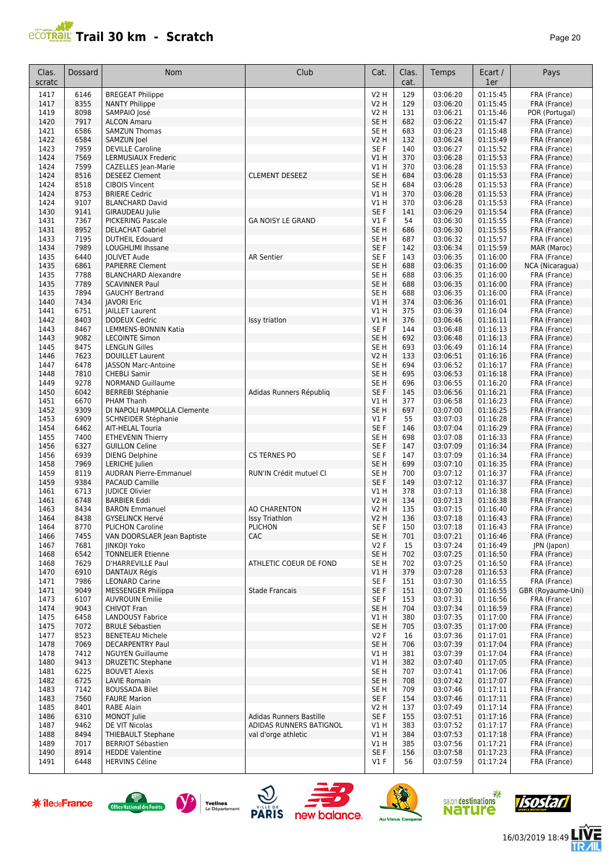

| Clas.<br>scratc | Dossard      | <b>Nom</b>                                      | Club                         | Cat.                               | Clas.<br>cat. | Temps                | Ecart /<br>1er       | Pays                         |
|-----------------|--------------|-------------------------------------------------|------------------------------|------------------------------------|---------------|----------------------|----------------------|------------------------------|
| 1417            | 6146         | <b>BREGEAT Philippe</b>                         |                              | <b>V2 H</b>                        | 129           | 03:06:20             | 01:15:45             | FRA (France)                 |
| 1417            | 8355         | <b>NANTY Philippe</b>                           |                              | V <sub>2</sub> H                   | 129           | 03:06:20             | 01:15:45             | FRA (France)                 |
| 1419            | 8098         | SAMPAIO José                                    |                              | V <sub>2</sub> H                   | 131           | 03:06:21             | 01:15:46             | POR (Portugal)               |
| 1420            | 7917         | <b>ALCON Amaru</b>                              |                              | SE <sub>H</sub>                    | 682           | 03:06:22             | 01:15:47             | FRA (France)                 |
| 1421            | 6586         | <b>SAMZUN Thomas</b>                            |                              | SE <sub>H</sub>                    | 683           | 03:06:23             | 01:15:48             | FRA (France)                 |
| 1422            | 6584<br>7959 | SAMZUN Joel                                     |                              | V2 H                               | 132           | 03:06:24             | 01:15:49<br>01:15:52 | FRA (France)                 |
| 1423<br>1424    | 7569         | <b>DEVILLE Caroline</b><br>LERMUSIAUX Frederic  |                              | SE F<br>V1 H                       | 140<br>370    | 03:06:27<br>03:06:28 | 01:15:53             | FRA (France)<br>FRA (France) |
| 1424            | 7599         | CAZELLES Jean-Marie                             |                              | V1 H                               | 370           | 03:06:28             | 01:15:53             | FRA (France)                 |
| 1424            | 8516         | <b>DESEEZ Clement</b>                           | <b>CLEMENT DESEEZ</b>        | SE <sub>H</sub>                    | 684           | 03:06:28             | 01:15:53             | FRA (France)                 |
| 1424            | 8518         | <b>CIBOIS Vincent</b>                           |                              | SE <sub>H</sub>                    | 684           | 03:06:28             | 01:15:53             | FRA (France)                 |
| 1424            | 8753         | <b>BRIERE Cedric</b>                            |                              | V1H                                | 370           | 03:06:28             | 01:15:53             | FRA (France)                 |
| 1424            | 9107         | <b>BLANCHARD David</b>                          |                              | V1H                                | 370           | 03:06:28             | 01:15:53             | FRA (France)                 |
| 1430            | 9141         | <b>GIRAUDEAU Julie</b>                          |                              | SE <sub>F</sub>                    | 141           | 03:06:29             | 01:15:54             | FRA (France)                 |
| 1431            | 7367         | <b>PICKERING Pascale</b>                        | <b>GA NOISY LE GRAND</b>     | $VI$ F                             | 54            | 03:06:30             | 01:15:55             | FRA (France)                 |
| 1431            | 8952<br>7195 | <b>DELACHAT Gabriel</b>                         |                              | SE <sub>H</sub>                    | 686           | 03:06:30             | 01:15:55<br>01:15:57 | FRA (France)                 |
| 1433<br>1434    | 7989         | <b>DUTHEIL Edouard</b><br>LOUGHLIMI Ihssane     |                              | SE <sub>H</sub><br>SE <sub>F</sub> | 687<br>142    | 03:06:32<br>03:06:34 | 01:15:59             | FRA (France)<br>MAR (Maroc)  |
| 1435            | 6440         | <b>JOLIVET Aude</b>                             | <b>AR Sentier</b>            | SE F                               | 143           | 03:06:35             | 01:16:00             | FRA (France)                 |
| 1435            | 6861         | <b>PAPIERRE Clement</b>                         |                              | SE <sub>H</sub>                    | 688           | 03:06:35             | 01:16:00             | NCA (Nicaragua)              |
| 1435            | 7788         | <b>BLANCHARD Alexandre</b>                      |                              | SE <sub>H</sub>                    | 688           | 03:06:35             | 01:16:00             | FRA (France)                 |
| 1435            | 7789         | <b>SCAVINNER Paul</b>                           |                              | SE <sub>H</sub>                    | 688           | 03:06:35             | 01:16:00             | FRA (France)                 |
| 1435            | 7894         | <b>GAUCHY Bertrand</b>                          |                              | SE <sub>H</sub>                    | 688           | 03:06:35             | 01:16:00             | FRA (France)                 |
| 1440            | 7434         | <b>JAVORI Eric</b>                              |                              | V1H                                | 374           | 03:06:36             | 01:16:01             | FRA (France)                 |
| 1441            | 6751         | <b>IAILLET Laurent</b>                          |                              | V1 H                               | 375           | 03:06:39             | 01:16:04             | FRA (France)                 |
| 1442            | 8403         | <b>DODEUX Cedric</b>                            | Issy triation                | V1H                                | 376           | 03:06:46             | 01:16:11             | FRA (France)                 |
| 1443<br>1443    | 8467<br>9082 | LEMMENS-BONNIN Katia<br><b>LECOINTE Simon</b>   |                              | SE F<br>SE <sub>H</sub>            | 144<br>692    | 03:06:48<br>03:06:48 | 01:16:13<br>01:16:13 | FRA (France)<br>FRA (France) |
| 1445            | 8475         | <b>LENGLIN Gilles</b>                           |                              | SE <sub>H</sub>                    | 693           | 03:06:49             | 01:16:14             | FRA (France)                 |
| 1446            | 7623         | <b>DOUILLET Laurent</b>                         |                              | <b>V2 H</b>                        | 133           | 03:06:51             | 01:16:16             | FRA (France)                 |
| 1447            | 6478         | <b>JASSON Marc-Antoine</b>                      |                              | SE H                               | 694           | 03:06:52             | 01:16:17             | FRA (France)                 |
| 1448            | 7810         | <b>CHEBLI Samir</b>                             |                              | SE <sub>H</sub>                    | 695           | 03:06:53             | 01:16:18             | FRA (France)                 |
| 1449            | 9278         | <b>NORMAND Guillaume</b>                        |                              | SE <sub>H</sub>                    | 696           | 03:06:55             | 01:16:20             | FRA (France)                 |
| 1450            | 6042         | <b>BERREBI Stéphanie</b>                        | Adidas Runners Républiq      | SE F                               | 145           | 03:06:56             | 01:16:21             | FRA (France)                 |
| 1451            | 6670         | PHAM Thanh                                      |                              | V1H                                | 377           | 03:06:58             | 01:16:23             | FRA (France)                 |
| 1452            | 9309         | DI NAPOLI RAMPOLLA Clemente                     |                              | SE <sub>H</sub>                    | 697           | 03:07:00             | 01:16:25             | FRA (France)                 |
| 1453            | 6909         | SCHNEIDER Stéphanie                             |                              | <b>V1 F</b>                        | 55            | 03:07:03             | 01:16:28             | FRA (France)                 |
| 1454<br>1455    | 6462<br>7400 | AIT-HELAL Touria<br><b>ETHEVENIN Thierry</b>    |                              | SE F<br>SE <sub>H</sub>            | 146<br>698    | 03:07:04<br>03:07:08 | 01:16:29<br>01:16:33 | FRA (France)<br>FRA (France) |
| 1456            | 6327         | <b>GUILLON Celine</b>                           |                              | SE <sub>F</sub>                    | 147           | 03:07:09             | 01:16:34             | FRA (France)                 |
| 1456            | 6939         | <b>DIENG Delphine</b>                           | <b>CS TERNES PO</b>          | SE <sub>F</sub>                    | 147           | 03:07:09             | 01:16:34             | FRA (France)                 |
| 1458            | 7969         | <b>LERICHE</b> Julien                           |                              | SE <sub>H</sub>                    | 699           | 03:07:10             | 01:16:35             | FRA (France)                 |
| 1459            | 8119         | <b>AUDRAN Pierre-Emmanuel</b>                   | RUN'IN Crédit mutuel CI      | SE <sub>H</sub>                    | 700           | 03:07:12             | 01:16:37             | FRA (France)                 |
| 1459            | 9384         | <b>PACAUD Camille</b>                           |                              | SE F                               | 149           | 03:07:12             | 01:16:37             | FRA (France)                 |
| 1461            | 6713         | <b>IUDICE Olivier</b>                           |                              | V1 H                               | 378           | 03:07:13             | 01:16:38             | FRA (France)                 |
| 1461            | 6748         | <b>BARBIER Eddi</b>                             |                              | V2 H                               | 134           | 03:07:13             | 01:16:38             | FRA (France)                 |
| 1463            | 8434         | <b>BARON Emmanuel</b><br><b>GYSELINCK Hervé</b> | <b>AO CHARENTON</b>          | <b>V2 H</b>                        | 135           | 03:07:15             | 01:16:40             | FRA (France)                 |
| 1464<br>1464    | 8438<br>8770 | <b>PLICHON Caroline</b>                         | <b>Issy Triathlon</b>        | <b>V2 H</b><br>SE F                | 136<br>150    | 03:07:18<br>03:07:18 | 01:16:43<br>01:16:43 | FRA (France)                 |
| 1466            | 7455         | VAN DOORSLAER Jean Baptiste                     | <b>PLICHON</b><br><b>CAC</b> | SE <sub>H</sub>                    | 701           | 03:07:21             | 01:16:46             | FRA (France)<br>FRA (France) |
| 1467            | 7681         | <b>IINKOII Yoko</b>                             |                              | V2F                                | 15            | 03:07:24             | 01:16:49             | JPN (Japon)                  |
| 1468            | 6542         | <b>TONNELIER Etienne</b>                        |                              | SE <sub>H</sub>                    | 702           | 03:07:25             | 01:16:50             | FRA (France)                 |
| 1468            | 7629         | D'HARREVILLE Paul                               | ATHLETIC COEUR DE FOND       | SE H                               | 702           | 03:07:25             | 01:16:50             | FRA (France)                 |
| 1470            | 6910         | DANTAUX Régis                                   |                              | VIH                                | 379           | 03:07:28             | 01:16:53             | FRA (France)                 |
| 1471            | 7986         | <b>LEONARD Carine</b>                           |                              | SE F                               | 151           | 03:07:30             | 01:16:55             | FRA (France)                 |
| 1471            | 9049         | <b>MESSENGER Philippa</b>                       | <b>Stade Francais</b>        | SE F                               | 151           | 03:07:30             | 01:16:55             | GBR (Royaume-Uni)            |
| 1473<br>1474    | 6107<br>9043 | <b>AUVROUIN Emilie</b>                          |                              | SE F                               | 153<br>704    | 03:07:31<br>03:07:34 | 01:16:56<br>01:16:59 | FRA (France)<br>FRA (France) |
| 1475            | 6458         | <b>CHIVOT Fran</b><br><b>LANDOUSY Fabrice</b>   |                              | SE H<br>V1 H                       | 380           | 03:07:35             | 01:17:00             | FRA (France)                 |
| 1475            | 7072         | <b>BRULE Sébastien</b>                          |                              | SE <sub>H</sub>                    | 705           | 03:07:35             | 01:17:00             | FRA (France)                 |
| 1477            | 8523         | <b>BENETEAU Michele</b>                         |                              | V2F                                | 16            | 03:07:36             | 01:17:01             | FRA (France)                 |
| 1478            | 7069         | <b>DECARPENTRY Paul</b>                         |                              | SE H                               | 706           | 03:07:39             | 01:17:04             | FRA (France)                 |
| 1478            | 7412         | <b>NGUYEN Guillaume</b>                         |                              | V1 H                               | 381           | 03:07:39             | 01:17:04             | FRA (France)                 |
| 1480            | 9413         | <b>DRUZETIC Stephane</b>                        |                              | V1H                                | 382           | 03:07:40             | 01:17:05             | FRA (France)                 |
| 1481            | 6225         | <b>BOUVET Alexis</b>                            |                              | SE <sub>H</sub>                    | 707           | 03:07:41             | 01:17:06             | FRA (France)                 |
| 1482            | 6725         | LAVIE Romain                                    |                              | SE H                               | 708           | 03:07:42             | 01:17:07             | FRA (France)                 |
| 1483            | 7142         | <b>BOUSSADA Bilel</b>                           |                              | SE H                               | 709           | 03:07:46             | 01:17:11             | FRA (France)                 |
| 1483<br>1485    | 7560<br>8401 | <b>FAURE Marion</b><br>RABE Alain               |                              | SE F<br>V2 H                       | 154<br>137    | 03:07:46<br>03:07:49 | 01:17:11<br>01:17:14 | FRA (France)<br>FRA (France) |
| 1486            | 6310         | MONOT Julie                                     | Adidas Runners Bastille      | SE F                               | 155           | 03:07:51             | 01:17:16             | FRA (France)                 |
| 1487            | 9462         | DE VIT Nicolas                                  | ADIDAS RUNNERS BATIGNOL      | V1 H                               | 383           | 03:07:52             | 01:17:17             | FRA (France)                 |
| 1488            | 8494         | THIEBAULT Stephane                              | val d'orge athletic          | V1H                                | 384           | 03:07:53             | 01:17:18             | FRA (France)                 |
| 1489            | 7017         | <b>BERRIOT Sébastien</b>                        |                              | V1 H                               | 385           | 03:07:56             | 01:17:21             | FRA (France)                 |
| 1490            | 8914         | <b>HEDDE Valentine</b>                          |                              | SE F                               | 156           | 03:07:58             | 01:17:23             | FRA (France)                 |
| 1491            | 6448         | <b>HERVINS Céline</b>                           |                              | $VI$ F                             | 56            | 03:07:59             | 01:17:24             | FRA (France)                 |

















信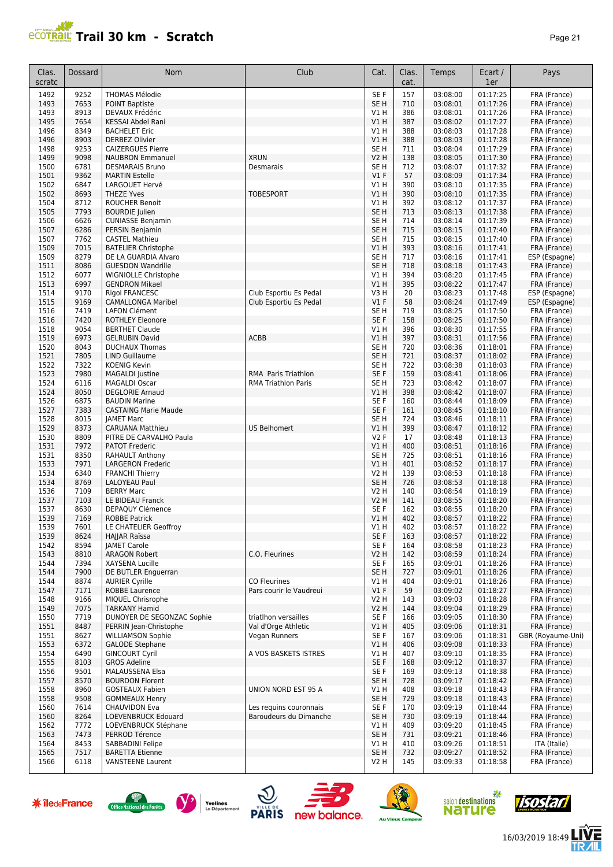

| Clas.<br>scratc | Dossard      | <b>Nom</b>                                         | Club                                           | Cat.                      | Clas.<br>cat. | Temps                | Ecart /<br>1er       | Pays                           |
|-----------------|--------------|----------------------------------------------------|------------------------------------------------|---------------------------|---------------|----------------------|----------------------|--------------------------------|
| 1492            | 9252         | <b>THOMAS Mélodie</b>                              |                                                | SE F                      | 157           | 03:08:00             | 01:17:25             | FRA (France)                   |
| 1493            | 7653         | <b>POINT Baptiste</b>                              |                                                | SE <sub>H</sub>           | 710           | 03:08:01             | 01:17:26             | FRA (France)                   |
| 1493            | 8913         | DEVAUX Frédéric                                    |                                                | V1 H                      | 386           | 03:08:01             | 01:17:26             | FRA (France)                   |
| 1495            | 7654         | KESSAI Abdel Rani                                  |                                                | VIH                       | 387           | 03:08:02             | 01:17:27             | FRA (France)                   |
| 1496            | 8349         | <b>BACHELET Eric</b>                               |                                                | V1 H                      | 388           | 03:08:03             | 01:17:28             | FRA (France)                   |
| 1496            | 8903         | <b>DERBEZ Olivier</b>                              |                                                | VIH                       | 388           | 03:08:03             | 01:17:28             | FRA (France)                   |
| 1498            | 9253         | <b>CAIZERGUES Pierre</b>                           |                                                | SE <sub>H</sub>           | 711           | 03:08:04             | 01:17:29             | FRA (France)                   |
| 1499            | 9098         | <b>NAUBRON Emmanuel</b><br><b>DESMARAIS Bruno</b>  | <b>XRUN</b>                                    | <b>V2 H</b>               | 138           | 03:08:05             | 01:17:30             | FRA (France)                   |
| 1500<br>1501    | 6781<br>9362 | <b>MARTIN Estelle</b>                              | Desmarais                                      | SE <sub>H</sub><br>$VI$ F | 712<br>57     | 03:08:07<br>03:08:09 | 01:17:32<br>01:17:34 | FRA (France)<br>FRA (France)   |
| 1502            | 6847         | LARGOUET Hervé                                     |                                                | V1 H                      | 390           | 03:08:10             | 01:17:35             | FRA (France)                   |
| 1502            | 8693         | <b>THEZE Yves</b>                                  | <b>TOBESPORT</b>                               | V1 H                      | 390           | 03:08:10             | 01:17:35             | FRA (France)                   |
| 1504            | 8712         | <b>ROUCHER Benoit</b>                              |                                                | V1H                       | 392           | 03:08:12             | 01:17:37             | FRA (France)                   |
| 1505            | 7793         | <b>BOURDIE</b> Julien                              |                                                | SE <sub>H</sub>           | 713           | 03:08:13             | 01:17:38             | FRA (France)                   |
| 1506            | 6626         | <b>CUNIASSE Benjamin</b>                           |                                                | SE <sub>H</sub>           | 714           | 03:08:14             | 01:17:39             | FRA (France)                   |
| 1507            | 6286         | PERSIN Benjamin                                    |                                                | SE <sub>H</sub>           | 715           | 03:08:15             | 01:17:40             | FRA (France)                   |
| 1507            | 7762         | <b>CASTEL Mathieu</b>                              |                                                | SE <sub>H</sub>           | 715           | 03:08:15             | 01:17:40             | FRA (France)                   |
| 1509            | 7015         | <b>BATELIER Christophe</b>                         |                                                | VIH                       | 393           | 03:08:16             | 01:17:41             | FRA (France)                   |
| 1509            | 8279         | DE LA GUARDIA Alvaro                               |                                                | SE <sub>H</sub>           | 717           | 03:08:16             | 01:17:41             | ESP (Espagne)                  |
| 1511            | 8086         | <b>GUESDON Wandrille</b>                           |                                                | SE <sub>H</sub>           | 718           | 03:08:18             | 01:17:43             | FRA (France)                   |
| 1512            | 6077         | WIGNIOLLE Christophe                               |                                                | V1H                       | 394           | 03:08:20             | 01:17:45             | FRA (France)                   |
| 1513            | 6997         | <b>GENDRON Mikael</b>                              |                                                | V1H                       | 395           | 03:08:22             | 01:17:47             | FRA (France)                   |
| 1514<br>1515    | 9170<br>9169 | Rigol FRANCESC                                     | Club Esportiu Es Pedal                         | V3 H<br>V1F               | 20<br>58      | 03:08:23<br>03:08:24 | 01:17:48<br>01:17:49 | ESP (Espagne)<br>ESP (Espagne) |
| 1516            | 7419         | <b>CAMALLONGA Maribel</b><br><b>LAFON Clément</b>  | Club Esportiu Es Pedal                         | SE <sub>H</sub>           | 719           | 03:08:25             | 01:17:50             | FRA (France)                   |
| 1516            | 7420         | <b>ROTHLEY Eleonore</b>                            |                                                | SE <sub>F</sub>           | 158           | 03:08:25             | 01:17:50             | FRA (France)                   |
| 1518            | 9054         | <b>BERTHET Claude</b>                              |                                                | V1 H                      | 396           | 03:08:30             | 01:17:55             | FRA (France)                   |
| 1519            | 6973         | <b>GELRUBIN David</b>                              | ACBB                                           | V1H                       | 397           | 03:08:31             | 01:17:56             | FRA (France)                   |
| 1520            | 8043         | <b>DUCHAUX Thomas</b>                              |                                                | SE <sub>H</sub>           | 720           | 03:08:36             | 01:18:01             | FRA (France)                   |
| 1521            | 7805         | <b>LIND Guillaume</b>                              |                                                | SE <sub>H</sub>           | 721           | 03:08:37             | 01:18:02             | FRA (France)                   |
| 1522            | 7322         | <b>KOENIG Kevin</b>                                |                                                | SE <sub>H</sub>           | 722           | 03:08:38             | 01:18:03             | FRA (France)                   |
| 1523            | 7980         | <b>MAGALDI</b> Justine                             | RMA Paris Triathlon                            | SE F                      | 159           | 03:08:41             | 01:18:06             | FRA (France)                   |
| 1524            | 6116         | <b>MAGALDI Oscar</b>                               | <b>RMA Triathlon Paris</b>                     | SE <sub>H</sub>           | 723           | 03:08:42             | 01:18:07             | FRA (France)                   |
| 1524            | 8050         | <b>DEGLORIE Arnaud</b>                             |                                                | V1H                       | 398           | 03:08:42             | 01:18:07             | FRA (France)                   |
| 1526            | 6875         | <b>BAUDIN Marine</b>                               |                                                | SE <sub>F</sub>           | 160           | 03:08:44             | 01:18:09             | FRA (France)                   |
| 1527            | 7383         | <b>CASTAING Marie Maude</b>                        |                                                | SE F                      | 161           | 03:08:45             | 01:18:10             | FRA (France)                   |
| 1528            | 8015         | <b>JAMET Marc</b>                                  |                                                | SE <sub>H</sub>           | 724           | 03:08:46             | 01:18:11             | FRA (France)                   |
| 1529            | 8373         | <b>CARUANA Matthieu</b>                            | <b>US Belhomert</b>                            | V1 H                      | 399           | 03:08:47             | 01:18:12             | FRA (France)                   |
| 1530            | 8809         | PITRE DE CARVALHO Paula                            |                                                | <b>V2F</b>                | 17            | 03:08:48             | 01:18:13             | FRA (France)                   |
| 1531            | 7972         | <b>PATOT Frederic</b>                              |                                                | V1 H                      | 400           | 03:08:51             | 01:18:16             | FRA (France)                   |
| 1531<br>1533    | 8350<br>7971 | <b>RAHAULT Anthony</b><br><b>LARGERON Frederic</b> |                                                | SE <sub>H</sub><br>VIH    | 725<br>401    | 03:08:51<br>03:08:52 | 01:18:16<br>01:18:17 | FRA (France)<br>FRA (France)   |
| 1534            | 6340         | <b>FRANCHI Thierry</b>                             |                                                | <b>V2 H</b>               | 139           | 03:08:53             | 01:18:18             | FRA (France)                   |
| 1534            | 8769         | LALOYEAU Paul                                      |                                                | SE <sub>H</sub>           | 726           | 03:08:53             | 01:18:18             | FRA (France)                   |
| 1536            | 7109         | <b>BERRY Marc</b>                                  |                                                | V2 H                      | 140           | 03:08:54             | 01:18:19             | FRA (France)                   |
| 1537            | 7103         | LE BIDEAU Franck                                   |                                                | <b>V2 H</b>               | 141           | 03:08:55             | 01:18:20             | FRA (France)                   |
| 1537            | 8630         | DEPAQUY Clémence                                   |                                                | SE <sub>F</sub>           | 162           | 03:08:55             | 01:18:20             | FRA (France)                   |
| 1539            | 7169         | <b>ROBBE Patrick</b>                               |                                                | V1 H                      | 402           | 03:08:57             | 01:18:22             | FRA (France)                   |
| 1539            | 7601         | LE CHATELIER Geoffroy                              |                                                | V1 H                      | 402           | 03:08:57             | 01:18:22             | FRA (France)                   |
| 1539            | 8624         | HAJJAR Raïssa                                      |                                                | SE F                      | 163           | 03:08:57             | 01:18:22             | FRA (France)                   |
| 1542            | 8594         | <b>JAMET Carole</b>                                |                                                | SE F                      | 164           | 03:08:58             | 01:18:23             | FRA (France)                   |
| 1543            | 8810         | <b>ARAGON Robert</b>                               | C.O. Fleurines                                 | V2 H                      | 142           | 03:08:59             | 01:18:24             | FRA (France)                   |
| 1544            | 7394         | XAYSENA Lucille                                    |                                                | SE F                      | 165           | 03:09:01             | 01:18:26             | FRA (France)                   |
| 1544            | 7900         | DE BUTLER Enguerran                                |                                                | SE <sub>H</sub>           | 727           | 03:09:01             | 01:18:26             | FRA (France)                   |
| 1544<br>1547    | 8874<br>7171 | <b>AURIER Cyrille</b><br><b>ROBBE Laurence</b>     | <b>CO Fleurines</b><br>Pars courir le Vaudreui | V1 H<br>V1F               | 404<br>59     | 03:09:01<br>03:09:02 | 01:18:26<br>01:18:27 | FRA (France)<br>FRA (France)   |
| 1548            | 9166         | MIOUEL Chrisrophe                                  |                                                | V2 H                      | 143           | 03:09:03             | 01:18:28             | FRA (France)                   |
| 1549            | 7075         | <b>TARKANY Hamid</b>                               |                                                | <b>V2 H</b>               | 144           | 03:09:04             | 01:18:29             | FRA (France)                   |
| 1550            | 7719         | DUNOYER DE SEGONZAC Sophie                         | triatlhon versailles                           | SE F                      | 166           | 03:09:05             | 01:18:30             | FRA (France)                   |
| 1551            | 8487         | PERRIN Jean-Christophe                             | Val d'Orge Athletic                            | V1 H                      | 405           | 03:09:06             | 01:18:31             | FRA (France)                   |
| 1551            | 8627         | <b>WILLIAMSON Sophie</b>                           | Vegan Runners                                  | SE F                      | 167           | 03:09:06             | 01:18:31             | GBR (Royaume-Uni)              |
| 1553            | 6372         | <b>GALODE Stephane</b>                             |                                                | V1 H                      | 406           | 03:09:08             | 01:18:33             | FRA (France)                   |
| 1554            | 6490         | <b>GINCOURT Cyril</b>                              | A VOS BASKETS ISTRES                           | V1 H                      | 407           | 03:09:10             | 01:18:35             | FRA (France)                   |
| 1555            | 8103         | <b>GROS Adeline</b>                                |                                                | SE F                      | 168           | 03:09:12             | 01:18:37             | FRA (France)                   |
| 1556            | 9501         | <b>MALAUSSENA Elsa</b>                             |                                                | SE F                      | 169           | 03:09:13             | 01:18:38             | FRA (France)                   |
| 1557            | 8570         | <b>BOURDON Florent</b>                             |                                                | SE H                      | 728           | 03:09:17             | 01:18:42             | FRA (France)                   |
| 1558            | 8960         | <b>GOSTEAUX Fabien</b>                             | UNION NORD EST 95 A                            | V1 H                      | 408           | 03:09:18             | 01:18:43             | FRA (France)                   |
| 1558            | 9508         | <b>GOMMEAUX Henry</b>                              |                                                | SE <sub>H</sub>           | 729           | 03:09:18             | 01:18:43             | FRA (France)                   |
| 1560            | 7614         | <b>CHAUVIDON Eva</b>                               | Les requins couronnais                         | SE F                      | 170           | 03:09:19             | 01:18:44             | FRA (France)                   |
| 1560            | 8264         | LOEVENBRUCK Edouard                                | Baroudeurs du Dimanche                         | SE H                      | 730           | 03:09:19             | 01:18:44             | FRA (France)                   |
| 1562            | 7772<br>7473 | LOEVENBRUCK Stéphane<br>PERROD Térence             |                                                | V1 H<br>SE <sub>H</sub>   | 409           | 03:09:20             | 01:18:45<br>01:18:46 | FRA (France)                   |
| 1563<br>1564    | 8453         | SABBADINI Felipe                                   |                                                | V1 H                      | 731<br>410    | 03:09:21<br>03:09:26 | 01:18:51             | FRA (France)<br>ITA (Italie)   |
| 1565            | 7517         | <b>BARETTA Etienne</b>                             |                                                | SE <sub>H</sub>           | 732           | 03:09:27             | 01:18:52             | FRA (France)                   |
| 1566            | 6118         | <b>VANSTEENE Laurent</b>                           |                                                | V2 H                      | 145           | 03:09:33             | 01:18:58             | FRA (France)                   |
|                 |              |                                                    |                                                |                           |               |                      |                      |                                |

**米 îledeFrance** 













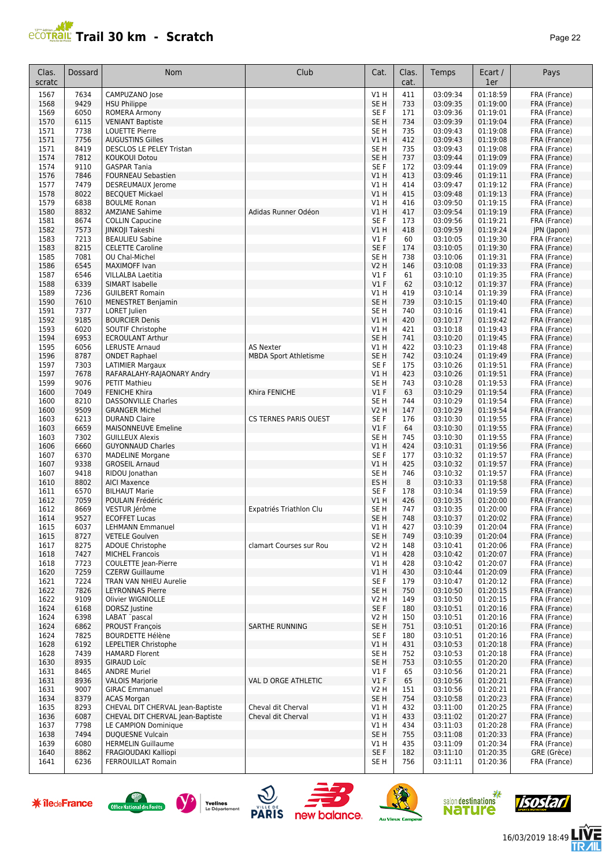

| Clas.<br>scratc | Dossard      | <b>Nom</b>                                           | Club                         | Cat.                               | Clas.<br>cat. | Temps                | Ecart /<br>1er       | Pays                         |
|-----------------|--------------|------------------------------------------------------|------------------------------|------------------------------------|---------------|----------------------|----------------------|------------------------------|
| 1567            | 7634         | CAMPUZANO Jose                                       |                              | V1 H                               | 411           | 03:09:34             | 01:18:59             | FRA (France)                 |
| 1568            | 9429         | <b>HSU Philippe</b>                                  |                              | SE <sub>H</sub>                    | 733           | 03:09:35             | 01:19:00             | FRA (France)                 |
| 1569            | 6050         | ROMERA Armony                                        |                              | SE F                               | 171           | 03:09:36             | 01:19:01             | FRA (France)                 |
| 1570<br>1571    | 6115<br>7738 | <b>VENIANT Baptiste</b><br><b>LOUETTE Pierre</b>     |                              | SE <sub>H</sub><br>SE <sub>H</sub> | 734<br>735    | 03:09:39<br>03:09:43 | 01:19:04<br>01:19:08 | FRA (France)<br>FRA (France) |
| 1571            | 7756         | <b>AUGUSTINS Gilles</b>                              |                              | V1 H                               | 412           | 03:09:43             | 01:19:08             | FRA (France)                 |
| 1571            | 8419         | DESCLOS LE PELEY Tristan                             |                              | SE <sub>H</sub>                    | 735           | 03:09:43             | 01:19:08             | FRA (France)                 |
| 1574            | 7812         | <b>KOUKOUI Dotou</b>                                 |                              | SE <sub>H</sub>                    | 737           | 03:09:44             | 01:19:09             | FRA (France)                 |
| 1574            | 9110         | <b>GASPAR Tania</b>                                  |                              | SE <sub>F</sub>                    | 172           | 03:09:44             | 01:19:09             | FRA (France)                 |
| 1576            | 7846         | <b>FOURNEAU Sebastien</b>                            |                              | V1H                                | 413           | 03:09:46             | 01:19:11             | FRA (France)                 |
| 1577<br>1578    | 7479<br>8022 | DESREUMAUX Jerome<br><b>BECQUET Mickael</b>          |                              | V1 H<br>V1H                        | 414<br>415    | 03:09:47<br>03:09:48 | 01:19:12<br>01:19:13 | FRA (France)<br>FRA (France) |
| 1579            | 6838         | <b>BOULME Ronan</b>                                  |                              | V1H                                | 416           | 03:09:50             | 01:19:15             | FRA (France)                 |
| 1580            | 8832         | <b>AMZIANE Sahime</b>                                | Adidas Runner Odéon          | V1 H                               | 417           | 03:09:54             | 01:19:19             | FRA (France)                 |
| 1581            | 8674         | <b>COLLIN Capucine</b>                               |                              | SE F                               | 173           | 03:09:56             | 01:19:21             | FRA (France)                 |
| 1582            | 7573         | <b>IINKOII Takeshi</b>                               |                              | V1 H                               | 418           | 03:09:59             | 01:19:24             | JPN (Japon)                  |
| 1583            | 7213         | <b>BEAULIEU Sabine</b>                               |                              | $VI$ F                             | 60            | 03:10:05             | 01:19:30             | FRA (France)                 |
| 1583            | 8215         | <b>CELETTE Caroline</b>                              |                              | SE <sub>F</sub>                    | 174           | 03:10:05             | 01:19:30             | FRA (France)                 |
| 1585<br>1586    | 7081<br>6545 | OU Chal-Michel<br>MAXIMOFF Ivan                      |                              | SE <sub>H</sub><br><b>V2 H</b>     | 738<br>146    | 03:10:06<br>03:10:08 | 01:19:31<br>01:19:33 | FRA (France)<br>FRA (France) |
| 1587            | 6546         | <b>VILLALBA Laetitia</b>                             |                              | <b>V1 F</b>                        | 61            | 03:10:10             | 01:19:35             | FRA (France)                 |
| 1588            | 6339         | SIMART Isabelle                                      |                              | $VI$ F                             | 62            | 03:10:12             | 01:19:37             | FRA (France)                 |
| 1589            | 7236         | <b>GUILBERT Romain</b>                               |                              | V1 H                               | 419           | 03:10:14             | 01:19:39             | FRA (France)                 |
| 1590            | 7610         | <b>MENESTRET Benjamin</b>                            |                              | SE <sub>H</sub>                    | 739           | 03:10:15             | 01:19:40             | FRA (France)                 |
| 1591            | 7377         | <b>LORET</b> Julien                                  |                              | SE <sub>H</sub>                    | 740           | 03:10:16             | 01:19:41             | FRA (France)                 |
| 1592            | 9185         | <b>BOURCIER Denis</b>                                |                              | VIH                                | 420           | 03:10:17             | 01:19:42             | FRA (France)                 |
| 1593            | 6020         | SOUTIF Christophe                                    |                              | V1 H                               | 421           | 03:10:18             | 01:19:43             | FRA (France)                 |
| 1594<br>1595    | 6953<br>6056 | <b>ECROULANT Arthur</b><br><b>LERUSTE Arnaud</b>     | <b>AS Nexter</b>             | SE <sub>H</sub><br>V1H             | 741<br>422    | 03:10:20<br>03:10:23 | 01:19:45<br>01:19:48 | FRA (France)<br>FRA (France) |
| 1596            | 8787         | <b>ONDET Raphael</b>                                 | <b>MBDA Sport Athletisme</b> | SE <sub>H</sub>                    | 742           | 03:10:24             | 01:19:49             | FRA (France)                 |
| 1597            | 7303         | <b>LATIMIER Margaux</b>                              |                              | SE F                               | 175           | 03:10:26             | 01:19:51             | FRA (France)                 |
| 1597            | 7678         | RAFARALAHY-RAJAONARY Andry                           |                              | V1H                                | 423           | 03:10:26             | 01:19:51             | FRA (France)                 |
| 1599            | 9076         | PETIT Mathieu                                        |                              | SE <sub>H</sub>                    | 743           | 03:10:28             | 01:19:53             | FRA (France)                 |
| 1600            | 7049         | <b>FENICHE Khira</b>                                 | Khira FENICHE                | $VI$ F                             | 63            | 03:10:29             | 01:19:54             | FRA (France)                 |
| 1600            | 8210         | <b>DASSONVILLE Charles</b>                           |                              | SE <sub>H</sub>                    | 744           | 03:10:29             | 01:19:54             | FRA (France)                 |
| 1600            | 9509         | <b>GRANGER Michel</b>                                |                              | <b>V2 H</b>                        | 147           | 03:10:29             | 01:19:54             | FRA (France)                 |
| 1603<br>1603    | 6213<br>6659 | <b>DURAND Claire</b><br><b>MAISONNEUVE Emeline</b>   | <b>CS TERNES PARIS OUEST</b> | SE F<br>$VI$ F                     | 176<br>64     | 03:10:30<br>03:10:30 | 01:19:55<br>01:19:55 | FRA (France)<br>FRA (France) |
| 1603            | 7302         | <b>GUILLEUX Alexis</b>                               |                              | SE <sub>H</sub>                    | 745           | 03:10:30             | 01:19:55             | FRA (France)                 |
| 1606            | 6660         | <b>GUYONNAUD Charles</b>                             |                              | V1 H                               | 424           | 03:10:31             | 01:19:56             | FRA (France)                 |
| 1607            | 6370         | <b>MADELINE Morgane</b>                              |                              | SE <sub>F</sub>                    | 177           | 03:10:32             | 01:19:57             | FRA (France)                 |
| 1607            | 9338         | <b>GROSEIL Arnaud</b>                                |                              | V1 H                               | 425           | 03:10:32             | 01:19:57             | FRA (France)                 |
| 1607            | 9418         | RIDOU Jonathan                                       |                              | SE <sub>H</sub>                    | 746           | 03:10:32             | 01:19:57             | FRA (France)                 |
| 1610            | 8802         | <b>AICI Maxence</b>                                  |                              | ES <sub>H</sub>                    | 8             | 03:10:33             | 01:19:58             | FRA (France)                 |
| 1611            | 6570         | <b>BILHAUT Marie</b>                                 |                              | SE F                               | 178           | 03:10:34<br>03:10:35 | 01:19:59             | FRA (France)                 |
| 1612<br>1612    | 7059<br>8669 | POULAIN Frédéric<br>VESTUR Jérôme                    | Expatriés Triathlon Clu      | VIH<br>SE <sub>H</sub>             | 426<br>747    | 03:10:35             | 01:20:00<br>01:20:00 | FRA (France)<br>FRA (France) |
| 1614            | 9527         | <b>ECOFFET Lucas</b>                                 |                              | SE <sub>H</sub>                    | 748           | 03:10:37             | 01:20:02             | FRA (France)                 |
| 1615            | 6037         | <b>LEHMANN Emmanuel</b>                              |                              | V1H                                | 427           | 03:10:39             | 01:20:04             | FRA (France)                 |
| 1615            | 8727         | <b>VETELE Goulven</b>                                |                              | SE <sub>H</sub>                    | 749           | 03:10:39             | 01:20:04             | FRA (France)                 |
| 1617            | 8275         | ADOUE Christophe                                     | clamart Courses sur Rou      | V2 H                               | 148           | 03:10:41             | 01:20:06             | FRA (France)                 |
| 1618            | 7427         | <b>MICHEL Francois</b>                               |                              | VIH                                | 428           | 03:10:42             | 01:20:07             | FRA (France)                 |
| 1618            | 7723         | COULETTE Jean-Pierre                                 |                              | V1 H                               | 428           | 03:10:42             | 01:20:07             | FRA (France)                 |
| 1620<br>1621    | 7259<br>7224 | <b>CZERW Guillaume</b><br>TRAN VAN NHIEU Aurelie     |                              | V1 H<br>SE F                       | 430<br>179    | 03:10:44<br>03:10:47 | 01:20:09<br>01:20:12 | FRA (France)<br>FRA (France) |
| 1622            | 7826         | <b>LEYRONNAS Pierre</b>                              |                              | SE <sub>H</sub>                    | 750           | 03:10:50             | 01:20:15             | FRA (France)                 |
| 1622            | 9109         | Olivier WIGNIOLLE                                    |                              | V2 H                               | 149           | 03:10:50             | 01:20:15             | FRA (France)                 |
| 1624            | 6168         | DORSZ Justine                                        |                              | SE F                               | 180           | 03:10:51             | 01:20:16             | FRA (France)                 |
| 1624            | 6398         | LABAT "pascal                                        |                              | <b>V2 H</b>                        | 150           | 03:10:51             | 01:20:16             | FRA (France)                 |
| 1624            | 6862         | PROUST François                                      | <b>SARTHE RUNNING</b>        | SE <sub>H</sub>                    | 751           | 03:10:51             | 01:20:16             | FRA (France)                 |
| 1624            | 7825         | <b>BOURDETTE Hélène</b>                              |                              | SE F                               | 180           | 03:10:51             | 01:20:16             | FRA (France)                 |
| 1628            | 6192         | LEPELTIER Christophe                                 |                              | V1H                                | 431           | 03:10:53<br>03:10:53 | 01:20:18<br>01:20:18 | FRA (France)                 |
| 1628<br>1630    | 7439<br>8935 | <b>HAMARD Florent</b><br><b>GIRAUD Loïc</b>          |                              | SE H<br>SE H                       | 752<br>753    | 03:10:55             | 01:20:20             | FRA (France)<br>FRA (France) |
| 1631            | 8465         | <b>ANDRE Muriel</b>                                  |                              | $VI$ F                             | 65            | 03:10:56             | 01:20:21             | FRA (France)                 |
| 1631            | 8936         | <b>VALOIS Marjorie</b>                               | VAL D ORGE ATHLETIC          | $VI$ F                             | 65            | 03:10:56             | 01:20:21             | FRA (France)                 |
| 1631            | 9007         | <b>GIRAC Emmanuel</b>                                |                              | V2 H                               | 151           | 03:10:56             | 01:20:21             | FRA (France)                 |
| 1634            | 8379         | <b>ACAS Morgan</b>                                   |                              | SE <sub>H</sub>                    | 754           | 03:10:58             | 01:20:23             | FRA (France)                 |
| 1635            | 8293         | CHEVAL DIT CHERVAL Jean-Baptiste                     | Cheval dit Cherval           | V1 H                               | 432           | 03:11:00             | 01:20:25             | FRA (France)                 |
| 1636            | 6087         | CHEVAL DIT CHERVAL Jean-Baptiste                     | Cheval dit Cherval           | V1H                                | 433           | 03:11:02             | 01:20:27             | FRA (France)                 |
| 1637            | 7798         | LE CAMPION Dominique                                 |                              | V1 H                               | 434           | 03:11:03<br>03:11:08 | 01:20:28<br>01:20:33 | FRA (France)                 |
| 1638<br>1639    | 7494<br>6080 | <b>DUQUESNE Vulcain</b><br><b>HERMELIN Guillaume</b> |                              | SE H<br>V1 H                       | 755<br>435    | 03:11:09             | 01:20:34             | FRA (France)<br>FRA (France) |
| 1640            | 8862         | FRAGIOUDAKI Kalliopi                                 |                              | SE F                               | 182           | 03:11:10             | 01:20:35             | GRE (Grèce)                  |
| 1641            | 6236         | FERROUILLAT Romain                                   |                              | SE H                               | 756           | 03:11:11             | 01:20:36             | FRA (France)                 |
|                 |              |                                                      |                              |                                    |               |                      |                      |                              |













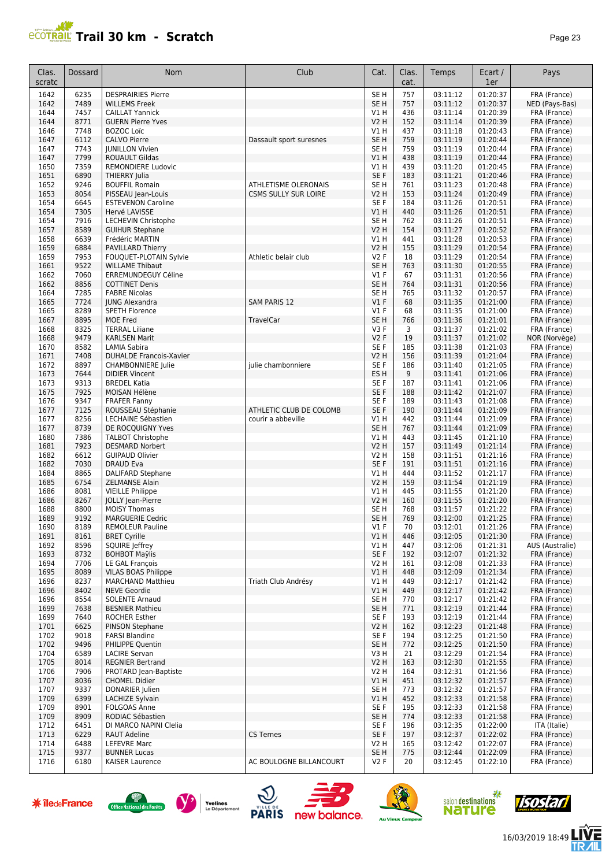| эΩ⊵ |  |
|-----|--|
|-----|--|

| Clas.<br>scratc      | Dossard      | <b>Nom</b>                                               | Club                                          | Cat.                      | Clas.<br>cat.          | Temps                        | Ecart /<br>1er       | Pays                         |
|----------------------|--------------|----------------------------------------------------------|-----------------------------------------------|---------------------------|------------------------|------------------------------|----------------------|------------------------------|
| 1642                 | 6235         | <b>DESPRAIRIES Pierre</b>                                |                                               | SE <sub>H</sub>           | 757                    | 03:11:12                     | 01:20:37             | FRA (France)                 |
| 1642                 | 7489         | <b>WILLEMS Freek</b>                                     |                                               | SE <sub>H</sub>           | 757                    | 03:11:12                     | 01:20:37             | NED (Pays-Bas)               |
| 1644                 | 7457         | <b>CAILLAT Yannick</b>                                   |                                               | V1 H                      | 436                    | 03:11:14                     | 01:20:39             | FRA (France)                 |
| 1644                 | 8771         | <b>GUERN Pierre Yves</b>                                 |                                               | <b>V2 H</b>               | 152                    | 03:11:14                     | 01:20:39             | FRA (France)                 |
| 1646                 | 7748         | <b>BOZOC Loïc</b>                                        |                                               | V1 H                      | 437                    | 03:11:18                     | 01:20:43             | FRA (France)                 |
| 1647                 | 6112         | <b>CALVO Pierre</b>                                      | Dassault sport suresnes                       | SE <sub>H</sub>           | 759                    | 03:11:19                     | 01:20:44             | FRA (France)                 |
| 1647                 | 7743         | <b>JUNILLON Vivien</b>                                   |                                               | SE <sub>H</sub>           | 759                    | 03:11:19                     | 01:20:44             | FRA (France)                 |
| 1647                 | 7799         | <b>ROUAULT Gildas</b>                                    |                                               | V1H                       | 438                    | 03:11:19                     | 01:20:44             | FRA (France)                 |
| 1650                 | 7359<br>6890 | <b>REMONDIERE Ludovic</b>                                |                                               | V1 H<br>SE F              | 439<br>183             | 03:11:20<br>03:11:21         | 01:20:45<br>01:20:46 | FRA (France)<br>FRA (France) |
| 1651<br>1652         | 9246         | <b>THIERRY Julia</b><br><b>BOUFFIL Romain</b>            | ATHLETISME OLERONAIS                          | SE <sub>H</sub>           | 761                    | 03:11:23                     | 01:20:48             | FRA (France)                 |
| 1653                 | 8054         | PISSEAU Jean-Louis                                       | <b>CSMS SULLY SUR LOIRE</b>                   | V <sub>2</sub> H          | 153                    | 03:11:24                     | 01:20:49             | FRA (France)                 |
| 1654                 | 6645         | <b>ESTEVENON Caroline</b>                                |                                               | SE F                      | 184                    | 03:11:26                     | 01:20:51             | FRA (France)                 |
| 1654                 | 7305         | Hervé LAVISSE                                            |                                               | V1H                       | 440                    | 03:11:26                     | 01:20:51             | FRA (France)                 |
| 1654                 | 7916         | LECHEVIN Christophe                                      |                                               | SE <sub>H</sub>           | 762                    | 03:11:26                     | 01:20:51             | FRA (France)                 |
| 1657                 | 8589         | <b>GUIHUR Stephane</b>                                   |                                               | <b>V2 H</b>               | 154                    | 03:11:27                     | 01:20:52             | FRA (France)                 |
| 1658                 | 6639         | Frédéric MARTIN                                          |                                               | V1H                       | 441                    | 03:11:28                     | 01:20:53             | FRA (France)                 |
| 1659                 | 6884         | PAVILLARD Thierry                                        |                                               | V <sub>2</sub> H          | 155                    | 03:11:29                     | 01:20:54             | FRA (France)                 |
| 1659                 | 7953         | FOUQUET-PLOTAIN Sylvie                                   | Athletic belair club                          | V <sub>2</sub> F          | 18                     | 03:11:29                     | 01:20:54             | FRA (France)                 |
| 1661                 | 9522         | <b>WILLAME Thibaut</b>                                   |                                               | SE <sub>H</sub>           | 763                    | 03:11:30                     | 01:20:55             | FRA (France)                 |
| 1662                 | 7060         | ERREMUNDEGUY Céline                                      |                                               | $VI$ F                    | 67                     | 03:11:31                     | 01:20:56             | FRA (France)                 |
| 1662                 | 8856         | <b>COTTINET Denis</b>                                    |                                               | SE <sub>H</sub>           | 764                    | 03:11:31                     | 01:20:56             | FRA (France)                 |
| 1664                 | 7285<br>7724 | <b>FABRE Nicolas</b><br><b>JUNG Alexandra</b>            | <b>SAM PARIS 12</b>                           | SE <sub>H</sub><br>$VI$ F | 765<br>68              | 03:11:32<br>03:11:35         | 01:20:57<br>01:21:00 | FRA (France)                 |
| 1665                 | 8289         | <b>SPETH Florence</b>                                    |                                               | $VI$ F                    | 68                     | 03:11:35                     | 01:21:00             | FRA (France)                 |
| 1665<br>1667         | 8895         | MOE Fred                                                 | TravelCar                                     | SE <sub>H</sub>           | 766                    | 03:11:36                     | 01:21:01             | FRA (France)<br>FRA (France) |
| 1668                 | 8325         | <b>TERRAL Liliane</b>                                    |                                               | V3F                       | 3                      | 03:11:37                     | 01:21:02             | FRA (France)                 |
| 1668                 | 9479         | <b>KARLSEN Marit</b>                                     |                                               | <b>V2F</b>                | 19                     | 03:11:37                     | 01:21:02             | NOR (Norvège)                |
| 1670                 | 8582         | LAMIA Sabira                                             |                                               | SE <sub>F</sub>           | 185                    | 03:11:38                     | 01:21:03             | FRA (France)                 |
| 1671                 | 7408         | <b>DUHALDE Francois-Xavier</b>                           |                                               | <b>V2 H</b>               | 156                    | 03:11:39                     | 01:21:04             | FRA (France)                 |
| 1672                 | 8897         | <b>CHAMBONNIERE Julie</b>                                | julie chambonniere                            | SE F                      | 186                    | 03:11:40                     | 01:21:05             | FRA (France)                 |
| 1673                 | 7644         | <b>DIDIER Vincent</b>                                    |                                               | ES <sub>H</sub>           | 9                      | 03:11:41                     | 01:21:06             | FRA (France)                 |
| 1673                 | 9313         | <b>BREDEL Katia</b>                                      |                                               | SE <sub>F</sub>           | 187                    | 03:11:41                     | 01:21:06             | FRA (France)                 |
| 1675                 | 7925         | MOISAN Hélène                                            |                                               | SE F                      | 188                    | 03:11:42                     | 01:21:07             | FRA (France)                 |
| 1676                 | 9347         | <b>FRAFER Fanny</b>                                      |                                               | SE F                      | 189                    | 03:11:43                     | 01:21:08             | FRA (France)                 |
| 1677<br>1677         | 7125<br>8256 | ROUSSEAU Stéphanie<br>LECHAINE Sébastien                 | ATHLETIC CLUB DE COLOMB<br>courir a abbeville | SE <sub>F</sub><br>V1H    | 190<br>442             | 03:11:44<br>03:11:44         | 01:21:09<br>01:21:09 | FRA (France)                 |
| 1677                 | 8739         | DE ROCQUIGNY Yves                                        |                                               | SE <sub>H</sub>           | 767                    | 03:11:44                     | 01:21:09             | FRA (France)<br>FRA (France) |
| 1680                 | 7386         | <b>TALBOT Christophe</b>                                 |                                               | V1H                       | 443                    | 03:11:45                     | 01:21:10             | FRA (France)                 |
| 1681                 | 7923         | <b>DESMARD Norbert</b>                                   |                                               | <b>V2 H</b>               | 157                    | 03:11:49                     | 01:21:14             | FRA (France)                 |
| 1682                 | 6612         | <b>GUIPAUD Olivier</b>                                   |                                               | V2 H                      | 158                    | 03:11:51                     | 01:21:16             | FRA (France)                 |
| 1682                 | 7030         | <b>DRAUD Eva</b>                                         |                                               | SE <sub>F</sub>           | 191                    | 03:11:51                     | 01:21:16             | FRA (France)                 |
| 1684                 | 8865         | <b>DALIFARD Stephane</b>                                 |                                               | V1H                       | 444                    | 03:11:52                     | 01:21:17             | FRA (France)                 |
| 1685                 | 6754         | <b>ZELMANSE Alain</b>                                    |                                               | <b>V2 H</b>               | 159                    | 03:11:54                     | 01:21:19             | FRA (France)                 |
| 1686                 | 8081         | <b>VIEILLE Philippe</b>                                  |                                               | V1H                       | 445                    | 03:11:55                     | 01:21:20             | FRA (France)                 |
| 1686                 | 8267         | JOLLY Jean-Pierre                                        |                                               | V <sub>2</sub> H          | 160                    | 03:11:55                     | 01:21:20             | FRA (France)                 |
| 1688                 | 8800<br>9192 | <b>MOISY Thomas</b>                                      |                                               | SE <sub>H</sub>           | 768<br>769             | 03:11:57                     | 01:21:22             | FRA (France)                 |
| 1689<br>1690         | 8189         | <b>MARGUERIE Cedric</b><br><b>REMOLEUR Pauline</b>       |                                               | SE <sub>H</sub><br>V1F    | 70                     | 03:12:00<br>03:12:01         | 01:21:25<br>01:21:26 | FRA (France)<br>FRA (France) |
| 1691                 | 8161         | <b>BRET Cyrille</b>                                      |                                               | V1H                       | 446                    | 03:12:05                     | 01:21:30             | FRA (France)                 |
| 1692                 | 8596         | SQUIRE Jeffrey                                           |                                               | V1 H                      | 447                    | 03:12:06                     | 01:21:31             | AUS (Australie)              |
| 1693                 | 8732         | <b>BOHBOT Maylis</b>                                     |                                               | SE F                      | 192                    | 03:12:07                     | 01:21:32             | FRA (France)                 |
| 1694                 | 7706         | <b>LE GAL François</b>                                   |                                               | V <sub>2</sub> H          | 161                    | 03:12:08                     | 01:21:33             | FRA (France)                 |
| 1695                 | 8089         | <b>VILAS BOAS Philippe</b>                               |                                               | V1H                       | 448                    | 03:12:09                     | 01:21:34             | FRA (France)                 |
| 1696                 | 8237         | <b>MARCHAND Matthieu</b>                                 | Triath Club Andrésy                           | V1 H                      | 449                    | 03:12:17                     | 01:21:42             | FRA (France)                 |
| 1696                 | 8402         | <b>NEVE Geordie</b>                                      |                                               | VIH                       | 449                    | 03:12:17                     | 01:21:42             | FRA (France)                 |
| 1696                 | 8554         | <b>SOLENTE Arnaud</b>                                    |                                               | SE <sub>H</sub>           | 770                    | 03:12:17                     | 01:21:42             | FRA (France)                 |
| 1699                 | 7638         | <b>BESNIER Mathieu</b>                                   |                                               | SE <sub>H</sub>           | 771                    | 03:12:19                     | 01:21:44             | FRA (France)                 |
| 1699                 | 7640         | <b>ROCHER Esther</b>                                     |                                               | SE F                      | 193                    | 03:12:19                     | 01:21:44             | FRA (France)                 |
| 1701<br>1702         | 6625<br>9018 | PINSON Stephane<br><b>FARSI Blandine</b>                 |                                               | <b>V2 H</b><br>SE F       | 162<br>194             | 03:12:23<br>03:12:25         | 01:21:48<br>01:21:50 | FRA (France)<br>FRA (France) |
| 1702                 | 9496         | PHILIPPE Quentin                                         |                                               | SE <sub>H</sub>           | 772                    | 03:12:25                     | 01:21:50             | FRA (France)                 |
| 1704                 | 6589         | <b>LACIRE Servan</b>                                     |                                               | V3H                       | 21                     | 03:12:29                     | 01:21:54             | FRA (France)                 |
| 1705                 | 8014         | <b>REGNIER Bertrand</b>                                  |                                               | <b>V2 H</b>               | 163                    | 03:12:30                     | 01:21:55             | FRA (France)                 |
| 1706                 | 7906         | PROTARD Jean-Baptiste                                    |                                               | V2 H                      | 164                    | 03:12:31                     | 01:21:56             | FRA (France)                 |
| 1707                 | 8036         | <b>CHOMEL Didier</b>                                     |                                               | V1H                       | 451                    | 03:12:32                     | 01:21:57             | FRA (France)                 |
| 1707                 | 9337         | DONARIER Julien                                          |                                               | SE <sub>H</sub>           | 773                    | 03:12:32                     | 01:21:57             | FRA (France)                 |
| 1709                 | 6399         | <b>LACHIZE Sylvain</b>                                   |                                               | V1H                       | 452                    | 03:12:33                     | 01:21:58             | FRA (France)                 |
| 1709                 | 8901         | FOLGOAS Anne                                             |                                               | SE F                      | 195                    | 03:12:33                     | 01:21:58             | FRA (France)                 |
| 1709                 | 8909         | RODIAC Sébastien                                         |                                               | SE <sub>H</sub>           | 774                    | 03:12:33                     | 01:21:58             | FRA (France)                 |
| 1712<br>1713         | 6451<br>6229 | DI MARCO NAPINI Clelia<br><b>RAUT Adeline</b>            | <b>CS Ternes</b>                              | SE F<br>SE F              | 196<br>197             | 03:12:35<br>03:12:37         | 01:22:00<br>01:22:02 | ITA (Italie)<br>FRA (France) |
| 1714                 | 6488         | LEFEVRE Marc                                             |                                               | V2 H                      | 165                    | 03:12:42                     | 01:22:07             | FRA (France)                 |
| 1715                 | 9377         | <b>BUNNER Lucas</b>                                      |                                               | SE <sub>H</sub>           | 775                    | 03:12:44                     | 01:22:09             | FRA (France)                 |
| 1716                 | 6180         | <b>KAISER Laurence</b>                                   | AC BOULOGNE BILLANCOURT                       | V2F                       | 20                     | 03:12:45                     | 01:22:10             | FRA (France)                 |
|                      |              |                                                          |                                               |                           |                        |                              |                      |                              |
| <b>* îledeFrance</b> |              | Yvelines<br>Office National des Forêts<br>Le Département | <b>PARIS</b><br>new balance.                  |                           | <b>Au Vieux Campeu</b> | salon destinations<br>nature |                      |                              |













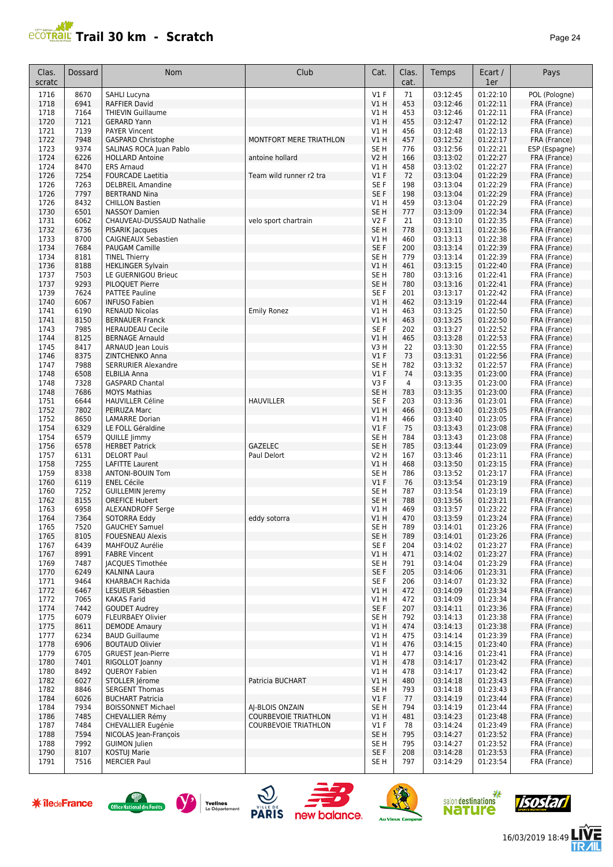| aae |  |
|-----|--|
|-----|--|

| Clas.<br>scratc | Dossard      | <b>Nom</b>                                        | Club                        | Cat.                    | Clas.<br>cat. | Temps                | Ecart /<br>1er       | Pays                         |
|-----------------|--------------|---------------------------------------------------|-----------------------------|-------------------------|---------------|----------------------|----------------------|------------------------------|
| 1716            | 8670         | SAHLI Lucyna                                      |                             | $VI$ F                  | 71            | 03:12:45             | 01:22:10             | POL (Pologne)                |
| 1718            | 6941         | RAFFIER David                                     |                             | V1H                     | 453           | 03:12:46             | 01:22:11             | FRA (France)                 |
| 1718            | 7164         | <b>THIEVIN Guillaume</b>                          |                             | V1 H                    | 453           | 03:12:46             | 01:22:11             | FRA (France)                 |
| 1720            | 7121         | <b>GERARD Yann</b><br><b>PAYER Vincent</b>        |                             | V1H                     | 455           | 03:12:47             | 01:22:12             | FRA (France)                 |
| 1721<br>1722    | 7139<br>7948 | <b>GASPARD Christophe</b>                         | MONTFORT MERE TRIATHLON     | V1 H<br>V1 H            | 456<br>457    | 03:12:48<br>03:12:52 | 01:22:13<br>01:22:17 | FRA (France)<br>FRA (France) |
| 1723            | 9374         | SALINAS ROCA Juan Pablo                           |                             | SE <sub>H</sub>         | 776           | 03:12:56             | 01:22:21             | ESP (Espagne)                |
| 1724            | 6226         | <b>HOLLARD Antoine</b>                            | antoine hollard             | <b>V2 H</b>             | 166           | 03:13:02             | 01:22:27             | FRA (France)                 |
| 1724            | 8470         | <b>ERS Arnaud</b>                                 |                             | V1H                     | 458           | 03:13:02             | 01:22:27             | FRA (France)                 |
| 1726            | 7254         | <b>FOURCADE Laetitia</b>                          | Team wild runner r2 tra     | $VI$ F                  | 72            | 03:13:04             | 01:22:29             | FRA (France)                 |
| 1726            | 7263<br>7797 | <b>DELBREIL Amandine</b><br><b>BERTRAND Nina</b>  |                             | SE <sub>F</sub><br>SE F | 198<br>198    | 03:13:04<br>03:13:04 | 01:22:29<br>01:22:29 | FRA (France)<br>FRA (France) |
| 1726<br>1726    | 8432         | <b>CHILLON Bastien</b>                            |                             | V1H                     | 459           | 03:13:04             | 01:22:29             | FRA (France)                 |
| 1730            | 6501         | <b>NASSOY Damien</b>                              |                             | SE <sub>H</sub>         | 777           | 03:13:09             | 01:22:34             | FRA (France)                 |
| 1731            | 6062         | CHAUVEAU-DUSSAUD Nathalie                         | velo sport chartrain        | <b>V2F</b>              | 21            | 03:13:10             | 01:22:35             | FRA (France)                 |
| 1732            | 6736         | PISARIK Jacques                                   |                             | SE <sub>H</sub>         | 778           | 03:13:11             | 01:22:36             | FRA (France)                 |
| 1733            | 8700         | CAIGNEAUX Sebastien                               |                             | V1 H                    | 460           | 03:13:13             | 01:22:38             | FRA (France)                 |
| 1734            | 7684         | <b>PAUGAM Camille</b>                             |                             | SE F                    | 200           | 03:13:14             | 01:22:39             | FRA (France)                 |
| 1734<br>1736    | 8181<br>8188 | <b>TINEL Thierry</b><br><b>HEKLINGER Sylvain</b>  |                             | SE <sub>H</sub><br>V1 H | 779<br>461    | 03:13:14<br>03:13:15 | 01:22:39<br>01:22:40 | FRA (France)<br>FRA (France) |
| 1737            | 7503         | LE GUERNIGOU Brieuc                               |                             | SE <sub>H</sub>         | 780           | 03:13:16             | 01:22:41             | FRA (France)                 |
| 1737            | 9293         | PILOQUET Pierre                                   |                             | SE <sub>H</sub>         | 780           | 03:13:16             | 01:22:41             | FRA (France)                 |
| 1739            | 7624         | <b>PATTEE Pauline</b>                             |                             | SE <sub>F</sub>         | 201           | 03:13:17             | 01:22:42             | FRA (France)                 |
| 1740            | 6067         | <b>INFUSO Fabien</b>                              |                             | $VI$ H                  | 462           | 03:13:19             | 01:22:44             | FRA (France)                 |
| 1741            | 6190         | <b>RENAUD Nicolas</b>                             | <b>Emily Ronez</b>          | V1H                     | 463           | 03:13:25             | 01:22:50             | FRA (France)                 |
| 1741            | 8150         | <b>BERNAUER Franck</b>                            |                             | V1H                     | 463           | 03:13:25             | 01:22:50             | FRA (France)                 |
| 1743<br>1744    | 7985<br>8125 | <b>HERAUDEAU Cecile</b><br><b>BERNAGE Arnauld</b> |                             | SE F<br>V1H             | 202<br>465    | 03:13:27<br>03:13:28 | 01:22:52<br>01:22:53 | FRA (France)<br>FRA (France) |
| 1745            | 8417         | ARNAUD Jean Louis                                 |                             | V3H                     | 22            | 03:13:30             | 01:22:55             | FRA (France)                 |
| 1746            | 8375         | ZINTCHENKO Anna                                   |                             | $VI$ F                  | 73            | 03:13:31             | 01:22:56             | FRA (France)                 |
| 1747            | 7988         | <b>SERRURIER Alexandre</b>                        |                             | SE <sub>H</sub>         | 782           | 03:13:32             | 01:22:57             | FRA (France)                 |
| 1748            | 6508         | <b>ELBILIA Anna</b>                               |                             | $VI$ F                  | 74            | 03:13:35             | 01:23:00             | FRA (France)                 |
| 1748            | 7328         | <b>GASPARD Chantal</b>                            |                             | V3F                     | 4             | 03:13:35             | 01:23:00             | FRA (France)                 |
| 1748            | 7686         | <b>MOYS Mathias</b>                               |                             | SE <sub>H</sub>         | 783           | 03:13:35             | 01:23:00             | FRA (France)                 |
| 1751<br>1752    | 6644<br>7802 | <b>HAUVILLER Céline</b><br>PEIRUZA Marc           | <b>HAUVILLER</b>            | SE <sub>F</sub><br>V1H  | 203<br>466    | 03:13:36<br>03:13:40 | 01:23:01<br>01:23:05 | FRA (France)<br>FRA (France) |
| 1752            | 8650         | <b>LAMARRE Dorian</b>                             |                             | V1 H                    | 466           | 03:13:40             | 01:23:05             | FRA (France)                 |
| 1754            | 6329         | LE FOLL Géraldine                                 |                             | $VI$ F                  | 75            | 03:13:43             | 01:23:08             | FRA (France)                 |
| 1754            | 6579         | QUILLE Jimmy                                      |                             | SE <sub>H</sub>         | 784           | 03:13:43             | 01:23:08             | FRA (France)                 |
| 1756            | 6578         | <b>HERBET Patrick</b>                             | <b>GAZELEC</b>              | SE <sub>H</sub>         | 785           | 03:13:44             | 01:23:09             | FRA (France)                 |
| 1757            | 6131         | <b>DELORT Paul</b>                                | Paul Delort                 | V2 H                    | 167           | 03:13:46             | 01:23:11             | FRA (France)                 |
| 1758            | 7255         | <b>LAFITTE Laurent</b>                            |                             | V1 H                    | 468           | 03:13:50             | 01:23:15             | FRA (France)                 |
| 1759<br>1760    | 8338<br>6119 | ANTONI-BOUIN Tom<br><b>ENEL Cécile</b>            |                             | SE <sub>H</sub><br>V1F  | 786<br>76     | 03:13:52<br>03:13:54 | 01:23:17<br>01:23:19 | FRA (France)<br>FRA (France) |
| 1760            | 7252         | <b>GUILLEMIN Jeremy</b>                           |                             | SE <sub>H</sub>         | 787           | 03:13:54             | 01:23:19             | FRA (France)                 |
| 1762            | 8155         | <b>OREFICE Hubert</b>                             |                             | SE <sub>H</sub>         | 788           | 03:13:56             | 01:23:21             | FRA (France)                 |
| 1763            | 6958         | <b>ALEXANDROFF Serge</b>                          |                             | V1 H                    | 469           | 03:13:57             | 01:23:22             | FRA (France)                 |
| 1764            | 7364         | SOTORRA Eddy                                      | eddy sotorra                | VIH                     | 470           | 03:13:59             | 01:23:24             | FRA (France)                 |
| 1765            | 7520         | <b>GAUCHEY Samuel</b>                             |                             | SE <sub>H</sub>         | 789           | 03:14:01             | 01:23:26             | FRA (France)                 |
| 1765            | 8105         | <b>FOUESNEAU Alexis</b>                           |                             | SE <sub>H</sub>         | 789           | 03:14:01             | 01:23:26             | FRA (France)                 |
| 1767<br>1767    | 6439<br>8991 | MAHFOUZ Aurélie<br><b>FABRE Vincent</b>           |                             | SE F<br>V1 H            | 204<br>471    | 03:14:02<br>03:14:02 | 01:23:27<br>01:23:27 | FRA (France)<br>FRA (France) |
| 1769            | 7487         | <b>JACQUES Timothée</b>                           |                             | SE H                    | 791           | 03:14:04             | 01:23:29             | FRA (France)                 |
| 1770            | 6249         | <b>KALNINA Laura</b>                              |                             | SE F                    | 205           | 03:14:06             | 01:23:31             | FRA (France)                 |
| 1771            | 9464         | KHARBACH Rachida                                  |                             | SE F                    | 206           | 03:14:07             | 01:23:32             | FRA (France)                 |
| 1772            | 6467         | LESUEUR Sébastien                                 |                             | V1H                     | 472           | 03:14:09             | 01:23:34             | FRA (France)                 |
| 1772            | 7065         | <b>KAKAS Farid</b>                                |                             | V1 H                    | 472           | 03:14:09             | 01:23:34             | FRA (France)                 |
| 1774<br>1775    | 7442<br>6079 | <b>GOUDET Audrey</b><br><b>FLEURBAEY Olivier</b>  |                             | SE F<br>SE H            | 207<br>792    | 03:14:11<br>03:14:13 | 01:23:36<br>01:23:38 | FRA (France)<br>FRA (France) |
| 1775            | 8611         | <b>DEMODE Amaury</b>                              |                             | V1H                     | 474           | 03:14:13             | 01:23:38             | FRA (France)                 |
| 1777            | 6234         | <b>BAUD Guillaume</b>                             |                             | V1 H                    | 475           | 03:14:14             | 01:23:39             | FRA (France)                 |
| 1778            | 6906         | <b>BOUTAUD Olivier</b>                            |                             | V1 H                    | 476           | 03:14:15             | 01:23:40             | FRA (France)                 |
| 1779            | 6705         | <b>GRUEST</b> Jean-Pierre                         |                             | VIH                     | 477           | 03:14:16             | 01:23:41             | FRA (France)                 |
| 1780            | 7401         | RIGOLLOT Joanny                                   |                             | VIH                     | 478           | 03:14:17             | 01:23:42             | FRA (France)                 |
| 1780            | 8492         | QUEROY Fabien                                     |                             | V1 H                    | 478           | 03:14:17             | 01:23:42             | FRA (France)                 |
| 1782<br>1782    | 6027<br>8846 | STOLLER Jérome<br><b>SERGENT Thomas</b>           | Patricia BUCHART            | V1H<br>SE H             | 480<br>793    | 03:14:18<br>03:14:18 | 01:23:43<br>01:23:43 | FRA (France)                 |
| 1784            | 6026         | <b>BUCHART Patricia</b>                           |                             | $VI$ F                  | 77            | 03:14:19             | 01:23:44             | FRA (France)<br>FRA (France) |
| 1784            | 7934         | <b>BOISSONNET Michael</b>                         | AI-BLOIS ONZAIN             | SE H                    | 794           | 03:14:19             | 01:23:44             | FRA (France)                 |
| 1786            | 7485         | CHEVALLIER Rémy                                   | <b>COURBEVOIE TRIATHLON</b> | V1H                     | 481           | 03:14:23             | 01:23:48             | FRA (France)                 |
| 1787            | 7484         | CHEVALLIER Eugénie                                | <b>COURBEVOIE TRIATHLON</b> | $VI$ F                  | 78            | 03:14:24             | 01:23:49             | FRA (France)                 |
| 1788            | 7594         | NICOLAS Jean-François                             |                             | SE <sub>H</sub>         | 795           | 03:14:27             | 01:23:52             | FRA (France)                 |
| 1788            | 7992         | <b>GUIMON Julien</b>                              |                             | SE H                    | 795           | 03:14:27             | 01:23:52             | FRA (France)                 |
| 1790<br>1791    | 8107<br>7516 | KOSTUJ Marie<br><b>MERCIER Paul</b>               |                             | SE F                    | 208<br>797    | 03:14:28             | 01:23:53<br>01:23:54 | FRA (France)                 |
|                 |              |                                                   |                             | SE H                    |               | 03:14:29             |                      | FRA (France)                 |













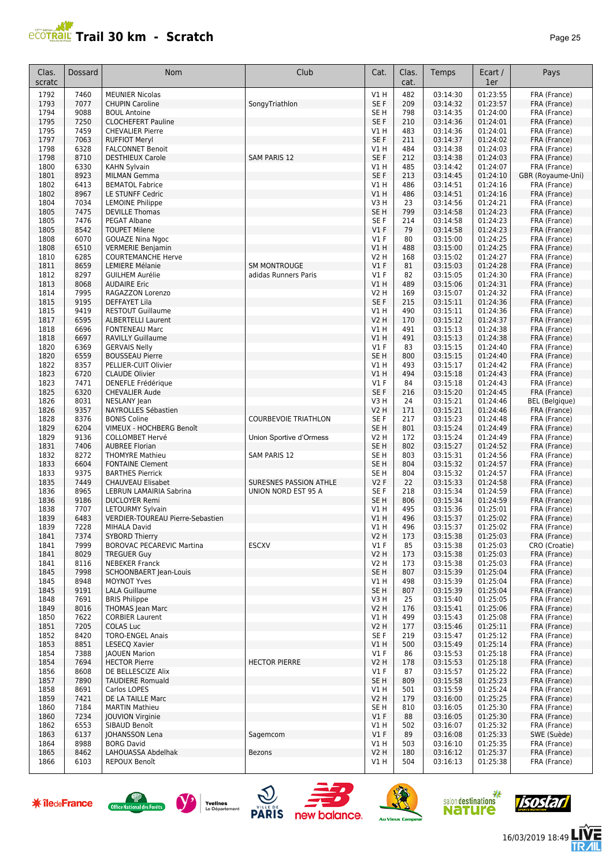

| Clas.<br>scratc | Dossard      | Nom                                                 | Club                        | Cat.                      | Clas.<br>cat. | Temps                | Ecart /<br>1er       | Pays                         |
|-----------------|--------------|-----------------------------------------------------|-----------------------------|---------------------------|---------------|----------------------|----------------------|------------------------------|
| 1792            | 7460         | <b>MEUNIER Nicolas</b>                              |                             | V1 H                      | 482           | 03:14:30             | 01:23:55             | FRA (France)                 |
| 1793            | 7077         | <b>CHUPIN Caroline</b>                              | SongyTriathlon              | SE F                      | 209           | 03:14:32             | 01:23:57             | FRA (France)                 |
| 1794            | 9088         | <b>BOUL Antoine</b>                                 |                             | SE <sub>H</sub>           | 798           | 03:14:35             | 01:24:00             | FRA (France)                 |
| 1795            | 7250         | <b>CLOCHEFERT Pauline</b>                           |                             | SE F                      | 210           | 03:14:36             | 01:24:01             | FRA (France)                 |
| 1795            | 7459         | <b>CHEVALIER Pierre</b>                             |                             | V1 H                      | 483           | 03:14:36             | 01:24:01             | FRA (France)                 |
| 1797<br>1798    | 7063<br>6328 | <b>RUFFIOT Meryl</b>                                |                             | SE F<br>V1 H              | 211<br>484    | 03:14:37<br>03:14:38 | 01:24:02<br>01:24:03 | FRA (France)                 |
| 1798            | 8710         | <b>FALCONNET Benoit</b><br><b>DESTHIEUX Carole</b>  | <b>SAM PARIS 12</b>         | SE F                      | 212           | 03:14:38             | 01:24:03             | FRA (France)<br>FRA (France) |
| 1800            | 6330         | <b>KAHN Sylvain</b>                                 |                             | V1 H                      | 485           | 03:14:42             | 01:24:07             | FRA (France)                 |
| 1801            | 8923         | <b>MILMAN Gemma</b>                                 |                             | SE F                      | 213           | 03:14:45             | 01:24:10             | GBR (Royaume-Uni)            |
| 1802            | 6413         | <b>BEMATOL Fabrice</b>                              |                             | V1 H                      | 486           | 03:14:51             | 01:24:16             | FRA (France)                 |
| 1802            | 8967         | LE STUNFF Cedric                                    |                             | <b>V1 H</b>               | 486           | 03:14:51             | 01:24:16             | FRA (France)                 |
| 1804            | 7034         | <b>LEMOINE Philippe</b>                             |                             | V3H                       | 23            | 03:14:56             | 01:24:21             | FRA (France)                 |
| 1805            | 7475         | <b>DEVILLE Thomas</b>                               |                             | SE <sub>H</sub>           | 799           | 03:14:58             | 01:24:23             | FRA (France)                 |
| 1805            | 7476         | <b>PEGAT Albane</b>                                 |                             | SE F                      | 214           | 03:14:58             | 01:24:23             | FRA (France)                 |
| 1805<br>1808    | 8542<br>6070 | <b>TOUPET Milene</b>                                |                             | V1F<br>$VI$ F             | 79<br>80      | 03:14:58<br>03:15:00 | 01:24:23<br>01:24:25 | FRA (France)                 |
| 1808            | 6510         | <b>GOUAZE Nina Ngoc</b><br><b>VERMERIE Benjamin</b> |                             | V1H                       | 488           | 03:15:00             | 01:24:25             | FRA (France)<br>FRA (France) |
| 1810            | 6285         | <b>COURTEMANCHE Herve</b>                           |                             | V2 H                      | 168           | 03:15:02             | 01:24:27             | FRA (France)                 |
| 1811            | 8659         | <b>LEMIERE Mélanie</b>                              | <b>SM MONTROUGE</b>         | V1F                       | 81            | 03:15:03             | 01:24:28             | FRA (France)                 |
| 1812            | 8297         | <b>GUILHEM Aurélie</b>                              | adidas Runners Paris        | $VI$ F                    | 82            | 03:15:05             | 01:24:30             | FRA (France)                 |
| 1813            | 8068         | <b>AUDAIRE Eric</b>                                 |                             | V1H                       | 489           | 03:15:06             | 01:24:31             | FRA (France)                 |
| 1814            | 7995         | RAGAZZON Lorenzo                                    |                             | V2 H                      | 169           | 03:15:07             | 01:24:32             | FRA (France)                 |
| 1815            | 9195         | <b>DEFFAYET Lila</b>                                |                             | SE <sub>F</sub>           | 215           | 03:15:11             | 01:24:36             | FRA (France)                 |
| 1815            | 9419         | <b>RESTOUT Guillaume</b>                            |                             | V1 H                      | 490           | 03:15:11             | 01:24:36             | FRA (France)                 |
| 1817            | 6595         | <b>ALBERTELLI Laurent</b>                           |                             | <b>V2 H</b>               | 170           | 03:15:12             | 01:24:37             | FRA (France)                 |
| 1818            | 6696         | <b>FONTENEAU Marc</b>                               |                             | V1 H                      | 491           | 03:15:13<br>03:15:13 | 01:24:38             | FRA (France)                 |
| 1818<br>1820    | 6697<br>6369 | <b>RAVILLY Guillaume</b><br><b>GERVAIS Nelly</b>    |                             | V1H<br>$VI$ F             | 491<br>83     | 03:15:15             | 01:24:38<br>01:24:40 | FRA (France)<br>FRA (France) |
| 1820            | 6559         | <b>BOUSSEAU Pierre</b>                              |                             | SE <sub>H</sub>           | 800           | 03:15:15             | 01:24:40             | FRA (France)                 |
| 1822            | 8357         | PELLIER-CUIT Olivier                                |                             | V1 H                      | 493           | 03:15:17             | 01:24:42             | FRA (France)                 |
| 1823            | 6720         | <b>CLAUDE Olivier</b>                               |                             | V1H                       | 494           | 03:15:18             | 01:24:43             | FRA (France)                 |
| 1823            | 7471         | DENEFLE Frédérique                                  |                             | $VI$ F                    | 84            | 03:15:18             | 01:24:43             | FRA (France)                 |
| 1825            | 6320         | <b>CHEVALIER Aude</b>                               |                             | SE F                      | 216           | 03:15:20             | 01:24:45             | FRA (France)                 |
| 1826            | 8031         | NESLANY Jean                                        |                             | V3H                       | 24            | 03:15:21             | 01:24:46             | <b>BEL</b> (Belgique)        |
| 1826            | 9357         | NAYROLLES Sébastien                                 |                             | V2 H                      | 171           | 03:15:21             | 01:24:46             | FRA (France)                 |
| 1828            | 8376         | <b>BONIS Coline</b>                                 | <b>COURBEVOIE TRIATHLON</b> | SE <sub>F</sub>           | 217           | 03:15:23             | 01:24:48             | FRA (France)                 |
| 1829            | 6204         | VIMEUX - HOCHBERG Benoît                            |                             | SE H                      | 801           | 03:15:24             | 01:24:49             | FRA (France)                 |
| 1829<br>1831    | 9136<br>7406 | <b>COLLOMBET Hervé</b><br><b>AUBREE Florian</b>     | Union Sportive d'Ormess     | V2 H<br>SE <sub>H</sub>   | 172<br>802    | 03:15:24<br>03:15:27 | 01:24:49<br>01:24:52 | FRA (France)<br>FRA (France) |
| 1832            | 8272         | <b>THOMYRE Mathieu</b>                              | SAM PARIS 12                | SE <sub>H</sub>           | 803           | 03:15:31             | 01:24:56             | FRA (France)                 |
| 1833            | 6604         | <b>FONTAINE Clement</b>                             |                             | SE <sub>H</sub>           | 804           | 03:15:32             | 01:24:57             | FRA (France)                 |
| 1833            | 9375         | <b>BARTHES Pierrick</b>                             |                             | SE <sub>H</sub>           | 804           | 03:15:32             | 01:24:57             | FRA (France)                 |
| 1835            | 7449         | <b>CHAUVEAU Elisabet</b>                            | SURESNES PASSION ATHLE      | <b>V2F</b>                | 22            | 03:15:33             | 01:24:58             | FRA (France)                 |
| 1836            | 8965         | LEBRUN LAMAIRIA Sabrina                             | UNION NORD EST 95 A         | SE <sub>F</sub>           | 218           | 03:15:34             | 01:24:59             | FRA (France)                 |
| 1836            | 9186         | <b>DUCLOYER Remi</b>                                |                             | SE <sub>H</sub>           | 806           | 03:15:34             | 01:24:59             | FRA (France)                 |
| 1838            | 7707         | LETOURMY Sylvain                                    |                             | V1 H                      | 495           | 03:15:36             | 01:25:01             | FRA (France)                 |
| 1839            | 6483         | VERDIER-TOUREAU Pierre-Sebastien                    |                             | V1 H                      | 496           | 03:15:37             | 01:25:02             | FRA (France)                 |
| 1839<br>1841    | 7228<br>7374 | <b>MIHALA David</b><br><b>SYBORD Thierry</b>        |                             | V1 H<br><b>V2 H</b>       | 496<br>173    | 03:15:37<br>03:15:38 | 01:25:02<br>01:25:03 | FRA (France)<br>FRA (France) |
| 1841            | 7999         | <b>BOROVAC PECAREVIC Martina</b>                    | <b>ESCXV</b>                | $VI$ F                    | 85            | 03:15:38             | 01:25:03             | CRO (Croatie)                |
| 1841            | 8029         | <b>TREGUER Guy</b>                                  |                             | V2 H                      | 173           | 03:15:38             | 01:25:03             | FRA (France)                 |
| 1841            | 8116         | <b>NEBEKER Franck</b>                               |                             | V2 H                      | 173           | 03:15:38             | 01:25:03             | FRA (France)                 |
| 1845            | 7998         | SCHOONBAERT Jean-Louis                              |                             | SE <sub>H</sub>           | 807           | 03:15:39             | 01:25:04             | FRA (France)                 |
| 1845            | 8948         | <b>MOYNOT Yves</b>                                  |                             | V1 H                      | 498           | 03:15:39             | 01:25:04             | FRA (France)                 |
| 1845            | 9191         | LALA Guillaume                                      |                             | SE H                      | 807           | 03:15:39             | 01:25:04             | FRA (France)                 |
| 1848            | 7691         | <b>BRIS Philippe</b>                                |                             | V3H                       | 25            | 03:15:40             | 01:25:05             | FRA (France)                 |
| 1849            | 8016         | <b>THOMAS Jean Marc</b>                             |                             | <b>V2 H</b>               | 176           | 03:15:41             | 01:25:06             | FRA (France)                 |
| 1850<br>1851    | 7622<br>7205 | <b>CORBIER Laurent</b><br><b>COLAS Luc</b>          |                             | V1 H<br>V2 H              | 499<br>177    | 03:15:43<br>03:15:46 | 01:25:08<br>01:25:11 | FRA (France)<br>FRA (France) |
| 1852            | 8420         | <b>TORO-ENGEL Anais</b>                             |                             | SE F                      | 219           | 03:15:47             | 01:25:12             | FRA (France)                 |
| 1853            | 8851         | LESECO Xavier                                       |                             | V1 H                      | 500           | 03:15:49             | 01:25:14             | FRA (France)                 |
| 1854            | 7388         | <b>JAOUEN Marion</b>                                |                             | $VI$ F                    | 86            | 03:15:53             | 01:25:18             | FRA (France)                 |
| 1854            | 7694         | <b>HECTOR Pierre</b>                                | <b>HECTOR PIERRE</b>        | <b>V2 H</b>               | 178           | 03:15:53             | 01:25:18             | FRA (France)                 |
| 1856            | 8608         | DE BELLESCIZE Alix                                  |                             | $VI$ F                    | 87            | 03:15:57             | 01:25:22             | FRA (France)                 |
| 1857            | 7890         | <b>TAUDIERE Romuald</b>                             |                             | SE <sub>H</sub>           | 809           | 03:15:58             | 01:25:23             | FRA (France)                 |
| 1858            | 8691         | Carlos LOPES                                        |                             | V1H                       | 501           | 03:15:59             | 01:25:24             | FRA (France)                 |
| 1859            | 7421         | DE LA TAILLE Marc                                   |                             | V2 H                      | 179           | 03:16:00             | 01:25:25             | FRA (France)                 |
| 1860<br>1860    | 7184<br>7234 | <b>MARTIN Mathieu</b><br>JOUVION Virginie           |                             | SE <sub>H</sub><br>$VI$ F | 810<br>88     | 03:16:05<br>03:16:05 | 01:25:30<br>01:25:30 | FRA (France)<br>FRA (France) |
| 1862            | 6553         | SIBAUD Benoît                                       |                             | V1 H                      | 502           | 03:16:07             | 01:25:32             | FRA (France)                 |
| 1863            | 6137         | <b>JOHANSSON Lena</b>                               | Sagemcom                    | $VI$ F                    | 89            | 03:16:08             | 01:25:33             | SWE (Suède)                  |
| 1864            | 8988         | <b>BORG David</b>                                   |                             | V1 H                      | 503           | 03:16:10             | 01:25:35             | FRA (France)                 |
| 1865            | 8462         | LAHOUASSA Abdelhak                                  | Bezons                      | V2 H                      | 180           | 03:16:12             | 01:25:37             | FRA (France)                 |
| 1866            | 6103         | REPOUX Benoît                                       |                             | V1 H                      | 504           | 03:16:13             | 01:25:38             | FRA (France)                 |















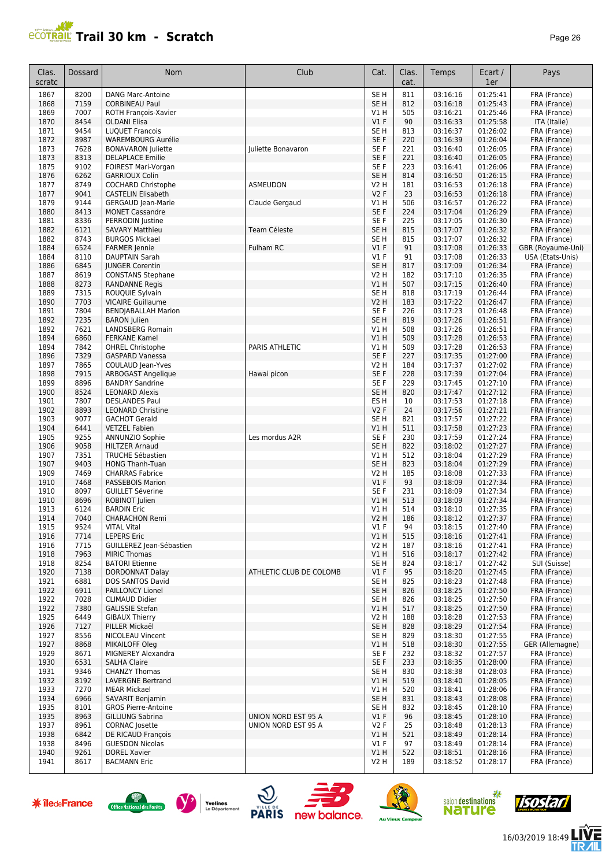#### **PCOTRAIL Trail 30 km - Scratch Page 26 Page 26 Page 26 Page 26**

| Clas.<br>scratc | <b>Dossard</b> | Nom                                                 | Club                       | Cat.                      | Clas.<br>cat. | Temps                | Ecart /<br>1er       | Pays                              |
|-----------------|----------------|-----------------------------------------------------|----------------------------|---------------------------|---------------|----------------------|----------------------|-----------------------------------|
| 1867            | 8200           | <b>DANG Marc-Antoine</b>                            |                            | SE <sub>H</sub>           | 811           | 03:16:16             | 01:25:41             | FRA (France)                      |
| 1868            | 7159           | <b>CORBINEAU Paul</b>                               |                            | SE <sub>H</sub>           | 812           | 03:16:18             | 01:25:43             | FRA (France)                      |
| 1869            | 7007           | ROTH François-Xavier                                |                            | V1 H                      | 505           | 03:16:21             | 01:25:46             | FRA (France)                      |
| 1870            | 8454           | <b>OLDANI Elisa</b>                                 |                            | $VI$ F                    | 90            | 03:16:33             | 01:25:58             | ITA (Italie)                      |
| 1871<br>1872    | 9454<br>8987   | <b>LUQUET Francois</b><br><b>WAREMBOURG Aurélie</b> |                            | SE <sub>H</sub><br>SE F   | 813<br>220    | 03:16:37<br>03:16:39 | 01:26:02<br>01:26:04 | FRA (France)<br>FRA (France)      |
| 1873            | 7628           | <b>BONAVARON Juliette</b>                           | Juliette Bonavaron         | SE F                      | 221           | 03:16:40             | 01:26:05             | FRA (France)                      |
| 1873            | 8313           | <b>DELAPLACE Emilie</b>                             |                            | SE F                      | 221           | 03:16:40             | 01:26:05             | FRA (France)                      |
| 1875            | 9102           | FOIREST Mari-Vorgan                                 |                            | SE F                      | 223           | 03:16:41             | 01:26:06             | FRA (France)                      |
| 1876            | 6262           | <b>GARRIOUX Colin</b>                               |                            | SE <sub>H</sub>           | 814           | 03:16:50             | 01:26:15             | FRA (France)                      |
| 1877            | 8749           | <b>COCHARD Christophe</b>                           | <b>ASMEUDON</b>            | <b>V2 H</b>               | 181           | 03:16:53             | 01:26:18             | FRA (France)                      |
| 1877            | 9041           | <b>CASTELIN Elisabeth</b>                           |                            | V2F                       | 23            | 03:16:53             | 01:26:18             | FRA (France)                      |
| 1879            | 9144           | <b>GERGAUD Jean-Marie</b>                           | Claude Gergaud             | V1H                       | 506           | 03:16:57             | 01:26:22             | FRA (France)                      |
| 1880            | 8413           | <b>MONET Cassandre</b>                              |                            | SE F                      | 224           | 03:17:04             | 01:26:29             | FRA (France)                      |
| 1881            | 8336           | PERRODIN Justine                                    |                            | SE <sub>F</sub>           | 225           | 03:17:05             | 01:26:30             | FRA (France)                      |
| 1882            | 6121           | <b>SAVARY Matthieu</b>                              | Team Céleste               | SE <sub>H</sub>           | 815           | 03:17:07             | 01:26:32             | FRA (France)                      |
| 1882<br>1884    | 8743<br>6524   | <b>BURGOS Mickael</b><br><b>FARMER</b> Jennie       | Fulham RC                  | SE <sub>H</sub><br>$VI$ F | 815<br>91     | 03:17:07<br>03:17:08 | 01:26:32<br>01:26:33 | FRA (France)<br>GBR (Royaume-Uni) |
| 1884            | 8110           | <b>DAUPTAIN Sarah</b>                               |                            | $VI$ F                    | 91            | 03:17:08             | 01:26:33             | USA (Etats-Unis)                  |
| 1886            | 6845           | <b>IUNGER Corentin</b>                              |                            | SE <sub>H</sub>           | 817           | 03:17:09             | 01:26:34             | FRA (France)                      |
| 1887            | 8619           | <b>CONSTANS Stephane</b>                            |                            | <b>V2 H</b>               | 182           | 03:17:10             | 01:26:35             | FRA (France)                      |
| 1888            | 8273           | <b>RANDANNE Regis</b>                               |                            | V1 H                      | 507           | 03:17:15             | 01:26:40             | FRA (France)                      |
| 1889            | 7315           | ROUQUIE Sylvain                                     |                            | SE H                      | 818           | 03:17:19             | 01:26:44             | FRA (France)                      |
| 1890            | 7703           | <b>VICAIRE Guillaume</b>                            |                            | V2 H                      | 183           | 03:17:22             | 01:26:47             | FRA (France)                      |
| 1891            | 7804           | <b>BENDJABALLAH Marion</b>                          |                            | SE F                      | 226           | 03:17:23             | 01:26:48             | FRA (France)                      |
| 1892            | 7235           | <b>BARON</b> Julien                                 |                            | SE <sub>H</sub>           | 819           | 03:17:26             | 01:26:51             | FRA (France)                      |
| 1892            | 7621           | LANDSBERG Romain                                    |                            | V1 H                      | 508           | 03:17:26             | 01:26:51             | FRA (France)                      |
| 1894            | 6860           | <b>FERKANE Kamel</b>                                | PARIS ATHLETIC             | V1H                       | 509           | 03:17:28             | 01:26:53             | FRA (France)                      |
| 1894<br>1896    | 7842<br>7329   | <b>OHREL Christophe</b><br><b>GASPARD Vanessa</b>   |                            | V1 H<br>SE F              | 509<br>227    | 03:17:28<br>03:17:35 | 01:26:53<br>01:27:00 | FRA (France)<br>FRA (France)      |
| 1897            | 7865           | COULAUD Jean-Yves                                   |                            | <b>V2 H</b>               | 184           | 03:17:37             | 01:27:02             | FRA (France)                      |
| 1898            | 7915           | ARBOGAST Angelique                                  | Hawai picon                | SE F                      | 228           | 03:17:39             | 01:27:04             | FRA (France)                      |
| 1899            | 8896           | <b>BANDRY Sandrine</b>                              |                            | SE F                      | 229           | 03:17:45             | 01:27:10             | FRA (France)                      |
| 1900            | 8524           | <b>LEONARD Alexis</b>                               |                            | SE <sub>H</sub>           | 820           | 03:17:47             | 01:27:12             | FRA (France)                      |
| 1901            | 7807           | <b>DESLANDES Paul</b>                               |                            | ES H                      | 10            | 03:17:53             | 01:27:18             | FRA (France)                      |
| 1902            | 8893           | <b>LEONARD Christine</b>                            |                            | V2F                       | 24            | 03:17:56             | 01:27:21             | FRA (France)                      |
| 1903            | 9077           | <b>GACHOT Gerald</b>                                |                            | SE <sub>H</sub>           | 821           | 03:17:57             | 01:27:22             | FRA (France)                      |
| 1904            | 6441           | <b>VETZEL Fabien</b>                                |                            | V1H                       | 511           | 03:17:58             | 01:27:23             | FRA (France)                      |
| 1905<br>1906    | 9255<br>9058   | ANNUNZIO Sophie<br><b>HILTZER Arnaud</b>            | Les mordus A2R             | SE F<br>SE <sub>H</sub>   | 230<br>822    | 03:17:59<br>03:18:02 | 01:27:24<br>01:27:27 | FRA (France)                      |
| 1907            | 7351           | <b>TRUCHE Sébastien</b>                             |                            | V1H                       | 512           | 03:18:04             | 01:27:29             | FRA (France)<br>FRA (France)      |
| 1907            | 9403           | <b>HONG Thanh-Tuan</b>                              |                            | SE <sub>H</sub>           | 823           | 03:18:04             | 01:27:29             | FRA (France)                      |
| 1909            | 7469           | <b>CHARRAS Fabrice</b>                              |                            | <b>V2 H</b>               | 185           | 03:18:08             | 01:27:33             | FRA (France)                      |
| 1910            | 7468           | PASSEBOIS Marion                                    |                            | $VI$ F                    | 93            | 03:18:09             | 01:27:34             | FRA (France)                      |
| 1910            | 8097           | <b>GUILLET Séverine</b>                             |                            | SE F                      | 231           | 03:18:09             | 01:27:34             | FRA (France)                      |
| 1910            | 8696           | ROBINOT Julien                                      |                            | VIH                       | 513           | 03:18:09             | 01:27:34             | FRA (France)                      |
| 1913            | 6124           | <b>BARDIN Eric</b>                                  |                            | V1 H                      | 514           | 03:18:10             | 01:27:35             | FRA (France)                      |
| 1914            | 7040           | <b>CHARACHON Remi</b>                               |                            | V <sub>2</sub> H          | 186           | 03:18:12             | 01:27:37             | FRA (France)                      |
| 1915            | 9524           | VITAL Vital                                         |                            | V1 F<br>V1H               | 94<br>515     | 03:18:15             | 01:27:40<br>01:27:41 | FRA (France)                      |
| 1916<br>1916    | 7714<br>7715   | <b>LEPERS Eric</b><br>GUILLEREZ Jean-Sébastien      |                            | <b>V2 H</b>               | 187           | 03:18:16<br>03:18:16 | 01:27:41             | FRA (France)<br>FRA (France)      |
| 1918            | 7963           | <b>MIRIC Thomas</b>                                 |                            | V1H                       | 516           | 03:18:17             | 01:27:42             | FRA (France)                      |
| 1918            | 8254           | <b>BATORI Etienne</b>                               |                            | SE H                      | 824           | 03:18:17             | 01:27:42             | SUI (Suisse)                      |
| 1920            | 7138           | <b>DORDONNAT Dalay</b>                              | ATHLETIC CLUB DE COLOMB    | V1F                       | 95            | 03:18:20             | 01:27:45             | FRA (France)                      |
| 1921            | 6881           | DOS SANTOS David                                    |                            | SE <sub>H</sub>           | 825           | 03:18:23             | 01:27:48             | FRA (France)                      |
| 1922            | 6911           | PAILLONCY Lionel                                    |                            | SE <sub>H</sub>           | 826           | 03:18:25             | 01:27:50             | FRA (France)                      |
| 1922            | 7028           | <b>CLIMAUD Didier</b>                               |                            | SE <sub>H</sub>           | 826           | 03:18:25             | 01:27:50             | FRA (France)                      |
| 1922            | 7380           | <b>GALISSIE Stefan</b>                              |                            | V1H                       | 517           | 03:18:25             | 01:27:50             | FRA (France)                      |
| 1925            | 6449           | <b>GIBAUX Thierry</b>                               |                            | V2 H                      | 188           | 03:18:28             | 01:27:53             | FRA (France)                      |
| 1926            | 7127           | PILLER Mickaël                                      |                            | SE <sub>H</sub>           | 828           | 03:18:29             | 01:27:54             | FRA (France)                      |
| 1927<br>1927    | 8556<br>8868   | NICOLEAU Vincent<br><b>MIKAILOFF Oleg</b>           |                            | SE H<br>V1H               | 829<br>518    | 03:18:30<br>03:18:30 | 01:27:55<br>01:27:55 | FRA (France)<br>GER (Allemagne)   |
| 1929            | 8671           | MIGNEREY Alexandra                                  |                            | SE F                      | 232           | 03:18:32             | 01:27:57             | FRA (France)                      |
| 1930            | 6531           | <b>SALHA Claire</b>                                 |                            | SE F                      | 233           | 03:18:35             | 01:28:00             | FRA (France)                      |
| 1931            | 9346           | <b>CHANZY Thomas</b>                                |                            | SE <sub>H</sub>           | 830           | 03:18:38             | 01:28:03             | FRA (France)                      |
| 1932            | 8192           | <b>LAVERGNE Bertrand</b>                            |                            | V1H                       | 519           | 03:18:40             | 01:28:05             | FRA (France)                      |
| 1933            | 7270           | <b>MEAR Mickael</b>                                 |                            | V1H                       | 520           | 03:18:41             | 01:28:06             | FRA (France)                      |
| 1934            | 6966           | SAVARIT Benjamin                                    |                            | SE <sub>H</sub>           | 831           | 03:18:43             | 01:28:08             | FRA (France)                      |
| 1935            | 8101           | <b>GROS Pierre-Antoine</b>                          |                            | SE H                      | 832           | 03:18:45             | 01:28:10             | FRA (France)                      |
| 1935            | 8963           | <b>GILLIUNG Sabrina</b>                             | <b>UNION NORD EST 95 A</b> | $VI$ F                    | 96            | 03:18:45             | 01:28:10             | FRA (France)                      |
| 1937            | 8961           | <b>CORNAC</b> Josette                               | UNION NORD EST 95 A        | V2F                       | 25            | 03:18:48             | 01:28:13             | FRA (France)                      |
| 1938<br>1938    | 6842<br>8496   | DE RICAUD François<br><b>GUESDON Nicolas</b>        |                            | V1H<br>$VI$ F             | 521<br>97     | 03:18:49<br>03:18:49 | 01:28:14<br>01:28:14 | FRA (France)<br>FRA (France)      |
| 1940            | 9261           | <b>DOREL Xavier</b>                                 |                            | V1H                       | 522           | 03:18:51             | 01:28:16             | FRA (France)                      |
| 1941            | 8617           | <b>BACMANN Eric</b>                                 |                            | V2 H                      | 189           | 03:18:52             | 01:28:17             | FRA (France)                      |
|                 |                |                                                     |                            |                           |               |                      |                      |                                   |















信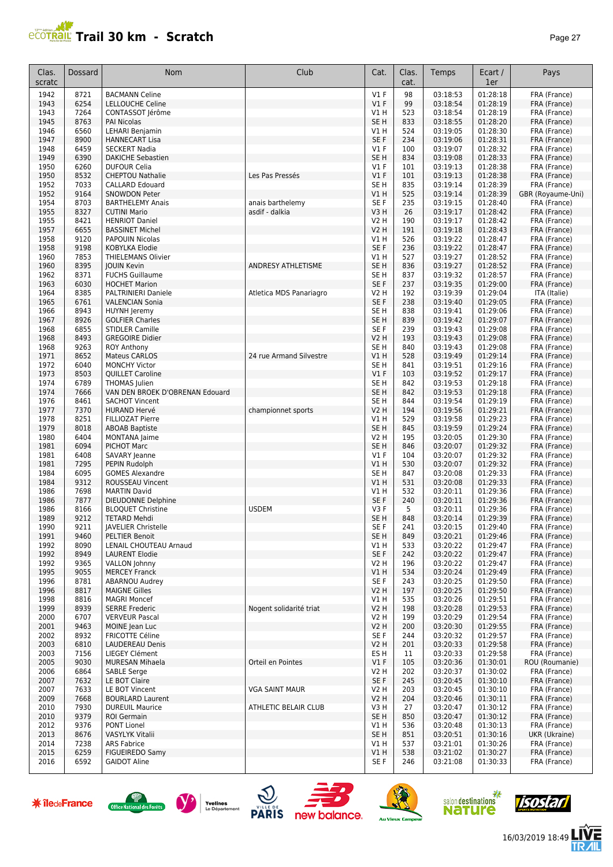

| Clas.<br>scratc | <b>Dossard</b> | <b>Nom</b>                                            | Club                    | Cat.                    | Clas.<br>cat. | Temps                | Ecart /<br>1er       | Pays                              |
|-----------------|----------------|-------------------------------------------------------|-------------------------|-------------------------|---------------|----------------------|----------------------|-----------------------------------|
| 1942            | 8721           | <b>BACMANN Celine</b>                                 |                         | $VI$ F                  | 98            | 03:18:53             | 01:28:18             | FRA (France)                      |
| 1943            | 6254           | <b>LELLOUCHE Celine</b>                               |                         | V1F                     | 99            | 03:18:54             | 01:28:19             | FRA (France)                      |
| 1943            | 7264           | CONTASSOT Jérôme                                      |                         | V1 H                    | 523           | 03:18:54             | 01:28:19             | FRA (France)                      |
| 1945<br>1946    | 8763<br>6560   | <b>PAI Nicolas</b><br>LEHARI Benjamin                 |                         | SE <sub>H</sub><br>V1 H | 833<br>524    | 03:18:55<br>03:19:05 | 01:28:20<br>01:28:30 | FRA (France)<br>FRA (France)      |
| 1947            | 8900           | <b>HANNECART Lisa</b>                                 |                         | SE F                    | 234           | 03:19:06             | 01:28:31             | FRA (France)                      |
| 1948            | 6459           | <b>SECKERT Nadia</b>                                  |                         | $VI$ F                  | 100           | 03:19:07             | 01:28:32             | FRA (France)                      |
| 1949            | 6390           | <b>DAKICHE Sebastien</b>                              |                         | SE <sub>H</sub>         | 834           | 03:19:08             | 01:28:33             | FRA (France)                      |
| 1950            | 6260           | <b>DUFOUR Celia</b>                                   |                         | $VI$ F                  | 101           | 03:19:13             | 01:28:38             | FRA (France)                      |
| 1950            | 8532           | <b>CHEPTOU Nathalie</b>                               | Les Pas Pressés         | V1F                     | 101           | 03:19:13             | 01:28:38             | FRA (France)                      |
| 1952<br>1952    | 7033<br>9164   | <b>CALLARD Edouard</b><br><b>SNOWDON Peter</b>        |                         | SE <sub>H</sub><br>V1H  | 835<br>525    | 03:19:14<br>03:19:14 | 01:28:39<br>01:28:39 | FRA (France)<br>GBR (Royaume-Uni) |
| 1954            | 8703           | <b>BARTHELEMY Anais</b>                               | anais barthelemy        | SE F                    | 235           | 03:19:15             | 01:28:40             | FRA (France)                      |
| 1955            | 8327           | <b>CUTINI Mario</b>                                   | asdif - dalkia          | V3H                     | 26            | 03:19:17             | 01:28:42             | FRA (France)                      |
| 1955            | 8421           | <b>HENRIOT Daniel</b>                                 |                         | V2 H                    | 190           | 03:19:17             | 01:28:42             | FRA (France)                      |
| 1957            | 6655           | <b>BASSINET Michel</b>                                |                         | V2 H                    | 191           | 03:19:18             | 01:28:43             | FRA (France)                      |
| 1958            | 9120           | <b>PAPOUIN Nicolas</b>                                |                         | V1H                     | 526           | 03:19:22             | 01:28:47             | FRA (France)                      |
| 1958            | 9198           | KOBYLKA Elodie                                        |                         | SE F                    | 236           | 03:19:22             | 01:28:47             | FRA (France)                      |
| 1960<br>1960    | 7853<br>8395   | THIELEMANS Olivier<br><b>JOUIN Kevin</b>              | ANDRESY ATHLETISME      | V1 H<br>SE <sub>H</sub> | 527<br>836    | 03:19:27<br>03:19:27 | 01:28:52<br>01:28:52 | FRA (France)<br>FRA (France)      |
| 1962            | 8371           | FUCHS Guillaume                                       |                         | SE <sub>H</sub>         | 837           | 03:19:32             | 01:28:57             | FRA (France)                      |
| 1963            | 6030           | <b>HOCHET Marion</b>                                  |                         | SE F                    | 237           | 03:19:35             | 01:29:00             | FRA (France)                      |
| 1964            | 8385           | <b>PALTRINIERI Daniele</b>                            | Atletica MDS Panariagro | V2 H                    | 192           | 03:19:39             | 01:29:04             | ITA (Italie)                      |
| 1965            | 6761           | <b>VALENCIAN Sonia</b>                                |                         | SE F                    | 238           | 03:19:40             | 01:29:05             | FRA (France)                      |
| 1966            | 8943           | HUYNH Jeremy                                          |                         | SE <sub>H</sub>         | 838           | 03:19:41             | 01:29:06             | FRA (France)                      |
| 1967            | 8926           | <b>GOLFIER Charles</b>                                |                         | SE <sub>H</sub>         | 839           | 03:19:42             | 01:29:07             | FRA (France)                      |
| 1968            | 6855           | <b>STIDLER Camille</b>                                |                         | SE <sub>F</sub>         | 239           | 03:19:43             | 01:29:08             | FRA (France)                      |
| 1968<br>1968    | 8493<br>9263   | <b>GREGOIRE Didier</b><br><b>ROY Anthony</b>          |                         | V2 H<br>SE <sub>H</sub> | 193<br>840    | 03:19:43<br>03:19:43 | 01:29:08<br>01:29:08 | FRA (France)<br>FRA (France)      |
| 1971            | 8652           | <b>Mateus CARLOS</b>                                  | 24 rue Armand Silvestre | V1H                     | 528           | 03:19:49             | 01:29:14             | FRA (France)                      |
| 1972            | 6040           | <b>MONCHY Victor</b>                                  |                         | SE <sub>H</sub>         | 841           | 03:19:51             | 01:29:16             | FRA (France)                      |
| 1973            | 8503           | QUILLET Caroline                                      |                         | V1F                     | 103           | 03:19:52             | 01:29:17             | FRA (France)                      |
| 1974            | 6789           | <b>THOMAS</b> Julien                                  |                         | SE <sub>H</sub>         | 842           | 03:19:53             | 01:29:18             | FRA (France)                      |
| 1974            | 7666           | VAN DEN BROEK D'OBRENAN Edouard                       |                         | SE <sub>H</sub>         | 842           | 03:19:53             | 01:29:18             | FRA (France)                      |
| 1976            | 8461           | <b>SACHOT Vincent</b>                                 |                         | SE <sub>H</sub>         | 844           | 03:19:54             | 01:29:19             | FRA (France)                      |
| 1977            | 7370           | <b>HURAND Hervé</b>                                   | championnet sports      | <b>V2 H</b>             | 194           | 03:19:56             | 01:29:21             | FRA (France)                      |
| 1978<br>1979    | 8251<br>8018   | FILLIOZAT Pierre                                      |                         | V1 H<br>SE <sub>H</sub> | 529<br>845    | 03:19:58<br>03:19:59 | 01:29:23<br>01:29:24 | FRA (France)                      |
| 1980            | 6404           | <b>ABOAB Baptiste</b><br>MONTANA Jaime                |                         | V2 H                    | 195           | 03:20:05             | 01:29:30             | FRA (France)<br>FRA (France)      |
| 1981            | 6094           | PICHOT Marc                                           |                         | SE <sub>H</sub>         | 846           | 03:20:07             | 01:29:32             | FRA (France)                      |
| 1981            | 6408           | SAVARY Jeanne                                         |                         | $VI$ F                  | 104           | 03:20:07             | 01:29:32             | FRA (France)                      |
| 1981            | 7295           | PEPIN Rudolph                                         |                         | V1 H                    | 530           | 03:20:07             | 01:29:32             | FRA (France)                      |
| 1984            | 6095           | <b>GOMES Alexandre</b>                                |                         | SE <sub>H</sub>         | 847           | 03:20:08             | 01:29:33             | FRA (France)                      |
| 1984            | 9312           | <b>ROUSSEAU Vincent</b>                               |                         | V1H                     | 531           | 03:20:08             | 01:29:33             | FRA (France)                      |
| 1986            | 7698<br>7877   | <b>MARTIN David</b>                                   |                         | V1 H<br>SE F            | 532           | 03:20:11<br>03:20:11 | 01:29:36<br>01:29:36 | FRA (France)                      |
| 1986<br>1986    | 8166           | <b>DIEUDONNE Delphine</b><br><b>BLOQUET Christine</b> | <b>USDEM</b>            | V3F                     | 240<br>5      | 03:20:11             | 01:29:36             | FRA (France)<br>FRA (France)      |
| 1989            | 9212           | <b>TETARD Mehdi</b>                                   |                         | SE <sub>H</sub>         | 848           | 03:20:14             | 01:29:39             | FRA (France)                      |
| 1990            | 9211           | <b>JAVELIER Christelle</b>                            |                         | SE F                    | 241           | 03:20:15             | 01:29:40             | FRA (France)                      |
| 1991            | 9460           | <b>PELTIER Benoit</b>                                 |                         | SE H                    | 849           | 03:20:21             | 01:29:46             | FRA (France)                      |
| 1992            | 8090           | LENAIL CHOUTEAU Arnaud                                |                         | V1 H                    | 533           | 03:20:22             | 01:29:47             | FRA (France)                      |
| 1992            | 8949           | <b>LAURENT Elodie</b>                                 |                         | SE F                    | 242           | 03:20:22             | 01:29:47             | FRA (France)                      |
| 1992            | 9365           | VALLON Johnny<br><b>MERCEY Franck</b>                 |                         | V2 H                    | 196           | 03:20:22             | 01:29:47             | FRA (France)<br>FRA (France)      |
| 1995<br>1996    | 9055<br>8781   | ABARNOU Audrey                                        |                         | V1 H<br>SE F            | 534<br>243    | 03:20:24<br>03:20:25 | 01:29:49<br>01:29:50 | FRA (France)                      |
| 1996            | 8817           | <b>MAIGNE Gilles</b>                                  |                         | V2 H                    | 197           | 03:20:25             | 01:29:50             | FRA (France)                      |
| 1998            | 8816           | <b>MAGRI Moncef</b>                                   |                         | VIH                     | 535           | 03:20:26             | 01:29:51             | FRA (France)                      |
| 1999            | 8939           | <b>SERRE Frederic</b>                                 | Nogent solidarité triat | <b>V2 H</b>             | 198           | 03:20:28             | 01:29:53             | FRA (France)                      |
| 2000            | 6707           | <b>VERVEUR Pascal</b>                                 |                         | V2 H                    | 199           | 03:20:29             | 01:29:54             | FRA (France)                      |
| 2001            | 9463           | MOINE Jean Luc                                        |                         | <b>V2 H</b>             | 200           | 03:20:30             | 01:29:55             | FRA (France)                      |
| 2002            | 8932           | <b>FRICOTTE Céline</b>                                |                         | SE F                    | 244           | 03:20:32             | 01:29:57             | FRA (France)                      |
| 2003<br>2003    | 6810<br>7156   | <b>LAUDEREAU Denis</b><br>LIEGEY Clément              |                         | <b>V2 H</b><br>ES H     | 201<br>11     | 03:20:33<br>03:20:33 | 01:29:58<br>01:29:58 | FRA (France)<br>FRA (France)      |
| 2005            | 9030           | MURESAN Mihaela                                       | Orteil en Pointes       | $VI$ F                  | 105           | 03:20:36             | 01:30:01             | ROU (Roumanie)                    |
| 2006            | 6864           | <b>SABLE Serge</b>                                    |                         | V2 H                    | 202           | 03:20:37             | 01:30:02             | FRA (France)                      |
| 2007            | 7632           | LE BOT Claire                                         |                         | SE F                    | 245           | 03:20:45             | 01:30:10             | FRA (France)                      |
| 2007            | 7633           | LE BOT Vincent                                        | VGA SAINT MAUR          | V2 H                    | 203           | 03:20:45             | 01:30:10             | FRA (France)                      |
| 2009            | 7668           | <b>BOURLARD Laurent</b>                               |                         | <b>V2 H</b>             | 204           | 03:20:46             | 01:30:11             | FRA (France)                      |
| 2010            | 7930           | <b>DUREUIL Maurice</b>                                | ATHLETIC BELAIR CLUB    | V3 H                    | 27            | 03:20:47             | 01:30:12             | FRA (France)                      |
| 2010            | 9379           | ROI Germain                                           |                         | SE H                    | 850           | 03:20:47             | 01:30:12             | FRA (France)                      |
| 2012<br>2013    | 9376<br>8676   | PONT Lionel<br>VASYLYK Vitalii                        |                         | VIH<br>SE H             | 536<br>851    | 03:20:48<br>03:20:51 | 01:30:13<br>01:30:16 | FRA (France)<br>UKR (Ukraine)     |
| 2014            | 7238           | <b>ARS Fabrice</b>                                    |                         | V1 H                    | 537           | 03:21:01             | 01:30:26             | FRA (France)                      |
| 2015            | 6259           | FIGUEIREDO Samy                                       |                         | VIH                     | 538           | 03:21:02             | 01:30:27             | FRA (France)                      |
| 2016            | 6592           | <b>GAIDOT Aline</b>                                   |                         | SE F                    | 246           | 03:21:08             | 01:30:33             | FRA (France)                      |













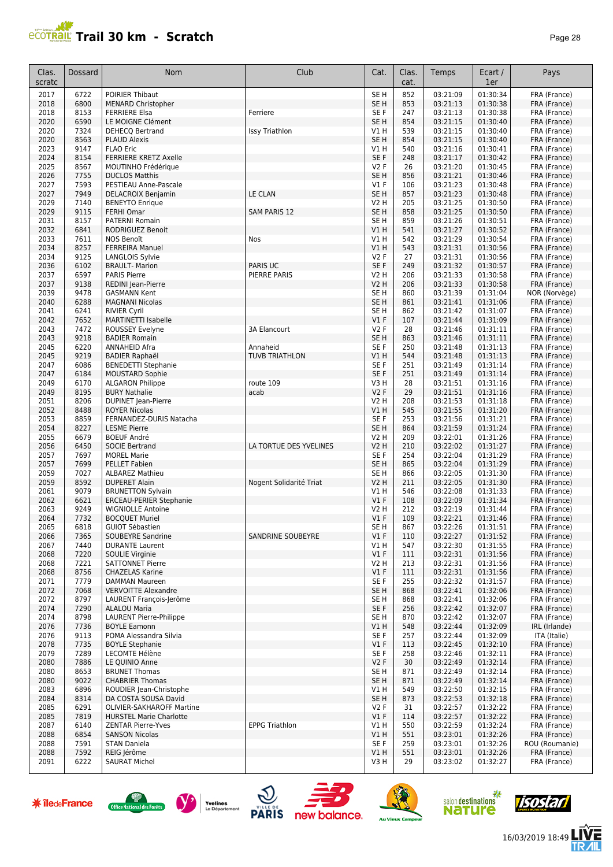

| Clas.<br>scratc | <b>Dossard</b> | Nom                                                         | Club                              | Cat.                    | Clas.<br>cat. | Temps                | Ecart /<br>1er       | Pays                          |
|-----------------|----------------|-------------------------------------------------------------|-----------------------------------|-------------------------|---------------|----------------------|----------------------|-------------------------------|
| 2017            | 6722           | <b>POIRIER Thibaut</b>                                      |                                   | SE <sub>H</sub>         | 852           | 03:21:09             | 01:30:34             | FRA (France)                  |
| 2018            | 6800           | <b>MENARD Christopher</b>                                   |                                   | SE <sub>H</sub>         | 853           | 03:21:13             | 01:30:38             | FRA (France)                  |
| 2018            | 8153           | <b>FERRIERE Elsa</b>                                        | Ferriere                          | SE F                    | 247           | 03:21:13             | 01:30:38             | FRA (France)                  |
| 2020            | 6590           | LE MOIGNE Clément                                           |                                   | SE <sub>H</sub>         | 854           | 03:21:15             | 01:30:40             | FRA (France)                  |
| 2020            | 7324           | DEHECQ Bertrand                                             | <b>Issy Triathlon</b>             | V1 H                    | 539           | 03:21:15             | 01:30:40             | FRA (France)                  |
| 2020<br>2023    | 8563<br>9147   | <b>PLAUD Alexis</b><br><b>FLAO Eric</b>                     |                                   | SE <sub>H</sub><br>V1H  | 854<br>540    | 03:21:15<br>03:21:16 | 01:30:40<br>01:30:41 | FRA (France)                  |
| 2024            | 8154           | <b>FERRIERE KRETZ Axelle</b>                                |                                   | SE <sub>F</sub>         | 248           | 03:21:17             | 01:30:42             | FRA (France)<br>FRA (France)  |
| 2025            | 8567           | MOUTINHO Frédérique                                         |                                   | <b>V2F</b>              | 26            | 03:21:20             | 01:30:45             | FRA (France)                  |
| 2026            | 7755           | <b>DUCLOS Matthis</b>                                       |                                   | SE <sub>H</sub>         | 856           | 03:21:21             | 01:30:46             | FRA (France)                  |
| 2027            | 7593           | PESTIEAU Anne-Pascale                                       |                                   | $VI$ F                  | 106           | 03:21:23             | 01:30:48             | FRA (France)                  |
| 2027            | 7949           | <b>DELACROIX Benjamin</b>                                   | LE CLAN                           | SE <sub>H</sub>         | 857           | 03:21:23             | 01:30:48             | FRA (France)                  |
| 2029            | 7140           | <b>BENEYTO Enrique</b>                                      |                                   | <b>V2 H</b>             | 205           | 03:21:25             | 01:30:50             | FRA (France)                  |
| 2029            | 9115           | <b>FERHI Omar</b>                                           | <b>SAM PARIS 12</b>               | SE <sub>H</sub>         | 858           | 03:21:25             | 01:30:50             | FRA (France)                  |
| 2031            | 8157           | <b>PATERNI Romain</b>                                       |                                   | SE H                    | 859           | 03:21:26             | 01:30:51             | FRA (France)                  |
| 2032            | 6841           | <b>RODRIGUEZ Benoit</b>                                     |                                   | V1 H                    | 541           | 03:21:27             | 01:30:52             | FRA (France)                  |
| 2033<br>2034    | 7611<br>8257   | NOS Benoît                                                  | Nos                               | V1 H<br>V1 H            | 542<br>543    | 03:21:29<br>03:21:31 | 01:30:54<br>01:30:56 | FRA (France)<br>FRA (France)  |
| 2034            | 9125           | <b>FERREIRA Manuel</b><br>LANGLOIS Sylvie                   |                                   | <b>V2F</b>              | 27            | 03:21:31             | 01:30:56             | FRA (France)                  |
| 2036            | 6102           | <b>BRAULT- Marion</b>                                       | <b>PARIS UC</b>                   | SE F                    | 249           | 03:21:32             | 01:30:57             | FRA (France)                  |
| 2037            | 6597           | <b>PARIS Pierre</b>                                         | <b>PIERRE PARIS</b>               | V2 H                    | 206           | 03:21:33             | 01:30:58             | FRA (France)                  |
| 2037            | 9138           | REDINI Jean-Pierre                                          |                                   | V2 H                    | 206           | 03:21:33             | 01:30:58             | FRA (France)                  |
| 2039            | 9478           | <b>GASMANN Kent</b>                                         |                                   | SE <sub>H</sub>         | 860           | 03:21:39             | 01:31:04             | NOR (Norvège)                 |
| 2040            | 6288           | <b>MAGNANI Nicolas</b>                                      |                                   | SE <sub>H</sub>         | 861           | 03:21:41             | 01:31:06             | FRA (France)                  |
| 2041            | 6241           | <b>RIVIER Cyril</b>                                         |                                   | SE H                    | 862           | 03:21:42             | 01:31:07             | FRA (France)                  |
| 2042            | 7652           | <b>MARTINETTI Isabelle</b>                                  |                                   | V1F                     | 107           | 03:21:44             | 01:31:09             | FRA (France)                  |
| 2043            | 7472           | ROUSSEY Evelyne                                             | 3A Elancourt                      | <b>V2F</b>              | 28            | 03:21:46             | 01:31:11             | FRA (France)                  |
| 2043            | 9218           | <b>BADIER Romain</b>                                        |                                   | SE <sub>H</sub>         | 863           | 03:21:46             | 01:31:11             | FRA (France)                  |
| 2045<br>2045    | 6220<br>9219   | <b>ANNAHEID Afra</b><br><b>BADIER Raphaël</b>               | Annaheid<br><b>TUVB TRIATHLON</b> | SE <sub>F</sub><br>V1 H | 250<br>544    | 03:21:48<br>03:21:48 | 01:31:13<br>01:31:13 | FRA (France)<br>FRA (France)  |
| 2047            | 6086           | <b>BENEDETTI Stephanie</b>                                  |                                   | SE <sub>F</sub>         | 251           | 03:21:49             | 01:31:14             | FRA (France)                  |
| 2047            | 6184           | <b>MOUSTARD Sophie</b>                                      |                                   | SE F                    | 251           | 03:21:49             | 01:31:14             | FRA (France)                  |
| 2049            | 6170           | <b>ALGARON Philippe</b>                                     | route 109                         | V3H                     | 28            | 03:21:51             | 01:31:16             | FRA (France)                  |
| 2049            | 8195           | <b>BURY Nathalie</b>                                        | acab                              | <b>V2F</b>              | 29            | 03:21:51             | 01:31:16             | FRA (France)                  |
| 2051            | 8206           | <b>DUPINET</b> Jean-Pierre                                  |                                   | <b>V2 H</b>             | 208           | 03:21:53             | 01:31:18             | FRA (France)                  |
| 2052            | 8488           | <b>ROYER Nicolas</b>                                        |                                   | V1 H                    | 545           | 03:21:55             | 01:31:20             | FRA (France)                  |
| 2053            | 8859           | FERNANDEZ-DURIS Natacha                                     |                                   | SE <sub>F</sub>         | 253           | 03:21:56             | 01:31:21             | FRA (France)                  |
| 2054            | 8227           | <b>LESME Pierre</b>                                         |                                   | SE <sub>H</sub>         | 864           | 03:21:59             | 01:31:24             | FRA (France)                  |
| 2055<br>2056    | 6679<br>6450   | <b>BOEUF André</b><br><b>SOCIE Bertrand</b>                 | LA TORTUE DES YVELINES            | <b>V2 H</b><br>V2 H     | 209<br>210    | 03:22:01<br>03:22:02 | 01:31:26<br>01:31:27 | FRA (France)<br>FRA (France)  |
| 2057            | 7697           | <b>MOREL Marie</b>                                          |                                   | SE F                    | 254           | 03:22:04             | 01:31:29             | FRA (France)                  |
| 2057            | 7699           | <b>PELLET Fabien</b>                                        |                                   | SE <sub>H</sub>         | 865           | 03:22:04             | 01:31:29             | FRA (France)                  |
| 2059            | 7027           | <b>ALBAREZ Mathieu</b>                                      |                                   | SE <sub>H</sub>         | 866           | 03:22:05             | 01:31:30             | FRA (France)                  |
| 2059            | 8592           | <b>DUPERET Alain</b>                                        | Nogent Solidarité Triat           | <b>V2 H</b>             | 211           | 03:22:05             | 01:31:30             | FRA (France)                  |
| 2061            | 9079           | <b>BRUNETTON Sylvain</b>                                    |                                   | V1 H                    | 546           | 03:22:08             | 01:31:33             | FRA (France)                  |
| 2062            | 6621           | <b>ERCEAU-PERIER Stephanie</b>                              |                                   | $VI$ F                  | 108           | 03:22:09             | 01:31:34             | FRA (France)                  |
| 2063            | 9249           | <b>WIGNIOLLE Antoine</b>                                    |                                   | V2 H                    | 212           | 03:22:19             | 01:31:44             | FRA (France)                  |
| 2064            | 7732           | <b>BOCQUET Muriel</b>                                       |                                   | $VI$ F                  | 109           | 03:22:21             | 01:31:46             | FRA (France)                  |
| 2065<br>2066    | 6818<br>7365   | GUIOT Sébastien<br>SOUBEYRE Sandrine                        | SANDRINE SOUBEYRE                 | SE H<br>V1F             | 867<br>110    | 03:22:26<br>03:22:27 | 01:31:51<br>01:31:52 | FRA (France)<br>FRA (France)  |
| 2067            | 7440           | <b>DURANTE Laurent</b>                                      |                                   | V1H                     | 547           | 03:22:30             | 01:31:55             | FRA (France)                  |
| 2068            | 7220           | SOULIE Virginie                                             |                                   | V1F                     | 111           | 03:22:31             | 01:31:56             | FRA (France)                  |
| 2068            | 7221           | <b>SATTONNET Pierre</b>                                     |                                   | <b>V2 H</b>             | 213           | 03:22:31             | 01:31:56             | FRA (France)                  |
| 2068            | 8756           | <b>CHAZELAS Karine</b>                                      |                                   | V1F                     | 111           | 03:22:31             | 01:31:56             | FRA (France)                  |
| 2071            | 7779           | <b>DAMMAN Maureen</b>                                       |                                   | SE F                    | 255           | 03:22:32             | 01:31:57             | FRA (France)                  |
| 2072            | 7068           | <b>VERVOITTE Alexandre</b>                                  |                                   | SE H                    | 868           | 03:22:41             | 01:32:06             | FRA (France)                  |
| 2072            | 8797           | LAURENT François-Jerôme                                     |                                   | SE H                    | 868           | 03:22:41             | 01:32:06             | FRA (France)                  |
| 2074            | 7290           | <b>ALALOU Maria</b>                                         |                                   | SE F                    | 256           | 03:22:42             | 01:32:07             | FRA (France)                  |
| 2074            | 8798           | <b>LAURENT Pierre-Philippe</b><br><b>BOYLE Eamonn</b>       |                                   | SE H<br>V1 H            | 870           | 03:22:42             | 01:32:07             | FRA (France)                  |
| 2076<br>2076    | 7736<br>9113   | POMA Alessandra Silvia                                      |                                   | SE F                    | 548<br>257    | 03:22:44<br>03:22:44 | 01:32:09<br>01:32:09 | IRL (Irlande)<br>ITA (Italie) |
| 2078            | 7735           | <b>BOYLE Stephanie</b>                                      |                                   | V1F                     | 113           | 03:22:45             | 01:32:10             | FRA (France)                  |
| 2079            | 7289           | LECOMTE Hélène                                              |                                   | SE F                    | 258           | 03:22:46             | 01:32:11             | FRA (France)                  |
| 2080            | 7886           | LE QUINIO Anne                                              |                                   | V2F                     | 30            | 03:22:49             | 01:32:14             | FRA (France)                  |
| 2080            | 8653           | <b>BRUNET Thomas</b>                                        |                                   | SE H                    | 871           | 03:22:49             | 01:32:14             | FRA (France)                  |
| 2080            | 9022           | <b>CHABRIER Thomas</b>                                      |                                   | SE H                    | 871           | 03:22:49             | 01:32:14             | FRA (France)                  |
| 2083            | 6896           | ROUDIER Jean-Christophe                                     |                                   | V1 H                    | 549           | 03:22:50             | 01:32:15             | FRA (France)                  |
| 2084            | 8314           | DA COSTA SOUSA David                                        |                                   | SE <sub>H</sub>         | 873           | 03:22:53             | 01:32:18             | FRA (France)                  |
| 2085            | 6291           | OLIVIER-SAKHAROFF Martine                                   |                                   | V2F                     | 31            | 03:22:57             | 01:32:22             | FRA (France)                  |
| 2085<br>2087    | 7819<br>6140   | <b>HURSTEL Marie Charlotte</b><br><b>ZENTAR Pierre-Yves</b> | <b>EPPG Triathlon</b>             | $VI$ F<br>VIH           | 114<br>550    | 03:22:57<br>03:22:59 | 01:32:22<br>01:32:24 | FRA (France)<br>FRA (France)  |
| 2088            | 6854           | <b>SANSON Nicolas</b>                                       |                                   | V1 H                    | 551           | 03:23:01             | 01:32:26             | FRA (France)                  |
| 2088            | 7591           | <b>STAN Daniela</b>                                         |                                   | SE F                    | 259           | 03:23:01             | 01:32:26             | ROU (Roumanie)                |
| 2088            | 7592           | REIG Jérôme                                                 |                                   | V1H                     | 551           | 03:23:01             | 01:32:26             | FRA (France)                  |
| 2091            | 6222           | <b>SAURAT Michel</b>                                        |                                   | V3H                     | 29            | 03:23:02             | 01:32:27             | FRA (France)                  |















信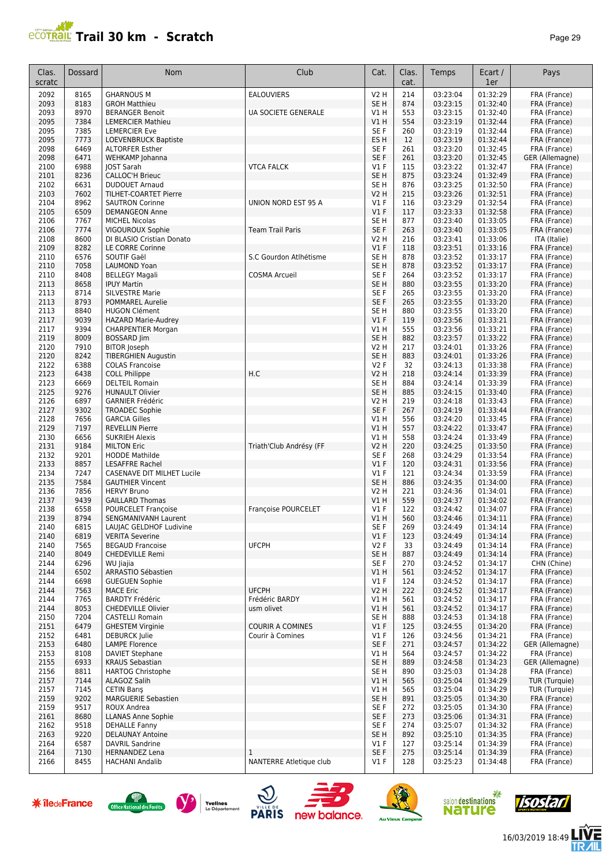| ≃י<br>O |  |
|---------|--|
|---------|--|

| Clas.<br>scratc      | <b>Dossard</b> | <b>Nom</b>                                                      | Club                         | Cat.                           | Clas.<br>cat.          | Temps                        | Ecart /<br>1er       | Pays                            |
|----------------------|----------------|-----------------------------------------------------------------|------------------------------|--------------------------------|------------------------|------------------------------|----------------------|---------------------------------|
| 2092                 | 8165           | <b>GHARNOUS M</b>                                               | <b>EALOUVIERS</b>            | <b>V2 H</b>                    | 214                    | 03:23:04                     | 01:32:29             | FRA (France)                    |
| 2093                 | 8183           | <b>GROH Matthieu</b>                                            |                              | SE <sub>H</sub>                | 874                    | 03:23:15                     | 01:32:40             | FRA (France)                    |
| 2093                 | 8970           | <b>BERANGER Benoit</b>                                          | UA SOCIETE GENERALE          | V1 H                           | 553                    | 03:23:15                     | 01:32:40             | FRA (France)                    |
| 2095                 | 7384           | <b>LEMERCIER Mathieu</b>                                        |                              | V1H                            | 554                    | 03:23:19                     | 01:32:44             | FRA (France)                    |
| 2095                 | 7385           | <b>LEMERCIER Eve</b>                                            |                              | SE F                           | 260                    | 03:23:19                     | 01:32:44             | FRA (France)                    |
| 2095                 | 7773<br>6469   | <b>LOEVENBRUCK Baptiste</b><br><b>ALTORFER Esther</b>           |                              | ES H<br>SE F                   | 12<br>261              | 03:23:19                     | 01:32:44             | FRA (France)                    |
| 2098<br>2098         | 6471           | WEHKAMP Johanna                                                 |                              | SE F                           | 261                    | 03:23:20<br>03:23:20         | 01:32:45<br>01:32:45 | FRA (France)<br>GER (Allemagne) |
| 2100                 | 6988           | <b>JOST Sarah</b>                                               | <b>VTCA FALCK</b>            | $VI$ F                         | 115                    | 03:23:22                     | 01:32:47             | FRA (France)                    |
| 2101                 | 8236           | <b>CALLOC'H Brieuc</b>                                          |                              | SE <sub>H</sub>                | 875                    | 03:23:24                     | 01:32:49             | FRA (France)                    |
| 2102                 | 6631           | <b>DUDOUET Arnaud</b>                                           |                              | SE H                           | 876                    | 03:23:25                     | 01:32:50             | FRA (France)                    |
| 2103                 | 7602           | <b>TILHET-COARTET Pierre</b>                                    |                              | <b>V2 H</b>                    | 215                    | 03:23:26                     | 01:32:51             | FRA (France)                    |
| 2104                 | 8962           | <b>SAUTRON Corinne</b>                                          | UNION NORD EST 95 A          | $VI$ F                         | 116                    | 03:23:29                     | 01:32:54             | FRA (France)                    |
| 2105                 | 6509           | <b>DEMANGEON Anne</b>                                           |                              | $VI$ F                         | 117                    | 03:23:33                     | 01:32:58             | FRA (France)                    |
| 2106<br>2106         | 7767<br>7774   | <b>MICHEL Nicolas</b>                                           | <b>Team Trail Paris</b>      | SE <sub>H</sub><br>SE F        | 877<br>263             | 03:23:40<br>03:23:40         | 01:33:05<br>01:33:05 | FRA (France)                    |
| 2108                 | 8600           | VIGOUROUX Sophie<br>DI BLASIO Cristian Donato                   |                              | V2 H                           | 216                    | 03:23:41                     | 01:33:06             | FRA (France)<br>ITA (Italie)    |
| 2109                 | 8282           | LE CORRE Corinne                                                |                              | $VI$ F                         | 118                    | 03:23:51                     | 01:33:16             | FRA (France)                    |
| 2110                 | 6576           | SOUTIF Gaël                                                     | S.C Gourdon Atlhétisme       | SE <sub>H</sub>                | 878                    | 03:23:52                     | 01:33:17             | FRA (France)                    |
| 2110                 | 7058           | <b>LAUMOND Yoan</b>                                             |                              | SE <sub>H</sub>                | 878                    | 03:23:52                     | 01:33:17             | FRA (France)                    |
| 2110                 | 8408           | <b>BELLEGY Magali</b>                                           | <b>COSMA Arcueil</b>         | SE F                           | 264                    | 03:23:52                     | 01:33:17             | FRA (France)                    |
| 2113                 | 8658           | <b>IPUY Martin</b>                                              |                              | SE <sub>H</sub>                | 880                    | 03:23:55                     | 01:33:20             | FRA (France)                    |
| 2113                 | 8714           | <b>SILVESTRE Marie</b>                                          |                              | SE <sub>F</sub>                | 265                    | 03:23:55                     | 01:33:20             | FRA (France)                    |
| 2113                 | 8793           | <b>POMMAREL Aurelie</b>                                         |                              | SE F                           | 265                    | 03:23:55                     | 01:33:20             | FRA (France)                    |
| 2113<br>2117         | 8840<br>9039   | <b>HUGON Clément</b>                                            |                              | SE <sub>H</sub><br>$VI$ F      | 880<br>119             | 03:23:55<br>03:23:56         | 01:33:20<br>01:33:21 | FRA (France)<br>FRA (France)    |
| 2117                 | 9394           | <b>HAZARD Marie-Audrey</b><br><b>CHARPENTIER Morgan</b>         |                              | V1 H                           | 555                    | 03:23:56                     | 01:33:21             | FRA (France)                    |
| 2119                 | 8009           | <b>BOSSARD</b> Jim                                              |                              | SE <sub>H</sub>                | 882                    | 03:23:57                     | 01:33:22             | FRA (France)                    |
| 2120                 | 7910           | <b>BITOR Joseph</b>                                             |                              | <b>V2 H</b>                    | 217                    | 03:24:01                     | 01:33:26             | FRA (France)                    |
| 2120                 | 8242           | <b>TIBERGHIEN Augustin</b>                                      |                              | SE H                           | 883                    | 03:24:01                     | 01:33:26             | FRA (France)                    |
| 2122                 | 6388           | <b>COLAS Francoise</b>                                          |                              | V2F                            | 32                     | 03:24:13                     | 01:33:38             | FRA (France)                    |
| 2123                 | 6438           | <b>COLL Philippe</b>                                            | H.C                          | V <sub>2</sub> H               | 218                    | 03:24:14                     | 01:33:39             | FRA (France)                    |
| 2123                 | 6669           | <b>DELTEIL Romain</b>                                           |                              | SE <sub>H</sub>                | 884                    | 03:24:14                     | 01:33:39             | FRA (France)                    |
| 2125                 | 9276           | <b>HUNAULT Olivier</b>                                          |                              | SE <sub>H</sub>                | 885                    | 03:24:15                     | 01:33:40             | FRA (France)                    |
| 2126<br>2127         | 6897<br>9302   | <b>GARNIER Frédéric</b>                                         |                              | V2 H<br>SE F                   | 219<br>267             | 03:24:18<br>03:24:19         | 01:33:43<br>01:33:44 | FRA (France)<br>FRA (France)    |
| 2128                 | 7656           | <b>TROADEC Sophie</b><br><b>GARCIA Gilles</b>                   |                              | V1H                            | 556                    | 03:24:20                     | 01:33:45             | FRA (France)                    |
| 2129                 | 7197           | <b>REVELLIN Pierre</b>                                          |                              | V1H                            | 557                    | 03:24:22                     | 01:33:47             | FRA (France)                    |
| 2130                 | 6656           | <b>SUKRIEH Alexis</b>                                           |                              | V1H                            | 558                    | 03:24:24                     | 01:33:49             | FRA (France)                    |
| 2131                 | 9184           | <b>MILTON Eric</b>                                              | Triath'Club Andrésy (FF      | <b>V2 H</b>                    | 220                    | 03:24:25                     | 01:33:50             | FRA (France)                    |
| 2132                 | 9201           | <b>HODDE Mathilde</b>                                           |                              | SE F                           | 268                    | 03:24:29                     | 01:33:54             | FRA (France)                    |
| 2133                 | 8857           | <b>LESAFFRE Rachel</b>                                          |                              | $VI$ F                         | 120                    | 03:24:31                     | 01:33:56             | FRA (France)                    |
| 2134                 | 7247           | CASENAVE DIT MILHET Lucile                                      |                              | $VI$ F                         | 121                    | 03:24:34                     | 01:33:59             | FRA (France)                    |
| 2135                 | 7584<br>7856   | <b>GAUTHIER Vincent</b>                                         |                              | SE <sub>H</sub><br><b>V2 H</b> | 886                    | 03:24:35<br>03:24:36         | 01:34:00<br>01:34:01 | FRA (France)                    |
| 2136<br>2137         | 9439           | <b>HERVY Bruno</b><br><b>GAILLARD Thomas</b>                    |                              | VIH                            | 221<br>559             | 03:24:37                     | 01:34:02             | FRA (France)<br>FRA (France)    |
| 2138                 | 6558           | <b>POURCELET Françoise</b>                                      | Françoise POURCELET          | $VI$ F                         | 122                    | 03:24:42                     | 01:34:07             | FRA (France)                    |
| 2139                 | 8794           | SENGMANIVANH Laurent                                            |                              | VIH                            | 560                    | 03:24:46                     | 01:34:11             | FRA (France)                    |
| 2140                 | 6815           | LAUJAC GELDHOF Ludivine                                         |                              | SE F                           | 269                    | 03:24:49                     | 01:34:14             | FRA (France)                    |
| 2140                 | 6819           | <b>VERITA Severine</b>                                          |                              | $VI$ F                         | 123                    | 03:24:49                     | 01:34:14             | FRA (France)                    |
| 2140                 | 7565           | <b>BEGAUD Francoise</b>                                         | <b>UFCPH</b>                 | V2F                            | 33                     | 03:24:49                     | 01:34:14             | FRA (France)                    |
| 2140                 | 8049           | <b>CHEDEVILLE Remi</b>                                          |                              | SE H                           | 887                    | 03:24:49                     | 01:34:14             | FRA (France)                    |
| 2144                 | 6296           | WU Jiajia                                                       |                              | SE F                           | 270                    | 03:24:52                     | 01:34:17             | CHN (Chine)                     |
| 2144<br>2144         | 6502<br>6698   | ARRASTIO Sébastien<br><b>GUEGUEN Sophie</b>                     |                              | V1 H<br>$VI$ F                 | 561<br>124             | 03:24:52<br>03:24:52         | 01:34:17<br>01:34:17 | FRA (France)<br>FRA (France)    |
| 2144                 | 7563           | <b>MACE Eric</b>                                                | <b>UFCPH</b>                 | V2 H                           | 222                    | 03:24:52                     | 01:34:17             | FRA (France)                    |
| 2144                 | 7765           | <b>BARDTY Frédéric</b>                                          | Frédéric BARDY               | V1 H                           | 561                    | 03:24:52                     | 01:34:17             | FRA (France)                    |
| 2144                 | 8053           | <b>CHEDEVILLE Olivier</b>                                       | usm olivet                   | VIH                            | 561                    | 03:24:52                     | 01:34:17             | FRA (France)                    |
| 2150                 | 7204           | <b>CASTELLI Romain</b>                                          |                              | SE H                           | 888                    | 03:24:53                     | 01:34:18             | FRA (France)                    |
| 2151                 | 6479           | <b>GHESTEM Virginie</b>                                         | <b>COURIR A COMINES</b>      | $VI$ F                         | 125                    | 03:24:55                     | 01:34:20             | FRA (France)                    |
| 2152                 | 6481           | <b>DEBURCK Julie</b>                                            | Courir à Comines             | V1F                            | 126                    | 03:24:56                     | 01:34:21             | FRA (France)                    |
| 2153<br>2153         | 6480<br>8108   | <b>LAMPE Florence</b><br><b>DAVIET Stephane</b>                 |                              | SE F<br>V1H                    | 271<br>564             | 03:24:57<br>03:24:57         | 01:34:22<br>01:34:22 | GER (Allemagne)<br>FRA (France) |
| 2155                 | 6933           | <b>KRAUS Sebastian</b>                                          |                              | SE <sub>H</sub>                | 889                    | 03:24:58                     | 01:34:23             | GER (Allemagne)                 |
| 2156                 | 8811           | <b>HARTOG Christophe</b>                                        |                              | SE <sub>H</sub>                | 890                    | 03:25:03                     | 01:34:28             | FRA (France)                    |
| 2157                 | 7144           | ALAGOZ Salih                                                    |                              | V1 H                           | 565                    | 03:25:04                     | 01:34:29             | TUR (Turquie)                   |
| 2157                 | 7145           | CETIN Barış                                                     |                              | V1 H                           | 565                    | 03:25:04                     | 01:34:29             | TUR (Turquie)                   |
| 2159                 | 9202           | <b>MARGUERIE Sebastien</b>                                      |                              | SE <sub>H</sub>                | 891                    | 03:25:05                     | 01:34:30             | FRA (France)                    |
| 2159                 | 9517           | ROUX Andrea                                                     |                              | SE F                           | 272                    | 03:25:05                     | 01:34:30             | FRA (France)                    |
| 2161                 | 8680           | <b>LLANAS Anne Sophie</b>                                       |                              | SE F                           | 273                    | 03:25:06                     | 01:34:31             | FRA (France)                    |
| 2162                 | 9518           | <b>DEHALLE Fanny</b>                                            |                              | SE F                           | 274                    | 03:25:07                     | 01:34:32             | FRA (France)                    |
| 2163<br>2164         | 9220<br>6587   | <b>DELAUNAY Antoine</b><br><b>DAVRIL Sandrine</b>               |                              | SE <sub>H</sub><br>$VI$ F      | 892<br>127             | 03:25:10<br>03:25:14         | 01:34:35<br>01:34:39 | FRA (France)<br>FRA (France)    |
| 2164                 | 7130           | <b>HERNANDEZ Lena</b>                                           | $\mathbf{1}$                 | SE F                           | 275                    | 03:25:14                     | 01:34:39             | FRA (France)                    |
| 2166                 | 8455           | <b>HACHANI Andalib</b>                                          | NANTERRE Atletique club      | $VI$ F                         | 128                    | 03:25:23                     | 01:34:48             | FRA (France)                    |
|                      |                |                                                                 |                              |                                |                        |                              |                      |                                 |
| <b>* îledeFrance</b> |                | Yvelines<br><b>Office National des Forêts</b><br>Le Département | <b>PARIS</b><br>new balance. |                                | <b>Au Vieux Campeu</b> | salon destinations<br>nature |                      | Isostar                         |















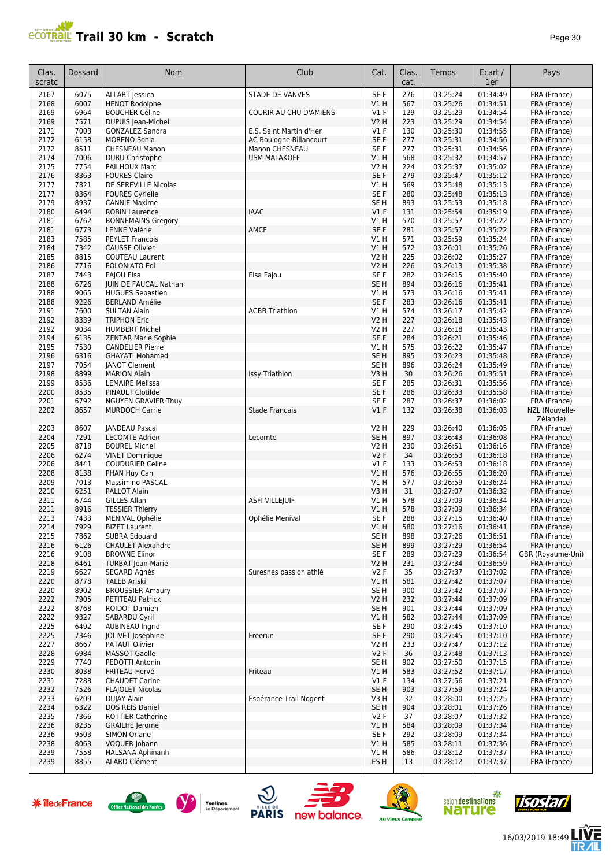| Page 30 |  |
|---------|--|
|---------|--|

| Clas.<br>scratc      | Dossard      | Nom                                                      | Club                         | Cat.                               | Clas.<br>cat.           | Temps                        | Ecart /<br>1er       | Pays                         |
|----------------------|--------------|----------------------------------------------------------|------------------------------|------------------------------------|-------------------------|------------------------------|----------------------|------------------------------|
| 2167                 | 6075         | <b>ALLART</b> Jessica                                    | <b>STADE DE VANVES</b>       | SE F                               | 276                     | 03:25:24                     | 01:34:49             | FRA (France)                 |
| 2168                 | 6007         | <b>HENOT Rodolphe</b>                                    |                              | V1H                                | 567                     | 03:25:26                     | 01:34:51             | FRA (France)                 |
| 2169                 | 6964         | <b>BOUCHER Céline</b>                                    | COURIR AU CHU D'AMIENS       | $VI$ F                             | 129                     | 03:25:29                     | 01:34:54             | FRA (France)                 |
| 2169                 | 7571<br>7003 | DUPUIS Jean-Michel                                       | E.S. Saint Martin d'Her      | <b>V2 H</b><br>$VI$ F              | 223<br>130              | 03:25:29<br>03:25:30         | 01:34:54<br>01:34:55 | FRA (France)                 |
| 2171<br>2172         | 6158         | <b>GONZALEZ Sandra</b><br><b>MORENO Sonia</b>            | AC Boulogne Billancourt      | SE <sub>F</sub>                    | 277                     | 03:25:31                     | 01:34:56             | FRA (France)<br>FRA (France) |
| 2172                 | 8511         | CHESNEAU Manon                                           | Manon CHESNEAU               | SE F                               | 277                     | 03:25:31                     | 01:34:56             | FRA (France)                 |
| 2174                 | 7006         | <b>DURU Christophe</b>                                   | <b>USM MALAKOFF</b>          | V1H                                | 568                     | 03:25:32                     | 01:34:57             | FRA (France)                 |
| 2175                 | 7754         | PAILHOUX Marc                                            |                              | V <sub>2</sub> H                   | 224                     | 03:25:37                     | 01:35:02             | FRA (France)                 |
| 2176                 | 8363         | <b>FOURES Claire</b>                                     |                              | SE F                               | 279                     | 03:25:47                     | 01:35:12             | FRA (France)                 |
| 2177                 | 7821         | DE SEREVILLE Nicolas                                     |                              | VIH                                | 569                     | 03:25:48                     | 01:35:13             | FRA (France)                 |
| 2177                 | 8364         | <b>FOURES Cyrielle</b>                                   |                              | SE F                               | 280                     | 03:25:48                     | 01:35:13             | FRA (France)                 |
| 2179<br>2180         | 8937<br>6494 | <b>CANNIE Maxime</b><br><b>ROBIN Laurence</b>            | <b>IAAC</b>                  | SE H<br>V1F                        | 893<br>131              | 03:25:53<br>03:25:54         | 01:35:18<br>01:35:19 | FRA (France)<br>FRA (France) |
| 2181                 | 6762         | <b>BONNEMAINS Gregory</b>                                |                              | V1H                                | 570                     | 03:25:57                     | 01:35:22             | FRA (France)                 |
| 2181                 | 6773         | <b>LENNE Valérie</b>                                     | <b>AMCF</b>                  | SE F                               | 281                     | 03:25:57                     | 01:35:22             | FRA (France)                 |
| 2183                 | 7585         | <b>PEYLET Francois</b>                                   |                              | V1H                                | 571                     | 03:25:59                     | 01:35:24             | FRA (France)                 |
| 2184                 | 7342         | <b>CAUSSE Olivier</b>                                    |                              | V1H                                | 572                     | 03:26:01                     | 01:35:26             | FRA (France)                 |
| 2185                 | 8815         | <b>COUTEAU Laurent</b>                                   |                              | <b>V2 H</b>                        | 225                     | 03:26:02                     | 01:35:27             | FRA (France)                 |
| 2186                 | 7716         | POLONIATO Edi                                            |                              | V2 H                               | 226                     | 03:26:13                     | 01:35:38             | FRA (France)                 |
| 2187<br>2188         | 7443<br>6726 | FAJOU Elsa<br>JUIN DE FAUCAL Nathan                      | Elsa Fajou                   | SE F<br>SE <sub>H</sub>            | 282<br>894              | 03:26:15<br>03:26:16         | 01:35:40<br>01:35:41 | FRA (France)                 |
| 2188                 | 9065         | <b>HUGUES Sebastien</b>                                  |                              | V1 H                               | 573                     | 03:26:16                     | 01:35:41             | FRA (France)<br>FRA (France) |
| 2188                 | 9226         | <b>BERLAND Amélie</b>                                    |                              | SE F                               | 283                     | 03:26:16                     | 01:35:41             | FRA (France)                 |
| 2191                 | 7600         | <b>SULTAN Alain</b>                                      | <b>ACBB Triathlon</b>        | V1 H                               | 574                     | 03:26:17                     | 01:35:42             | FRA (France)                 |
| 2192                 | 8339         | <b>TRIPHON Eric</b>                                      |                              | V2 H                               | 227                     | 03:26:18                     | 01:35:43             | FRA (France)                 |
| 2192                 | 9034         | <b>HUMBERT Michel</b>                                    |                              | V2 H                               | 227                     | 03:26:18                     | 01:35:43             | FRA (France)                 |
| 2194                 | 6135         | <b>ZENTAR Marie Sophie</b>                               |                              | SE F                               | 284                     | 03:26:21                     | 01:35:46             | FRA (France)                 |
| 2195                 | 7530         | <b>CANDELIER Pierre</b>                                  |                              | V1H                                | 575                     | 03:26:22                     | 01:35:47             | FRA (France)                 |
| 2196                 | 6316<br>7054 | <b>GHAYATI Mohamed</b>                                   |                              | SE <sub>H</sub><br>SE <sub>H</sub> | 895<br>896              | 03:26:23<br>03:26:24         | 01:35:48<br>01:35:49 | FRA (France)                 |
| 2197<br>2198         | 8899         | <b>JANOT Clement</b><br><b>MARION Alain</b>              | Issy Triathlon               | V3H                                | 30                      | 03:26:26                     | 01:35:51             | FRA (France)<br>FRA (France) |
| 2199                 | 8536         | <b>LEMAIRE Melissa</b>                                   |                              | SE <sub>F</sub>                    | 285                     | 03:26:31                     | 01:35:56             | FRA (France)                 |
| 2200                 | 8535         | PINAULT Clotilde                                         |                              | SE <sub>F</sub>                    | 286                     | 03:26:33                     | 01:35:58             | FRA (France)                 |
| 2201                 | 6792         | <b>NGUYEN GRAVIER Thuy</b>                               |                              | SE <sub>F</sub>                    | 287                     | 03:26:37                     | 01:36:02             | FRA (France)                 |
| 2202                 | 8657         | <b>MURDOCH Carrie</b>                                    | <b>Stade Francais</b>        | $VI$ F                             | 132                     | 03:26:38                     | 01:36:03             | NZL (Nouvelle-               |
|                      |              |                                                          |                              |                                    |                         |                              |                      | Zélande)                     |
| 2203                 | 8607         | JANDEAU Pascal                                           |                              | V2 H                               | 229                     | 03:26:40                     | 01:36:05             | FRA (France)                 |
| 2204                 | 7291<br>8718 | <b>LECOMTE Adrien</b>                                    | Lecomte                      | SE <sub>H</sub>                    | 897<br>230              | 03:26:43                     | 01:36:08<br>01:36:16 | FRA (France)                 |
| 2205<br>2206         | 6274         | <b>BOUREL Michel</b><br><b>VINET Dominique</b>           |                              | <b>V2 H</b><br><b>V2F</b>          | 34                      | 03:26:51<br>03:26:53         | 01:36:18             | FRA (France)<br>FRA (France) |
| 2206                 | 8441         | <b>COUDURIER Celine</b>                                  |                              | $VI$ F                             | 133                     | 03:26:53                     | 01:36:18             | FRA (France)                 |
| 2208                 | 8138         | PHAN Huy Can                                             |                              | V1H                                | 576                     | 03:26:55                     | 01:36:20             | FRA (France)                 |
| 2209                 | 7013         | <b>Massimino PASCAL</b>                                  |                              | V1 H                               | 577                     | 03:26:59                     | 01:36:24             | FRA (France)                 |
| 2210                 | 6251         | PALLOT Alain                                             |                              | V3H                                | 31                      | 03:27:07                     | 01:36:32             | FRA (France)                 |
| 2211                 | 6744         | <b>GILLES Allan</b>                                      | <b>ASFI VILLEJUIF</b>        | V1 H                               | 578                     | 03:27:09                     | 01:36:34             | FRA (France)                 |
| 2211                 | 8916         | <b>TESSIER Thierry</b>                                   |                              | <b>V1 H</b>                        | 578                     | 03:27:09                     | 01:36:34             | FRA (France)                 |
| 2213<br>2214         | 7433<br>7929 | MENIVAL Ophélie<br><b>BIZET Laurent</b>                  | Ophélie Menival              | SE F<br>V1 H                       | 288<br>580              | 03:27:15<br>03:27:16         | 01:36:40<br>01:36:41 | FRA (France)<br>FRA (France) |
| 2215                 | 7862         | SUBRA Edouard                                            |                              | SE <sub>H</sub>                    | 898                     | 03:27:26                     | 01:36:51             | FRA (France)                 |
| 2216                 | 6126         | <b>CHAULET Alexandre</b>                                 |                              | SE <sub>H</sub>                    | 899                     | 03:27:29                     | 01:36:54             | FRA (France)                 |
| 2216                 | 9108         | <b>BROWNE Elinor</b>                                     |                              | SE F                               | 289                     | 03:27:29                     | 01:36:54             | GBR (Royaume-Uni)            |
| 2218                 | 6461         | <b>TURBAT Jean-Marie</b>                                 |                              | <b>V2 H</b>                        | 231                     | 03:27:34                     | 01:36:59             | FRA (France)                 |
| 2219                 | 6627         | SEGARD Agnès                                             | Suresnes passion athlé       | V2F                                | 35                      | 03:27:37                     | 01:37:02             | FRA (France)                 |
| 2220                 | 8778         | <b>TALEB Ariski</b>                                      |                              | V1 H                               | 581                     | 03:27:42                     | 01:37:07             | FRA (France)                 |
| 2220<br>2222         | 8902<br>7905 | <b>BROUSSIER Amaury</b><br>PETITEAU Patrick              |                              | SE <sub>H</sub><br><b>V2 H</b>     | 900<br>232              | 03:27:42<br>03:27:44         | 01:37:07<br>01:37:09 | FRA (France)<br>FRA (France) |
| 2222                 | 8768         | <b>ROIDOT Damien</b>                                     |                              | SE <sub>H</sub>                    | 901                     | 03:27:44                     | 01:37:09             | FRA (France)                 |
| 2222                 | 9327         | SABARDU Cyril                                            |                              | V1 H                               | 582                     | 03:27:44                     | 01:37:09             | FRA (France)                 |
| 2225                 | 6492         | <b>AUBINEAU Ingrid</b>                                   |                              | SE F                               | 290                     | 03:27:45                     | 01:37:10             | FRA (France)                 |
| 2225                 | 7346         | <b>JOLIVET</b> Joséphine                                 | Freerun                      | SE F                               | 290                     | 03:27:45                     | 01:37:10             | FRA (France)                 |
| 2227                 | 8667         | PATAUT Olivier                                           |                              | V2 H                               | 233                     | 03:27:47                     | 01:37:12             | FRA (France)                 |
| 2228                 | 6984         | <b>MASSOT Gaelle</b>                                     |                              | V <sub>2</sub> F                   | 36                      | 03:27:48                     | 01:37:13             | FRA (France)                 |
| 2229<br>2230         | 7740<br>8038 | PEDOTTI Antonin<br>FRITEAU Hervé                         | Friteau                      | SE <sub>H</sub><br>V1H             | 902<br>583              | 03:27:50<br>03:27:52         | 01:37:15<br>01:37:17 | FRA (France)<br>FRA (France) |
| 2231                 | 7288         | <b>CHAUDET Carine</b>                                    |                              | $VI$ F                             | 134                     | 03:27:56                     | 01:37:21             | FRA (France)                 |
| 2232                 | 7526         | <b>FLAJOLET Nicolas</b>                                  |                              | SE <sub>H</sub>                    | 903                     | 03:27:59                     | 01:37:24             | FRA (France)                 |
| 2233                 | 6209         | <b>DUJAY Alain</b>                                       | Espérance Trail Nogent       | V3 H                               | 32                      | 03:28:00                     | 01:37:25             | FRA (France)                 |
| 2234                 | 6322         | DOS REIS Daniel                                          |                              | SE <sub>H</sub>                    | 904                     | 03:28:01                     | 01:37:26             | FRA (France)                 |
| 2235                 | 7366         | <b>ROTTIER Catherine</b>                                 |                              | V2F                                | 37                      | 03:28:07                     | 01:37:32             | FRA (France)                 |
| 2236                 | 8235         | <b>GRAILHE Jerome</b>                                    |                              | V1H                                | 584                     | 03:28:09                     | 01:37:34             | FRA (France)                 |
| 2236<br>2238         | 9503<br>8063 | <b>SIMON Oriane</b><br>VOQUER Johann                     |                              | SE F<br>V1H                        | 292<br>585              | 03:28:09<br>03:28:11         | 01:37:34<br>01:37:36 | FRA (France)<br>FRA (France) |
| 2239                 | 7558         | <b>HALSANA Aphinanh</b>                                  |                              | V1 H                               | 586                     | 03:28:12                     | 01:37:37             | FRA (France)                 |
| 2239                 | 8855         | <b>ALARD Clément</b>                                     |                              | ES H                               | 13                      | 03:28:12                     | 01:37:37             | FRA (France)                 |
|                      |              |                                                          |                              |                                    |                         |                              |                      |                              |
| <b>* îledeFrance</b> |              | Yvelines<br>Office National des Forêts<br>Le Département | <b>PARIS</b><br>new balance. |                                    | <b>Au Vieux Campeur</b> | salon destinations<br>nature |                      | ISOSEI                       |













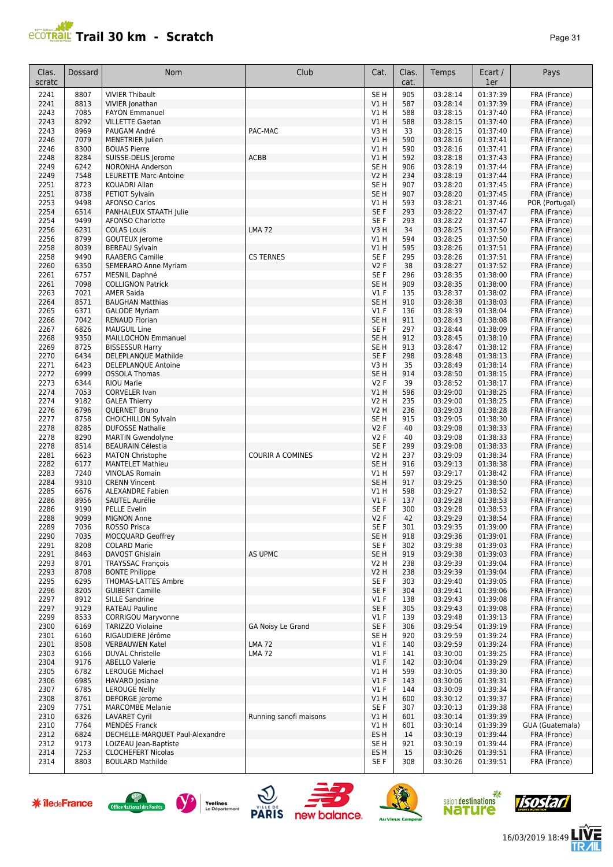

| Clas.<br>scratc | Dossard      | Nom                                                  | Club                     | Cat.                               | Clas.<br>cat. | Temps                | Ecart /<br>1er       | Pays                           |
|-----------------|--------------|------------------------------------------------------|--------------------------|------------------------------------|---------------|----------------------|----------------------|--------------------------------|
| 2241            | 8807         | <b>VIVIER Thibault</b>                               |                          | SE <sub>H</sub>                    | 905           | 03:28:14             | 01:37:39             | FRA (France)                   |
| 2241            | 8813         | VIVIER Jonathan                                      |                          | VIH                                | 587           | 03:28:14             | 01:37:39             | FRA (France)                   |
| 2243            | 7085         | <b>FAYON Emmanuel</b>                                |                          | V1 H                               | 588           | 03:28:15             | 01:37:40             | FRA (France)                   |
| 2243<br>2243    | 8292<br>8969 | <b>VILLETTE Gaetan</b><br>PAUGAM André               | PAC-MAC                  | VIH<br>V3H                         | 588<br>33     | 03:28:15<br>03:28:15 | 01:37:40<br>01:37:40 | FRA (France)<br>FRA (France)   |
| 2246            | 7079         | <b>MENETRIER Julien</b>                              |                          | V1H                                | 590           | 03:28:16             | 01:37:41             | FRA (France)                   |
| 2246            | 8300         | <b>BOUAS Pierre</b>                                  |                          | V1 H                               | 590           | 03:28:16             | 01:37:41             | FRA (France)                   |
| 2248            | 8284         | SUISSE-DELIS Jerome                                  | <b>ACBB</b>              | V1H                                | 592           | 03:28:18             | 01:37:43             | FRA (France)                   |
| 2249            | 6242         | <b>NORONHA Anderson</b>                              |                          | SE <sub>H</sub>                    | 906           | 03:28:19             | 01:37:44             | FRA (France)                   |
| 2249            | 7548         | LEURETTE Marc-Antoine                                |                          | <b>V2 H</b>                        | 234           | 03:28:19             | 01:37:44             | FRA (France)                   |
| 2251<br>2251    | 8723<br>8738 | KOUADRI Allan                                        |                          | SE <sub>H</sub><br>SE <sub>H</sub> | 907<br>907    | 03:28:20<br>03:28:20 | 01:37:45<br>01:37:45 | FRA (France)                   |
| 2253            | 9498         | PETIOT Sylvain<br><b>AFONSO Carlos</b>               |                          | V1H                                | 593           | 03:28:21             | 01:37:46             | FRA (France)<br>POR (Portugal) |
| 2254            | 6514         | PANHALEUX STAATH Julie                               |                          | SE <sub>F</sub>                    | 293           | 03:28:22             | 01:37:47             | FRA (France)                   |
| 2254            | 9499         | <b>AFONSO Charlotte</b>                              |                          | SE F                               | 293           | 03:28:22             | 01:37:47             | FRA (France)                   |
| 2256            | 6231         | <b>COLAS Louis</b>                                   | <b>LMA72</b>             | V3H                                | 34            | 03:28:25             | 01:37:50             | FRA (France)                   |
| 2256            | 8799         | GOUTEUX Jerome                                       |                          | V1 H                               | 594           | 03:28:25             | 01:37:50             | FRA (France)                   |
| 2258            | 8039         | <b>BEREAU Sylvain</b>                                |                          | V1H                                | 595           | 03:28:26             | 01:37:51             | FRA (France)                   |
| 2258<br>2260    | 9490<br>6350 | <b>RAABERG Camille</b>                               | <b>CS TERNES</b>         | SE <sub>F</sub><br>V2F             | 295<br>38     | 03:28:26<br>03:28:27 | 01:37:51<br>01:37:52 | FRA (France)                   |
| 2261            | 6757         | SEMERARO Anne Myriam<br><b>MESNIL Daphné</b>         |                          | SE F                               | 296           | 03:28:35             | 01:38:00             | FRA (France)<br>FRA (France)   |
| 2261            | 7098         | <b>COLLIGNON Patrick</b>                             |                          | SE <sub>H</sub>                    | 909           | 03:28:35             | 01:38:00             | FRA (France)                   |
| 2263            | 7021         | <b>AMER Saida</b>                                    |                          | $VI$ F                             | 135           | 03:28:37             | 01:38:02             | FRA (France)                   |
| 2264            | 8571         | <b>BAUGHAN Matthias</b>                              |                          | SE <sub>H</sub>                    | 910           | 03:28:38             | 01:38:03             | FRA (France)                   |
| 2265            | 6371         | <b>GALODE Myriam</b>                                 |                          | $VI$ F                             | 136           | 03:28:39             | 01:38:04             | FRA (France)                   |
| 2266            | 7042         | <b>RENAUD Florian</b>                                |                          | SE <sub>H</sub>                    | 911           | 03:28:43             | 01:38:08             | FRA (France)                   |
| 2267            | 6826         | <b>MAUGUIL Line</b>                                  |                          | SE F                               | 297           | 03:28:44             | 01:38:09             | FRA (France)                   |
| 2268<br>2269    | 9350<br>8725 | <b>MAILLOCHON Emmanuel</b>                           |                          | SE H<br>SE <sub>H</sub>            | 912<br>913    | 03:28:45<br>03:28:47 | 01:38:10<br>01:38:12 | FRA (France)                   |
| 2270            | 6434         | <b>BISSESSUR Harry</b><br>DELEPLANQUE Mathilde       |                          | SE <sub>F</sub>                    | 298           | 03:28:48             | 01:38:13             | FRA (France)<br>FRA (France)   |
| 2271            | 6423         | DELEPLANQUE Antoine                                  |                          | V3H                                | 35            | 03:28:49             | 01:38:14             | FRA (France)                   |
| 2272            | 6999         | <b>OSSOLA Thomas</b>                                 |                          | SE <sub>H</sub>                    | 914           | 03:28:50             | 01:38:15             | FRA (France)                   |
| 2273            | 6344         | <b>RIOU Marie</b>                                    |                          | <b>V2F</b>                         | 39            | 03:28:52             | 01:38:17             | FRA (France)                   |
| 2274            | 7053         | <b>CORVELER Ivan</b>                                 |                          | V1H                                | 596           | 03:29:00             | 01:38:25             | FRA (France)                   |
| 2274            | 9182         | <b>GALEA Thierry</b>                                 |                          | <b>V2 H</b>                        | 235           | 03:29:00             | 01:38:25             | FRA (France)                   |
| 2276<br>2277    | 6796<br>8758 | <b>QUERNET Bruno</b><br><b>CHOICHILLON Sylvain</b>   |                          | <b>V2 H</b><br>SE <sub>H</sub>     | 236<br>915    | 03:29:03<br>03:29:05 | 01:38:28<br>01:38:30 | FRA (France)<br>FRA (France)   |
| 2278            | 8285         | <b>DUFOSSE Nathalie</b>                              |                          | V2F                                | 40            | 03:29:08             | 01:38:33             | FRA (France)                   |
| 2278            | 8290         | <b>MARTIN Gwendolyne</b>                             |                          | V2F                                | 40            | 03:29:08             | 01:38:33             | FRA (France)                   |
| 2278            | 8514         | <b>BEAURAIN Célestia</b>                             |                          | SE F                               | 299           | 03:29:08             | 01:38:33             | FRA (France)                   |
| 2281            | 6623         | <b>MATON Christophe</b>                              | <b>COURIR A COMINES</b>  | <b>V2 H</b>                        | 237           | 03:29:09             | 01:38:34             | FRA (France)                   |
| 2282            | 6177         | <b>MANTELET Mathieu</b>                              |                          | SE <sub>H</sub>                    | 916           | 03:29:13             | 01:38:38             | FRA (France)                   |
| 2283            | 7240         | <b>VINOLAS Romain</b>                                |                          | V1 H                               | 597           | 03:29:17<br>03:29:25 | 01:38:42             | FRA (France)                   |
| 2284<br>2285    | 9310<br>6676 | <b>CRENN Vincent</b><br><b>ALEXANDRE Fabien</b>      |                          | SE <sub>H</sub><br>V1 H            | 917<br>598    | 03:29:27             | 01:38:50<br>01:38:52 | FRA (France)<br>FRA (France)   |
| 2286            | 8956         | SAUTEL Aurélie                                       |                          | V1F                                | 137           | 03:29:28             | 01:38:53             | FRA (France)                   |
| 2286            | 9190         | <b>PELLE Evelin</b>                                  |                          | SE F                               | 300           | 03:29:28             | 01:38:53             | FRA (France)                   |
| 2288            | 9099         | <b>MIGNON Anne</b>                                   |                          | V2F                                | 42            | 03:29:29             | 01:38:54             | FRA (France)                   |
| 2289            | 7036         | ROSSO Prisca                                         |                          | SE F                               | 301           | 03:29:35             | 01:39:00             | FRA (France)                   |
| 2290            | 7035         | MOCQUARD Geoffrey                                    |                          | SE H                               | 918           | 03:29:36             | 01:39:01             | FRA (France)                   |
| 2291            | 8208         | <b>COLARD Marie</b><br>DAVOST Ghislain               | AS UPMC                  | SE F                               | 302           | 03:29:38             | 01:39:03<br>01:39:03 | FRA (France)                   |
| 2291<br>2293    | 8463<br>8701 | <b>TRAYSSAC François</b>                             |                          | SE H<br>V <sub>2</sub> H           | 919<br>238    | 03:29:38<br>03:29:39 | 01:39:04             | FRA (France)<br>FRA (France)   |
| 2293            | 8708         | <b>BONTE Philippe</b>                                |                          | <b>V2 H</b>                        | 238           | 03:29:39             | 01:39:04             | FRA (France)                   |
| 2295            | 6295         | <b>THOMAS-LATTES Ambre</b>                           |                          | SE F                               | 303           | 03:29:40             | 01:39:05             | FRA (France)                   |
| 2296            | 8205         | <b>GUIBERT Camille</b>                               |                          | SE F                               | 304           | 03:29:41             | 01:39:06             | FRA (France)                   |
| 2297            | 8912         | SILLE Sandrine                                       |                          | $VI$ F                             | 138           | 03:29:43             | 01:39:08             | FRA (France)                   |
| 2297            | 9129         | <b>RATEAU Pauline</b>                                |                          | SE F                               | 305           | 03:29:43             | 01:39:08             | FRA (France)                   |
| 2299<br>2300    | 8533<br>6169 | <b>CORRIGOU Maryvonne</b><br><b>TARIZZO Violaine</b> | <b>GA Noisy Le Grand</b> | $VI$ F<br>SE F                     | 139<br>306    | 03:29:48<br>03:29:54 | 01:39:13<br>01:39:19 | FRA (France)<br>FRA (France)   |
| 2301            | 6160         | RIGAUDIERE Jérôme                                    |                          | SE <sub>H</sub>                    | 920           | 03:29:59             | 01:39:24             | FRA (France)                   |
| 2301            | 8508         | <b>VERBAUWEN Katel</b>                               | <b>LMA 72</b>            | $VI$ F                             | 140           | 03:29:59             | 01:39:24             | FRA (France)                   |
| 2303            | 6166         | <b>DUVAL Christelle</b>                              | <b>LMA 72</b>            | $VI$ F                             | 141           | 03:30:00             | 01:39:25             | FRA (France)                   |
| 2304            | 9176         | <b>ABELLO Valerie</b>                                |                          | $VI$ F                             | 142           | 03:30:04             | 01:39:29             | FRA (France)                   |
| 2305            | 6782         | <b>LEROUGE Michael</b>                               |                          | VIH                                | 599           | 03:30:05             | 01:39:30             | FRA (France)                   |
| 2306            | 6985         | HAVARD Josiane                                       |                          | $VI$ F                             | 143           | 03:30:06             | 01:39:31             | FRA (France)                   |
| 2307<br>2308    | 6785<br>8761 | LEROUGE Nelly<br>DEFORGE Jerome                      |                          | $VI$ F<br>V1H                      | 144<br>600    | 03:30:09<br>03:30:12 | 01:39:34<br>01:39:37 | FRA (France)<br>FRA (France)   |
| 2309            | 7751         | <b>MARCOMBE Melanie</b>                              |                          | SE F                               | 307           | 03:30:13             | 01:39:38             | FRA (France)                   |
| 2310            | 6326         | <b>LAVARET Cyril</b>                                 | Running sanofi maisons   | V1H                                | 601           | 03:30:14             | 01:39:39             | FRA (France)                   |
| 2310            | 7764         | <b>MENDES Franck</b>                                 |                          | V1 H                               | 601           | 03:30:14             | 01:39:39             | GUA (Guatemala)                |
| 2312            | 6824         | DECHELLE-MARQUET Paul-Alexandre                      |                          | ES <sub>H</sub>                    | 14            | 03:30:19             | 01:39:44             | FRA (France)                   |
| 2312            | 9173         | LOIZEAU Jean-Baptiste                                |                          | SE <sub>H</sub>                    | 921           | 03:30:19             | 01:39:44             | FRA (France)                   |
| 2314<br>2314    | 7253<br>8803 | <b>CLOCHEFERT Nicolas</b><br><b>BOULARD Mathilde</b> |                          | ES H<br>SE F                       | 15<br>308     | 03:30:26<br>03:30:26 | 01:39:51<br>01:39:51 | FRA (France)<br>FRA (France)   |
|                 |              |                                                      |                          |                                    |               |                      |                      |                                |

**米 îledeFrance** 









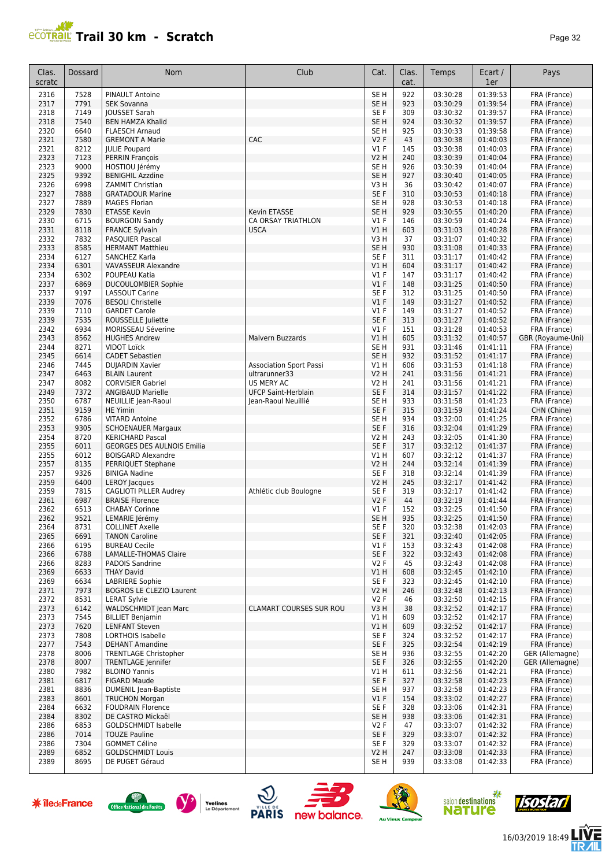

| Clas.<br>scratc | Dossard      | Nom                                               | Club                           | Cat.                    | Clas.<br>cat. | Temps                | Ecart /<br>1er       | Pays                         |
|-----------------|--------------|---------------------------------------------------|--------------------------------|-------------------------|---------------|----------------------|----------------------|------------------------------|
| 2316            | 7528         | <b>PINAULT Antoine</b>                            |                                | SE <sub>H</sub>         | 922           | 03:30:28             | 01:39:53             | FRA (France)                 |
| 2317            | 7791         | <b>SEK Sovanna</b>                                |                                | SE H                    | 923           | 03:30:29             | 01:39:54             | FRA (France)                 |
| 2318            | 7149         | <b>JOUSSET Sarah</b>                              |                                | SE F                    | 309           | 03:30:32             | 01:39:57             | FRA (France)                 |
| 2318<br>2320    | 7540<br>6640 | <b>BEN HAMZA Khalid</b><br><b>FLAESCH Arnaud</b>  |                                | SE <sub>H</sub><br>SE H | 924<br>925    | 03:30:32<br>03:30:33 | 01:39:57<br>01:39:58 | FRA (France)<br>FRA (France) |
| 2321            | 7580         | <b>GREMONT A Marie</b>                            | CAC                            | <b>V2F</b>              | 43            | 03:30:38             | 01:40:03             | FRA (France)                 |
| 2321            | 8212         | <b>JULIE Poupard</b>                              |                                | $VI$ F                  | 145           | 03:30:38             | 01:40:03             | FRA (France)                 |
| 2323            | 7123         | <b>PERRIN François</b>                            |                                | V2 H                    | 240           | 03:30:39             | 01:40:04             | FRA (France)                 |
| 2323            | 9000         | HOSTIOU Jérémy                                    |                                | SE H                    | 926           | 03:30:39             | 01:40:04             | FRA (France)                 |
| 2325<br>2326    | 9392<br>6998 | <b>BENIGHIL Azzdine</b><br>ZAMMIT Christian       |                                | SE <sub>H</sub><br>V3H  | 927<br>36     | 03:30:40<br>03:30:42 | 01:40:05<br>01:40:07 | FRA (France)<br>FRA (France) |
| 2327            | 7888         | <b>GRATADOUR Marine</b>                           |                                | SE F                    | 310           | 03:30:53             | 01:40:18             | FRA (France)                 |
| 2327            | 7889         | <b>MAGES Florian</b>                              |                                | SE <sub>H</sub>         | 928           | 03:30:53             | 01:40:18             | FRA (France)                 |
| 2329            | 7830         | <b>ETASSE Kevin</b>                               | <b>Kevin ETASSE</b>            | SE <sub>H</sub>         | 929           | 03:30:55             | 01:40:20             | FRA (France)                 |
| 2330            | 6715         | <b>BOURGOIN Sandy</b>                             | CA ORSAY TRIATHLON             | $VI$ F                  | 146           | 03:30:59             | 01:40:24             | FRA (France)                 |
| 2331            | 8118<br>7832 | <b>FRANCE Sylvain</b>                             | <b>USCA</b>                    | V1 H<br>V3H             | 603<br>37     | 03:31:03             | 01:40:28<br>01:40:32 | FRA (France)                 |
| 2332<br>2333    | 8585         | <b>PASQUIER Pascal</b><br><b>HERMANT Matthieu</b> |                                | SE <sub>H</sub>         | 930           | 03:31:07<br>03:31:08 | 01:40:33             | FRA (France)<br>FRA (France) |
| 2334            | 6127         | SANCHEZ Karla                                     |                                | SE <sub>F</sub>         | 311           | 03:31:17             | 01:40:42             | FRA (France)                 |
| 2334            | 6301         | <b>VAVASSEUR Alexandre</b>                        |                                | V1H                     | 604           | 03:31:17             | 01:40:42             | FRA (France)                 |
| 2334            | 6302         | POUPEAU Katia                                     |                                | $VI$ F                  | 147           | 03:31:17             | 01:40:42             | FRA (France)                 |
| 2337            | 6869         | <b>DUCOULOMBIER Sophie</b>                        |                                | V1F                     | 148           | 03:31:25             | 01:40:50             | FRA (France)                 |
| 2337<br>2339    | 9197<br>7076 | <b>LASSOUT Carine</b><br><b>BESOLI Christelle</b> |                                | SE <sub>F</sub><br>V1F  | 312<br>149    | 03:31:25<br>03:31:27 | 01:40:50<br>01:40:52 | FRA (France)<br>FRA (France) |
| 2339            | 7110         | <b>GARDET Carole</b>                              |                                | $VI$ F                  | 149           | 03:31:27             | 01:40:52             | FRA (France)                 |
| 2339            | 7535         | ROUSSELLE Juliette                                |                                | SE <sub>F</sub>         | 313           | 03:31:27             | 01:40:52             | FRA (France)                 |
| 2342            | 6934         | MORISSEAU Séverine                                |                                | $VI$ F                  | 151           | 03:31:28             | 01:40:53             | FRA (France)                 |
| 2343            | 8562         | <b>HUGHES Andrew</b>                              | Malvern Buzzards               | V1 H                    | 605           | 03:31:32             | 01:40:57             | GBR (Royaume-Uni)            |
| 2344            | 8271         | <b>VIDOT Loïck</b>                                |                                | SE <sub>H</sub>         | 931           | 03:31:46             | 01:41:11             | FRA (France)                 |
| 2345<br>2346    | 6614<br>7445 | <b>CADET Sebastien</b><br><b>DUJARDIN Xavier</b>  | <b>Association Sport Passi</b> | SE <sub>H</sub><br>V1 H | 932<br>606    | 03:31:52<br>03:31:53 | 01:41:17<br>01:41:18 | FRA (France)<br>FRA (France) |
| 2347            | 6463         | <b>BLAIN Laurent</b>                              | ultrarunner33                  | <b>V2 H</b>             | 241           | 03:31:56             | 01:41:21             | FRA (France)                 |
| 2347            | 8082         | <b>CORVISIER Gabriel</b>                          | US MERY AC                     | V2 H                    | 241           | 03:31:56             | 01:41:21             | FRA (France)                 |
| 2349            | 7372         | <b>ANGIBAUD Marielle</b>                          | <b>UFCP Saint-Herblain</b>     | SE F                    | 314           | 03:31:57             | 01:41:22             | FRA (France)                 |
| 2350            | 6787         | NEUILLIE Jean-Raoul                               | Jean-Raoul Neuillié            | SE <sub>H</sub>         | 933           | 03:31:58             | 01:41:23             | FRA (France)                 |
| 2351<br>2352    | 9159<br>6786 | <b>HE Yimin</b><br><b>VITARD Antoine</b>          |                                | SE F<br>SE <sub>H</sub> | 315<br>934    | 03:31:59<br>03:32:00 | 01:41:24<br>01:41:25 | CHN (Chine)<br>FRA (France)  |
| 2353            | 9305         | <b>SCHOENAUER Margaux</b>                         |                                | SE F                    | 316           | 03:32:04             | 01:41:29             | FRA (France)                 |
| 2354            | 8720         | <b>KERICHARD Pascal</b>                           |                                | V2 H                    | 243           | 03:32:05             | 01:41:30             | FRA (France)                 |
| 2355            | 6011         | <b>GEORGES DES AULNOIS Emilia</b>                 |                                | SE <sub>F</sub>         | 317           | 03:32:12             | 01:41:37             | FRA (France)                 |
| 2355            | 6012         | <b>BOISGARD Alexandre</b>                         |                                | V1 H                    | 607           | 03:32:12             | 01:41:37             | FRA (France)                 |
| 2357<br>2357    | 8135<br>9326 | PERRIQUET Stephane<br><b>BINIGA Nadine</b>        |                                | <b>V2 H</b><br>SE F     | 244<br>318    | 03:32:14<br>03:32:14 | 01:41:39<br>01:41:39 | FRA (France)<br>FRA (France) |
| 2359            | 6400         | <b>LEROY Jacques</b>                              |                                | <b>V2 H</b>             | 245           | 03:32:17             | 01:41:42             | FRA (France)                 |
| 2359            | 7815         | CAGLIOTI PILLER Audrey                            | Athlétic club Boulogne         | SE F                    | 319           | 03:32:17             | 01:41:42             | FRA (France)                 |
| 2361            | 6987         | <b>BRAISE Florence</b>                            |                                | <b>V2F</b>              | 44            | 03:32:19             | 01:41:44             | FRA (France)                 |
| 2362            | 6513         | <b>CHABAY Corinne</b>                             |                                | $VI$ F                  | 152           | 03:32:25             | 01:41:50             | FRA (France)                 |
| 2362<br>2364    | 9521<br>8731 | LEMARIE Jérémy<br><b>COLLINET Axelle</b>          |                                | SE <sub>H</sub><br>SE F | 935<br>320    | 03:32:25<br>03:32:38 | 01:41:50<br>01:42:03 | FRA (France)<br>FRA (France) |
| 2365            | 6691         | <b>TANON Caroline</b>                             |                                | SE F                    | 321           | 03:32:40             | 01:42:05             | FRA (France)                 |
| 2366            | 6195         | <b>BUREAU Cecile</b>                              |                                | $VI$ F                  | 153           | 03:32:43             | 01:42:08             | FRA (France)                 |
| 2366            | 6788         | <b>LAMALLE-THOMAS Claire</b>                      |                                | SE F                    | 322           | 03:32:43             | 01:42:08             | FRA (France)                 |
| 2366            | 8283         | PADOIS Sandrine                                   |                                | V2F                     | 45            | 03:32:43             | 01:42:08             | FRA (France)                 |
| 2369<br>2369    | 6633<br>6634 | <b>THAY David</b><br><b>LABRIERE Sophie</b>       |                                | V1 H<br>SE F            | 608<br>323    | 03:32:45<br>03:32:45 | 01:42:10<br>01:42:10 | FRA (France)<br>FRA (France) |
| 2371            | 7973         | BOGROS LE CLEZIO Laurent                          |                                | V2 H                    | 246           | 03:32:48             | 01:42:13             | FRA (France)                 |
| 2372            | 8531         | <b>LERAT Sylvie</b>                               |                                | V2F                     | 46            | 03:32:50             | 01:42:15             | FRA (France)                 |
| 2373            | 6142         | <b>WALDSCHMIDT Jean Marc</b>                      | <b>CLAMART COURSES SUR ROU</b> | V3 H                    | 38            | 03:32:52             | 01:42:17             | FRA (France)                 |
| 2373            | 7545         | <b>BILLIET Benjamin</b>                           |                                | V1 H                    | 609           | 03:32:52             | 01:42:17             | FRA (France)                 |
| 2373<br>2373    | 7620<br>7808 | <b>LENFANT Steven</b><br>LORTHOIS Isabelle        |                                | V1 H<br>SE F            | 609<br>324    | 03:32:52<br>03:32:52 | 01:42:17<br>01:42:17 | FRA (France)<br>FRA (France) |
| 2377            | 7543         | <b>DEHANT Amandine</b>                            |                                | SE F                    | 325           | 03:32:54             | 01:42:19             | FRA (France)                 |
| 2378            | 8006         | <b>TRENTLAGE Christopher</b>                      |                                | SE H                    | 936           | 03:32:55             | 01:42:20             | GER (Allemagne)              |
| 2378            | 8007         | TRENTLAGE Jennifer                                |                                | SE F                    | 326           | 03:32:55             | 01:42:20             | GER (Allemagne)              |
| 2380            | 7982         | <b>BLOINO Yannis</b>                              |                                | V1 H                    | 611           | 03:32:56             | 01:42:21             | FRA (France)                 |
| 2381<br>2381    | 6817<br>8836 | FIGARD Maude<br><b>DUMENIL Jean-Baptiste</b>      |                                | SE F<br>SE H            | 327<br>937    | 03:32:58<br>03:32:58 | 01:42:23<br>01:42:23 | FRA (France)<br>FRA (France) |
| 2383            | 8601         | <b>TRUCHON Morgan</b>                             |                                | $VI$ F                  | 154           | 03:33:02             | 01:42:27             | FRA (France)                 |
| 2384            | 6632         | <b>FOUDRAIN Florence</b>                          |                                | SE F                    | 328           | 03:33:06             | 01:42:31             | FRA (France)                 |
| 2384            | 8302         | DE CASTRO Mickaël                                 |                                | SE H                    | 938           | 03:33:06             | 01:42:31             | FRA (France)                 |
| 2386            | 6853         | <b>GOLDSCHMIDT Isabelle</b>                       |                                | V2F                     | 47            | 03:33:07             | 01:42:32             | FRA (France)                 |
| 2386<br>2386    | 7014<br>7304 | <b>TOUZE Pauline</b><br><b>GOMMET Céline</b>      |                                | SE F<br>SE F            | 329<br>329    | 03:33:07<br>03:33:07 | 01:42:32<br>01:42:32 | FRA (France)<br>FRA (France) |
| 2389            | 6852         | <b>GOLDSCHMIDT Louis</b>                          |                                | V2 H                    | 247           | 03:33:08             | 01:42:33             | FRA (France)                 |
| 2389            | 8695         | DE PUGET Géraud                                   |                                | SE H                    | 939           | 03:33:08             | 01:42:33             | FRA (France)                 |

**米 îledeFrance** 













信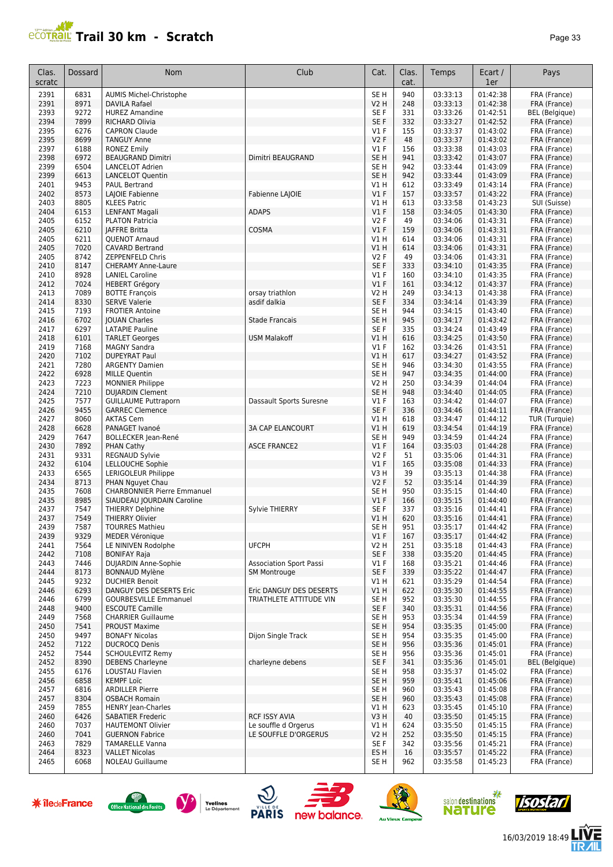

| Clas.<br>scratc | Dossard      | Nom                                                | Club                           | Cat.                      | Clas.<br>cat. | Temps                | Ecart /<br>1er       | Pays                         |
|-----------------|--------------|----------------------------------------------------|--------------------------------|---------------------------|---------------|----------------------|----------------------|------------------------------|
| 2391            | 6831         | <b>AUMIS Michel-Christophe</b>                     |                                | SE <sub>H</sub>           | 940           | 03:33:13             | 01:42:38             | FRA (France)                 |
| 2391            | 8971         | <b>DAVILA Rafael</b>                               |                                | <b>V2 H</b>               | 248           | 03:33:13             | 01:42:38             | FRA (France)                 |
| 2393            | 9272         | <b>HUREZ Amandine</b>                              |                                | SE F                      | 331           | 03:33:26             | 01:42:51             | BEL (Belgique)               |
| 2394            | 7899         | <b>RICHARD Olivia</b>                              |                                | SE F                      | 332           | 03:33:27             | 01:42:52             | FRA (France)                 |
| 2395            | 6276         | <b>CAPRON Claude</b>                               |                                | $VI$ F                    | 155           | 03:33:37             | 01:43:02             | FRA (France)                 |
| 2395            | 8699         | <b>TANGUY Anne</b>                                 |                                | <b>V2F</b>                | 48            | 03:33:37             | 01:43:02             | FRA (France)                 |
| 2397            | 6188         | <b>RONEZ Emily</b>                                 |                                | $VI$ F                    | 156           | 03:33:38             | 01:43:03             | FRA (France)                 |
| 2398            | 6972         | <b>BEAUGRAND Dimitri</b>                           | Dimitri BEAUGRAND              | SE <sub>H</sub>           | 941           | 03:33:42             | 01:43:07             | FRA (France)                 |
| 2399            | 6504         | <b>LANCELOT Adrien</b>                             |                                | SE <sub>H</sub>           | 942           | 03:33:44             | 01:43:09             | FRA (France)                 |
| 2399            | 6613         | <b>LANCELOT Quentin</b>                            |                                | SE <sub>H</sub>           | 942           | 03:33:44             | 01:43:09             | FRA (France)                 |
| 2401            | 9453         | <b>PAUL Bertrand</b>                               |                                | V1 H                      | 612           | 03:33:49             | 01:43:14             | FRA (France)                 |
| 2402            | 8573         | LAJOIE Fabienne                                    | Fabienne LAJOIE                | $VI$ F                    | 157           | 03:33:57             | 01:43:22             | FRA (France)                 |
| 2403            | 8805         | <b>KLEES Patric</b>                                |                                | V1 H                      | 613           | 03:33:58             | 01:43:23             | SUI (Suisse)                 |
| 2404            | 6153         | <b>LENFANT Magali</b>                              | <b>ADAPS</b>                   | V1F                       | 158           | 03:34:05             | 01:43:30             | FRA (France)                 |
| 2405            | 6152         | <b>PLATON Patricia</b>                             |                                | <b>V2F</b>                | 49            | 03:34:06             | 01:43:31             | FRA (France)                 |
| 2405            | 6210         | <b>JAFFRE Britta</b>                               | COSMA                          | V1F                       | 159           | 03:34:06             | 01:43:31             | FRA (France)                 |
| 2405            | 6211         | <b>QUENOT Arnaud</b>                               |                                | V1 H                      | 614           | 03:34:06             | 01:43:31<br>01:43:31 | FRA (France)                 |
| 2405<br>2405    | 7020<br>8742 | <b>CAVARD Bertrand</b>                             |                                | V1 H<br><b>V2F</b>        | 614<br>49     | 03:34:06             |                      | FRA (France)                 |
| 2410            | 8147         | ZEPPENFELD Chris<br><b>CHERAMY Anne-Laure</b>      |                                | SE F                      | 333           | 03:34:06<br>03:34:10 | 01:43:31<br>01:43:35 | FRA (France)<br>FRA (France) |
| 2410            | 8928         | <b>LANIEL Caroline</b>                             |                                | $VI$ F                    | 160           | 03:34:10             | 01:43:35             | FRA (France)                 |
| 2412            | 7024         | <b>HEBERT Grégory</b>                              |                                | V1F                       | 161           | 03:34:12             | 01:43:37             | FRA (France)                 |
| 2413            | 7089         | <b>BOTTE François</b>                              | orsay triathlon                | V2 H                      | 249           | 03:34:13             | 01:43:38             | FRA (France)                 |
| 2414            | 8330         | <b>SERVE Valerie</b>                               | asdif dalkia                   | SE F                      | 334           | 03:34:14             | 01:43:39             | FRA (France)                 |
| 2415            | 7193         | <b>FROTIER Antoine</b>                             |                                | SE <sub>H</sub>           | 944           | 03:34:15             | 01:43:40             | FRA (France)                 |
| 2416            | 6702         | <b>JOUAN Charles</b>                               | <b>Stade Francais</b>          | SE <sub>H</sub>           | 945           | 03:34:17             | 01:43:42             | FRA (France)                 |
| 2417            | 6297         | <b>LATAPIE Pauline</b>                             |                                | SE F                      | 335           | 03:34:24             | 01:43:49             | FRA (France)                 |
| 2418            | 6101         | <b>TARLET Georges</b>                              | <b>USM Malakoff</b>            | V1 H                      | 616           | 03:34:25             | 01:43:50             | FRA (France)                 |
| 2419            | 7168         | <b>MAGNY Sandra</b>                                |                                | $VI$ F                    | 162           | 03:34:26             | 01:43:51             | FRA (France)                 |
| 2420            | 7102         | <b>DUPEYRAT Paul</b>                               |                                | V1 H                      | 617           | 03:34:27             | 01:43:52             | FRA (France)                 |
| 2421            | 7280         | <b>ARGENTY Damien</b>                              |                                | SE <sub>H</sub>           | 946           | 03:34:30             | 01:43:55             | FRA (France)                 |
| 2422            | 6928         | <b>MILLE Quentin</b>                               |                                | SE <sub>H</sub>           | 947           | 03:34:35             | 01:44:00             | FRA (France)                 |
| 2423            | 7223         | <b>MONNIER Philippe</b>                            |                                | V2 H                      | 250           | 03:34:39             | 01:44:04             | FRA (France)                 |
| 2424            | 7210         | <b>DUJARDIN Clement</b>                            |                                | SE <sub>H</sub>           | 948           | 03:34:40             | 01:44:05             | FRA (France)                 |
| 2425            | 7577         | <b>GUILLAUME Puttraporn</b>                        | Dassault Sports Suresne        | $VI$ F                    | 163           | 03:34:42             | 01:44:07             | FRA (France)                 |
| 2426            | 9455         | <b>GARREC Clemence</b>                             |                                | SE F                      | 336           | 03:34:46             | 01:44:11             | FRA (France)                 |
| 2427            | 8060         | <b>AKTAS Cem</b>                                   |                                | V1 H                      | 618           | 03:34:47             | 01:44:12             | TUR (Turquie)                |
| 2428            | 6628         | PANAGET Ivanoé                                     | <b>3A CAP ELANCOURT</b>        | V1H                       | 619           | 03:34:54             | 01:44:19             | FRA (France)                 |
| 2429            | 7647         | <b>BOLLECKER Jean-René</b>                         |                                | SE <sub>H</sub>           | 949           | 03:34:59             | 01:44:24             | FRA (France)                 |
| 2430            | 7892         | PHAN Cathy                                         | <b>ASCE FRANCE2</b>            | V1F                       | 164           | 03:35:03             | 01:44:28             | FRA (France)                 |
| 2431            | 9331         | <b>REGNAUD Sylvie</b>                              |                                | <b>V2F</b>                | 51            | 03:35:06             | 01:44:31             | FRA (France)                 |
| 2432            | 6104         | <b>LELLOUCHE Sophie</b>                            |                                | $VI$ F                    | 165           | 03:35:08             | 01:44:33             | FRA (France)                 |
| 2433            | 6565         | LERIGOLEUR Philippe                                |                                | V3 H                      | 39            | 03:35:13             | 01:44:38             | FRA (France)                 |
| 2434            | 8713         | PHAN Nguyet Chau                                   |                                | <b>V2F</b>                | 52            | 03:35:14             | 01:44:39             | FRA (France)                 |
| 2435            | 7608         | <b>CHARBONNIER Pierre Emmanuel</b>                 |                                | SE H                      | 950           | 03:35:15             | 01:44:40             | FRA (France)                 |
| 2435            | 8985         | SIAUDEAU JOURDAIN Caroline                         |                                | V1F                       | 166           | 03:35:15             | 01:44:40             | FRA (France)                 |
| 2437            | 7547         | <b>THIERRY Delphine</b>                            | Sylvie THIERRY                 | SE F                      | 337           | 03:35:16             | 01:44:41             | FRA (France)                 |
| 2437            | 7549         | <b>THIERRY Olivier</b>                             |                                | V1 H                      | 620           | 03:35:16             | 01:44:41             | FRA (France)                 |
| 2439            | 7587         | <b>TOURRES Mathieu</b>                             |                                | SE H                      | 951           | 03:35:17             | 01:44:42             | FRA (France)                 |
| 2439            | 9329         | <b>MEDER Véronique</b>                             |                                | $VI$ F                    | 167           | 03:35:17             | 01:44:42             | FRA (France)                 |
| 2441            | 7564         | LE NINIVEN Rodolphe                                | <b>UFCPH</b>                   | <b>V2 H</b>               | 251           | 03:35:18             | 01:44:43             | FRA (France)                 |
| 2442<br>2443    | 7108<br>7446 | <b>BONIFAY Raja</b><br><b>DUJARDIN Anne-Sophie</b> | <b>Association Sport Passi</b> | SE <sub>F</sub><br>$VI$ F | 338<br>168    | 03:35:20<br>03:35:21 | 01:44:45<br>01:44:46 | FRA (France)<br>FRA (France) |
| 2444            | 8173         | <b>BONNAUD Mylène</b>                              | <b>SM Montrouge</b>            | SE F                      | 339           | 03:35:22             | 01:44:47             | FRA (France)                 |
| 2445            | 9232         | <b>DUCHIER Benoit</b>                              |                                | V1 H                      | 621           | 03:35:29             | 01:44:54             | FRA (France)                 |
| 2446            | 6293         | <b>DANGUY DES DESERTS Eric</b>                     | Eric DANGUY DES DESERTS        | V1H                       | 622           | 03:35:30             | 01:44:55             | FRA (France)                 |
| 2446            | 6799         | <b>GOURBESVILLE Emmanuel</b>                       | TRIATHLETE ATTITUDE VIN        | SE H                      | 952           | 03:35:30             | 01:44:55             | FRA (France)                 |
| 2448            | 9400         | <b>ESCOUTE Camille</b>                             |                                | SE F                      | 340           | 03:35:31             | 01:44:56             | FRA (France)                 |
| 2449            | 7568         | <b>CHARRIER Guillaume</b>                          |                                | SE <sub>H</sub>           | 953           | 03:35:34             | 01:44:59             | FRA (France)                 |
| 2450            | 7541         | <b>PROUST Maxime</b>                               |                                | SE <sub>H</sub>           | 954           | 03:35:35             | 01:45:00             | FRA (France)                 |
| 2450            | 9497         | <b>BONAFY Nicolas</b>                              | Dijon Single Track             | SE <sub>H</sub>           | 954           | 03:35:35             | 01:45:00             | FRA (France)                 |
| 2452            | 7122         | <b>DUCROCO Denis</b>                               |                                | SE <sub>H</sub>           | 956           | 03:35:36             | 01:45:01             | FRA (France)                 |
| 2452            | 7544         | SCHOULEVITZ Remy                                   |                                | SE H                      | 956           | 03:35:36             | 01:45:01             | FRA (France)                 |
| 2452            | 8390         | <b>DEBENS Charleyne</b>                            | charleyne debens               | SE F                      | 341           | 03:35:36             | 01:45:01             | <b>BEL</b> (Belgique)        |
| 2455            | 6176         | LOUSTAU Flavien                                    |                                | SE H                      | 958           | 03:35:37             | 01:45:02             | FRA (France)                 |
| 2456            | 6858         | <b>KEMPF Loïc</b>                                  |                                | SE H                      | 959           | 03:35:41             | 01:45:06             | FRA (France)                 |
| 2457            | 6816         | <b>ARDILLER Pierre</b>                             |                                | SE H                      | 960           | 03:35:43             | 01:45:08             | FRA (France)                 |
| 2457            | 8304         | <b>OSBACH Romain</b>                               |                                | SE H                      | 960           | 03:35:43             | 01:45:08             | FRA (France)                 |
| 2459            | 7855         | <b>HENRY Jean-Charles</b>                          |                                | V1 H                      | 623           | 03:35:45             | 01:45:10             | FRA (France)                 |
| 2460            | 6426         | <b>SABATIER Frederic</b>                           | RCF ISSY AVIA                  | V3 H                      | 40            | 03:35:50             | 01:45:15             | FRA (France)                 |
| 2460            | 7037         | <b>HAUTEMONT Olivier</b>                           | Le souffle d Orgerus           | VIH                       | 624           | 03:35:50             | 01:45:15             | FRA (France)                 |
| 2460            | 7041         | <b>GUERNON Fabrice</b>                             | LE SOUFFLE D'ORGERUS           | V2 H                      | 252           | 03:35:50             | 01:45:15             | FRA (France)                 |
| 2463            | 7829         | <b>TAMARELLE Vanna</b>                             |                                | SE F                      | 342           | 03:35:56             | 01:45:21             | FRA (France)                 |
| 2464            | 8323         | <b>VALLET Nicolas</b>                              |                                | ES H                      | 16            | 03:35:57             | 01:45:22             | FRA (France)                 |
| 2465            | 6068         | <b>NOLEAU Guillaume</b>                            |                                | SE H                      | 962           | 03:35:58             | 01:45:23             | FRA (France)                 |













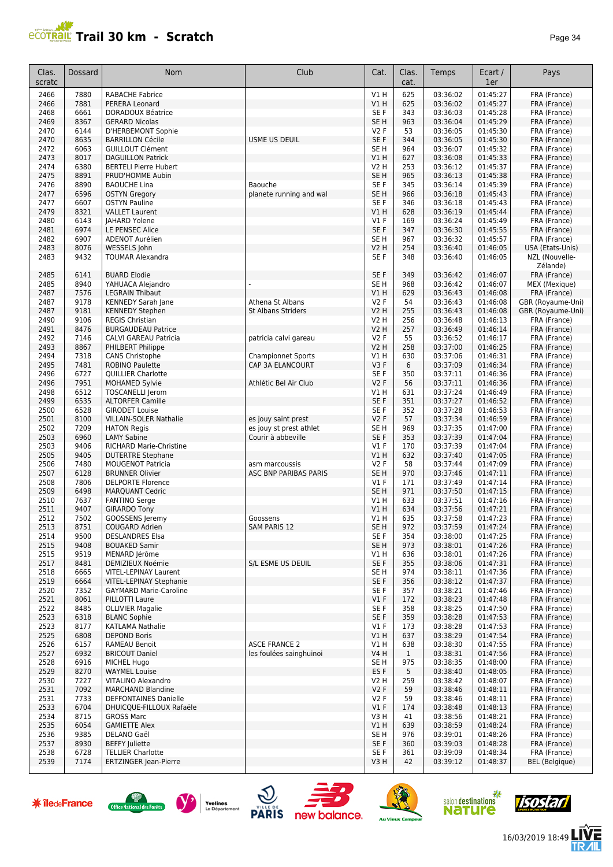#### **Trail 30 km - Scratch Page 34** Page 34

| Clas.<br>scratc | Dossard      | <b>Nom</b>                                          | Club                         | Cat.                           | Clas.<br>cat.       | Temps                | Ecart /<br>1er       | Pays                             |
|-----------------|--------------|-----------------------------------------------------|------------------------------|--------------------------------|---------------------|----------------------|----------------------|----------------------------------|
| 2466            | 7880         | <b>RABACHE Fabrice</b>                              |                              | V1H                            | 625                 | 03:36:02             | 01:45:27             | FRA (France)                     |
| 2466            | 7881         | PERERA Leonard                                      |                              | V1H                            | 625                 | 03:36:02             | 01:45:27             | FRA (France)                     |
| 2468            | 6661         | <b>DORADOUX Béatrice</b>                            |                              | SE F                           | 343                 | 03:36:03             | 01:45:28             | FRA (France)                     |
| 2469            | 8367         | <b>GERARD Nicolas</b>                               |                              | SE <sub>H</sub>                | 963                 | 03:36:04             | 01:45:29             | FRA (France)                     |
| 2470            | 6144         | D'HERBEMONT Sophie                                  |                              | V2F                            | 53                  | 03:36:05             | 01:45:30             | FRA (France)                     |
| 2470            | 8635         | <b>BARRILLON Cécile</b>                             | USME US DEUIL                | SE F                           | 344                 | 03:36:05             | 01:45:30             | FRA (France)                     |
| 2472<br>2473    | 6063<br>8017 | <b>GUILLOUT Clément</b><br><b>DAGUILLON Patrick</b> |                              | SE <sub>H</sub><br>V1H         | 964<br>627          | 03:36:07<br>03:36:08 | 01:45:32<br>01:45:33 | FRA (France)<br>FRA (France)     |
| 2474            | 6380         | <b>BERTELI Pierre Hubert</b>                        |                              | <b>V2 H</b>                    | 253                 | 03:36:12             | 01:45:37             | FRA (France)                     |
| 2475            | 8891         | PRUD'HOMME Aubin                                    |                              | SE <sub>H</sub>                | 965                 | 03:36:13             | 01:45:38             | FRA (France)                     |
| 2476            | 8890         | <b>BAOUCHE Lina</b>                                 | Baouche                      | SE F                           | 345                 | 03:36:14             | 01:45:39             | FRA (France)                     |
| 2477            | 6596         | <b>OSTYN Gregory</b>                                | planete running and wal      | SE <sub>H</sub>                | 966                 | 03:36:18             | 01:45:43             | FRA (France)                     |
| 2477            | 6607         | <b>OSTYN Pauline</b>                                |                              | SE F                           | 346                 | 03:36:18             | 01:45:43             | FRA (France)                     |
| 2479            | 8321         | <b>VALLET Laurent</b>                               |                              | V1H                            | 628                 | 03:36:19             | 01:45:44             | FRA (France)                     |
| 2480            | 6143         | <b>JAHARD Yolene</b>                                |                              | $VI$ F                         | 169                 | 03:36:24             | 01:45:49             | FRA (France)                     |
| 2481            | 6974         | LE PENSEC Alice                                     |                              | SE F                           | 347                 | 03:36:30             | 01:45:55             | FRA (France)                     |
| 2482<br>2483    | 6907<br>8076 | ADENOT Aurélien<br>WESSELS John                     |                              | SE <sub>H</sub><br><b>V2 H</b> | 967<br>254          | 03:36:32<br>03:36:40 | 01:45:57<br>01:46:05 | FRA (France)<br>USA (Etats-Unis) |
| 2483            | 9432         | <b>TOUMAR Alexandra</b>                             |                              | SE F                           | 348                 | 03:36:40             | 01:46:05             | NZL (Nouvelle-<br>Zélande)       |
| 2485            | 6141         | <b>BUARD Elodie</b>                                 |                              | SE F                           | 349                 | 03:36:42             | 01:46:07             | FRA (France)                     |
| 2485            | 8940         | YAHUACA Alejandro                                   |                              | SE <sub>H</sub>                | 968                 | 03:36:42             | 01:46:07             | MEX (Mexique)                    |
| 2487            | 7576         | <b>LEGRAIN Thibaut</b>                              |                              | VIH                            | 629                 | 03:36:43             | 01:46:08             | FRA (France)                     |
| 2487            | 9178         | <b>KENNEDY Sarah Jane</b>                           | Athena St Albans             | V2F                            | 54                  | 03:36:43             | 01:46:08             | GBR (Royaume-Uni)                |
| 2487            | 9181         | <b>KENNEDY Stephen</b>                              | <b>St Albans Striders</b>    | V2 H                           | 255                 | 03:36:43             | 01:46:08             | GBR (Royaume-Uni)                |
| 2490<br>2491    | 9106<br>8476 | <b>REGIS Christian</b><br><b>BURGAUDEAU Patrice</b> |                              | <b>V2 H</b><br><b>V2 H</b>     | 256<br>257          | 03:36:48<br>03:36:49 | 01:46:13<br>01:46:14 | FRA (France)                     |
| 2492            | 7146         | <b>CALVI GAREAU Patricia</b>                        | patricia calvi gareau        | V2F                            | 55                  | 03:36:52             | 01:46:17             | FRA (France)<br>FRA (France)     |
| 2493            | 8867         | PHILBERT Philippe                                   |                              | V2 H                           | 258                 | 03:37:00             | 01:46:25             | FRA (France)                     |
| 2494            | 7318         | CANS Christophe                                     | <b>Championnet Sports</b>    | V1 H                           | 630                 | 03:37:06             | 01:46:31             | FRA (France)                     |
| 2495            | 7481         | <b>ROBINO Paulette</b>                              | CAP 3A ELANCOURT             | V3F                            | 6                   | 03:37:09             | 01:46:34             | FRA (France)                     |
| 2496            | 6727         | <b>QUILLIER Charlotte</b>                           |                              | SE F                           | 350                 | 03:37:11             | 01:46:36             | FRA (France)                     |
| 2496            | 7951         | <b>MOHAMED Sylvie</b>                               | Athlétic Bel Air Club        | V2F                            | 56                  | 03:37:11             | 01:46:36             | FRA (France)                     |
| 2498            | 6512         | <b>TOSCANELLI Jerom</b>                             |                              | V1 H                           | 631                 | 03:37:24             | 01:46:49             | FRA (France)                     |
| 2499            | 6535         | <b>ALTORFER Camille</b>                             |                              | SE F                           | 351                 | 03:37:27             | 01:46:52             | FRA (France)                     |
| 2500<br>2501    | 6528<br>8100 | <b>GIRODET Louise</b><br>VILLAIN-SOLER Nathalie     | es jouy saint prest          | SE F<br>V2F                    | 352<br>57           | 03:37:28<br>03:37:34 | 01:46:53<br>01:46:59 | FRA (France)<br>FRA (France)     |
| 2502            | 7209         | <b>HATON Regis</b>                                  | es jouy st prest athlet      | SE H                           | 969                 | 03:37:35             | 01:47:00             | FRA (France)                     |
| 2503            | 6960         | <b>LAMY Sabine</b>                                  | Courir à abbeville           | SE F                           | 353                 | 03:37:39             | 01:47:04             | FRA (France)                     |
| 2503            | 9406         | <b>RICHARD Marie-Christine</b>                      |                              | $VI$ F                         | 170                 | 03:37:39             | 01:47:04             | FRA (France)                     |
| 2505            | 9405         | <b>DUTERTRE Stephane</b>                            |                              | V1 H                           | 632                 | 03:37:40             | 01:47:05             | FRA (France)                     |
| 2506            | 7480         | <b>MOUGENOT Patricia</b>                            | asm marcoussis               | V2F                            | 58                  | 03:37:44             | 01:47:09             | FRA (France)                     |
| 2507            | 6128         | <b>BRUNNER Olivier</b>                              | <b>ASC BNP PARIBAS PARIS</b> | SE <sub>H</sub>                | 970                 | 03:37:46             | 01:47:11             | FRA (France)                     |
| 2508            | 7806         | <b>DELPORTE Florence</b>                            |                              | $VI$ F                         | 171                 | 03:37:49             | 01:47:14             | FRA (France)                     |
| 2509<br>2510    | 6498<br>7637 | <b>MARQUANT Cedric</b><br><b>FANTINO Serge</b>      |                              | SE <sub>H</sub><br>V1 H        | 971<br>633          | 03:37:50<br>03:37:51 | 01:47:15<br>01:47:16 | FRA (France)<br>FRA (France)     |
| 2511            | 9407         | <b>GIRARDO Tony</b>                                 |                              | VIH                            | 634                 | 03:37:56             | 01:47:21             | FRA (France)                     |
| 2512            | 7502         | GOOSSENS Jeremy                                     | Goossens                     | V1 H                           | 635                 | 03:37:58             | 01:47:23             | FRA (France)                     |
| 2513            | 8751         | COUGARD Adrien                                      | <b>SAM PARIS 12</b>          | SE H                           | 972                 | 03:37:59             | 01:47:24             | FRA (France)                     |
| 2514            | 9500         | <b>DESLANDRES Elsa</b>                              |                              | SE F                           | 354                 | 03:38:00             | 01:47:25             | FRA (France)                     |
| 2515            | 9408         | <b>BOUAKED Samir</b>                                |                              | SE <sub>H</sub>                | 973                 | 03:38:01             | 01:47:26             | FRA (France)                     |
| 2515            | 9519         | MENARD Jérôme                                       |                              | V1 H                           | 636                 | 03:38:01             | 01:47:26             | FRA (France)                     |
| 2517            | 8481         | DEMIZIEUX Noémie<br><b>VITEL-LEPINAY Laurent</b>    | S/L ESME US DEUIL            | SE F                           | 355                 | 03:38:06<br>03:38:11 | 01:47:31<br>01:47:36 | FRA (France)                     |
| 2518<br>2519    | 6665<br>6664 | VITEL-LEPINAY Stephanie                             |                              | SE H<br>SE F                   | 974<br>356          | 03:38:12             | 01:47:37             | FRA (France)<br>FRA (France)     |
| 2520            | 7352         | <b>GAYMARD Marie-Caroline</b>                       |                              | SE F                           | 357                 | 03:38:21             | 01:47:46             | FRA (France)                     |
| 2521            | 8061         | PILLOTTI Laure                                      |                              | $VI$ F                         | 172                 | 03:38:23             | 01:47:48             | FRA (France)                     |
| 2522            | 8485         | <b>OLLIVIER Magalie</b>                             |                              | SE F                           | 358                 | 03:38:25             | 01:47:50             | FRA (France)                     |
| 2523            | 6318         | <b>BLANC Sophie</b>                                 |                              | SE F                           | 359                 | 03:38:28             | 01:47:53             | FRA (France)                     |
| 2523            | 8177         | <b>KATLAMA Nathalie</b>                             |                              | $VI$ F                         | 173                 | 03:38:28             | 01:47:53             | FRA (France)                     |
| 2525            | 6808         | <b>DEPOND Boris</b>                                 |                              | V1 H                           | 637                 | 03:38:29             | 01:47:54             | FRA (France)                     |
| 2526            | 6157         | <b>RAMEAU Benoit</b>                                | <b>ASCE FRANCE 2</b>         | V1 H                           | 638                 | 03:38:30             | 01:47:55             | FRA (France)                     |
| 2527<br>2528    | 6932         | <b>BRICOUT Daniel</b>                               | les foulées sainghuinoi      | V4 H<br>SE H                   | $\mathbf{1}$<br>975 | 03:38:31             | 01:47:56<br>01:48:00 | FRA (France)                     |
| 2529            | 6916<br>8270 | MICHEL Hugo<br><b>WAYMEL Louise</b>                 |                              | ES <sub>F</sub>                | 5                   | 03:38:35<br>03:38:40 | 01:48:05             | FRA (France)<br>FRA (France)     |
| 2530            | 7227         | VITALINO Alexandro                                  |                              | V2 H                           | 259                 | 03:38:42             | 01:48:07             | FRA (France)                     |
| 2531            | 7092         | <b>MARCHAND Blandine</b>                            |                              | V2F                            | 59                  | 03:38:46             | 01:48:11             | FRA (France)                     |
| 2531            | 7733         | DEFFONTAINES Danielle                               |                              | V2F                            | 59                  | 03:38:46             | 01:48:11             | FRA (France)                     |
| 2533            | 6704         | DHUICQUE-FILLOUX Rafaële                            |                              | V1F                            | 174                 | 03:38:48             | 01:48:13             | FRA (France)                     |
| 2534            | 8715         | <b>GROSS Marc</b>                                   |                              | V3H                            | 41                  | 03:38:56             | 01:48:21             | FRA (France)                     |
| 2535            | 6054         | <b>GAMIETTE Alex</b>                                |                              | VIH                            | 639                 | 03:38:59             | 01:48:24             | FRA (France)                     |
| 2536<br>2537    | 9385<br>8930 | DELANO Gaël<br><b>BEFFY Juliette</b>                |                              | SE H<br>SE F                   | 976<br>360          | 03:39:01<br>03:39:03 | 01:48:26<br>01:48:28 | FRA (France)<br>FRA (France)     |
| 2538            | 6728         | <b>TELLIER Charlotte</b>                            |                              | SE F                           | 361                 | 03:39:09             | 01:48:34             | FRA (France)                     |
| 2539            | 7174         | <b>ERTZINGER Jean-Pierre</b>                        |                              | V3H                            | 42                  | 03:39:12             | 01:48:37             | BEL (Belgique)                   |















信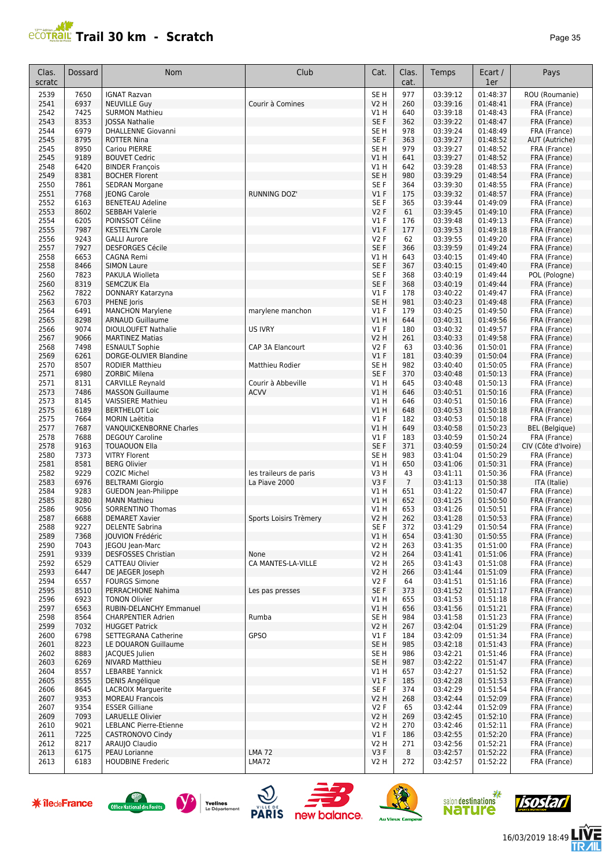

| Clas.<br>scratc | Dossard      | <b>Nom</b>                                       | Club                   | Cat.                          | Clas.<br>cat.  | Temps                | Ecart /<br>1er       | Pays                         |
|-----------------|--------------|--------------------------------------------------|------------------------|-------------------------------|----------------|----------------------|----------------------|------------------------------|
| 2539            | 7650         | <b>IGNAT Razvan</b>                              |                        | SE <sub>H</sub>               | 977            | 03:39:12             | 01:48:37             | ROU (Roumanie)               |
| 2541            | 6937         | <b>NEUVILLE Guy</b>                              | Courir à Comines       | <b>V2 H</b>                   | 260            | 03:39:16             | 01:48:41             | FRA (France)                 |
| 2542            | 7425         | <b>SURMON Mathieu</b>                            |                        | V1 H                          | 640            | 03:39:18             | 01:48:43             | FRA (France)                 |
| 2543            | 8353         | <b>JOSSA Nathalie</b>                            |                        | SE F                          | 362            | 03:39:22             | 01:48:47             | FRA (France)                 |
| 2544            | 6979         | <b>DHALLENNE Giovanni</b>                        |                        | SE <sub>H</sub>               | 978            | 03:39:24             | 01:48:49             | FRA (France)                 |
| 2545            | 8795         | <b>ROTTER Nina</b>                               |                        | SE F                          | 363            | 03:39:27             | 01:48:52             | AUT (Autriche)               |
| 2545            | 8950         | Cariou PIERRE                                    |                        | SE <sub>H</sub>               | 979            | 03:39:27             | 01:48:52             | FRA (France)                 |
| 2545            | 9189         | <b>BOUVET Cedric</b>                             |                        | V1 H                          | 641            | 03:39:27             | 01:48:52             | FRA (France)                 |
| 2548            | 6420         | <b>BINDER François</b>                           |                        | V1H                           | 642            | 03:39:28             | 01:48:53             | FRA (France)                 |
| 2549            | 8381         | <b>BOCHER Florent</b>                            |                        | SE <sub>H</sub>               | 980            | 03:39:29             | 01:48:54             | FRA (France)                 |
| 2550            | 7861         | <b>SEDRAN Morgane</b>                            |                        | SE F                          | 364            | 03:39:30             | 01:48:55             | FRA (France)                 |
| 2551            | 7768         | <b>JEONG Carole</b>                              | <b>RUNNING DOZ'</b>    | $VI$ F                        | 175            | 03:39:32             | 01:48:57             | FRA (France)                 |
| 2552<br>2553    | 6163<br>8602 | <b>BENETEAU Adeline</b><br><b>SEBBAH Valerie</b> |                        | SE <sub>F</sub><br><b>V2F</b> | 365<br>61      | 03:39:44<br>03:39:45 | 01:49:09<br>01:49:10 | FRA (France)                 |
| 2554            | 6205         | POINSSOT Céline                                  |                        | <b>V1 F</b>                   | 176            | 03:39:48             | 01:49:13             | FRA (France)<br>FRA (France) |
| 2555            | 7987         | <b>KESTELYN Carole</b>                           |                        | V1F                           | 177            | 03:39:53             | 01:49:18             | FRA (France)                 |
| 2556            | 9243         | <b>GALLI Aurore</b>                              |                        | <b>V2F</b>                    | 62             | 03:39:55             | 01:49:20             | FRA (France)                 |
| 2557            | 7927         | <b>DESFORGES Cécile</b>                          |                        | SE F                          | 366            | 03:39:59             | 01:49:24             | FRA (France)                 |
| 2558            | 6653         | <b>CAGNA Remi</b>                                |                        | V1 H                          | 643            | 03:40:15             | 01:49:40             | FRA (France)                 |
| 2558            | 8466         | <b>SIMON Laure</b>                               |                        | SE <sub>F</sub>               | 367            | 03:40:15             | 01:49:40             | FRA (France)                 |
| 2560            | 7823         | PAKULA Wiolleta                                  |                        | SE <sub>F</sub>               | 368            | 03:40:19             | 01:49:44             | POL (Pologne)                |
| 2560            | 8319         | <b>SEMCZUK Ela</b>                               |                        | SE <sub>F</sub>               | 368            | 03:40:19             | 01:49:44             | FRA (France)                 |
| 2562            | 7822         | DONNARY Katarzyna                                |                        | V1F                           | 178            | 03:40:22             | 01:49:47             | FRA (France)                 |
| 2563            | 6703         | PHENE Joris                                      |                        | SE <sub>H</sub>               | 981            | 03:40:23             | 01:49:48             | FRA (France)                 |
| 2564            | 6491         | <b>MANCHON Marylene</b>                          | marylene manchon       | V1F                           | 179            | 03:40:25             | 01:49:50             | FRA (France)                 |
| 2565            | 8298         | <b>ARNAUD Guillaume</b>                          |                        | $VI$ H                        | 644            | 03:40:31             | 01:49:56             | FRA (France)                 |
| 2566            | 9074         | <b>DIOULOUFET Nathalie</b>                       | <b>US IVRY</b>         | $VI$ F                        | 180            | 03:40:32             | 01:49:57             | FRA (France)                 |
| 2567            | 9066         | <b>MARTINEZ Matias</b>                           |                        | V2 H                          | 261            | 03:40:33             | 01:49:58             | FRA (France)                 |
| 2568            | 7498         | <b>ESNAULT Sophie</b>                            | CAP 3A Elancourt       | <b>V2F</b>                    | 63             | 03:40:36             | 01:50:01             | FRA (France)                 |
| 2569            | 6261         | DORGE-OLIVIER Blandine                           |                        | $VI$ F                        | 181            | 03:40:39             | 01:50:04             | FRA (France)                 |
| 2570<br>2571    | 8507<br>6980 | <b>RODIER Matthieu</b>                           | Matthieu Rodier        | SE <sub>H</sub><br>SE F       | 982<br>370     | 03:40:40             | 01:50:05<br>01:50:13 | FRA (France)                 |
| 2571            | 8131         | ZORBIC Milena<br><b>CARVILLE Reynald</b>         | Courir à Abbeville     | V1 H                          | 645            | 03:40:48<br>03:40:48 | 01:50:13             | FRA (France)<br>FRA (France) |
| 2573            | 7486         | <b>MASSON Guillaume</b>                          | <b>ACVV</b>            | V1H                           | 646            | 03:40:51             | 01:50:16             | FRA (France)                 |
| 2573            | 8145         | <b>VAISSIERE Mathieu</b>                         |                        | V1 H                          | 646            | 03:40:51             | 01:50:16             | FRA (France)                 |
| 2575            | 6189         | <b>BERTHELOT Loic</b>                            |                        | V1H                           | 648            | 03:40:53             | 01:50:18             | FRA (France)                 |
| 2575            | 7664         | <b>MORIN Laëtitia</b>                            |                        | V1F                           | 182            | 03:40:53             | 01:50:18             | FRA (France)                 |
| 2577            | 7687         | VANQUICKENBORNE Charles                          |                        | $VI$ H                        | 649            | 03:40:58             | 01:50:23             | <b>BEL</b> (Belgique)        |
| 2578            | 7688         | <b>DEGOUY Caroline</b>                           |                        | V1F                           | 183            | 03:40:59             | 01:50:24             | FRA (France)                 |
| 2578            | 9163         | <b>TOUAOUON Ella</b>                             |                        | SE F                          | 371            | 03:40:59             | 01:50:24             | CIV (Côte d'Ivoire)          |
| 2580            | 7373         | <b>VITRY Florent</b>                             |                        | SE H                          | 983            | 03:41:04             | 01:50:29             | FRA (France)                 |
| 2581            | 8581         | <b>BERG Olivier</b>                              |                        | V1 H                          | 650            | 03:41:06             | 01:50:31             | FRA (France)                 |
| 2582            | 9229         | <b>COZIC Michel</b>                              | les traileurs de paris | V3 H                          | 43             | 03:41:11             | 01:50:36             | FRA (France)                 |
| 2583            | 6976         | <b>BELTRAMI Giorgio</b>                          | La Piave 2000          | V3F                           | $\overline{7}$ | 03:41:13             | 01:50:38             | ITA (Italie)                 |
| 2584            | 9283         | <b>GUEDON</b> Jean-Philippe                      |                        | V1 H                          | 651            | 03:41:22             | 01:50:47             | FRA (France)                 |
| 2585            | 8280         | <b>MANN Mathieu</b>                              |                        | $VI$ H                        | 652            | 03:41:25             | 01:50:50             | FRA (France)                 |
| 2586            | 9056         | SORRENTINO Thomas                                |                        | V1 H                          | 653            | 03:41:26             | 01:50:51             | FRA (France)                 |
| 2587<br>2588    | 6688<br>9227 | <b>DEMARET Xavier</b>                            | Sports Loisirs Trèmery | V2 H<br>SE F                  | 262<br>372     | 03:41:28<br>03:41:29 | 01:50:53<br>01:50:54 | FRA (France)                 |
| 2589            | 7368         | <b>DELENTE Sabrina</b><br>JOUVION Frédéric       |                        | V1 H                          | 654            | 03:41:30             | 01:50:55             | FRA (France)<br>FRA (France) |
| 2590            | 7043         | JEGOU Jean-Marc                                  |                        | V <sub>2</sub> H              | 263            | 03:41:35             | 01:51:00             | FRA (France)                 |
| 2591            | 9339         | <b>DESFOSSES Christian</b>                       | None                   | V2 H                          | 264            | 03:41:41             | 01:51:06             | FRA (France)                 |
| 2592            | 6529         | CATTEAU Olivier                                  | CA MANTES-LA-VILLE     | V2 H                          | 265            | 03:41:43             | 01:51:08             | FRA (France)                 |
| 2593            | 6447         | DE JAEGER Joseph                                 |                        | V2 H                          | 266            | 03:41:44             | 01:51:09             | FRA (France)                 |
| 2594            | 6557         | <b>FOURGS Simone</b>                             |                        | V2F                           | 64             | 03:41:51             | 01:51:16             | FRA (France)                 |
| 2595            | 8510         | PERRACHIONE Nahima                               | Les pas presses        | SE F                          | 373            | 03:41:52             | 01:51:17             | FRA (France)                 |
| 2596            | 6923         | <b>TONON Olivier</b>                             |                        | V1H                           | 655            | 03:41:53             | 01:51:18             | FRA (France)                 |
| 2597            | 6563         | RUBIN-DELANCHY Emmanuel                          |                        | V1 H                          | 656            | 03:41:56             | 01:51:21             | FRA (France)                 |
| 2598            | 8564         | <b>CHARPENTIER Adrien</b>                        | Rumba                  | SE H                          | 984            | 03:41:58             | 01:51:23             | FRA (France)                 |
| 2599            | 7032         | <b>HUGGET Patrick</b>                            |                        | V2 H                          | 267            | 03:42:04             | 01:51:29             | FRA (France)                 |
| 2600            | 6798         | SETTEGRANA Catherine                             | GPSO                   | <b>V1 F</b>                   | 184            | 03:42:09             | 01:51:34             | FRA (France)                 |
| 2601            | 8223         | LE DOUARON Guillaume                             |                        | SE <sub>H</sub>               | 985            | 03:42:18             | 01:51:43             | FRA (France)                 |
| 2602            | 8883         | JACQUES Julien                                   |                        | SE H                          | 986            | 03:42:21             | 01:51:46             | FRA (France)                 |
| 2603<br>2604    | 6269<br>8557 | <b>NIVARD Matthieu</b><br><b>LEBARBE Yannick</b> |                        | SE H<br>V1 H                  | 987<br>657     | 03:42:22<br>03:42:27 | 01:51:47<br>01:51:52 | FRA (France)<br>FRA (France) |
| 2605            | 8555         | DENIS Angélique                                  |                        | $VI$ F                        | 185            | 03:42:28             | 01:51:53             | FRA (France)                 |
| 2606            | 8645         | <b>LACROIX Marguerite</b>                        |                        | SE F                          | 374            | 03:42:29             | 01:51:54             | FRA (France)                 |
| 2607            | 9353         | <b>MOREAU Francois</b>                           |                        | V2 H                          | 268            | 03:42:44             | 01:52:09             | FRA (France)                 |
| 2607            | 9354         | <b>ESSER Gilliane</b>                            |                        | V2F                           | 65             | 03:42:44             | 01:52:09             | FRA (France)                 |
| 2609            | 7093         | <b>LARUELLE Olivier</b>                          |                        | V2 H                          | 269            | 03:42:45             | 01:52:10             | FRA (France)                 |
| 2610            | 9021         | <b>LEBLANC Pierre-Etienne</b>                    |                        | V2 H                          | 270            | 03:42:46             | 01:52:11             | FRA (France)                 |
| 2611            | 7225         | CASTRONOVO Cindy                                 |                        | V1F                           | 186            | 03:42:55             | 01:52:20             | FRA (France)                 |
| 2612            | 8217         | ARAUJO Claudio                                   |                        | V2 H                          | 271            | 03:42:56             | 01:52:21             | FRA (France)                 |
| 2613            | 6175         | PEAU Lorianne                                    | <b>LMA 72</b>          | V3F                           | 8              | 03:42:57             | 01:52:22             | FRA (France)                 |
| 2613            | 6183         | <b>HOUDBINE Frederic</b>                         | LMA72                  | V2 H                          | 272            | 03:42:57             | 01:52:22             | FRA (France)                 |















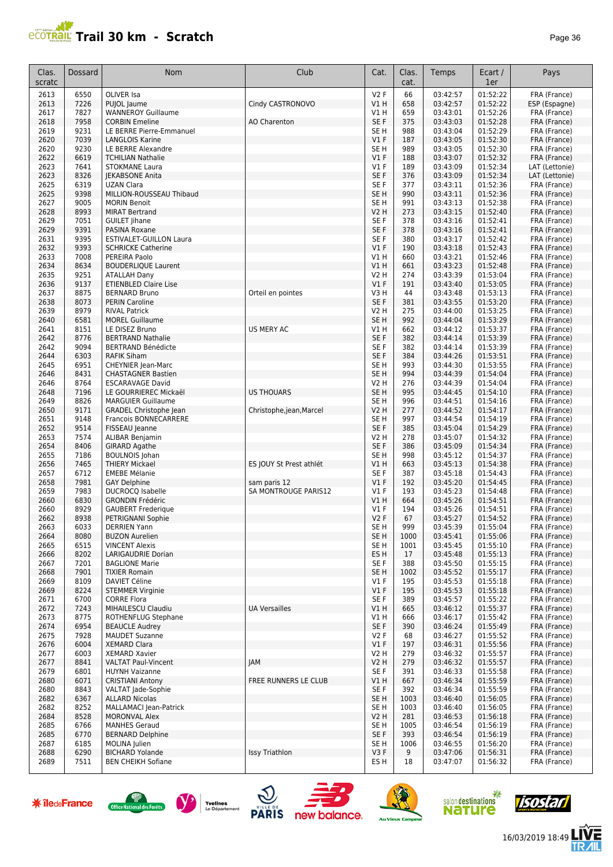#### **Trail 30 km - Scratch Page 36** Page 36

| Clas.<br>scratc | Dossard      | Nom                                                    | Club                                 | Cat.                                | Clas.<br>cat. | Temps                | Ecart /<br>1er       | Pays                         |
|-----------------|--------------|--------------------------------------------------------|--------------------------------------|-------------------------------------|---------------|----------------------|----------------------|------------------------------|
| 2613            | 6550         | OLIVER Isa                                             |                                      | V2F                                 | 66            | 03:42:57             | 01:52:22             | FRA (France)                 |
| 2613            | 7226         | PUJOL Jaume                                            | Cindy CASTRONOVO                     | V1H                                 | 658           | 03:42:57             | 01:52:22             | ESP (Espagne)                |
| 2617            | 7827         | <b>WANNEROY Guillaume</b>                              |                                      | V1 H                                | 659           | 03:43:01             | 01:52:26             | FRA (France)                 |
| 2618            | 7958         | <b>CORBIN Emeline</b>                                  | AO Charenton                         | SE F                                | 375           | 03:43:03             | 01:52:28             | FRA (France)                 |
| 2619<br>2620    | 9231<br>7039 | LE BERRE Pierre-Emmanuel                               |                                      | SE <sub>H</sub><br>V1F              | 988<br>187    | 03:43:04<br>03:43:05 | 01:52:29<br>01:52:30 | FRA (France)<br>FRA (France) |
| 2620            | 9230         | <b>LANGLOIS Karine</b><br>LE BERRE Alexandre           |                                      | SE <sub>H</sub>                     | 989           | 03:43:05             | 01:52:30             | FRA (France)                 |
| 2622            | 6619         | <b>TCHILIAN Nathalie</b>                               |                                      | V1F                                 | 188           | 03:43:07             | 01:52:32             | FRA (France)                 |
| 2623            | 7641         | <b>STOKMANE Laura</b>                                  |                                      | $VI$ F                              | 189           | 03:43:09             | 01:52:34             | LAT (Lettonie)               |
| 2623            | 8326         | <b>IEKABSONE Anita</b>                                 |                                      | SE F                                | 376           | 03:43:09             | 01:52:34             | LAT (Lettonie)               |
| 2625            | 6319         | <b>UZAN Clara</b>                                      |                                      | SE F                                | 377           | 03:43:11             | 01:52:36             | FRA (France)                 |
| 2625            | 9398         | MILLION-ROUSSEAU Thibaud                               |                                      | SE <sub>H</sub>                     | 990           | 03:43:11             | 01:52:36             | FRA (France)                 |
| 2627            | 9005         | <b>MORIN Benoit</b>                                    |                                      | SE <sub>H</sub>                     | 991           | 03:43:13             | 01:52:38             | FRA (France)                 |
| 2628            | 8993         | <b>MIRAT Bertrand</b>                                  |                                      | <b>V2 H</b>                         | 273           | 03:43:15             | 01:52:40             | FRA (France)                 |
| 2629            | 7051<br>9391 | <b>GUILET Jihane</b>                                   |                                      | SE F<br>SE F                        | 378           | 03:43:16             | 01:52:41             | FRA (France)                 |
| 2629<br>2631    | 9395         | PASINA Roxane<br><b>ESTIVALET-GUILLON Laura</b>        |                                      | SE F                                | 378<br>380    | 03:43:16<br>03:43:17 | 01:52:41<br>01:52:42 | FRA (France)<br>FRA (France) |
| 2632            | 9393         | <b>SCHRICKE Catherine</b>                              |                                      | V1F                                 | 190           | 03:43:18             | 01:52:43             | FRA (France)                 |
| 2633            | 7008         | PEREIRA Paolo                                          |                                      | V1H                                 | 660           | 03:43:21             | 01:52:46             | FRA (France)                 |
| 2634            | 8634         | <b>BOUDERLIQUE Laurent</b>                             |                                      | V1H                                 | 661           | 03:43:23             | 01:52:48             | FRA (France)                 |
| 2635            | 9251         | <b>ATALLAH Dany</b>                                    |                                      | V2 H                                | 274           | 03:43:39             | 01:53:04             | FRA (France)                 |
| 2636            | 9137         | <b>ETIENBLED Claire Lise</b>                           |                                      | V1F                                 | 191           | 03:43:40             | 01:53:05             | FRA (France)                 |
| 2637            | 8875         | <b>BERNARD Bruno</b>                                   | Orteil en pointes                    | V3 H                                | 44            | 03:43:48             | 01:53:13             | FRA (France)                 |
| 2638            | 8073         | <b>PERIN Caroline</b>                                  |                                      | SE F                                | 381           | 03:43:55             | 01:53:20             | FRA (France)                 |
| 2639            | 8979<br>6581 | <b>RIVAL Patrick</b>                                   |                                      | V <sub>2</sub> H<br>SE <sub>H</sub> | 275<br>992    | 03:44:00<br>03:44:04 | 01:53:25<br>01:53:29 | FRA (France)<br>FRA (France) |
| 2640<br>2641    | 8151         | <b>MOREL Guillaume</b><br>LE DISEZ Bruno               | <b>US MERY AC</b>                    | V1 H                                | 662           | 03:44:12             | 01:53:37             | FRA (France)                 |
| 2642            | 8776         | <b>BERTRAND Nathalie</b>                               |                                      | SE F                                | 382           | 03:44:14             | 01:53:39             | FRA (France)                 |
| 2642            | 9094         | <b>BERTRAND Bénédicte</b>                              |                                      | SE F                                | 382           | 03:44:14             | 01:53:39             | FRA (France)                 |
| 2644            | 6303         | <b>RAFIK Siham</b>                                     |                                      | SE F                                | 384           | 03:44:26             | 01:53:51             | FRA (France)                 |
| 2645            | 6951         | <b>CHEYNIER Jean-Marc</b>                              |                                      | SE <sub>H</sub>                     | 993           | 03:44:30             | 01:53:55             | FRA (France)                 |
| 2646            | 8431         | <b>CHASTAGNER Bastien</b>                              |                                      | SE <sub>H</sub>                     | 994           | 03:44:39             | 01:54:04             | FRA (France)                 |
| 2646            | 8764         | <b>ESCARAVAGE David</b>                                |                                      | V2 H                                | 276           | 03:44:39             | 01:54:04             | FRA (France)                 |
| 2648            | 7196         | LE GOURRIEREC Mickaël                                  | <b>US THOUARS</b>                    | SE <sub>H</sub>                     | 995           | 03:44:45             | 01:54:10             | FRA (France)                 |
| 2649            | 8826<br>9171 | <b>MARGUIER Guillaume</b>                              |                                      | SE H<br><b>V2 H</b>                 | 996<br>277    | 03:44:51             | 01:54:16<br>01:54:17 | FRA (France)                 |
| 2650<br>2651    | 9148         | <b>GRADEL Christophe Jean</b><br>Francois BONNECARRERE | Christophe,jean, Marcel              | SE <sub>H</sub>                     | 997           | 03:44:52<br>03:44:54 | 01:54:19             | FRA (France)<br>FRA (France) |
| 2652            | 9514         | FISSEAU Jeanne                                         |                                      | SE F                                | 385           | 03:45:04             | 01:54:29             | FRA (France)                 |
| 2653            | 7574         | ALIBAR Benjamin                                        |                                      | <b>V2 H</b>                         | 278           | 03:45:07             | 01:54:32             | FRA (France)                 |
| 2654            | 8406         | <b>GIRARD Agathe</b>                                   |                                      | SE F                                | 386           | 03:45:09             | 01:54:34             | FRA (France)                 |
| 2655            | 7186         | <b>BOULNOIS Johan</b>                                  |                                      | SE <sub>H</sub>                     | 998           | 03:45:12             | 01:54:37             | FRA (France)                 |
| 2656            | 7465         | <b>THIERY Mickael</b>                                  | ES JOUY St Prest athlét              | VIH                                 | 663           | 03:45:13             | 01:54:38             | FRA (France)                 |
| 2657            | 6712         | <b>EMEBE Mélanie</b>                                   |                                      | SE F                                | 387           | 03:45:18             | 01:54:43             | FRA (France)                 |
| 2658<br>2659    | 7981<br>7983 | <b>GAY Delphine</b><br><b>DUCROCQ Isabelle</b>         | sam paris 12<br>SA MONTROUGE PARIS12 | V1F<br>$VI$ F                       | 192<br>193    | 03:45:20<br>03:45:23 | 01:54:45<br>01:54:48 | FRA (France)                 |
| 2660            | 6830         | <b>GRONDIN Frédéric</b>                                |                                      | V1 H                                | 664           | 03:45:26             | 01:54:51             | FRA (France)<br>FRA (France) |
| 2660            | 8929         | <b>GAUBERT Frederique</b>                              |                                      | $VI$ F                              | 194           | 03:45:26             | 01:54:51             | FRA (France)                 |
| 2662            | 8938         | PETRIGNANI Sophie                                      |                                      | V2F                                 | 67            | 03:45:27             | 01:54:52             | FRA (France)                 |
| 2663            | 6033         | DERRIEN Yann                                           |                                      | SE H                                | 999           | 03:45:39             | 01:55:04             | FRA (France)                 |
| 2664            | 8080         | <b>BUZON Aurelien</b>                                  |                                      | SE <sub>H</sub>                     | 1000          | 03:45:41             | 01:55:06             | FRA (France)                 |
| 2665            | 6515         | <b>VINCENT Alexis</b>                                  |                                      | SE <sub>H</sub>                     | 1001          | 03:45:45             | 01:55:10             | FRA (France)                 |
| 2666            | 8202         | LARIGAUDRIE Dorian                                     |                                      | ES H                                | 17            | 03:45:48             | 01:55:13             | FRA (France)                 |
| 2667            | 7201<br>7901 | <b>BAGLIONE Marie</b><br><b>TIXIER Romain</b>          |                                      | SE F<br>SE <sub>H</sub>             | 388           | 03:45:50             | 01:55:15<br>01:55:17 | FRA (France)                 |
| 2668<br>2669    | 8109         | DAVIET Céline                                          |                                      | V1F                                 | 1002<br>195   | 03:45:52<br>03:45:53 | 01:55:18             | FRA (France)<br>FRA (France) |
| 2669            | 8224         | <b>STEMMER Virginie</b>                                |                                      | $VI$ F                              | 195           | 03:45:53             | 01:55:18             | FRA (France)                 |
| 2671            | 6700         | <b>CORRE Flora</b>                                     |                                      | SE F                                | 389           | 03:45:57             | 01:55:22             | FRA (France)                 |
| 2672            | 7243         | MIHAILESCU Claudiu                                     | <b>UA Versailles</b>                 | V1H                                 | 665           | 03:46:12             | 01:55:37             | FRA (France)                 |
| 2673            | 8775         | ROTHENFLUG Stephane                                    |                                      | V1 H                                | 666           | 03:46:17             | 01:55:42             | FRA (France)                 |
| 2674            | 6954         | <b>BEAUCLE Audrey</b>                                  |                                      | SE F                                | 390           | 03:46:24             | 01:55:49             | FRA (France)                 |
| 2675            | 7928         | <b>MAUDET Suzanne</b>                                  |                                      | V2F                                 | 68            | 03:46:27             | 01:55:52             | FRA (France)                 |
| 2676            | 6004         | <b>XEMARD Clara</b>                                    |                                      | V1F<br><b>V2 H</b>                  | 197           | 03:46:31             | 01:55:56<br>01:55:57 | FRA (France)                 |
| 2677<br>2677    | 6003<br>8841 | <b>XEMARD Xavier</b><br><b>VALTAT Paul-Vincent</b>     | <b>JAM</b>                           | <b>V2 H</b>                         | 279<br>279    | 03:46:32<br>03:46:32 | 01:55:57             | FRA (France)<br>FRA (France) |
| 2679            | 6801         | <b>HUYNH Vaizanne</b>                                  |                                      | SE F                                | 391           | 03:46:33             | 01:55:58             | FRA (France)                 |
| 2680            | 6071         | <b>CRISTIANI Antony</b>                                | FREE RUNNERS LE CLUB                 | V1 H                                | 667           | 03:46:34             | 01:55:59             | FRA (France)                 |
| 2680            | 8843         | VALTAT Jade-Sophie                                     |                                      | SE F                                | 392           | 03:46:34             | 01:55:59             | FRA (France)                 |
| 2682            | 6367         | <b>ALLARD Nicolas</b>                                  |                                      | SE <sub>H</sub>                     | 1003          | 03:46:40             | 01:56:05             | FRA (France)                 |
| 2682            | 8252         | MALLAMACI Jean-Patrick                                 |                                      | SE H                                | 1003          | 03:46:40             | 01:56:05             | FRA (France)                 |
| 2684            | 8528         | <b>MORONVAL Alex</b>                                   |                                      | V2 H                                | 281           | 03:46:53             | 01:56:18             | FRA (France)                 |
| 2685            | 6766         | <b>MANHES Geraud</b><br><b>BERNARD Delphine</b>        |                                      | SE H                                | 1005          | 03:46:54             | 01:56:19             | FRA (France)                 |
| 2685<br>2687    | 6770<br>6185 | MOLINA Julien                                          |                                      | SE F<br>SE H                        | 393<br>1006   | 03:46:54<br>03:46:55 | 01:56:19<br>01:56:20 | FRA (France)<br>FRA (France) |
| 2688            | 6290         | <b>BICHARD Yolande</b>                                 | Issy Triathlon                       | V3F                                 | 9             | 03:47:06             | 01:56:31             | FRA (France)                 |
| 2689            | 7511         | <b>BEN CHEIKH Sofiane</b>                              |                                      | ES H                                | 18            | 03:47:07             | 01:56:32             | FRA (France)                 |
|                 |              |                                                        |                                      |                                     |               |                      |                      |                              |

















信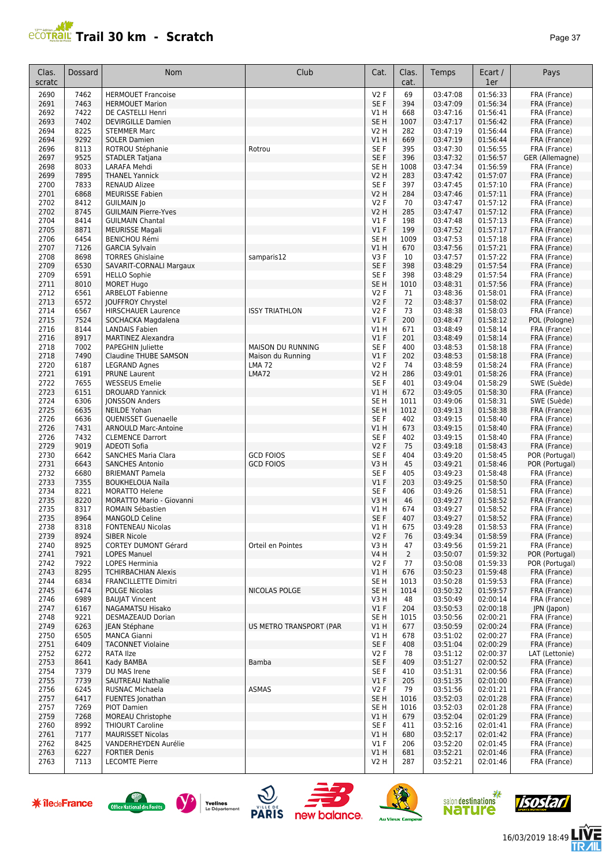

| Clas.<br>scratc | Dossard      | Nom                                               | Club                     | Cat.                    | Clas.<br>cat.        | Temps                | Ecart /<br>1er       | Pays                             |
|-----------------|--------------|---------------------------------------------------|--------------------------|-------------------------|----------------------|----------------------|----------------------|----------------------------------|
| 2690            | 7462         | <b>HERMOUET Francoise</b>                         |                          | <b>V2F</b>              | 69                   | 03:47:08             | 01:56:33             | FRA (France)                     |
| 2691            | 7463         | <b>HERMOUET Marion</b>                            |                          | SE F                    | 394                  | 03:47:09             | 01:56:34             | FRA (France)                     |
| 2692            | 7422         | DE CASTELLI Henri                                 |                          | V1 H                    | 668                  | 03:47:16             | 01:56:41             | FRA (France)                     |
| 2693            | 7402         | <b>DEVIRGILLE Damien</b>                          |                          | SE <sub>H</sub>         | 1007                 | 03:47:17             | 01:56:42             | FRA (France)                     |
| 2694<br>2694    | 8225<br>9292 | <b>STEMMER Marc</b><br><b>SOLER Damien</b>        |                          | V2 H<br>V1H             | 282<br>669           | 03:47:19<br>03:47:19 | 01:56:44<br>01:56:44 | FRA (France)<br>FRA (France)     |
| 2696            | 8113         | ROTROU Stéphanie                                  | Rotrou                   | SE <sub>F</sub>         | 395                  | 03:47:30             | 01:56:55             | FRA (France)                     |
| 2697            | 9525         | STADLER Tatjana                                   |                          | SE F                    | 396                  | 03:47:32             | 01:56:57             | GER (Allemagne)                  |
| 2698            | 8033         | LARAFA Mehdi                                      |                          | SE <sub>H</sub>         | 1008                 | 03:47:34             | 01:56:59             | FRA (France)                     |
| 2699            | 7895         | <b>THANEL Yannick</b>                             |                          | V2 H                    | 283                  | 03:47:42             | 01:57:07             | FRA (France)                     |
| 2700            | 7833         | <b>RENAUD Alizee</b>                              |                          | SE F                    | 397                  | 03:47:45             | 01:57:10             | FRA (France)                     |
| 2701            | 6868         | <b>MEURISSE Fabien</b>                            |                          | V2 H                    | 284                  | 03:47:46             | 01:57:11             | FRA (France)                     |
| 2702            | 8412         | <b>GUILMAIN Jo</b>                                |                          | <b>V2F</b>              | 70                   | 03:47:47             | 01:57:12             | FRA (France)                     |
| 2702            | 8745         | <b>GUILMAIN Pierre-Yves</b>                       |                          | <b>V2 H</b>             | 285                  | 03:47:47             | 01:57:12             | FRA (France)                     |
| 2704<br>2705    | 8414<br>8871 | <b>GUILMAIN Chantal</b><br><b>MEURISSE Magali</b> |                          | <b>V1 F</b><br>V1F      | 198<br>199           | 03:47:48<br>03:47:52 | 01:57:13<br>01:57:17 | FRA (France)<br>FRA (France)     |
| 2706            | 6454         | <b>BENICHOU Rémi</b>                              |                          | SE <sub>H</sub>         | 1009                 | 03:47:53             | 01:57:18             | FRA (France)                     |
| 2707            | 7126         | <b>GARCIA Sylvain</b>                             |                          | VIH                     | 670                  | 03:47:56             | 01:57:21             | FRA (France)                     |
| 2708            | 8698         | <b>TORRES Ghislaine</b>                           | samparis12               | V3F                     | 10                   | 03:47:57             | 01:57:22             | FRA (France)                     |
| 2709            | 6530         | SAVARIT-CORNALI Margaux                           |                          | SE F                    | 398                  | 03:48:29             | 01:57:54             | FRA (France)                     |
| 2709            | 6591         | <b>HELLO Sophie</b>                               |                          | SE F                    | 398                  | 03:48:29             | 01:57:54             | FRA (France)                     |
| 2711            | 8010         | <b>MORET Hugo</b>                                 |                          | SE <sub>H</sub>         | 1010                 | 03:48:31             | 01:57:56             | FRA (France)                     |
| 2712            | 6561         | <b>ARBELOT Fabienne</b>                           |                          | <b>V2F</b>              | 71                   | 03:48:36             | 01:58:01             | FRA (France)                     |
| 2713            | 6572         | JOUFFROY Chrystel                                 |                          | <b>V2F</b>              | 72                   | 03:48:37             | 01:58:02             | FRA (France)                     |
| 2714<br>2715    | 6567<br>7524 | <b>HIRSCHAUER Laurence</b><br>SOCHACKA Magdalena  | <b>ISSY TRIATHLON</b>    | <b>V2F</b><br>V1F       | 73<br>200            | 03:48:38<br>03:48:47 | 01:58:03<br>01:58:12 | FRA (France)<br>POL (Pologne)    |
| 2716            | 8144         | <b>LANDAIS Fabien</b>                             |                          | V1 H                    | 671                  | 03:48:49             | 01:58:14             | FRA (France)                     |
| 2716            | 8917         | <b>MARTINEZ Alexandra</b>                         |                          | V1F                     | 201                  | 03:48:49             | 01:58:14             | FRA (France)                     |
| 2718            | 7002         | PAPEGHIN Juliette                                 | <b>MAISON DU RUNNING</b> | SE <sub>F</sub>         | 400                  | 03:48:53             | 01:58:18             | FRA (France)                     |
| 2718            | 7490         | Claudine THUBE SAMSON                             | Maison du Running        | V1F                     | 202                  | 03:48:53             | 01:58:18             | FRA (France)                     |
| 2720            | 6187         | <b>LEGRAND Agnes</b>                              | <b>LMA 72</b>            | <b>V2F</b>              | 74                   | 03:48:59             | 01:58:24             | FRA (France)                     |
| 2721            | 6191         | <b>PRUNE Laurent</b>                              | LMA72                    | <b>V2 H</b>             | 286                  | 03:49:01             | 01:58:26             | FRA (France)                     |
| 2722            | 7655         | <b>WESSEUS Emelie</b>                             |                          | SE F                    | 401                  | 03:49:04             | 01:58:29             | SWE (Suède)                      |
| 2723            | 6151<br>6306 | <b>DROUARD Yannick</b>                            |                          | V1 H<br>SE <sub>H</sub> | 672                  | 03:49:05<br>03:49:06 | 01:58:30<br>01:58:31 | FRA (France)                     |
| 2724<br>2725    | 6635         | <b>JONSSON Anders</b><br><b>NEILDE Yohan</b>      |                          | SE <sub>H</sub>         | 1011<br>1012         | 03:49:13             | 01:58:38             | SWE (Suède)<br>FRA (France)      |
| 2726            | 6636         | QUENISSET Guenaelle                               |                          | SE F                    | 402                  | 03:49:15             | 01:58:40             | FRA (France)                     |
| 2726            | 7431         | <b>ARNOULD Marc-Antoine</b>                       |                          | VIH                     | 673                  | 03:49:15             | 01:58:40             | FRA (France)                     |
| 2726            | 7432         | <b>CLEMENCE Darrort</b>                           |                          | SE <sub>F</sub>         | 402                  | 03:49:15             | 01:58:40             | FRA (France)                     |
| 2729            | 9019         | <b>ADEOTI Sofia</b>                               |                          | <b>V2F</b>              | 75                   | 03:49:18             | 01:58:43             | FRA (France)                     |
| 2730            | 6642         | <b>SANCHES Maria Clara</b>                        | <b>GCD FOIOS</b>         | SE <sub>F</sub>         | 404                  | 03:49:20             | 01:58:45             | POR (Portugal)                   |
| 2731            | 6643         | <b>SANCHES Antonio</b>                            | <b>GCD FOIOS</b>         | V3H                     | 45                   | 03:49:21             | 01:58:46             | POR (Portugal)                   |
| 2732            | 6680<br>7355 | <b>BRIEMANT Pamela</b><br><b>BOUKHELOUA Naïla</b> |                          | SE F<br>V1F             | 405<br>203           | 03:49:23<br>03:49:25 | 01:58:48<br>01:58:50 | FRA (France)<br>FRA (France)     |
| 2733<br>2734    | 8221         | <b>MORATTO Helene</b>                             |                          | SE <sub>F</sub>         | 406                  | 03:49:26             | 01:58:51             | FRA (France)                     |
| 2735            | 8220         | MORATTO Mario - Giovanni                          |                          | V3H                     | 46                   | 03:49:27             | 01:58:52             | FRA (France)                     |
| 2735            | 8317         | <b>ROMAIN Sébastien</b>                           |                          | V1 H                    | 674                  | 03:49:27             | 01:58:52             | FRA (France)                     |
| 2735            | 8964         | <b>MANGOLD Celine</b>                             |                          | SE <sub>F</sub>         | 407                  | 03:49:27             | 01:58:52             | FRA (France)                     |
| 2738            | 8318         | <b>FONTENEAU Nicolas</b>                          |                          | V1 H                    | 675                  | 03:49:28             | 01:58:53             | FRA (France)                     |
| 2739            | 8924         | <b>SIBER Nicole</b>                               |                          | V2F                     | 76                   | 03:49:34             | 01:58:59             | FRA (France)                     |
| 2740            | 8925         | <b>CORTEY DUMONT Gérard</b>                       | Orteil en Pointes        | V3H                     | 47                   | 03:49:56             | 01:59:21             | FRA (France)                     |
| 2741<br>2742    | 7921<br>7922 | <b>LOPES Manuel</b><br>LOPES Herminia             |                          | V4 H<br>V2F             | $\overline{2}$<br>77 | 03:50:07<br>03:50:08 | 01:59:32<br>01:59:33 | POR (Portugal)<br>POR (Portugal) |
| 2743            | 8295         | <b>TCHIRBACHIAN Alexis</b>                        |                          | V1H                     | 676                  | 03:50:23             | 01:59:48             | FRA (France)                     |
| 2744            | 6834         | <b>FRANCILLETTE Dimitri</b>                       |                          | SE <sub>H</sub>         | 1013                 | 03:50:28             | 01:59:53             | FRA (France)                     |
| 2745            | 6474         | <b>POLGE Nicolas</b>                              | NICOLAS POLGE            | SE <sub>H</sub>         | 1014                 | 03:50:32             | 01:59:57             | FRA (France)                     |
| 2746            | 6989         | <b>BAUIAT Vincent</b>                             |                          | V3 H                    | 48                   | 03:50:49             | 02:00:14             | FRA (France)                     |
| 2747            | 6167         | NAGAMATSU Hisako                                  |                          | $VI$ F                  | 204                  | 03:50:53             | 02:00:18             | JPN (Japon)                      |
| 2748            | 9221         | DESMAZEAUD Dorian                                 |                          | SE H                    | 1015                 | 03:50:56             | 02:00:21             | FRA (France)                     |
| 2749            | 6263         | JEAN Stéphane                                     | US METRO TRANSPORT (PAR  | V1 H                    | 677                  | 03:50:59             | 02:00:24             | FRA (France)                     |
| 2750<br>2751    | 6505<br>6409 | <b>MANCA Gianni</b>                               |                          | V1 H<br>SE F            | 678<br>408           | 03:51:02             | 02:00:27<br>02:00:29 | FRA (France)                     |
| 2752            | 6272         | <b>TACONNET Violaine</b><br>RATA Ilze             |                          | <b>V2F</b>              | 78                   | 03:51:04<br>03:51:12 | 02:00:37             | FRA (France)<br>LAT (Lettonie)   |
| 2753            | 8641         | Kady BAMBA                                        | Bamba                    | SE F                    | 409                  | 03:51:27             | 02:00:52             | FRA (France)                     |
| 2754            | 7379         | DU MAS Irene                                      |                          | SE F                    | 410                  | 03:51:31             | 02:00:56             | FRA (France)                     |
| 2755            | 7739         | SAUTREAU Nathalie                                 |                          | $VI$ F                  | 205                  | 03:51:35             | 02:01:00             | FRA (France)                     |
| 2756            | 6245         | RUSNAC Michaela                                   | ASMAS                    | <b>V2F</b>              | 79                   | 03:51:56             | 02:01:21             | FRA (France)                     |
| 2757            | 6417         | FUENTES Jonathan                                  |                          | SE <sub>H</sub>         | 1016                 | 03:52:03             | 02:01:28             | FRA (France)                     |
| 2757            | 7269         | <b>PIOT Damien</b>                                |                          | SE H                    | 1016                 | 03:52:03             | 02:01:28             | FRA (France)                     |
| 2759<br>2760    | 7268<br>8992 | MOREAU Christophe<br><b>THIOURT Caroline</b>      |                          | V1 H<br>SE F            | 679<br>411           | 03:52:04<br>03:52:16 | 02:01:29<br>02:01:41 | FRA (France)<br>FRA (France)     |
| 2761            | 7177         | <b>MAURISSET Nicolas</b>                          |                          | V1 H                    | 680                  | 03:52:17             | 02:01:42             | FRA (France)                     |
| 2762            | 8425         | VANDERHEYDEN Aurélie                              |                          | <b>V1 F</b>             | 206                  | 03:52:20             | 02:01:45             | FRA (France)                     |
| 2763            | 6227         | <b>FORTIER Denis</b>                              |                          | V1 H                    | 681                  | 03:52:21             | 02:01:46             | FRA (France)                     |
| 2763            | 7113         | <b>LECOMTE Pierre</b>                             |                          | V2 H                    | 287                  | 03:52:21             | 02:01:46             | FRA (France)                     |













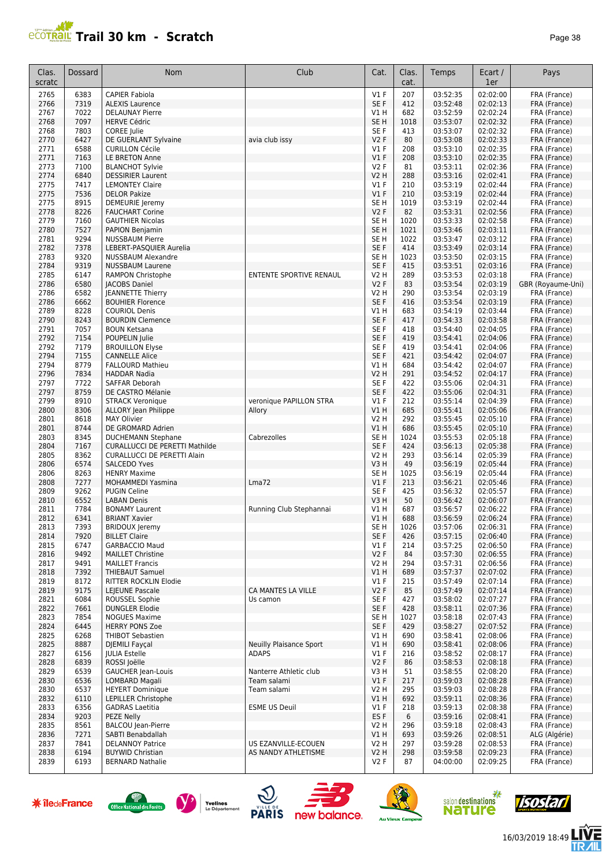

| Clas.<br>scratc | Dossard      | Nom                                               | Club                           | Cat.                    | Clas.<br>cat. | Temps                | Ecart /<br>1er       | Pays                         |
|-----------------|--------------|---------------------------------------------------|--------------------------------|-------------------------|---------------|----------------------|----------------------|------------------------------|
| 2765            | 6383         | <b>CAPIER Fabiola</b>                             |                                | $VI$ F                  | 207           | 03:52:35             | 02:02:00             | FRA (France)                 |
| 2766            | 7319         | <b>ALEXIS Laurence</b>                            |                                | SE <sub>F</sub>         | 412           | 03:52:48             | 02:02:13             | FRA (France)                 |
| 2767            | 7022         | <b>DELAUNAY Pierre</b>                            |                                | V1 H                    | 682           | 03:52:59             | 02:02:24             | FRA (France)                 |
| 2768            | 7097         | <b>HERVE Cédric</b>                               |                                | SE <sub>H</sub>         | 1018          | 03:53:07             | 02:02:32             | FRA (France)                 |
| 2768            | 7803         | COREE Julie                                       |                                | SE F                    | 413           | 03:53:07             | 02:02:32             | FRA (France)                 |
| 2770            | 6427         | DE GUERLANT Sylvaine                              | avia club issy                 | <b>V2F</b>              | 80            | 03:53:08             | 02:02:33             | FRA (France)                 |
| 2771            | 6588         | <b>CURILLON Cécile</b>                            |                                | $VI$ F                  | 208           | 03:53:10             | 02:02:35             | FRA (France)                 |
| 2771            | 7163         | LE BRETON Anne                                    |                                | V1F                     | 208           | 03:53:10             | 02:02:35             | FRA (France)                 |
| 2773            | 7100         | <b>BLANCHOT Sylvie</b>                            |                                | <b>V2F</b>              | 81            | 03:53:11             | 02:02:36             | FRA (France)                 |
| 2774            | 6840         | <b>DESSIRIER Laurent</b>                          |                                | <b>V2 H</b>             | 288           | 03:53:16             | 02:02:41             | FRA (France)                 |
| 2775<br>2775    | 7417<br>7536 | <b>LEMONTEY Claire</b><br><b>DELOR Pakize</b>     |                                | $VI$ F<br>$VI$ F        | 210<br>210    | 03:53:19<br>03:53:19 | 02:02:44<br>02:02:44 | FRA (France)<br>FRA (France) |
| 2775            | 8915         | DEMEURIE Jeremy                                   |                                | SE <sub>H</sub>         | 1019          | 03:53:19             | 02:02:44             | FRA (France)                 |
| 2778            | 8226         | <b>FAUCHART Corine</b>                            |                                | <b>V2F</b>              | 82            | 03:53:31             | 02:02:56             | FRA (France)                 |
| 2779            | 7160         | <b>GAUTHIER Nicolas</b>                           |                                | SE <sub>H</sub>         | 1020          | 03:53:33             | 02:02:58             | FRA (France)                 |
| 2780            | 7527         | PAPION Benjamin                                   |                                | SE <sub>H</sub>         | 1021          | 03:53:46             | 02:03:11             | FRA (France)                 |
| 2781            | 9294         | <b>NUSSBAUM Pierre</b>                            |                                | SE <sub>H</sub>         | 1022          | 03:53:47             | 02:03:12             | FRA (France)                 |
| 2782            | 7378         | LEBERT-PASQUIER Aurelia                           |                                | SE F                    | 414           | 03:53:49             | 02:03:14             | FRA (France)                 |
| 2783            | 9320         | <b>NUSSBAUM Alexandre</b>                         |                                | SE <sub>H</sub>         | 1023          | 03:53:50             | 02:03:15             | FRA (France)                 |
| 2784            | 9319         | <b>NUSSBAUM Laurene</b>                           |                                | SE F                    | 415           | 03:53:51             | 02:03:16             | FRA (France)                 |
| 2785            | 6147         | <b>RAMPON Christophe</b>                          | ENTENTE SPORTIVE RENAUL        | V2 H                    | 289           | 03:53:53             | 02:03:18             | FRA (France)                 |
| 2786            | 6580         | <b>JACOBS Daniel</b>                              |                                | <b>V2F</b>              | 83            | 03:53:54             | 02:03:19             | GBR (Royaume-Uni)            |
| 2786            | 6582         | <b>JEANNETTE Thierry</b>                          |                                | V2 H                    | 290           | 03:53:54             | 02:03:19             | FRA (France)                 |
| 2786            | 6662         | <b>BOUHIER Florence</b>                           |                                | SE F                    | 416           | 03:53:54             | 02:03:19             | FRA (France)                 |
| 2789<br>2790    | 8228<br>8243 | <b>COURIOL Denis</b><br><b>BOURDIN Clemence</b>   |                                | V1 H<br>SE <sub>F</sub> | 683<br>417    | 03:54:19<br>03:54:33 | 02:03:44<br>02:03:58 | FRA (France)<br>FRA (France) |
| 2791            | 7057         | <b>BOUN Ketsana</b>                               |                                | SE F                    | 418           | 03:54:40             | 02:04:05             | FRA (France)                 |
| 2792            | 7154         | POUPELIN Julie                                    |                                | SE F                    | 419           | 03:54:41             | 02:04:06             | FRA (France)                 |
| 2792            | 7179         | <b>BROUILLON Elyse</b>                            |                                | SE F                    | 419           | 03:54:41             | 02:04:06             | FRA (France)                 |
| 2794            | 7155         | <b>CANNELLE Alice</b>                             |                                | SE F                    | 421           | 03:54:42             | 02:04:07             | FRA (France)                 |
| 2794            | 8779         | <b>FALLOURD Mathieu</b>                           |                                | V1 H                    | 684           | 03:54:42             | 02:04:07             | FRA (France)                 |
| 2796            | 7834         | <b>HADDAR Nadia</b>                               |                                | V2 H                    | 291           | 03:54:52             | 02:04:17             | FRA (France)                 |
| 2797            | 7722         | SAFFAR Deborah                                    |                                | SE <sub>F</sub>         | 422           | 03:55:06             | 02:04:31             | FRA (France)                 |
| 2797            | 8759         | DE CASTRO Mélanie                                 |                                | SE F                    | 422           | 03:55:06             | 02:04:31             | FRA (France)                 |
| 2799            | 8910         | <b>STRACK Veronique</b>                           | veronique PAPILLON STRA        | $VI$ F                  | 212           | 03:55:14             | 02:04:39             | FRA (France)                 |
| 2800<br>2801    | 8306<br>8618 | <b>ALLORY Jean Philippe</b><br><b>MAY Olivier</b> | Allory                         | V1H<br>V2 H             | 685<br>292    | 03:55:41<br>03:55:45 | 02:05:06<br>02:05:10 | FRA (France)                 |
| 2801            | 8744         | DE GROMARD Adrien                                 |                                | <b>V1 H</b>             | 686           | 03:55:45             | 02:05:10             | FRA (France)<br>FRA (France) |
| 2803            | 8345         | <b>DUCHEMANN Stephane</b>                         | Cabrezolles                    | SE H                    | 1024          | 03:55:53             | 02:05:18             | FRA (France)                 |
| 2804            | 7167         | <b>CURALLUCCI DE PERETTI Mathilde</b>             |                                | SE F                    | 424           | 03:56:13             | 02:05:38             | FRA (France)                 |
| 2805            | 8362         | <b>CURALLUCCI DE PERETTI Alain</b>                |                                | V2 H                    | 293           | 03:56:14             | 02:05:39             | FRA (France)                 |
| 2806            | 6574         | <b>SALCEDO Yves</b>                               |                                | V <sub>3</sub> H        | 49            | 03:56:19             | 02:05:44             | FRA (France)                 |
| 2806            | 8263         | <b>HENRY Maxime</b>                               |                                | SE <sub>H</sub>         | 1025          | 03:56:19             | 02:05:44             | FRA (France)                 |
| 2808            | 7277         | MOHAMMEDI Yasmina                                 | Lma72                          | V1F                     | 213           | 03:56:21             | 02:05:46             | FRA (France)                 |
| 2809            | 9262         | <b>PUGIN Celine</b>                               |                                | SE <sub>F</sub>         | 425           | 03:56:32             | 02:05:57             | FRA (France)                 |
| 2810<br>2811    | 6552<br>7784 | <b>LABAN Denis</b><br><b>BONAMY Laurent</b>       |                                | V3H<br>V1 H             | 50<br>687     | 03:56:42<br>03:56:57 | 02:06:07<br>02:06:22 | FRA (France)<br>FRA (France) |
| 2812            | 6341         | <b>BRIANT Xavier</b>                              | Running Club Stephannai        | <b>V1 H</b>             | 688           | 03:56:59             | 02:06:24             | FRA (France)                 |
| 2813            | 7393         | <b>BRIDOUX Jeremy</b>                             |                                | SE H                    | 1026          | 03:57:06             | 02:06:31             | FRA (France)                 |
| 2814            | 7920         | <b>BILLET Claire</b>                              |                                | SE F                    | 426           | 03:57:15             | 02:06:40             | FRA (France)                 |
| 2815            | 6747         | <b>GARBACCIO Maud</b>                             |                                | $VI$ F                  | 214           | 03:57:25             | 02:06:50             | FRA (France)                 |
| 2816            | 9492         | <b>MAILLET Christine</b>                          |                                | V2F                     | 84            | 03:57:30             | 02:06:55             | FRA (France)                 |
| 2817            | 9491         | <b>MAILLET Francis</b>                            |                                | V2 H                    | 294           | 03:57:31             | 02:06:56             | FRA (France)                 |
| 2818            | 7392         | <b>THIEBAUT Samuel</b>                            |                                | V1 H                    | 689           | 03:57:37             | 02:07:02             | FRA (France)                 |
| 2819            | 8172         | RITTER ROCKLIN Elodie                             |                                | $VI$ F                  | 215           | 03:57:49             | 02:07:14             | FRA (France)                 |
| 2819            | 9175         | LEJEUNE Pascale                                   | CA MANTES LA VILLE             | V2F                     | 85            | 03:57:49             | 02:07:14             | FRA (France)                 |
| 2821            | 6084         | ROUSSEL Sophie                                    | Us camon                       | SE F                    | 427           | 03:58:02             | 02:07:27             | FRA (France)                 |
| 2822<br>2823    | 7661<br>7854 | <b>DUNGLER Elodie</b><br><b>NOGUES Maxime</b>     |                                | SE F<br>SE H            | 428<br>1027   | 03:58:11<br>03:58:18 | 02:07:36<br>02:07:43 | FRA (France)<br>FRA (France) |
| 2824            | 6445         | <b>HERRY PONS Zoe</b>                             |                                | SE F                    | 429           | 03:58:27             | 02:07:52             | FRA (France)                 |
| 2825            | 6268         | <b>THIBOT Sebastien</b>                           |                                | V1 H                    | 690           | 03:58:41             | 02:08:06             | FRA (France)                 |
| 2825            | 8887         | <b>DJEMILI Fayçal</b>                             | <b>Neuilly Plaisance Sport</b> | V1H                     | 690           | 03:58:41             | 02:08:06             | FRA (France)                 |
| 2827            | 6156         | <b>IULIA Estelle</b>                              | <b>ADAPS</b>                   | $VI$ F                  | 216           | 03:58:52             | 02:08:17             | FRA (France)                 |
| 2828            | 6839         | ROSSI Joëlle                                      |                                | V2F                     | 86            | 03:58:53             | 02:08:18             | FRA (France)                 |
| 2829            | 6539         | <b>GAUCHER Jean-Louis</b>                         | Nanterre Athletic club         | V3 H                    | 51            | 03:58:55             | 02:08:20             | FRA (France)                 |
| 2830            | 6536         | LOMBARD Magali                                    | Team salami                    | $VI$ F                  | 217           | 03:59:03             | 02:08:28             | FRA (France)                 |
| 2830            | 6537         | <b>HEYERT Dominique</b>                           | Team salami                    | V2 H                    | 295           | 03:59:03             | 02:08:28             | FRA (France)                 |
| 2832            | 6110         | <b>LEPILLER Christophe</b>                        |                                | V1 H                    | 692           | 03:59:11             | 02:08:36             | FRA (France)                 |
| 2833<br>2834    | 6356<br>9203 | <b>GADRAS Laetitia</b><br>PEZE Nelly              | <b>ESME US Deuil</b>           | $VI$ F<br>ES F          | 218<br>6      | 03:59:13<br>03:59:16 | 02:08:38<br>02:08:41 | FRA (France)                 |
| 2835            | 8561         | <b>BALCOU</b> Jean-Pierre                         |                                | V2 H                    | 296           | 03:59:18             | 02:08:43             | FRA (France)<br>FRA (France) |
| 2836            | 7271         | SABTI Benabdallah                                 |                                | V1 H                    | 693           | 03:59:26             | 02:08:51             | ALG (Algérie)                |
| 2837            | 7841         | <b>DELANNOY Patrice</b>                           | US EZANVILLE-ECOUEN            | V2 H                    | 297           | 03:59:28             | 02:08:53             | FRA (France)                 |
| 2838            | 6194         | <b>BUYWID Christian</b>                           | AS NANDY ATHLETISME            | V2 H                    | 298           | 03:59:58             | 02:09:23             | FRA (France)                 |
| 2839            | 6193         | <b>BERNARD Nathalie</b>                           |                                | V2 F                    | 87            | 04:00:00             | 02:09:25             | FRA (France)                 |













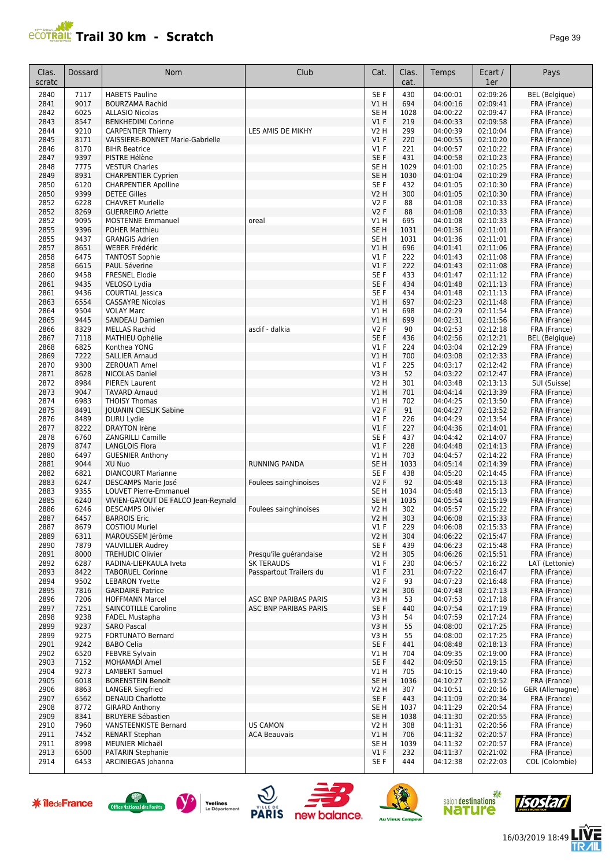

| Clas.<br>scratc | Dossard      | Nom                                                           | Club                    | Cat.                       | Clas.<br>cat. | Temps                | Ecart /<br>1er       | Pays                         |
|-----------------|--------------|---------------------------------------------------------------|-------------------------|----------------------------|---------------|----------------------|----------------------|------------------------------|
| 2840            | 7117         | <b>HABETS Pauline</b>                                         |                         | SE <sub>F</sub>            | 430           | 04:00:01             | 02:09:26             | BEL (Belgique)               |
| 2841            | 9017         | <b>BOURZAMA Rachid</b>                                        |                         | V1H                        | 694           | 04:00:16             | 02:09:41             | FRA (France)                 |
| 2842            | 6025         | <b>ALLASIO Nicolas</b>                                        |                         | SE <sub>H</sub>            | 1028          | 04:00:22             | 02:09:47             | FRA (France)                 |
| 2843<br>2844    | 8547<br>9210 | <b>BENKHEDIMI Corinne</b>                                     | LES AMIS DE MIKHY       | V1F<br><b>V2 H</b>         | 219<br>299    | 04:00:33<br>04:00:39 | 02:09:58<br>02:10:04 | FRA (France)                 |
| 2845            | 8171         | <b>CARPENTIER Thierry</b><br>VAISSIERE-BONNET Marie-Gabrielle |                         | V1F                        | 220           | 04:00:55             | 02:10:20             | FRA (France)<br>FRA (France) |
| 2846            | 8170         | <b>BIHR Beatrice</b>                                          |                         | $VI$ F                     | 221           | 04:00:57             | 02:10:22             | FRA (France)                 |
| 2847            | 9397         | PISTRE Hélène                                                 |                         | SE F                       | 431           | 04:00:58             | 02:10:23             | FRA (France)                 |
| 2848            | 7775         | <b>VESTUR Charles</b>                                         |                         | SE <sub>H</sub>            | 1029          | 04:01:00             | 02:10:25             | FRA (France)                 |
| 2849            | 8931         | <b>CHARPENTIER Cyprien</b>                                    |                         | SE <sub>H</sub>            | 1030          | 04:01:04             | 02:10:29             | FRA (France)                 |
| 2850            | 6120<br>9399 | <b>CHARPENTIER Apolline</b>                                   |                         | SE <sub>F</sub>            | 432<br>300    | 04:01:05             | 02:10:30<br>02:10:30 | FRA (France)                 |
| 2850<br>2852    | 6228         | <b>DETEE Gilles</b><br><b>CHAVRET Murielle</b>                |                         | <b>V2 H</b><br><b>V2F</b>  | 88            | 04:01:05<br>04:01:08 | 02:10:33             | FRA (France)<br>FRA (France) |
| 2852            | 8269         | <b>GUERREIRO Arlette</b>                                      |                         | V2F                        | 88            | 04:01:08             | 02:10:33             | FRA (France)                 |
| 2852            | 9095         | <b>MOSTENNE Emmanuel</b>                                      | oreal                   | VIH                        | 695           | 04:01:08             | 02:10:33             | FRA (France)                 |
| 2855            | 9396         | <b>POHER Matthieu</b>                                         |                         | SE <sub>H</sub>            | 1031          | 04:01:36             | 02:11:01             | FRA (France)                 |
| 2855            | 9437         | <b>GRANGIS Adrien</b>                                         |                         | SE <sub>H</sub>            | 1031          | 04:01:36             | 02:11:01             | FRA (France)                 |
| 2857            | 8651         | <b>WEBER Frédéric</b>                                         |                         | V1H                        | 696           | 04:01:41             | 02:11:06             | FRA (France)                 |
| 2858<br>2858    | 6475<br>6615 | <b>TANTOST Sophie</b><br>PAUL Séverine                        |                         | $VI$ F<br>V1F              | 222<br>222    | 04:01:43<br>04:01:43 | 02:11:08<br>02:11:08 | FRA (France)                 |
| 2860            | 9458         | <b>FRESNEL Elodie</b>                                         |                         | SE F                       | 433           | 04:01:47             | 02:11:12             | FRA (France)<br>FRA (France) |
| 2861            | 9435         | VELOSO Lydia                                                  |                         | SE <sub>F</sub>            | 434           | 04:01:48             | 02:11:13             | FRA (France)                 |
| 2861            | 9436         | <b>COURTIAL Jessica</b>                                       |                         | SE F                       | 434           | 04:01:48             | 02:11:13             | FRA (France)                 |
| 2863            | 6554         | <b>CASSAYRE Nicolas</b>                                       |                         | V1 H                       | 697           | 04:02:23             | 02:11:48             | FRA (France)                 |
| 2864            | 9504         | <b>VOLAY Marc</b>                                             |                         | V1 H                       | 698           | 04:02:29             | 02:11:54             | FRA (France)                 |
| 2865            | 9445         | <b>SANDEAU Damien</b>                                         |                         | V1H                        | 699           | 04:02:31             | 02:11:56             | FRA (France)                 |
| 2866            | 8329         | <b>MELLAS Rachid</b>                                          | asdif - dalkia          | <b>V2F</b>                 | 90            | 04:02:53             | 02:12:18             | FRA (France)                 |
| 2867            | 7118         | <b>MATHIEU Ophélie</b>                                        |                         | SE <sub>F</sub>            | 436           | 04:02:56             | 02:12:21             | <b>BEL</b> (Belgique)        |
| 2868<br>2869    | 6825<br>7222 | Konthea YONG<br><b>SALLIER Arnaud</b>                         |                         | $VI$ F<br>V1H              | 224<br>700    | 04:03:04<br>04:03:08 | 02:12:29<br>02:12:33 | FRA (France)<br>FRA (France) |
| 2870            | 9300         | <b>ZEROUATI Amel</b>                                          |                         | $VI$ F                     | 225           | 04:03:17             | 02:12:42             | FRA (France)                 |
| 2871            | 8628         | <b>NICOLAS Daniel</b>                                         |                         | V3H                        | 52            | 04:03:22             | 02:12:47             | FRA (France)                 |
| 2872            | 8984         | <b>PIEREN Laurent</b>                                         |                         | <b>V2 H</b>                | 301           | 04:03:48             | 02:13:13             | SUI (Suisse)                 |
| 2873            | 9047         | <b>TAVARD Arnaud</b>                                          |                         | VIH                        | 701           | 04:04:14             | 02:13:39             | FRA (France)                 |
| 2874            | 6983         | <b>THOISY Thomas</b>                                          |                         | V1 H                       | 702           | 04:04:25             | 02:13:50             | FRA (France)                 |
| 2875            | 8491         | <b>JOUANIN CIESLIK Sabine</b>                                 |                         | V2F                        | 91            | 04:04:27             | 02:13:52             | FRA (France)                 |
| 2876            | 8489         | DURU Lydie                                                    |                         | V1F                        | 226           | 04:04:29             | 02:13:54             | FRA (France)                 |
| 2877<br>2878    | 8222<br>6760 | <b>DRAYTON Irène</b><br>ZANGRILLI Camille                     |                         | V1F<br>SE <sub>F</sub>     | 227<br>437    | 04:04:36<br>04:04:42 | 02:14:01<br>02:14:07 | FRA (France)<br>FRA (France) |
| 2879            | 8747         | <b>LANGLOIS Flora</b>                                         |                         | V1F                        | 228           | 04:04:48             | 02:14:13             | FRA (France)                 |
| 2880            | 6497         | <b>GUESNIER Anthony</b>                                       |                         | V1 H                       | 703           | 04:04:57             | 02:14:22             | FRA (France)                 |
| 2881            | 9044         | XU Nuo                                                        | <b>RUNNING PANDA</b>    | SE <sub>H</sub>            | 1033          | 04:05:14             | 02:14:39             | FRA (France)                 |
| 2882            | 6821         | <b>DIANCOURT Marianne</b>                                     |                         | SE F                       | 438           | 04:05:20             | 02:14:45             | FRA (France)                 |
| 2883            | 6247         | DESCAMPS Marie José                                           | Foulees sainghinoises   | V2F                        | 92            | 04:05:48             | 02:15:13             | FRA (France)                 |
| 2883            | 9355         | <b>LOUVET Pierre-Emmanuel</b>                                 |                         | SE <sub>H</sub>            | 1034          | 04:05:48             | 02:15:13             | FRA (France)                 |
| 2885            | 6240         | VIVIEN-GAYOUT DE FALCO Jean-Reynald                           |                         | SE <sub>H</sub>            | 1035          | 04:05:54             | 02:15:19             | FRA (France)                 |
| 2886<br>2887    | 6246<br>6457 | <b>DESCAMPS Olivier</b><br><b>BARROIS Eric</b>                | Foulees sainghinoises   | <b>V2 H</b><br><b>V2 H</b> | 302<br>303    | 04:05:57<br>04:06:08 | 02:15:22<br>02:15:33 | FRA (France)<br>FRA (France) |
| 2887            | 8679         | <b>COSTIOU Muriel</b>                                         |                         | V1 F                       | 229           | 04:06:08             | 02:15:33             | FRA (France)                 |
| 2889            | 6311         | MAROUSSEM Jérôme                                              |                         | V2H                        | 304           | 04:06:22             | 02:15:47             | FRA (France)                 |
| 2890            | 7879         | <b>VAUVILLIER Audrey</b>                                      |                         | SE F                       | 439           | 04:06:23             | 02:15:48             | FRA (France)                 |
| 2891            | 8000         | <b>TREHUDIC Olivier</b>                                       | Presqu'île quérandaise  | <b>V2 H</b>                | 305           | 04:06:26             | 02:15:51             | FRA (France)                 |
| 2892            | 6287         | RADINA-LIEPKAULA Iveta                                        | <b>SK TERAUDS</b>       | $VI$ F                     | 230           | 04:06:57             | 02:16:22             | LAT (Lettonie)               |
| 2893            | 8422         | <b>TABORUEL Corinne</b>                                       | Passpartout Trailers du | $VI$ F                     | 231           | 04:07:22             | 02:16:47             | FRA (France)                 |
| 2894<br>2895    | 9502<br>7816 | <b>LEBARON Yvette</b><br><b>GARDAIRE Patrice</b>              |                         | V2F<br><b>V2 H</b>         | 93<br>306     | 04:07:23<br>04:07:48 | 02:16:48<br>02:17:13 | FRA (France)<br>FRA (France) |
| 2896            | 7206         | <b>HOFFMANN Marcel</b>                                        | ASC BNP PARIBAS PARIS   | V3H                        | 53            | 04:07:53             | 02:17:18             | FRA (France)                 |
| 2897            | 7251         | SAINCOTILLE Caroline                                          | ASC BNP PARIBAS PARIS   | SE F                       | 440           | 04:07:54             | 02:17:19             | FRA (France)                 |
| 2898            | 9238         | <b>FADEL Mustapha</b>                                         |                         | V3H                        | 54            | 04:07:59             | 02:17:24             | FRA (France)                 |
| 2899            | 9237         | <b>SARO Pascal</b>                                            |                         | V3H                        | 55            | 04:08:00             | 02:17:25             | FRA (France)                 |
| 2899            | 9275         | <b>FORTUNATO Bernard</b>                                      |                         | V3 H                       | 55            | 04:08:00             | 02:17:25             | FRA (France)                 |
| 2901            | 9242         | <b>BABO Celia</b>                                             |                         | SE F                       | 441           | 04:08:48             | 02:18:13             | FRA (France)                 |
| 2902            | 6520         | FEBVRE Sylvain                                                |                         | VIH                        | 704           | 04:09:35             | 02:19:00             | FRA (France)                 |
| 2903<br>2904    | 7152<br>9273 | MOHAMADI Amel<br><b>LAMBERT Samuel</b>                        |                         | SE F<br>V1 H               | 442<br>705    | 04:09:50<br>04:10:15 | 02:19:15<br>02:19:40 | FRA (France)<br>FRA (France) |
| 2905            | 6018         | <b>BORENSTEIN Benoit</b>                                      |                         | SE <sub>H</sub>            | 1036          | 04:10:27             | 02:19:52             | FRA (France)                 |
| 2906            | 8863         | <b>LANGER Siegfried</b>                                       |                         | V2 H                       | 307           | 04:10:51             | 02:20:16             | GER (Allemagne)              |
| 2907            | 6562         | <b>DENAUD Charlotte</b>                                       |                         | SE F                       | 443           | 04:11:09             | 02:20:34             | FRA (France)                 |
| 2908            | 8772         | <b>GIRARD Anthony</b>                                         |                         | SE <sub>H</sub>            | 1037          | 04:11:29             | 02:20:54             | FRA (France)                 |
| 2909            | 8341         | <b>BRUYERE Sébastien</b>                                      |                         | SE <sub>H</sub>            | 1038          | 04:11:30             | 02:20:55             | FRA (France)                 |
| 2910            | 7960         | <b>VANSTEENKISTE Bernard</b>                                  | <b>US CAMON</b>         | V2 H                       | 308           | 04:11:31             | 02:20:56             | FRA (France)                 |
| 2911            | 7452         | <b>RENART Stephan</b>                                         | <b>ACA Beauvais</b>     | V1H                        | 706<br>1039   | 04:11:32             | 02:20:57             | FRA (France)                 |
| 2911<br>2913    | 8998<br>6500 | MEUNIER Michaël<br>PATARIN Stephanie                          |                         | SE <sub>H</sub><br>V1F     | 232           | 04:11:32<br>04:11:37 | 02:20:57<br>02:21:02 | FRA (France)<br>FRA (France) |
| 2914            | 6453         | ARCINIEGAS Johanna                                            |                         | SE F                       | 444           | 04:12:38             | 02:22:03             | COL (Colombie)               |
|                 |              |                                                               |                         |                            |               |                      |                      |                              |